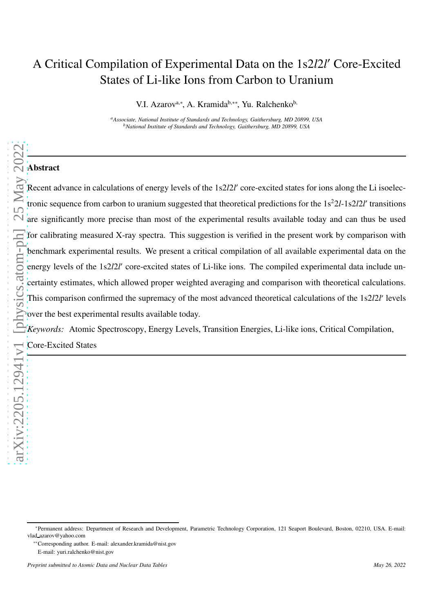# A Critical Compilation of Experimental Data on the 1s2*l*2*l* ′ Core-Excited States of Li-like Ions from Carbon to Uranium

V.I. Azarov<sup>a,∗</sup>, A. Kramida<sup>b,</sup>∗\*, Yu. Ralchenko<sup>b,</sup>

*<sup>a</sup>Associate, National Institute of Standards and Technology, Gaithersburg, MD 20899, USA <sup>b</sup>National Institute of Standards and Technology, Gaithersburg, MD 20899, USA*

# Abstract

[arXiv:2205.12941v1 \[physics.atom-ph\] 25 May 2022](http://arxiv.org/abs/2205.12941v1) Recent advance in calculations of energy levels of the 1s2l2l' core-excited states for ions along the Li isoelectronic sequence from carbon to uranium suggested that theoretical predictions for the  $1s^22l-1s2l2l'$  transitions Execut advance in calculations of energy levels of the 1s22/2<sup>r</sup> core-excited states for ions along the Li isoelectronic sequence from carbon to uranium suggested that theoretical predictions for the 1s<sup>2</sup>2/-1s2/2*r* tran for calibrating measured X-ray spectra. This suggestion is verified in the present work by comparison with benchmark experimental results. We present a critical compilation of all available experimental data on the energy levels of the 1s2l2l' core-excited states of Li-like ions. The compiled experimental data include uncertainty estimates, which allowed proper weighted averaging and comparison with theoretical calculations. This comparison confirmed the supremacy of the most advanced theoretical calculations of the 1s2*l*2*l'* levels over the best experimental results available today.

*Keywords:* Atomic Spectroscopy, Energy Levels, Transition Energies, Li-like ions, Critical Compilation,

Core-Excited States

<sup>∗</sup>Permanent address: Department of Research and Development, Parametric Technology Corporation, 121 Seaport Boulevard, Boston, 02210, USA. E-mail: vlad azarov@yahoo.com

<sup>∗∗</sup>Corresponding author. E-mail: alexander.kramida@nist.gov E-mail: yuri.ralchenko@nist.gov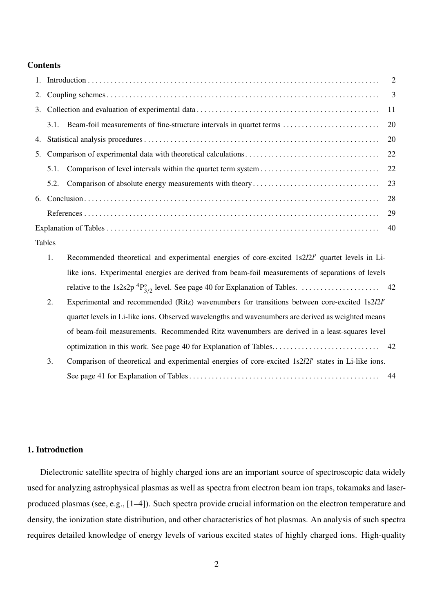## **Contents**

## Tables

| Recommended theoretical and experimental energies of core-excited 1s2l2l' quartet levels in Li-   |
|---------------------------------------------------------------------------------------------------|
| like ions. Experimental energies are derived from beam-foil measurements of separations of levels |
|                                                                                                   |

- 2. Experimental and recommended (Ritz) wavenumbers for transitions between core-excited 1s2*l*2*l* ′ quartet levels in Li-like ions. Observed wavelengths and wavenumbers are derived as weighted means of beam-foil measurements. Recommended Ritz wavenumbers are derived in a least-squares level optimization in this work. See page 40 for Explanation of Tables. . . . . . . . . . . . . . . . . . . . . . . . . . . . . 42
- 3. Comparison of theoretical and experimental energies of core-excited 1s2*l*2*l* ′ states in Li-like ions. See page 41 for Explanation of Tables . . . . . . . . . . . . . . . . . . . . . . . . . . . . . . . . . . . . . . . . . . . . . . . . . . . 44

# 1. Introduction

Dielectronic satellite spectra of highly charged ions are an important source of spectroscopic data widely used for analyzing astrophysical plasmas as well as spectra from electron beam ion traps, tokamaks and laserproduced plasmas (see, e.g., [1–4]). Such spectra provide crucial information on the electron temperature and density, the ionization state distribution, and other characteristics of hot plasmas. An analysis of such spectra requires detailed knowledge of energy levels of various excited states of highly charged ions. High-quality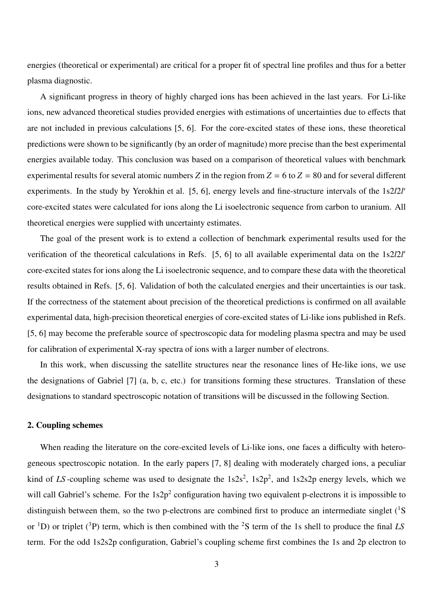energies (theoretical or experimental) are critical for a proper fit of spectral line profiles and thus for a better plasma diagnostic.

A significant progress in theory of highly charged ions has been achieved in the last years. For Li-like ions, new advanced theoretical studies provided energies with estimations of uncertainties due to effects that are not included in previous calculations [5, 6]. For the core-excited states of these ions, these theoretical predictions were shown to be significantly (by an order of magnitude) more precise than the best experimental energies available today. This conclusion was based on a comparison of theoretical values with benchmark experimental results for several atomic numbers *Z* in the region from  $Z = 6$  to  $Z = 80$  and for several different experiments. In the study by Yerokhin et al. [5, 6], energy levels and fine-structure intervals of the 1s2*l*2*l'* core-excited states were calculated for ions along the Li isoelectronic sequence from carbon to uranium. All theoretical energies were supplied with uncertainty estimates.

The goal of the present work is to extend a collection of benchmark experimental results used for the verification of the theoretical calculations in Refs. [5, 6] to all available experimental data on the 1s2*l*2*l* ′ core-excited states for ions along the Li isoelectronic sequence, and to compare these data with the theoretical results obtained in Refs. [5, 6]. Validation of both the calculated energies and their uncertainties is our task. If the correctness of the statement about precision of the theoretical predictions is confirmed on all available experimental data, high-precision theoretical energies of core-excited states of Li-like ions published in Refs. [5, 6] may become the preferable source of spectroscopic data for modeling plasma spectra and may be used for calibration of experimental X-ray spectra of ions with a larger number of electrons.

In this work, when discussing the satellite structures near the resonance lines of He-like ions, we use the designations of Gabriel [7] (a, b, c, etc.) for transitions forming these structures. Translation of these designations to standard spectroscopic notation of transitions will be discussed in the following Section.

## 2. Coupling schemes

When reading the literature on the core-excited levels of Li-like ions, one faces a difficulty with heterogeneous spectroscopic notation. In the early papers [7, 8] dealing with moderately charged ions, a peculiar kind of LS-coupling scheme was used to designate the  $1s2s^2$ ,  $1s2p^2$ , and  $1s2s2p$  energy levels, which we will call Gabriel's scheme. For the  $1s2p^2$  configuration having two equivalent p-electrons it is impossible to distinguish between them, so the two p-electrons are combined first to produce an intermediate singlet  $(^1S)$ or <sup>1</sup>D) or triplet (<sup>3</sup>P) term, which is then combined with the <sup>2</sup>S term of the 1s shell to produce the final *LS* term. For the odd 1s2s2p configuration, Gabriel's coupling scheme first combines the 1s and 2p electron to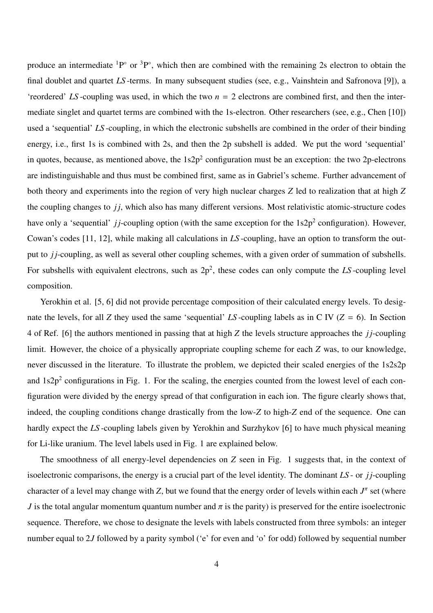produce an intermediate  ${}^{1}P^{\circ}$  or  ${}^{3}P^{\circ}$ , which then are combined with the remaining 2s electron to obtain the final doublet and quartet *LS* -terms. In many subsequent studies (see, e.g., Vainshtein and Safronova [9]), a 'reordered' *LS*-coupling was used, in which the two  $n = 2$  electrons are combined first, and then the intermediate singlet and quartet terms are combined with the 1s-electron. Other researchers (see, e.g., Chen [10]) used a 'sequential' *LS* -coupling, in which the electronic subshells are combined in the order of their binding energy, i.e., first 1s is combined with 2s, and then the 2p subshell is added. We put the word 'sequential' in quotes, because, as mentioned above, the  $1s2p^2$  configuration must be an exception: the two 2p-electrons are indistinguishable and thus must be combined first, same as in Gabriel's scheme. Further advancement of both theory and experiments into the region of very high nuclear charges *Z* led to realization that at high *Z* the coupling changes to *j<sub>j</sub>*, which also has many different versions. Most relativistic atomic-structure codes have only a 'sequential' *jj*-coupling option (with the same exception for the 1s2p<sup>2</sup> configuration). However, Cowan's codes [11, 12], while making all calculations in *LS* -coupling, have an option to transform the output to *j j*-coupling, as well as several other coupling schemes, with a given order of summation of subshells. For subshells with equivalent electrons, such as  $2p^2$ , these codes can only compute the  $LS$ -coupling level composition.

Yerokhin et al. [5, 6] did not provide percentage composition of their calculated energy levels. To designate the levels, for all *Z* they used the same 'sequential' *LS* -coupling labels as in C IV ( $Z = 6$ ). In Section 4 of Ref. [6] the authors mentioned in passing that at high *Z* the levels structure approaches the *j j*-coupling limit. However, the choice of a physically appropriate coupling scheme for each *Z* was, to our knowledge, never discussed in the literature. To illustrate the problem, we depicted their scaled energies of the 1s2s2p and  $1s2p<sup>2</sup>$  configurations in Fig. 1. For the scaling, the energies counted from the lowest level of each configuration were divided by the energy spread of that configuration in each ion. The figure clearly shows that, indeed, the coupling conditions change drastically from the low-*Z* to high-*Z* end of the sequence. One can hardly expect the *LS* -coupling labels given by Yerokhin and Surzhykov [6] to have much physical meaning for Li-like uranium. The level labels used in Fig. 1 are explained below.

The smoothness of all energy-level dependencies on *Z* seen in Fig. 1 suggests that, in the context of isoelectronic comparisons, the energy is a crucial part of the level identity. The dominant *LS* - or *j j*-coupling character of a level may change with *Z*, but we found that the energy order of levels within each *J<sup>π</sup>* set (where *J* is the total angular momentum quantum number and  $\pi$  is the parity) is preserved for the entire isoelectronic sequence. Therefore, we chose to designate the levels with labels constructed from three symbols: an integer number equal to 2*J* followed by a parity symbol ('e' for even and 'o' for odd) followed by sequential number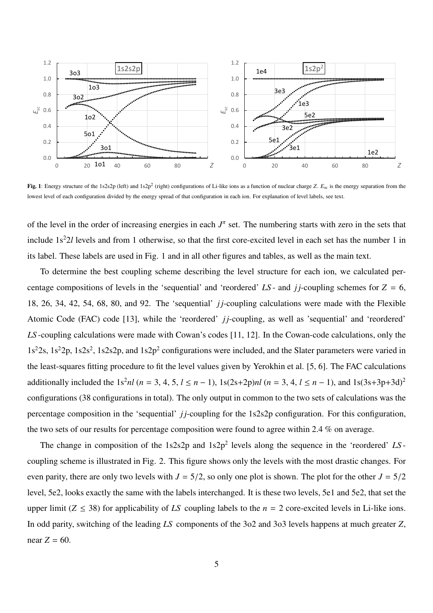

Fig. 1: Energy structure of the 1s2s2p (left) and 1s2p<sup>2</sup> (right) configurations of Li-like ions as a function of nuclear charge *Z*.  $E_{sc}$  is the energy separation from the lowest level of each configuration divided by the energy spread of that configuration in each ion. For explanation of level labels, see text.

of the level in the order of increasing energies in each  $J^{\pi}$  set. The numbering starts with zero in the sets that include 1s<sup>2</sup>2*l* levels and from 1 otherwise, so that the first core-excited level in each set has the number 1 in its label. These labels are used in Fig. 1 and in all other figures and tables, as well as the main text.

To determine the best coupling scheme describing the level structure for each ion, we calculated percentage compositions of levels in the 'sequential' and 'reordered'  $LS$ - and  $jj$ -coupling schemes for  $Z = 6$ , 18, 26, 34, 42, 54, 68, 80, and 92. The 'sequential' *j j*-coupling calculations were made with the Flexible Atomic Code (FAC) code [13], while the 'reordered' *jj*-coupling, as well as 'sequential' and 'reordered' *LS* -coupling calculations were made with Cowan's codes [11, 12]. In the Cowan-code calculations, only the 1s<sup>2</sup>2s, 1s<sup>2</sup>2p, 1s2s<sup>2</sup>, 1s2s2p, and 1s2p<sup>2</sup> configurations were included, and the Slater parameters were varied in the least-squares fitting procedure to fit the level values given by Yerokhin et al. [5, 6]. The FAC calculations additionally included the 1s<sup>2</sup>*nl* ( $n = 3, 4, 5, l \le n - 1$ ), 1s(2s+2p)*nl* ( $n = 3, 4, l \le n - 1$ ), and 1s(3s+3p+3d)<sup>2</sup> configurations (38 configurations in total). The only output in common to the two sets of calculations was the percentage composition in the 'sequential' *j j*-coupling for the 1s2s2p configuration. For this configuration, the two sets of our results for percentage composition were found to agree within 2.4 % on average.

The change in composition of the  $1s2s2p$  and  $1s2p^2$  levels along the sequence in the 'reordered'  $LS$ coupling scheme is illustrated in Fig. 2. This figure shows only the levels with the most drastic changes. For even parity, there are only two levels with  $J = 5/2$ , so only one plot is shown. The plot for the other  $J = 5/2$ level, 5e2, looks exactly the same with the labels interchanged. It is these two levels, 5e1 and 5e2, that set the upper limit ( $Z \leq 38$ ) for applicability of *LS* coupling labels to the  $n = 2$  core-excited levels in Li-like ions. In odd parity, switching of the leading *LS* components of the 3o2 and 3o3 levels happens at much greater *Z*, near  $Z = 60$ .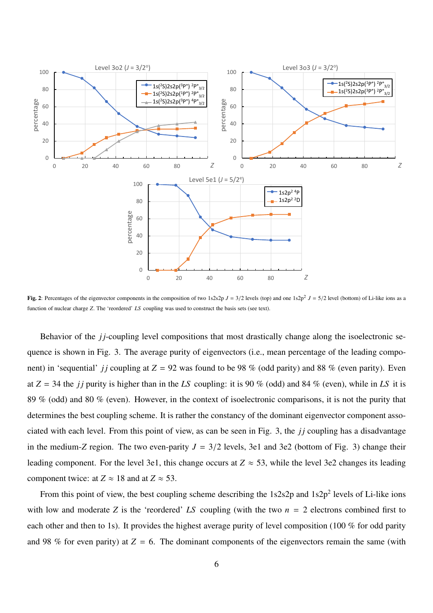

Fig. 2: Percentages of the eigenvector components in the composition of two  $1s2s2p J = 3/2$  levels (top) and one  $1s2p^{2} J = 5/2$  level (bottom) of Li-like ions as a function of nuclear charge *Z*. The 'reordered' *LS* coupling was used to construct the basis sets (see text).

Behavior of the *j j*-coupling level compositions that most drastically change along the isoelectronic sequence is shown in Fig. 3. The average purity of eigenvectors (i.e., mean percentage of the leading component) in 'sequential' *jj* coupling at  $Z = 92$  was found to be 98 % (odd parity) and 88 % (even parity). Even at  $Z = 34$  the *jj* purity is higher than in the *LS* coupling: it is 90 % (odd) and 84 % (even), while in *LS* it is 89 % (odd) and 80 % (even). However, in the context of isoelectronic comparisons, it is not the purity that determines the best coupling scheme. It is rather the constancy of the dominant eigenvector component associated with each level. From this point of view, as can be seen in Fig. 3, the *j j* coupling has a disadvantage in the medium-*Z* region. The two even-parity  $J = 3/2$  levels, 3e1 and 3e2 (bottom of Fig. 3) change their leading component. For the level 3e1, this change occurs at  $Z \approx 53$ , while the level 3e2 changes its leading component twice: at  $Z \approx 18$  and at  $Z \approx 53$ .

From this point of view, the best coupling scheme describing the  $1s2s2p$  and  $1s2p^2$  levels of Li-like ions with low and moderate *Z* is the 'reordered' *LS* coupling (with the two  $n = 2$  electrons combined first to each other and then to 1s). It provides the highest average purity of level composition (100 % for odd parity and 98 % for even parity) at  $Z = 6$ . The dominant components of the eigenvectors remain the same (with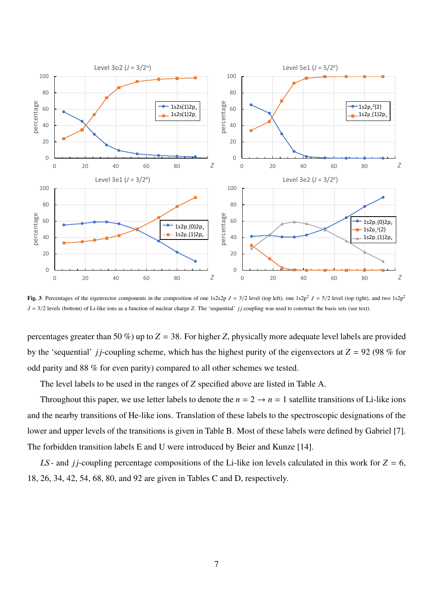

Fig. 3: Percentages of the eigenvector components in the composition of one 1s2s2p  $J = 3/2$  level (top left), one 1s2p<sup>2</sup>  $J = 5/2$  level (top right), and two 1s2p<sup>2</sup> *J* = 3/2 levels (bottom) of Li-like ions as a function of nuclear charge *Z*. The 'sequential' *jj* coupling was used to construct the basis sets (see text).

percentages greater than 50 %) up to  $Z = 38$ . For higher *Z*, physically more adequate level labels are provided by the 'sequential' *jj*-coupling scheme, which has the highest purity of the eigenvectors at  $Z = 92$  (98 % for odd parity and 88 % for even parity) compared to all other schemes we tested.

The level labels to be used in the ranges of *Z* specified above are listed in Table A.

Throughout this paper, we use letter labels to denote the  $n = 2 \rightarrow n = 1$  satellite transitions of Li-like ions and the nearby transitions of He-like ions. Translation of these labels to the spectroscopic designations of the lower and upper levels of the transitions is given in Table B. Most of these labels were defined by Gabriel [7]. The forbidden transition labels E and U were introduced by Beier and Kunze [14].

*LS* - and *jj*-coupling percentage compositions of the Li-like ion levels calculated in this work for  $Z = 6$ , 18, 26, 34, 42, 54, 68, 80, and 92 are given in Tables C and D, respectively.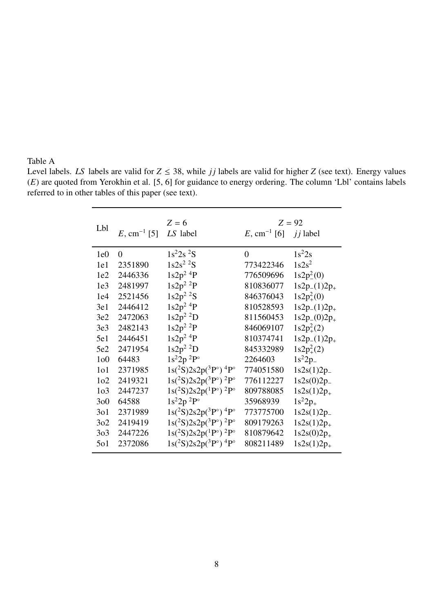# Table A

Level labels. *LS* labels are valid for  $Z \leq 38$ , while *jj* labels are valid for higher *Z* (see text). Energy values (*E*) are quoted from Yerokhin et al. [5, 6] for guidance to energy ordering. The column 'Lbl' contains labels referred to in other tables of this paper (see text).

| Lbl              | E, cm <sup>-1</sup> [5] | $Z = 6$<br>LS label                                     | E, cm <sup>-1</sup> [6] <i>ij</i> label | $Z = 92$            |
|------------------|-------------------------|---------------------------------------------------------|-----------------------------------------|---------------------|
| 1e0              | $\overline{0}$          | $1s^22s^2S$                                             | $\overline{0}$                          | $1s^22s$            |
| 1e1              | 2351890                 | $1s2s^2$ <sup>2</sup> S                                 | 773422346                               | $1s2s^2$            |
| 1e2              | 2446336                 | $1s2p^2$ <sup>4</sup> P                                 | 776509696                               | $1s2p_{-}^{2}(0)$   |
| 1e <sub>3</sub>  | 2481997                 | $1s2p^2$ <sup>2</sup> P                                 | 810836077                               | $1s2p_{-}(1)2p_{+}$ |
| 1e4              | 2521456                 | $1s2p^2$ <sup>2</sup> S                                 | 846376043                               | $1s2p_{+}^{2}(0)$   |
| 3e1              | 2446412                 | $1s2p^2$ <sup>4</sup> P                                 | 810528593                               | $1s2p_{-}(1)2p_{+}$ |
| 3e2              | 2472063                 | $1s2p^2$ <sup>2</sup> D                                 | 811560453                               | $1s2p_{-}(0)2p_{+}$ |
| 3e <sub>3</sub>  | 2482143                 | $1s2p^2$ <sup>2</sup> P                                 | 846069107                               | $1s2p_{+}^{2}(2)$   |
| 5e1              | 2446451                 | $1s2p^2$ <sup>4</sup> P                                 | 810374741                               | $1s2p_{-}(1)2p_{+}$ |
| 5e2              | 2471954                 | $1s2p^2$ <sup>2</sup> D                                 | 845332989                               | $1s2p_{+}^{2}(2)$   |
| 1 <sub>0</sub>   | 64483                   | $1s^22p^2P^{\circ}$                                     | 2264603                                 | $1s^22p_$           |
| 1 <sub>0</sub> 1 | 2371985                 | $1s(^{2}S)2s2p(^{3}P^{\circ})$ <sup>4</sup> $P^{\circ}$ | 774051580                               | $1s2s(1)2p_{-}$     |
| 1 <sub>0</sub> 2 | 2419321                 | $1s(^{2}S)2s2p(^{3}P^{\circ})^{2}P^{\circ}$             | 776112227                               | $1s2s(0)2p_{-}$     |
| 1 <sub>0</sub> 3 | 2447237                 | $1s(^{2}S)2s2p(^{1}P^{\circ})^{2}P^{\circ}$             | 809788085                               | $1s2s(1)2p_{+}$     |
| 300              | 64588                   | $1s^22p^2P^{\circ}$                                     | 35968939                                | $1s^22p_+$          |
| 301              | 2371989                 | $1s(^{2}S)2s2p(^{3}P^{\circ})$ <sup>4</sup> $P^{\circ}$ | 773775700                               | $1s2s(1)2p_{-}$     |
| 3 <sub>02</sub>  | 2419419                 | $1s(^{2}S)2s2p(^{3}P^{\circ})^{2}P^{\circ}$             | 809179263                               | $1s2s(1)2p_{+}$     |
| 303              | 2447226                 | $1s(^{2}S)2s2p(^{1}P^{\circ})^{2}P^{\circ}$             | 810879642                               | $1s2s(0)2p_{+}$     |
| 501              | 2372086                 | $1s(^{2}S)2s2p(^{3}P^{\circ})$ <sup>4</sup> $P^{\circ}$ | 808211489                               | $1s2s(1)2p_{+}$     |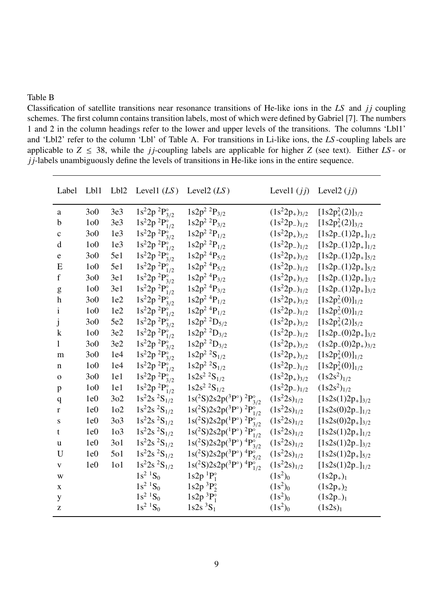# Table B

Classification of satellite transitions near resonance transitions of He-like ions in the *LS* and *jj* coupling schemes. The first column contains transition labels, most of which were defined by Gabriel [7]. The numbers 1 and 2 in the column headings refer to the lower and upper levels of the transitions. The columns 'Lbl1' and 'Lbl2' refer to the column 'Lbl' of Table A. For transitions in Li-like ions, the *LS* -coupling labels are applicable to  $Z \leq 38$ , while the *j* j-coupling labels are applicable for higher *Z* (see text). Either *LS* - or *j j*-labels unambiguously define the levels of transitions in He-like ions in the entire sequence.

| Label          | Lb <sub>11</sub> |                  | Lbl2 Level1 $(LS)$          | Level2 $(LS)$                                          |                      | Level1 $(jj)$ Level2 $(jj)$ |
|----------------|------------------|------------------|-----------------------------|--------------------------------------------------------|----------------------|-----------------------------|
| a              | 300              | 3e <sub>3</sub>  | $1s^22p^2P_{3/2}^{\circ}$   | $1s2p^2~^2P_{3/2}$                                     | $(1s^22p_+)_{3/2}$   | $[1s2p_{+}^{2}(2)]_{3/2}$   |
| b              | 1 <sub>0</sub>   | 3e <sub>3</sub>  | $1s^22p~^2P^{\circ}_{1/2}$  | $1s2p^2$ <sup>2</sup> $P_{3/2}$                        | $(1s^22p_-)_{1/2}$   | $[1s2p_{+}^{2}(2)]_{3/2}$   |
| $\mathbf c$    | 300              | 1e <sub>3</sub>  | $1s^22p~^2P_{3/2}^{\circ}$  | $1s2p^2$ <sup>2</sup> $P_{1/2}$                        | $(1s^22p_+)_{3/2}$   | $[1s2p_{-}(1)2p_{+}]_{1/2}$ |
| d              | 1 <sub>0</sub>   | 1e <sub>3</sub>  | $1s^22p~^2P^{\circ}_{1/2}$  | $1s2p^2$ <sup>2</sup> $P_{1/2}$                        | $(1s^22p_{-})_{1/2}$ | $[1s2p_{-}(1)2p_{+}]_{1/2}$ |
| e              | 300              | 5e1              | $1s^22p^2P_{3/2}^{\circ}$   | $1s2p^2$ <sup>4</sup> $P_{5/2}$                        | $(1s^22p_+)_{3/2}$   | $[1s2p_{-}(1)2p_{+}]_{5/2}$ |
| E              | 1 <sub>0</sub>   | 5e1              | $1s^22p^2P_{1/2}^{\circ}$   | $1s2p^2$ <sup>4</sup> $P_{5/2}$                        | $(1s^22p_{-})_{1/2}$ | $[1s2p_{-}(1)2p_{+}]_{5/2}$ |
| $\mathbf f$    | 300              | 3e1              | $1s^22p~^2P_{3/2}^{\circ}$  | $1s2p^2$ <sup>4</sup> $P_{3/2}$                        | $(1s^22p_+)_{3/2}$   | $[1s2p_{-}(1)2p_{+}]_{3/2}$ |
| g              | 1 <sub>0</sub>   | 3e1              | $1s^22p~^2P^{\circ}_{1/2}$  | $1s2p^2$ <sup>4</sup> $P_{3/2}$                        | $(1s^22p_-)_{1/2}$   | $[1s2p_{-}(1)2p_{+}]_{3/2}$ |
| h              | 300              | 1e2              | $1s^22p~^2P^{\circ}_{3/2}$  | $1s2p^2$ <sup>4</sup> $P_{1/2}$                        | $(1s^22p_+)_{{3/2}}$ | $[1s2p_{-}^{2}(0)]_{1/2}$   |
| $\mathbf{i}$   | 1 <sub>0</sub>   | 1e2              | $1s^22p~^2P^{\circ'}_{1/2}$ | $1s2p^2$ <sup>4</sup> $P_{1/2}$                        | $(1s^22p_{-})_{1/2}$ | $[1s2p_{-}^{2}(0)]_{1/2}$   |
| j              | 300              | 5e2              | $1s^22p~^2P^{\circ}_{3/2}$  | $1s2p^2$ <sup>2</sup> D <sub>5/2</sub>                 | $(1s^22p_+)_{3/2}$   | $[1s2p_{+}^{2}(2)]_{5/2}$   |
| $\mathbf k$    | 1 <sub>0</sub>   | 3e2              | $1s^22p^2P_{1/2}$           | $1s2p^2$ <sup>2</sup> D <sub>3/2</sub>                 | $(1s^22p_-)_{1/2}$   | $[1s2p_{-}(0)2p_{+}]_{3/2}$ |
| 1              | 300              | 3e2              | $1s^22p^2P_{3/2}^{\circ}$   | $1s2p^2$ <sup>2</sup> D <sub>3/2</sub>                 | $(1s^22p_+)_{{3/2}}$ | $(1s2p_{-}(0)2p_{+})_{3/2}$ |
| m              | 300              | 1e4              | $1s^22p~^2P_{3/2}^{\circ}$  | $1s2p^2$ <sup>2</sup> S <sub>1/2</sub>                 | $(1s^22p_+)_{3/2}$   | $[1s2p_+^2(0)]_{1/2}$       |
| n              | 1 <sub>0</sub>   | 1e4              | $1s^22p^2P_{1/2}^{\circ}$   | $1s2p^2$ <sup>2</sup> S <sub>1/2</sub>                 | $(1s^22p_-)_{1/2}$   | $[1s2p_+^2(0)]_{1/2}$       |
| $\overline{O}$ | 300              | 1e1              | $1s^22p^2P_{3/2}^{\circ}$   | $1s2s^2$ ${}^2S_{1/2}$                                 | $(1s^22p_+)_{3/2}$   | $(1s2s^2)_{1/2}$            |
| p              | 1 <sub>0</sub>   | 1e1              | $1s^22p^2P_{1/2}^{\circ}$   | $1s2s^2$ ${}^2S_{1/2}$                                 | $(1s^22p_-)_{1/2}$   | $(1s2s^2)_{1/2}$            |
| q              | 1e0              | 302              | $1s^22s^2S_{1/2}$           | $1s(^{2}S)2s2p(^{3}P^{\circ})$ ${}^{2}P^{\circ}_{3/2}$ | $(1s^22s)_{1/2}$     | $[1s2s(1)2p_{+}]_{3/2}$     |
| r              | 1e0              | 1 <sub>0</sub> 2 | $1s^22s^2S_{1/2}$           | $1s(^{2}S)2s2p(^{3}P^{\circ})$ ${}^{2}P^{\circ}_{1/2}$ | $(1s^22s)_{1/2}$     | $[1s2s(0)2p_1]_{1/2}$       |
| S              | 1e0              | 303              | $1s^22s^2S_{1/2}$           | $1s(^{2}S)2s2p(^{1}P^{\circ})~^{2}P_{3/2}^{\circ}$     | $(1s^22s)_{1/2}$     | $[1s2s(0)2p_{+}]_{3/2}$     |
| t              | 1e0              | 1 <sub>0</sub> 3 | $1s^22s^2S_{1/2}$           | $1s(^{2}S)2s2p(^{1}P^{\circ})$ ${}^{2}P^{\circ}_{1/2}$ | $(1s^22s)_{1/2}$     | $[1s2s(1)2p_{+}]_{1/2}$     |
| u              | 1e0              | 301              | $1s^22s^2S_{1/2}$           | $1s(^{2}S)2s2p(^{3}P^{\circ})$ $^{4}P_{3/2}^{\circ}$   | $(1s^22s)_{1/2}$     | $[1s2s(1)2p_{-}]_{3/2}$     |
| U              | 1e0              | 501              | $1s^22s^2S_{1/2}$           | $1s(^{2}S)2s2p(^{3}P^{\circ})$ $^{4}P^{\circ}_{5/2}$   | $(1s^22s)_{1/2}$     | $[1s2s(1)2p_{+}]_{5/2}$     |
| $\mathbf{V}$   | 1e0              | 1 <sub>0</sub> 1 | $1s^22s^2S_{1/2}$           | $1s(^{2}S)2s2p(^{3}P^{\circ})$ $^{4}P_{1/2}^{\circ}$   | $(1s^22s)_{1/2}$     | $[1s2s(1)2p_{-}]_{1/2}$     |
| W              |                  |                  | $1s^2$ ${}^1S_0$            | $1s2p$ <sup>1</sup> $P_1^{\circ}$                      | $(1s^2)_0$           | $(1s2p_{+})_1$              |
| X              |                  |                  | $1s^2$ ${}^1S_0$            | $1s2p$ <sup>3</sup> $P_2^{\circ}$                      | $(1s^2)_0$           | $(1s2p_+)_2$                |
| y              |                  |                  | $1s^2$ ${}^1S_0$            | $1s2p^{3}P_{1}^{5}$                                    | $(1s^2)_0$           | $(1s2p_2)_1$                |
| Z              |                  |                  | $1s^2$ ${}^1S_0$            | $1s2s$ <sup>3</sup> S <sub>1</sub>                     | $(1s^2)_0$           | (1s2s) <sub>1</sub>         |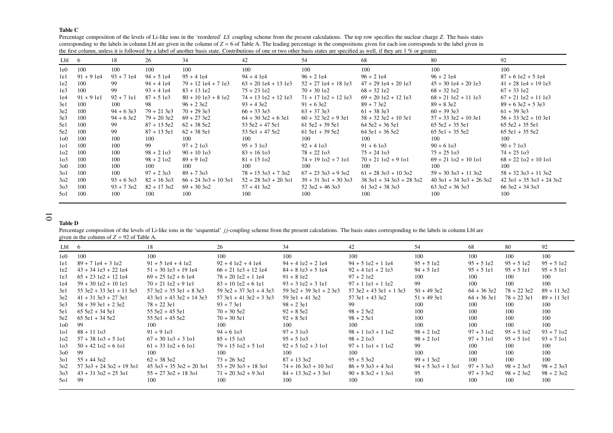#### Table C

 Percentage composition of the levels of Li-like ions in the 'reordered' *LS* coupling scheme from the presen<sup>t</sup> calculations. The top row specifies the nuclear charge *<sup>Z</sup>*. The basis states corresponding to the labels in column Lbl are given in the column of *<sup>Z</sup>* <sup>=</sup> <sup>6</sup> of Table A. The leading percentage in the compositions <sup>g</sup>iven for each ion corresponds to the label <sup>g</sup>iven in the first column, unless it is followed by a label of another basis state. Contributions of one or two other basis states are specified as well, if they are  $1\,\%$  or greater.

| Lbl 6            |             | 18          | 26           | 34                    | 42                      | 54                     | 68                            | 80                            | 92                            |
|------------------|-------------|-------------|--------------|-----------------------|-------------------------|------------------------|-------------------------------|-------------------------------|-------------------------------|
| 1e0              | 100         | 100         | 100          | 100                   | 100                     | 100                    | 100                           | 100                           | 100                           |
| 1e1              | $91 + 91e4$ | $93 + 71e4$ | $94 + 51e4$  | $95 + 41e4$           | $94 + 41e4$             | $96 + 21e4$            | $96 + 21e4$                   | $96 + 21e4$                   | $87 + 61e2 + 51e4$            |
| 1e2              | 100         | 99          | $94 + 41e4$  | $79 + 12$ 1e4 + 7 1e3 | $63 + 20$ 1e4 + 13 1e3  | $52 + 27$ 1e4 + 18 1e3 | $47 + 29$ 1e4 + 20 1e3        | $45 + 30$ 1e4 + 20 1e3        | $41 + 28$ 1e4 + 19 1e3        |
| 1e <sub>3</sub>  | 100         | 99          | $93 + 41e4$  | $83 + 13$ 1e2         | $75 + 23$ 1e2           | $70 + 301e2$           | $68 + 32$ 1e2                 | $68 + 32$ 1e2                 | $67 + 33$ 1e2                 |
| 1e4              | $91 + 91e1$ | $92 + 71e1$ | $87 + 51e3$  | $80 + 101e3 + 81e2$   | $74 + 13$ 1e2 + 12 1e3  | $71 + 17$ 1e2 + 12 1e3 | $69 + 201e2 + 121e3$          | $68 + 21$ le2 + 11 le3        | $67 + 21$ 1e2 + 11 1e3        |
| 3e1              | 100         | 100         | 98           | $96 + 23e2$           | $93 + 43e2$             | $91 + 63e2$            | $89 + 73e2$                   | $89 + 83e2$                   | $89 + 63e^2 + 53e^3$          |
| 3e2              | 100         | $94 + 63e3$ | $79 + 213e3$ | $70 + 293 = 3e3$      | $66 + 333 = 3e3$        | $63 + 373 = 363$       | $61 + 383e3$                  | $60 + 393 = 363$              | $61 + 393 = 363$              |
| 3e3              | 100         | $94 + 63e2$ | $79 + 203e2$ | $69 + 273 = 2$        | $64 + 303 = 2 + 63 = 1$ | $60 + 323e2 + 93e1$    | $58 + 323 + 103$ e1           | $57 + 333e2 + 103e1$          | $56 + 333 + 103 = 1$          |
| 5e1              | 100         | 99          | $87 + 135e2$ | $62 + 385e2$          | $53\,5e2 + 47\,5e1$     | $615e2 + 395e1$        | $645e2 + 365e1$               | $655e2 + 355e1$               | $65\,5e2 + 35\,5e1$           |
| 5e2              | 100         | 99          | $87 + 135e1$ | $62 + 385e1$          | $53\,5e1 + 47\,5e2$     | $61$ 5e1 + 39 5e2      | $645e1 + 365e2$               | $655e1 + 355e2$               | $65 5e1 + 35 5e2$             |
| 100              | 100         | 100         | 100          | 100                   | 100                     | 100                    | 100                           | 100                           | 100                           |
| 1 <sub>0</sub> 1 | 100         | 100         | 99           | $97 + 2103$           | $95 + 3103$             | $92 + 4103$            | $91 + 61$ o 3                 | $90 + 61$ o 3                 | $90 + 7103$                   |
| 1 <sub>0</sub> 2 | 100         | 100         | $98 + 2103$  | $90 + 101$ $03$       | $83 + 161$              | $78 + 22103$           | $75 + 24103$                  | $75 + 25103$                  | $74 + 25103$                  |
| 1 <sub>0</sub> 3 | 100         | 100         | $98 + 2102$  | $89 + 9102$           | $81 + 15102$            | $74 + 19102 + 7101$    | $70 + 21102 + 9101$           | $69 + 21102 + 10101$          | $68 + 22102 + 10101$          |
| 300              | 100         | 100         | 100          | 100                   | 100                     | 100                    | 100                           | 100                           | 100                           |
| 301              | 100         | 100         | $97 + 2303$  | $89 + 7303$           | $78 + 15303 + 7302$     | $67 + 23303 + 9302$    | $61 + 283 + 103$              | $59 + 303 + 1130$             | $58 + 32303 + 11302$          |
| 3 <sub>0</sub> 2 | 100         | $93 + 6303$ | $82 + 163$   | $66 + 24303 + 10301$  | $52 + 283 + 203 + 101$  | $39 + 31301 + 30303$   | $38\,301 + 34\,303 + 28\,302$ | $40\,301 + 34\,303 + 26\,302$ | $42\,301 + 35\,303 + 24\,302$ |
| 3 <sub>0</sub> 3 | 100         | $93 + 7302$ | $82 + 17302$ | $69 + 30302$          | $57 + 41302$            | $52302 + 46303$        | $61302 + 38303$               | $63\,302 + 36\,303$           | $66302 + 34303$               |
| 501              | 100         | 100         | 100          | 100                   | 100                     | 100                    | 100                           | 100                           | 100                           |

# 10

Table D

Percentage composition of the levels of Li-like ions in the 'sequential' *jj*-coupling scheme from the present calculations. The basis states corresponding to the labels in column Lbl are given in the column of *<sup>Z</sup>* <sup>=</sup> <sup>92</sup> of Table A.

| Lbl 6            |                            | 18                            | 26                           | 34                        | 42                        | 54                 | 68            | -80           | 92            |
|------------------|----------------------------|-------------------------------|------------------------------|---------------------------|---------------------------|--------------------|---------------|---------------|---------------|
| 1e0              | 100                        | 100                           | 100                          | 100                       | 100                       | 100                | 100           | 100           | 100           |
| 1e1              | $89 + 7$ 1e4 + 3 1e2       | $91 + 51e4 + 41e2$            | $92 + 41e2 + 41e4$           | $94 + 41e2 + 21e4$        | $94 + 51e2 + 11e4$        | $95 + 51e2$        | $95 + 51e2$   | $95 + 51e2$   | $95 + 51e2$   |
| 1e2              | $43 + 34$ 1e3 + 22 1e4     | $51 + 30$ 1e3 + 19 1e4        | $66 + 21$ 1e3 + 12 1e4       | $84 + 81e3 + 51e4$        | $92 + 41e1 + 21e3$        | $94 + 51e1$        | $95 + 51e1$   | $95 + 51e1$   | $95 + 51e1$   |
| 1e <sub>3</sub>  | $65 + 23$ 1e2 + 12 1e4     | $69 + 25$ 1e2 + 6 1e4         | $78 + 20$ 1e2 + 1 1e4        | $91 + 81e2$               | $97 + 21e2$               | 100                | 100           | 100           | 100           |
| 1e4              | $59 + 301e2 + 101e1$       | $70 + 21$ 1e2 + 9 1e1         | $83 + 10$ 1e2 + 6 1e1        | $93 + 31e2 + 31e1$        | $97 + 1$ 1e1 + 1 1e2      | 99                 | 100           | 100           | 100           |
| 3e1              | $55$ 3e2 + 33 3e1 + 11 3e3 | $57.3e2 + 35.3e1 + 8.3e3$     | $59.3e^2 + 37.3e^1 + 4.3e^3$ | $59$ 3e2 + 39 3e1 + 2 3e3 | $57$ 3e2 + 43 3e1 + 1 3e3 | $50 + 49.3e2$      | $64 + 36$ 3e2 | $78 + 22.3e2$ | $89 + 11$ 3e2 |
| 3e2              | $41 + 31$ 3e3 + 27 3e1     | $43$ 3e1 + 43 3e2 + 14 3e3    | $57$ 3e1 + 41 3e2 + 3 3e3    | $59$ 3e1 + 41 3e2         | $57$ 3e1 + 43 3e2         | $51 + 49$ 3e1      | $64 + 36$ 3e1 | $78 + 22$ 3e1 | $89 + 11$ 3e1 |
| 3e <sub>3</sub>  | $58 + 39$ 3e1 + 2 3e2      | $78 + 22$ 3e1                 | $93 + 73e1$                  | $98 + 23e1$               | 99                        | 100                | 100           | 100           | 100           |
| 5e1              | $655e2 + 345e1$            | $555e2 + 455e1$               | $70 + 305e2$                 | $92 + 85e2$               | $98 + 25e2$               | 100                | 100           | 100           | 100           |
| 5e2              | $65\,5e1 + 34\,5e2$        | $55.5e1 + 45.5e2$             | $70 + 305e1$                 | $92 + 85e1$               | $98 + 25e1$               | 100                | 100           | 100           | 100           |
| 100              | 99                         | 100                           | 100                          | 100                       | 100                       | 100                | 100           | 100           | 100           |
| 1 <sub>0</sub> 1 | $88 + 11103$               | $91 + 9103$                   | $94 + 6103$                  | $97 + 3103$               | $98 + 1103 + 1102$        | $98 + 2102$        | $97 + 3102$   | $95 + 5102$   | $93 + 7102$   |
| 1 <sub>0</sub> 2 | $57 + 38103 + 5101$        | $67 + 30103 + 3101$           | $85 + 15103$                 | $95 + 5103$               | $98 + 2103$               | $98 + 2101$        | $97 + 3101$   | $95 + 5101$   | $93 + 7101$   |
| 1 <sub>0</sub> 3 | $50 + 42102 + 6101$        | $61 + 33102 + 6101$           | $79 + 15102 + 5101$          | $92 + 5102 + 3101$        | $97 + 1101 + 1102$        | 99                 | 100           | 100           | 100           |
| 300              | 99                         | 100                           | 100                          | 100                       | 100                       | 100                | 100           | 100           | 100           |
| 301              | $55 + 44302$               | $62 + 38302$                  | $73 + 26302$                 | $87 + 13302$              | $95 + 5302$               | $99 + 1302$        | 100           | 100           | 100           |
| 3 <sub>0</sub> 2 | $57303 + 24302 + 19301$    | $45\,303 + 35\,302 + 20\,301$ | $53 + 293 + 183$             | $74 + 16303 + 10301$      | $86 + 9303 + 4301$        | $94 + 5303 + 1301$ | $97 + 3303$   | $98 + 2303$   | $98 + 2303$   |
| 3 <sub>0</sub> 3 | $43 + 31302 + 25301$       | $55 + 27302 + 18301$          | $71 + 20302 + 9301$          | $84 + 13302 + 3301$       | $90 + 8302 + 1301$        | 95                 | $97 + 3302$   | $98 + 2302$   | $98 + 2302$   |
| 501              | -99                        | 100                           | 100                          | 100                       | 100                       | 100                | 100           | 100           | 100           |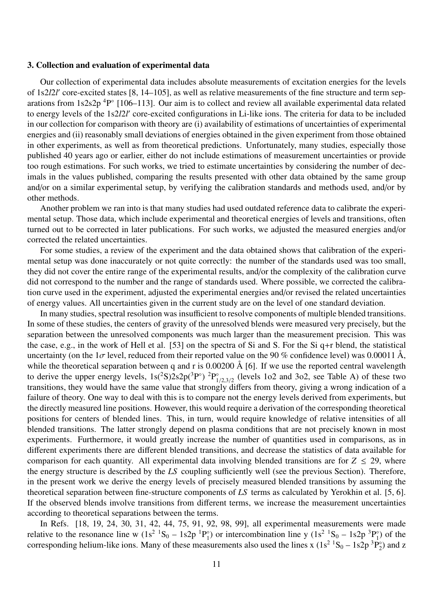#### 3. Collection and evaluation of experimental data

Our collection of experimental data includes absolute measurements of excitation energies for the levels of 1s2*l*2*l* ′ core-excited states [8, 14–105], as well as relative measurements of the fine structure and term separations from 1s2s2p<sup>4</sup>P° [106–113]. Our aim is to collect and review all available experimental data related to energy levels of the 1s2*l*2*l* ′ core-excited configurations in Li-like ions. The criteria for data to be included in our collection for comparison with theory are (i) availability of estimations of uncertainties of experimental energies and (ii) reasonably small deviations of energies obtained in the given experiment from those obtained in other experiments, as well as from theoretical predictions. Unfortunately, many studies, especially those published 40 years ago or earlier, either do not include estimations of measurement uncertainties or provide too rough estimations. For such works, we tried to estimate uncertainties by considering the number of decimals in the values published, comparing the results presented with other data obtained by the same group and/or on a similar experimental setup, by verifying the calibration standards and methods used, and/or by other methods.

Another problem we ran into is that many studies had used outdated reference data to calibrate the experimental setup. Those data, which include experimental and theoretical energies of levels and transitions, often turned out to be corrected in later publications. For such works, we adjusted the measured energies and/or corrected the related uncertainties.

For some studies, a review of the experiment and the data obtained shows that calibration of the experimental setup was done inaccurately or not quite correctly: the number of the standards used was too small, they did not cover the entire range of the experimental results, and/or the complexity of the calibration curve did not correspond to the number and the range of standards used. Where possible, we corrected the calibration curve used in the experiment, adjusted the experimental energies and/or revised the related uncertainties of energy values. All uncertainties given in the current study are on the level of one standard deviation.

In many studies, spectral resolution was insufficient to resolve components of multiple blended transitions. In some of these studies, the centers of gravity of the unresolved blends were measured very precisely, but the separation between the unresolved components was much larger than the measurement precision. This was the case, e.g., in the work of Hell et al. [53] on the spectra of Si and S. For the Si q+r blend, the statistical uncertainty (on the  $1\sigma$  level, reduced from their reported value on the 90 % confidence level) was 0.00011 Å, while the theoretical separation between q and r is 0.00200 Å [6]. If we use the reported central wavelength to derive the upper energy levels,  $1s(^2S)2s2p(^3P^{\circ})$   ${}^{2}P_1^{\circ}$  $\int_{1/2,3/2}^{\infty}$  (levels 1o2 and 3o2, see Table A) of these two transitions, they would have the same value that strongly differs from theory, giving a wrong indication of a failure of theory. One way to deal with this is to compare not the energy levels derived from experiments, but the directly measured line positions. However, this would require a derivation of the corresponding theoretical positions for centers of blended lines. This, in turn, would require knowledge of relative intensities of all blended transitions. The latter strongly depend on plasma conditions that are not precisely known in most experiments. Furthermore, it would greatly increase the number of quantities used in comparisons, as in different experiments there are different blended transitions, and decrease the statistics of data available for comparison for each quantity. All experimental data involving blended transitions are for  $Z \le 29$ , where the energy structure is described by the *LS* coupling sufficiently well (see the previous Section). Therefore, in the present work we derive the energy levels of precisely measured blended transitions by assuming the theoretical separation between fine-structure components of *LS* terms as calculated by Yerokhin et al. [5, 6]. If the observed blends involve transitions from different terms, we increase the measurement uncertainties according to theoretical separations between the terms.

In Refs. [18, 19, 24, 30, 31, 42, 44, 75, 91, 92, 98, 99], all experimental measurements were made relative to the resonance line w  $(1s^2 \tcdot S_0 - 1s2p \tcdot P_1^{\circ})$  $_1^{\circ}$ ) or intercombination line y (1s<sup>2</sup> <sup>1</sup>S<sub>0</sub> – 1s2p<sup>3</sup>P<sub>1</sub><sup>3</sup>  $_1^\circ$ ) of the corresponding helium-like ions. Many of these measurements also used the lines x  $(1s^2 \text{ }^1S_0 - 1s2p \text{ }^3P_2^{\circ}$  $_2^{\circ}$ ) and z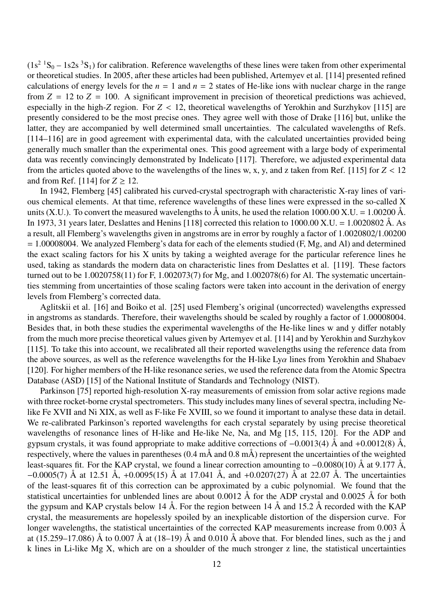$(1s<sup>2</sup> <sup>1</sup>S<sub>0</sub> - 1s2s <sup>3</sup>S<sub>1</sub>)$  for calibration. Reference wavelengths of these lines were taken from other experimental or theoretical studies. In 2005, after these articles had been published, Artemyev et al. [114] presented refined calculations of energy levels for the  $n = 1$  and  $n = 2$  states of He-like ions with nuclear charge in the range from  $Z = 12$  to  $Z = 100$ . A significant improvement in precision of theoretical predictions was achieved, especially in the high-*Z* region. For *Z* < 12, theoretical wavelengths of Yerokhin and Surzhykov [115] are presently considered to be the most precise ones. They agree well with those of Drake [116] but, unlike the latter, they are accompanied by well determined small uncertainties. The calculated wavelengths of Refs. [114–116] are in good agreement with experimental data, with the calculated uncertainties provided being generally much smaller than the experimental ones. This good agreement with a large body of experimental data was recently convincingly demonstrated by Indelicato [117]. Therefore, we adjusted experimental data from the articles quoted above to the wavelengths of the lines w, x, y, and z taken from Ref. [115] for  $Z < 12$ and from Ref. [114] for  $Z \ge 12$ .

In 1942, Flemberg [45] calibrated his curved-crystal spectrograph with characteristic X-ray lines of various chemical elements. At that time, reference wavelengths of these lines were expressed in the so-called X units (X.U.). To convert the measured wavelengths to  $\hat{A}$  units, he used the relation 1000.00 X.U. = 1.00200  $\hat{A}$ . In 1973, 31 years later, Deslattes and Henins [118] corrected this relation to  $1000.00$  X.U. =  $1.0020802$  Å. As a result, all Flemberg's wavelengths given in angstroms are in error by roughly a factor of 1.0020802/1.00200 = 1.00008004. We analyzed Flemberg's data for each of the elements studied (F, Mg, and Al) and determined the exact scaling factors for his X units by taking a weighted average for the particular reference lines he used, taking as standards the modern data on characteristic lines from Deslattes et al. [119]. These factors turned out to be 1.0020758(11) for F, 1.002073(7) for Mg, and 1.002078(6) for Al. The systematic uncertainties stemming from uncertainties of those scaling factors were taken into account in the derivation of energy levels from Flemberg's corrected data.

Aglitskii et al. [16] and Boiko et al. [25] used Flemberg's original (uncorrected) wavelengths expressed in angstroms as standards. Therefore, their wavelengths should be scaled by roughly a factor of 1.00008004. Besides that, in both these studies the experimental wavelengths of the He-like lines w and y differ notably from the much more precise theoretical values given by Artemyev et al. [114] and by Yerokhin and Surzhykov [115]. To take this into account, we recalibrated all their reported wavelengths using the reference data from the above sources, as well as the reference wavelengths for the H-like  $Ly\alpha$  lines from Yerokhin and Shabaev [120]. For higher members of the H-like resonance series, we used the reference data from the Atomic Spectra Database (ASD) [15] of the National Institute of Standards and Technology (NIST).

Parkinson [75] reported high-resolution X-ray measurements of emission from solar active regions made with three rocket-borne crystal spectrometers. This study includes many lines of several spectra, including Nelike Fe XVII and Ni XIX, as well as F-like Fe XVIII, so we found it important to analyse these data in detail. We re-calibrated Parkinson's reported wavelengths for each crystal separately by using precise theoretical wavelengths of resonance lines of H-like and He-like Ne, Na, and Mg [15, 115, 120]. For the ADP and gypsum crystals, it was found appropriate to make additive corrections of  $-0.0013(4)$  Å and  $+0.0012(8)$  Å, respectively, where the values in parentheses  $(0.4 \text{ m\AA}$  and  $(0.8 \text{ m\AA})$  represent the uncertainties of the weighted least-squares fit. For the KAP crystal, we found a linear correction amounting to −0.0080(10) Å at 9.177 Å,  $-0.0005(7)$  Å at 12.51 Å,  $+0.0095(15)$  Å at 17.041 Å, and  $+0.0207(27)$  Å at 22.07 Å. The uncertainties of the least-squares fit of this correction can be approximated by a cubic polynomial. We found that the statistical uncertainties for unblended lines are about  $0.0012 \text{ Å}$  for the ADP crystal and  $0.0025 \text{ Å}$  for both the gypsum and KAP crystals below 14 Å. For the region between 14 Å and 15.2 Å recorded with the KAP crystal, the measurements are hopelessly spoiled by an inexplicable distortion of the dispersion curve. For longer wavelengths, the statistical uncertainties of the corrected KAP measurements increase from  $0.003 \text{ Å}$ at (15.259–17.086) Å to 0.007 Å at (18–19) Å and 0.010 Å above that. For blended lines, such as the j and k lines in Li-like Mg X, which are on a shoulder of the much stronger z line, the statistical uncertainties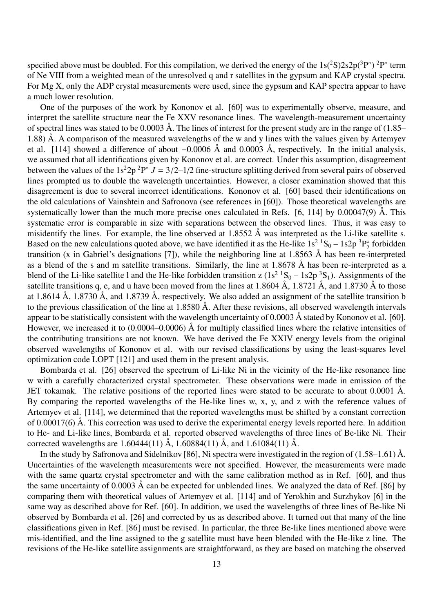specified above must be doubled. For this compilation, we derived the energy of the  $1s(^2S)2s2p(^3P^{\circ})^2P^{\circ}$  term of Ne VIII from a weighted mean of the unresolved q and r satellites in the gypsum and KAP crystal spectra. For Mg X, only the ADP crystal measurements were used, since the gypsum and KAP spectra appear to have a much lower resolution.

One of the purposes of the work by Kononov et al. [60] was to experimentally observe, measure, and interpret the satellite structure near the Fe XXV resonance lines. The wavelength-measurement uncertainty of spectral lines was stated to be  $0.0003$  Å. The lines of interest for the present study are in the range of  $(1.85-$ 1.88) Å. A comparison of the measured wavelengths of the w and y lines with the values given by Artemyev et al. [114] showed a difference of about  $-0.0006$  Å and 0.0003 Å, respectively. In the initial analysis, we assumed that all identifications given by Kononov et al. are correct. Under this assumption, disagreement between the values of the  $1s^22p^2P^{\circ} J = 3/2-1/2$  fine-structure splitting derived from several pairs of observed lines prompted us to double the wavelength uncertainties. However, a closer examination showed that this disagreement is due to several incorrect identifications. Kononov et al. [60] based their identifications on the old calculations of Vainshtein and Safronova (see references in [60]). Those theoretical wavelengths are systematically lower than the much more precise ones calculated in Refs. [6, 114] by  $0.00047(9)$  Å. This systematic error is comparable in size with separations between the observed lines. Thus, it was easy to misidentify the lines. For example, the line observed at 1.8552 Å was interpreted as the Li-like satellite s. Based on the new calculations quoted above, we have identified it as the He-like  $1s^2 \cdot S_0 - 1s2p \cdot 3P_2$  forbidden based on the new calculations quoted above, we have identified it as the He-fike 1s  $30 - 182p + 2$  robudden transition (x in Gabriel's designations [7]), while the neighboring line at 1.8563 Å has been re-interpreted as a blend of the s and m satellite transitions. Similarly, the line at 1.8678 Å has been re-interpreted as a blend of the Li-like satellite l and the He-like forbidden transition z  $(1s^2 \tcdot S_0 - 1s2p \tcdot S_1)$ . Assignments of the satellite transitions q, e, and u have been moved from the lines at 1.8604 Å, 1.8721 Å, and 1.8730 Å to those at 1.8614 Å, 1.8730 Å, and 1.8739 Å, respectively. We also added an assignment of the satellite transition b to the previous classification of the line at 1.8580 Å. After these revisions, all observed wavelength intervals appear to be statistically consistent with the wavelength uncertainty of 0.0003  $\AA$  stated by Kononov et al. [60]. However, we increased it to (0.0004–0.0006) Å for multiply classified lines where the relative intensities of the contributing transitions are not known. We have derived the Fe XXIV energy levels from the original observed wavelengths of Kononov et al. with our revised classifications by using the least-squares level optimization code LOPT [121] and used them in the present analysis.

Bombarda et al. [26] observed the spectrum of Li-like Ni in the vicinity of the He-like resonance line w with a carefully characterized crystal spectrometer. These observations were made in emission of the JET tokamak. The relative positions of the reported lines were stated to be accurate to about 0.0001 Å. By comparing the reported wavelengths of the He-like lines w, x, y, and z with the reference values of Artemyev et al. [114], we determined that the reported wavelengths must be shifted by a constant correction of 0.00017(6) Å. This correction was used to derive the experimental energy levels reported here. In addition to He- and Li-like lines, Bombarda et al. reported observed wavelengths of three lines of Be-like Ni. Their corrected wavelengths are 1.60444(11) Å, 1.60884(11) Å, and 1.61084(11) Å.

In the study by Safronova and Sidelnikov [86], Ni spectra were investigated in the region of (1.58–1.61) Å. Uncertainties of the wavelength measurements were not specified. However, the measurements were made with the same quartz crystal spectrometer and with the same calibration method as in Ref. [60], and thus the same uncertainty of 0.0003 Å can be expected for unblended lines. We analyzed the data of Ref. [86] by comparing them with theoretical values of Artemyev et al. [114] and of Yerokhin and Surzhykov [6] in the same way as described above for Ref. [60]. In addition, we used the wavelengths of three lines of Be-like Ni observed by Bombarda et al. [26] and corrected by us as described above. It turned out that many of the line classifications given in Ref. [86] must be revised. In particular, the three Be-like lines mentioned above were mis-identified, and the line assigned to the g satellite must have been blended with the He-like z line. The revisions of the He-like satellite assignments are straightforward, as they are based on matching the observed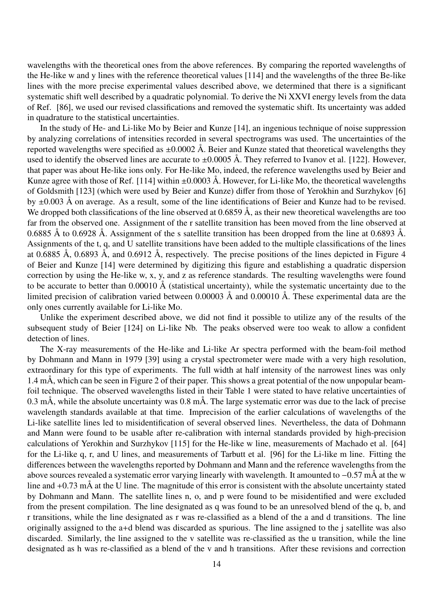wavelengths with the theoretical ones from the above references. By comparing the reported wavelengths of the He-like w and y lines with the reference theoretical values [114] and the wavelengths of the three Be-like lines with the more precise experimental values described above, we determined that there is a significant systematic shift well described by a quadratic polynomial. To derive the Ni XXVI energy levels from the data of Ref. [86], we used our revised classifications and removed the systematic shift. Its uncertainty was added in quadrature to the statistical uncertainties.

In the study of He- and Li-like Mo by Beier and Kunze [14], an ingenious technique of noise suppression by analyzing correlations of intensities recorded in several spectrograms was used. The uncertainties of the reported wavelengths were specified as  $\pm 0.0002$  Å. Beier and Kunze stated that theoretical wavelengths they used to identify the observed lines are accurate to  $\pm 0.0005$  Å. They referred to Ivanov et al. [122]. However, that paper was about He-like ions only. For He-like Mo, indeed, the reference wavelengths used by Beier and Kunze agree with those of Ref. [114] within  $\pm 0.0003$  Å. However, for Li-like Mo, the theoretical wavelengths of Goldsmith [123] (which were used by Beier and Kunze) differ from those of Yerokhin and Surzhykov [6] by ±0.003 Å on average. As a result, some of the line identifications of Beier and Kunze had to be revised. We dropped both classifications of the line observed at  $0.6859 \text{ Å}$ , as their new theoretical wavelengths are too far from the observed one. Assignment of the r satellite transition has been moved from the line observed at 0.6885 Å to 0.6928 Å. Assignment of the s satellite transition has been dropped from the line at 0.6893 Å. Assignments of the t, q, and U satellite transitions have been added to the multiple classifications of the lines at 0.6885 Å, 0.6893 Å, and 0.6912 Å, respectively. The precise positions of the lines depicted in Figure 4 of Beier and Kunze [14] were determined by digitizing this figure and establishing a quadratic dispersion correction by using the He-like w, x, y, and z as reference standards. The resulting wavelengths were found to be accurate to better than  $0.00010 \text{ Å}$  (statistical uncertainty), while the systematic uncertainty due to the limited precision of calibration varied between 0.00003 Å and 0.00010 Å. These experimental data are the only ones currently available for Li-like Mo.

Unlike the experiment described above, we did not find it possible to utilize any of the results of the subsequent study of Beier [124] on Li-like Nb. The peaks observed were too weak to allow a confident detection of lines.

The X-ray measurements of the He-like and Li-like Ar spectra performed with the beam-foil method by Dohmann and Mann in 1979 [39] using a crystal spectrometer were made with a very high resolution, extraordinary for this type of experiments. The full width at half intensity of the narrowest lines was only 1.4 mÅ, which can be seen in Figure 2 of their paper. This shows a great potential of the now unpopular beamfoil technique. The observed wavelengths listed in their Table 1 were stated to have relative uncertainties of 0.3 mÅ, while the absolute uncertainty was 0.8 mÅ. The large systematic error was due to the lack of precise wavelength standards available at that time. Imprecision of the earlier calculations of wavelengths of the Li-like satellite lines led to misidentification of several observed lines. Nevertheless, the data of Dohmann and Mann were found to be usable after re-calibration with internal standards provided by high-precision calculations of Yerokhin and Surzhykov [115] for the He-like w line, measurements of Machado et al. [64] for the Li-like q, r, and U lines, and measurements of Tarbutt et al. [96] for the Li-like m line. Fitting the differences between the wavelengths reported by Dohmann and Mann and the reference wavelengths from the above sources revealed a systematic error varying linearly with wavelength. It amounted to −0.57 mÅ at the w line and +0.73 mÅ at the U line. The magnitude of this error is consistent with the absolute uncertainty stated by Dohmann and Mann. The satellite lines n, o, and p were found to be misidentified and were excluded from the present compilation. The line designated as q was found to be an unresolved blend of the q, b, and r transitions, while the line designated as r was re-classified as a blend of the a and d transitions. The line originally assigned to the a+d blend was discarded as spurious. The line assigned to the j satellite was also discarded. Similarly, the line assigned to the v satellite was re-classified as the u transition, while the line designated as h was re-classified as a blend of the v and h transitions. After these revisions and correction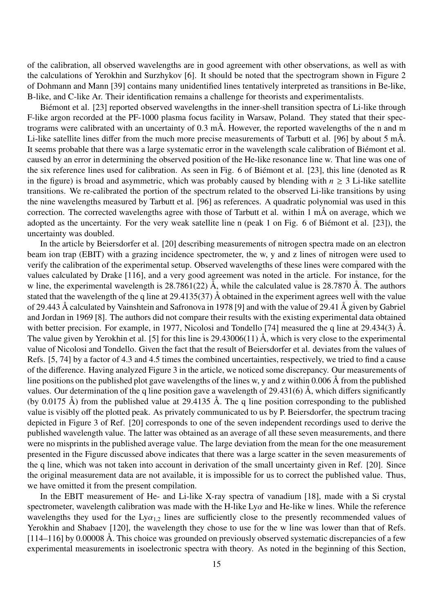of the calibration, all observed wavelengths are in good agreement with other observations, as well as with the calculations of Yerokhin and Surzhykov [6]. It should be noted that the spectrogram shown in Figure 2 of Dohmann and Mann [39] contains many unidentified lines tentatively interpreted as transitions in Be-like, B-like, and C-like Ar. Their identification remains a challenge for theorists and experimentalists.

Biémont et al. [23] reported observed wavelengths in the inner-shell transition spectra of Li-like through F-like argon recorded at the PF-1000 plasma focus facility in Warsaw, Poland. They stated that their spectrograms were calibrated with an uncertainty of 0.3 mÅ. However, the reported wavelengths of the n and m Li-like satellite lines differ from the much more precise measurements of Tarbutt et al. [96] by about 5 mÅ. It seems probable that there was a large systematic error in the wavelength scale calibration of Biémont et al. caused by an error in determining the observed position of the He-like resonance line w. That line was one of the six reference lines used for calibration. As seen in Fig. 6 of Biémont et al. [23], this line (denoted as R in the figure) is broad and asymmetric, which was probably caused by blending with  $n \geq 3$  Li-like satellite transitions. We re-calibrated the portion of the spectrum related to the observed Li-like transitions by using the nine wavelengths measured by Tarbutt et al. [96] as references. A quadratic polynomial was used in this correction. The corrected wavelengths agree with those of Tarbutt et al. within 1 mÅ on average, which we adopted as the uncertainty. For the very weak satellite line n (peak 1 on Fig. 6 of Biémont et al.  $[23]$ ), the uncertainty was doubled.

In the article by Beiersdorfer et al. [20] describing measurements of nitrogen spectra made on an electron beam ion trap (EBIT) with a grazing incidence spectrometer, the w, y and z lines of nitrogen were used to verify the calibration of the experimental setup. Observed wavelengths of these lines were compared with the values calculated by Drake [116], and a very good agreement was noted in the article. For instance, for the w line, the experimental wavelength is  $28.7861(22)$  Å, while the calculated value is  $28.7870$  Å. The authors stated that the wavelength of the q line at 29.4135(37) Å obtained in the experiment agrees well with the value of 29.443 Å calculated by Vainshtein and Safronova in 1978 [9] and with the value of 29.41 Å given by Gabriel and Jordan in 1969 [8]. The authors did not compare their results with the existing experimental data obtained with better precision. For example, in 1977, Nicolosi and Tondello [74] measured the q line at 29.434(3) Å. The value given by Yerokhin et al. [5] for this line is 29.43006(11) Å, which is very close to the experimental value of Nicolosi and Tondello. Given the fact that the result of Beiersdorfer et al. deviates from the values of Refs. [5, 74] by a factor of 4.3 and 4.5 times the combined uncertainties, respectively, we tried to find a cause of the difference. Having analyzed Figure 3 in the article, we noticed some discrepancy. Our measurements of line positions on the published plot gave wavelengths of the lines w, y and z within 0.006 Å from the published values. Our determination of the q line position gave a wavelength of 29.431(6)  $\AA$ , which differs significantly (by 0.0175 Å) from the published value at 29.4135 Å. The q line position corresponding to the published value is visibly off the plotted peak. As privately communicated to us by P. Beiersdorfer, the spectrum tracing depicted in Figure 3 of Ref. [20] corresponds to one of the seven independent recordings used to derive the published wavelength value. The latter was obtained as an average of all these seven measurements, and there were no misprints in the published average value. The large deviation from the mean for the one measurement presented in the Figure discussed above indicates that there was a large scatter in the seven measurements of the q line, which was not taken into account in derivation of the small uncertainty given in Ref. [20]. Since the original measurement data are not available, it is impossible for us to correct the published value. Thus, we have omitted it from the present compilation.

In the EBIT measurement of He- and Li-like X-ray spectra of vanadium [18], made with a Si crystal spectrometer, wavelength calibration was made with the H-like Ly $\alpha$  and He-like w lines. While the reference wavelengths they used for the  $Ly\alpha_{12}$  lines are sufficiently close to the presently recommended values of Yerokhin and Shabaev [120], the wavelength they chose to use for the w line was lower than that of Refs. [114–116] by 0.00008 Å. This choice was grounded on previously observed systematic discrepancies of a few experimental measurements in isoelectronic spectra with theory. As noted in the beginning of this Section,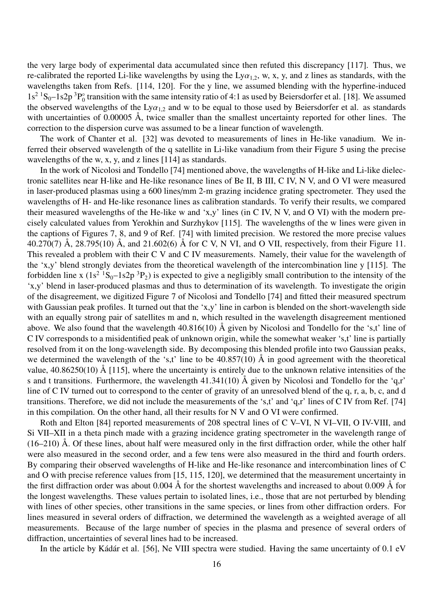the very large body of experimental data accumulated since then refuted this discrepancy [117]. Thus, we re-calibrated the reported Li-like wavelengths by using the Ly $\alpha_{1,2}$ , w, x, y, and z lines as standards, with the wavelengths taken from Refs. [114, 120]. For the y line, we assumed blending with the hyperfine-induced  $1s^2$   ${}^1S_0 - 1s2p$   ${}^3P_0^{\circ}$  $\frac{1}{0}$  transition with the same intensity ratio of 4:1 as used by Beiersdorfer et al. [18]. We assumed the observed wavelengths of the  $Ly\alpha_{1,2}$  and w to be equal to those used by Beiersdorfer et al. as standards with uncertainties of 0.00005 Å, twice smaller than the smallest uncertainty reported for other lines. The correction to the dispersion curve was assumed to be a linear function of wavelength.

The work of Chanter et al. [32] was devoted to measurements of lines in He-like vanadium. We inferred their observed wavelength of the q satellite in Li-like vanadium from their Figure 5 using the precise wavelengths of the w, x, y, and z lines [114] as standards.

In the work of Nicolosi and Tondello [74] mentioned above, the wavelengths of H-like and Li-like dielectronic satellites near H-like and He-like resonance lines of Be II, B III, C IV, N V, and O VI were measured in laser-produced plasmas using a 600 lines/mm 2-m grazing incidence grating spectrometer. They used the wavelengths of H- and He-like resonance lines as calibration standards. To verify their results, we compared their measured wavelengths of the He-like w and 'x,y' lines (in C IV, N V, and O VI) with the modern precisely calculated values from Yerokhin and Surzhykov [115]. The wavelengths of the w lines were given in the captions of Figures 7, 8, and 9 of Ref. [74] with limited precision. We restored the more precise values 40.270(7) Å, 28.795(10) Å, and 21.602(6) Å for C V, N VI, and O VII, respectively, from their Figure 11. This revealed a problem with their C V and C IV measurements. Namely, their value for the wavelength of the 'x,y' blend strongly deviates from the theoretical wavelength of the intercombination line y [115]. The forbidden line x  $(1s^2 \text{ }^1S_0 - 1s2p \text{ }^3P_2)$  is expected to give a negligibly small contribution to the intensity of the 'x,y' blend in laser-produced plasmas and thus to determination of its wavelength. To investigate the origin of the disagreement, we digitized Figure 7 of Nicolosi and Tondello [74] and fitted their measured spectrum with Gaussian peak profiles. It turned out that the 'x,y' line in carbon is blended on the short-wavelength side with an equally strong pair of satellites m and n, which resulted in the wavelength disagreement mentioned above. We also found that the wavelength 40.816(10) Å given by Nicolosi and Tondello for the 's,t' line of C IV corresponds to a misidentified peak of unknown origin, while the somewhat weaker 's,t' line is partially resolved from it on the long-wavelength side. By decomposing this blended profile into two Gaussian peaks, we determined the wavelength of the 's,t' line to be  $40.857(10)$  Å in good agreement with the theoretical value, 40.86250(10) Å [115], where the uncertainty is entirely due to the unknown relative intensities of the s and t transitions. Furthermore, the wavelength  $41.341(10)$  Å given by Nicolosi and Tondello for the 'q,r' line of C IV turned out to correspond to the center of gravity of an unresolved blend of the q, r, a, b, c, and d transitions. Therefore, we did not include the measurements of the 's,t' and 'q,r' lines of C IV from Ref. [74] in this compilation. On the other hand, all their results for N V and O VI were confirmed.

Roth and Elton [84] reported measurements of 208 spectral lines of C V–VI, N VI–VII, O IV-VIII, and Si VII–XII in a theta pinch made with a grazing incidence grating spectrometer in the wavelength range of (16–210) Å. Of these lines, about half were measured only in the first diffraction order, while the other half were also measured in the second order, and a few tens were also measured in the third and fourth orders. By comparing their observed wavelengths of H-like and He-like resonance and intercombination lines of C and O with precise reference values from [15, 115, 120], we determined that the measurement uncertainty in the first diffraction order was about 0.004 Å for the shortest wavelengths and increased to about 0.009 Å for the longest wavelengths. These values pertain to isolated lines, i.e., those that are not perturbed by blending with lines of other species, other transitions in the same species, or lines from other diffraction orders. For lines measured in several orders of diffraction, we determined the wavelength as a weighted average of all measurements. Because of the large number of species in the plasma and presence of several orders of diffraction, uncertainties of several lines had to be increased.

In the article by Kádár et al. [56], Ne VIII spectra were studied. Having the same uncertainty of 0.1 eV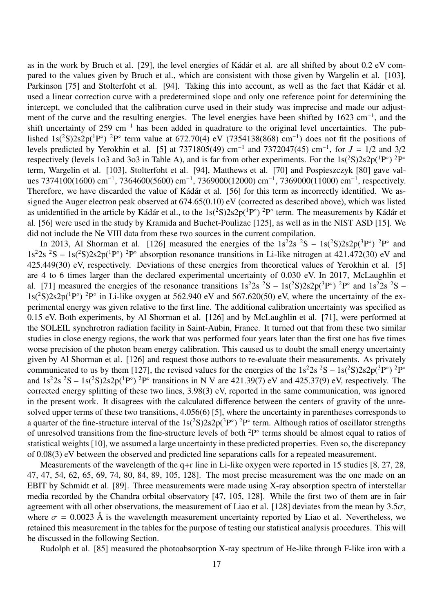as in the work by Bruch et al. [29], the level energies of Kádár et al. are all shifted by about 0.2 eV compared to the values given by Bruch et al., which are consistent with those given by Wargelin et al. [103], Parkinson [75] and Stolterfoht et al. [94]. Taking this into account, as well as the fact that Kádár et al. used a linear correction curve with a predetermined slope and only one reference point for determining the intercept, we concluded that the calibration curve used in their study was imprecise and made our adjustment of the curve and the resulting energies. The level energies have been shifted by 1623 cm<sup>-1</sup>, and the shift uncertainty of 259 cm<sup>-1</sup> has been added in quadrature to the original level uncertainties. The published  $1s(^2S)2s2p(^1P^{\circ})$  <sup>2</sup>P<sup>°</sup> term value at 672.70(4) eV (7354138(868) cm<sup>-1</sup>) does not fit the positions of levels predicted by Yerokhin et al. [5] at 7371805(49) cm<sup>−</sup><sup>1</sup> and 7372047(45) cm<sup>−</sup><sup>1</sup> , for *J* = 1/2 and 3/2 respectively (levels 1o3 and 3o3 in Table A), and is far from other experiments. For the  $1s(^2S)2s2p(^1P^{\circ})^2P^{\circ}$ term, Wargelin et al. [103], Stolterfoht et al. [94], Matthews et al. [70] and Pospieszczyk [80] gave values 7374100(1600) cm<sup>-1</sup>, 7364600(5600) cm<sup>-1</sup>, 7369000(12000) cm<sup>-1</sup>, 7369000(11000) cm<sup>-1</sup>, respectively. Therefore, we have discarded the value of Kádár et al. [56] for this term as incorrectly identified. We assigned the Auger electron peak observed at 674.65(0.10) eV (corrected as described above), which was listed as unidentified in the article by Kádár et al., to the  $1s(^2S)2s2p(^1P^{\circ})$  <sup>2</sup>P° term. The measurements by Kádár et al. [56] were used in the study by Kramida and Buchet-Poulizac [125], as well as in the NIST ASD [15]. We did not include the Ne VIII data from these two sources in the current compilation.

In 2013, Al Shorman et al. [126] measured the energies of the  $1s^22s^2S - 1s(^2S)2s2p(^3P^{\circ})^2P^{\circ}$  and  $1s^22s^2S - 1s(^2S)2s2p(^{1}P^{\circ})^2P^{\circ}$  absorption resonance transitions in Li-like nitrogen at 421.472(30) eV and 425.449(30) eV, respectively. Deviations of these energies from theoretical values of Yerokhin et al. [5] are 4 to 6 times larger than the declared experimental uncertainty of 0.030 eV. In 2017, McLaughlin et al. [71] measured the energies of the resonance transitions  $1s^22s^2S - 1s(^2S)2s2p(^3P^{\circ})^2P^{\circ}$  and  $1s^22s^2S 1s(^{2}S)2s2p(^{1}P^{\circ})$  <sup>2</sup>P° in Li-like oxygen at 562.940 eV and 567.620(50) eV, where the uncertainty of the experimental energy was given relative to the first line. The additional calibration uncertainty was specified as 0.15 eV. Both experiments, by Al Shorman et al. [126] and by McLaughlin et al. [71], were performed at the SOLEIL synchrotron radiation facility in Saint-Aubin, France. It turned out that from these two similar studies in close energy regions, the work that was performed four years later than the first one has five times worse precision of the photon beam energy calibration. This caused us to doubt the small energy uncertainty given by Al Shorman et al. [126] and request those authors to re-evaluate their measurements. As privately communicated to us by them [127], the revised values for the energies of the  $1s^22s^2S - 1s(^2S)2s2p(^3P^{\circ})^2P^{\circ}$ and  $1s^22s^2S - 1s(^2S)2s2p(^1P^{\circ})^2P^{\circ}$  transitions in N V are 421.39(7) eV and 425.37(9) eV, respectively. The corrected energy splitting of these two lines, 3.98(3) eV, reported in the same communication, was ignored in the present work. It disagrees with the calculated difference between the centers of gravity of the unresolved upper terms of these two transitions, 4.056(6) [5], where the uncertainty in parentheses corresponds to a quarter of the fine-structure interval of the  $1s(^2S)2s2p(^3P^{\circ})$  <sup>2</sup>P° term. Although ratios of oscillator strengths of unresolved transitions from the fine-structure levels of both  $2P^{\circ}$  terms should be almost equal to ratios of statistical weights [10], we assumed a large uncertainty in these predicted properties. Even so, the discrepancy of 0.08(3) eV between the observed and predicted line separations calls for a repeated measurement.

Measurements of the wavelength of the q+r line in Li-like oxygen were reported in 15 studies [8, 27, 28, 47, 47, 54, 62, 65, 69, 74, 80, 84, 89, 105, 128]. The most precise measurement was the one made on an EBIT by Schmidt et al. [89]. Three measurements were made using X-ray absorption spectra of interstellar media recorded by the Chandra orbital observatory [47, 105, 128]. While the first two of them are in fair agreement with all other observations, the measurement of Liao et al. [128] deviates from the mean by  $3.5\sigma$ , where  $\sigma = 0.0023$  Å is the wavelength measurement uncertainty reported by Liao et al. Nevertheless, we retained this measurement in the tables for the purpose of testing our statistical analysis procedures. This will be discussed in the following Section.

Rudolph et al. [85] measured the photoabsorption X-ray spectrum of He-like through F-like iron with a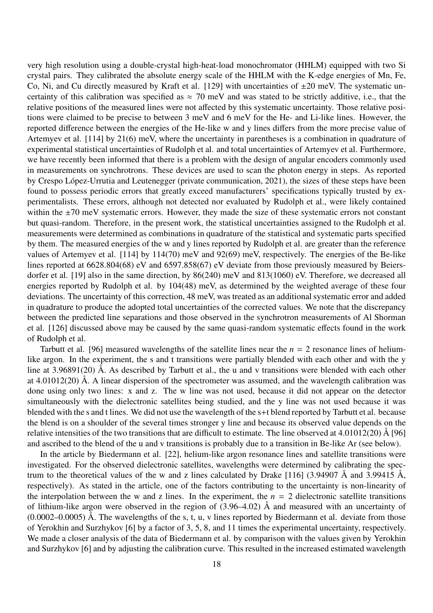very high resolution using a double-crystal high-heat-load monochromator (HHLM) equipped with two Si crystal pairs. They calibrated the absolute energy scale of the HHLM with the K-edge energies of Mn, Fe, Co, Ni, and Cu directly measured by Kraft et al. [129] with uncertainties of  $\pm 20$  meV. The systematic uncertainty of this calibration was specified as  $\approx$  70 meV and was stated to be strictly additive, i.e., that the relative positions of the measured lines were not affected by this systematic uncertainty. Those relative positions were claimed to be precise to between 3 meV and 6 meV for the He- and Li-like lines. However, the reported difference between the energies of the He-like w and y lines differs from the more precise value of Artemyev et al. [114] by 21(6) meV, where the uncertainty in parentheses is a combination in quadrature of experimental statistical uncertainties of Rudolph et al. and total uncertainties of Artemyev et al. Furthermore, we have recently been informed that there is a problem with the design of angular encoders commonly used in measurements on synchrotrons. These devices are used to scan the photon energy in steps. As reported by Crespo López-Urrutia and Leutenegger (private communication, 2021), the sizes of these steps have been found to possess periodic errors that greatly exceed manufacturers' specifications typically trusted by experimentalists. These errors, although not detected nor evaluated by Rudolph et al., were likely contained within the  $\pm$ 70 meV systematic errors. However, they made the size of these systematic errors not constant but quasi-random. Therefore, in the present work, the statistical uncertainties assigned to the Rudolph et al. measurements were determined as combinations in quadrature of the statistical and systematic parts specified by them. The measured energies of the w and y lines reported by Rudolph et al. are greater than the reference values of Artemyev et al. [114] by 114(70) meV and 92(69) meV, respectively. The energies of the Be-like lines reported at 6628.804(68) eV and 6597.858(67) eV deviate from those previously measured by Beiersdorfer et al. [19] also in the same direction, by 86(240) meV and 813(1060) eV. Therefore, we decreased all energies reported by Rudolph et al. by 104(48) meV, as determined by the weighted average of these four deviations. The uncertainty of this correction, 48 meV, was treated as an additional systematic error and added in quadrature to produce the adopted total uncertainties of the corrected values. We note that the discrepancy between the predicted line separations and those observed in the synchrotron measurements of Al Shorman et al. [126] discussed above may be caused by the same quasi-random systematic effects found in the work of Rudolph et al.

Tarbutt et al. [96] measured wavelengths of the satellite lines near the *n* = 2 resonance lines of heliumlike argon. In the experiment, the s and t transitions were partially blended with each other and with the y line at 3.96891(20) Å. As described by Tarbutt et al., the u and v transitions were blended with each other at  $4.01012(20)$  Å. A linear dispersion of the spectrometer was assumed, and the wavelength calibration was done using only two lines: x and z. The w line was not used, because it did not appear on the detector simultaneously with the dielectronic satellites being studied, and the y line was not used because it was blended with the s and t lines. We did not use the wavelength of the s+t blend reported by Tarbutt et al. because the blend is on a shoulder of the several times stronger y line and because its observed value depends on the relative intensities of the two transitions that are difficult to estimate. The line observed at  $4.01012(20)$  Å [96] and ascribed to the blend of the u and v transitions is probably due to a transition in Be-like Ar (see below).

In the article by Biedermann et al. [22], helium-like argon resonance lines and satellite transitions were investigated. For the observed dielectronic satellites, wavelengths were determined by calibrating the spectrum to the theoretical values of the w and z lines calculated by Drake [116] (3.94907  $\AA$  and 3.99415  $\AA$ , respectively). As stated in the article, one of the factors contributing to the uncertainty is non-linearity of the interpolation between the w and z lines. In the experiment, the  $n = 2$  dielectronic satellite transitions of lithium-like argon were observed in the region of (3.96–4.02) Å and measured with an uncertainty of  $(0.0002-0.0005)$  Å. The wavelengths of the s, t, u, v lines reported by Biedermann et al. deviate from those of Yerokhin and Surzhykov [6] by a factor of 3, 5, 8, and 11 times the experimental uncertainty, respectively. We made a closer analysis of the data of Biedermann et al. by comparison with the values given by Yerokhin and Surzhykov [6] and by adjusting the calibration curve. This resulted in the increased estimated wavelength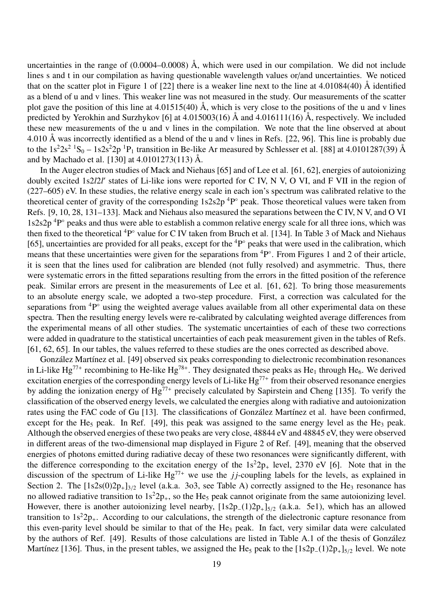uncertainties in the range of  $(0.0004 - 0.0008)$  Å, which were used in our compilation. We did not include lines s and t in our compilation as having questionable wavelength values or/and uncertainties. We noticed that on the scatter plot in Figure 1 of [22] there is a weaker line next to the line at 4.01084(40) Å identified as a blend of u and v lines. This weaker line was not measured in the study. Our measurements of the scatter plot gave the position of this line at  $4.01515(40)$  Å, which is very close to the positions of the u and v lines predicted by Yerokhin and Surzhykov [6] at 4.015003(16) Å and 4.016111(16) Å, respectively. We included these new measurements of the u and v lines in the compilation. We note that the line observed at about 4.010 Å was incorrectly identified as a blend of the u and v lines in Refs. [22, 96]. This line is probably due to the  $1s^22s^2$   ${}^1S_0 - 1s2s^22p$   ${}^1P_1$  transition in Be-like Ar measured by Schlesser et al. [88] at 4.0101287(39) Å and by Machado et al. [130] at 4.0101273(113) Å.

In the Auger electron studies of Mack and Niehaus [65] and of Lee et al. [61, 62], energies of autoionizing doubly excited 1s2*l2l'* states of Li-like ions were reported for C IV, N V, O VI, and F VII in the region of (227–605) eV. In these studies, the relative energy scale in each ion's spectrum was calibrated relative to the theoretical center of gravity of the corresponding  $1s2s2p$  <sup>4</sup>P $\degree$  peak. Those theoretical values were taken from Refs. [9, 10, 28, 131–133]. Mack and Niehaus also measured the separations between the C IV, N V, and O VI  $1s2s2p$ <sup>4</sup>P $\degree$  peaks and thus were able to establish a common relative energy scale for all three ions, which was then fixed to the theoretical <sup>4</sup>P° value for C IV taken from Bruch et al. [134]. In Table 3 of Mack and Niehaus [65], uncertainties are provided for all peaks, except for the  ${}^{4}P^{\circ}$  peaks that were used in the calibration, which means that these uncertainties were given for the separations from <sup>4</sup>P°. From Figures 1 and 2 of their article, it is seen that the lines used for calibration are blended (not fully resolved) and asymmetric. Thus, there were systematic errors in the fitted separations resulting from the errors in the fitted position of the reference peak. Similar errors are present in the measurements of Lee et al. [61, 62]. To bring those measurements to an absolute energy scale, we adopted a two-step procedure. First, a correction was calculated for the separations from  ${}^{4}P^{\circ}$  using the weighted average values available from all other experimental data on these spectra. Then the resulting energy levels were re-calibrated by calculating weighted average differences from the experimental means of all other studies. The systematic uncertainties of each of these two corrections were added in quadrature to the statistical uncertainties of each peak measurement given in the tables of Refs. [61, 62, 65]. In our tables, the values referred to these studies are the ones corrected as described above.

González Martínez et al. [49] observed six peaks corresponding to dielectronic recombination resonances in Li-like Hg<sup>77+</sup> recombining to He-like Hg<sup>78+</sup>. They designated these peaks as He<sub>1</sub> through He<sub>6</sub>. We derived excitation energies of the corresponding energy levels of Li-like  $Hg^{77+}$  from their observed resonance energies by adding the ionization energy of  $Hg^{7+}$  precisely calculated by Sapirstein and Cheng [135]. To verify the classification of the observed energy levels, we calculated the energies along with radiative and autoionization rates using the FAC code of Gu [13]. The classifications of González Martínez et al. have been confirmed, except for the He<sub>5</sub> peak. In Ref. [49], this peak was assigned to the same energy level as the He<sub>3</sub> peak. Although the observed energies of these two peaks are very close, 48844 eV and 48845 eV, they were observed in different areas of the two-dimensional map displayed in Figure 2 of Ref. [49], meaning that the observed energies of photons emitted during radiative decay of these two resonances were significantly different, with the difference corresponding to the excitation energy of the  $1s^22p_+$  level, 2370 eV [6]. Note that in the discussion of the spectrum of Li-like  $Hg^{77+}$  we use the *jj*-coupling labels for the levels, as explained in Section 2. The  $[1s2s(0)2p_+]_{3/2}$  level (a.k.a. 3o3, see Table A) correctly assigned to the He<sub>3</sub> resonance has no allowed radiative transition to  $1s^22p_+$ , so the He<sub>5</sub> peak cannot originate from the same autoionizing level. However, there is another autoionizing level nearby, [1s2p<sub>−</sub>(1)2p<sub>+</sub>]<sub>5/2</sub> (a.k.a. 5e1), which has an allowed transition to  $1s^22p_{+}$ . According to our calculations, the strength of the dielectronic capture resonance from this even-parity level should be similar to that of the He<sub>3</sub> peak. In fact, very similar data were calculated by the authors of Ref. [49]. Results of those calculations are listed in Table A.1 of the thesis of González Martínez [136]. Thus, in the present tables, we assigned the He<sub>5</sub> peak to the  $[1s2p_-(1)2p_+]_{5/2}$  level. We note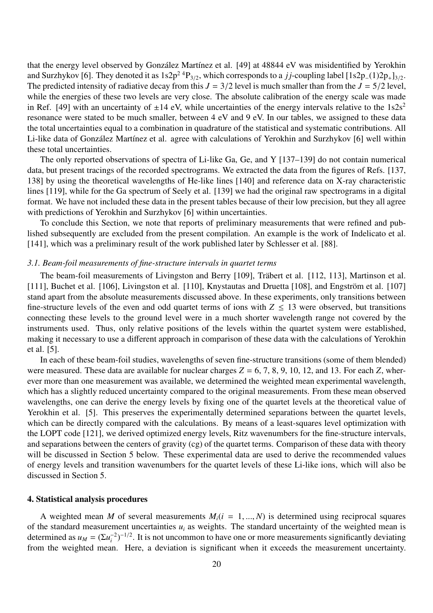that the energy level observed by González Martínez et al. [49] at 48844 eV was misidentified by Yerokhin and Surzhykov [6]. They denoted it as  $1s2p^2{}^4P_{3/2}$ , which corresponds to a *j j*-coupling label  $[1s2p_-(1)2p_+]_{3/2}$ . The predicted intensity of radiative decay from this  $J = 3/2$  level is much smaller than from the  $J = 5/2$  level, while the energies of these two levels are very close. The absolute calibration of the energy scale was made in Ref. [49] with an uncertainty of  $\pm 14$  eV, while uncertainties of the energy intervals relative to the  $1s2s^2$ resonance were stated to be much smaller, between 4 eV and 9 eV. In our tables, we assigned to these data the total uncertainties equal to a combination in quadrature of the statistical and systematic contributions. All Li-like data of González Martínez et al. agree with calculations of Yerokhin and Surzhykov [6] well within these total uncertainties.

The only reported observations of spectra of Li-like Ga, Ge, and Y [137–139] do not contain numerical data, but present tracings of the recorded spectrograms. We extracted the data from the figures of Refs. [137, 138] by using the theoretical wavelengths of He-like lines [140] and reference data on X-ray characteristic lines [119], while for the Ga spectrum of Seely et al. [139] we had the original raw spectrograms in a digital format. We have not included these data in the present tables because of their low precision, but they all agree with predictions of Yerokhin and Surzhykov [6] within uncertainties.

To conclude this Section, we note that reports of preliminary measurements that were refined and published subsequently are excluded from the present compilation. An example is the work of Indelicato et al. [141], which was a preliminary result of the work published later by Schlesser et al. [88].

#### *3.1. Beam-foil measurements of fine-structure intervals in quartet terms*

The beam-foil measurements of Livingston and Berry [109], Träbert et al. [112, 113], Martinson et al. [111], Buchet et al. [106], Livingston et al. [110], Knystautas and Druetta [108], and Engström et al. [107] stand apart from the absolute measurements discussed above. In these experiments, only transitions between fine-structure levels of the even and odd quartet terms of ions with  $Z \leq 13$  were observed, but transitions connecting these levels to the ground level were in a much shorter wavelength range not covered by the instruments used. Thus, only relative positions of the levels within the quartet system were established, making it necessary to use a different approach in comparison of these data with the calculations of Yerokhin et al. [5].

In each of these beam-foil studies, wavelengths of seven fine-structure transitions (some of them blended) were measured. These data are available for nuclear charges  $Z = 6, 7, 8, 9, 10, 12,$  and 13. For each  $Z$ , wherever more than one measurement was available, we determined the weighted mean experimental wavelength, which has a slightly reduced uncertainty compared to the original measurements. From these mean observed wavelengths, one can derive the energy levels by fixing one of the quartet levels at the theoretical value of Yerokhin et al. [5]. This preserves the experimentally determined separations between the quartet levels, which can be directly compared with the calculations. By means of a least-squares level optimization with the LOPT code [121], we derived optimized energy levels, Ritz wavenumbers for the fine-structure intervals, and separations between the centers of gravity (cg) of the quartet terms. Comparison of these data with theory will be discussed in Section 5 below. These experimental data are used to derive the recommended values of energy levels and transition wavenumbers for the quartet levels of these Li-like ions, which will also be discussed in Section 5.

#### 4. Statistical analysis procedures

A weighted mean *M* of several measurements  $M_i(i = 1, ..., N)$  is determined using reciprocal squares of the standard measurement uncertainties  $u_i$  as weights. The standard uncertainty of the weighted mean is determined as  $u_M = (\Sigma u_i^{-2})$  $\int_{i}^{-2}$ )<sup>-1/2</sup>. It is not uncommon to have one or more measurements significantly deviating from the weighted mean. Here, a deviation is significant when it exceeds the measurement uncertainty.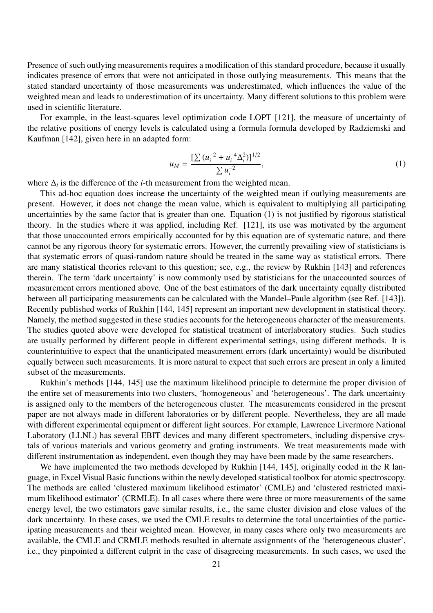Presence of such outlying measurements requires a modification of this standard procedure, because it usually indicates presence of errors that were not anticipated in those outlying measurements. This means that the stated standard uncertainty of those measurements was underestimated, which influences the value of the weighted mean and leads to underestimation of its uncertainty. Many different solutions to this problem were used in scientific literature.

For example, in the least-squares level optimization code LOPT [121], the measure of uncertainty of the relative positions of energy levels is calculated using a formula formula developed by Radziemski and Kaufman [142], given here in an adapted form:

$$
u_M = \frac{\left[\sum (u_i^{-2} + u_i^{-4} \Delta_i^2)\right]^{1/2}}{\sum u_i^{-2}},\tag{1}
$$

where  $\Delta_i$  is the difference of the *i*-th measurement from the weighted mean.

This ad-hoc equation does increase the uncertainty of the weighted mean if outlying measurements are present. However, it does not change the mean value, which is equivalent to multiplying all participating uncertainties by the same factor that is greater than one. Equation (1) is not justified by rigorous statistical theory. In the studies where it was applied, including Ref. [121], its use was motivated by the argument that those unaccounted errors empirically accounted for by this equation are of systematic nature, and there cannot be any rigorous theory for systematic errors. However, the currently prevailing view of statisticians is that systematic errors of quasi-random nature should be treated in the same way as statistical errors. There are many statistical theories relevant to this question; see, e.g., the review by Rukhin [143] and references therein. The term 'dark uncertainty' is now commonly used by statisticians for the unaccounted sources of measurement errors mentioned above. One of the best estimators of the dark uncertainty equally distributed between all participating measurements can be calculated with the Mandel–Paule algorithm (see Ref. [143]). Recently published works of Rukhin [144, 145] represent an important new development in statistical theory. Namely, the method suggested in these studies accounts for the heterogeneous character of the measurements. The studies quoted above were developed for statistical treatment of interlaboratory studies. Such studies are usually performed by different people in different experimental settings, using different methods. It is counterintuitive to expect that the unanticipated measurement errors (dark uncertainty) would be distributed equally between such measurements. It is more natural to expect that such errors are present in only a limited subset of the measurements.

Rukhin's methods [144, 145] use the maximum likelihood principle to determine the proper division of the entire set of measurements into two clusters, 'homogeneous' and 'heterogeneous'. The dark uncertainty is assigned only to the members of the heterogeneous cluster. The measurements considered in the present paper are not always made in different laboratories or by different people. Nevertheless, they are all made with different experimental equipment or different light sources. For example, Lawrence Livermore National Laboratory (LLNL) has several EBIT devices and many different spectrometers, including dispersive crystals of various materials and various geometry and grating instruments. We treat measurements made with different instrumentation as independent, even though they may have been made by the same researchers.

We have implemented the two methods developed by Rukhin [144, 145], originally coded in the R language, in Excel Visual Basic functions within the newly developed statistical toolbox for atomic spectroscopy. The methods are called 'clustered maximum likelihood estimator' (CMLE) and 'clustered restricted maximum likelihood estimator' (CRMLE). In all cases where there were three or more measurements of the same energy level, the two estimators gave similar results, i.e., the same cluster division and close values of the dark uncertainty. In these cases, we used the CMLE results to determine the total uncertainties of the participating measurements and their weighted mean. However, in many cases where only two measurements are available, the CMLE and CRMLE methods resulted in alternate assignments of the 'heterogeneous cluster', i.e., they pinpointed a different culprit in the case of disagreeing measurements. In such cases, we used the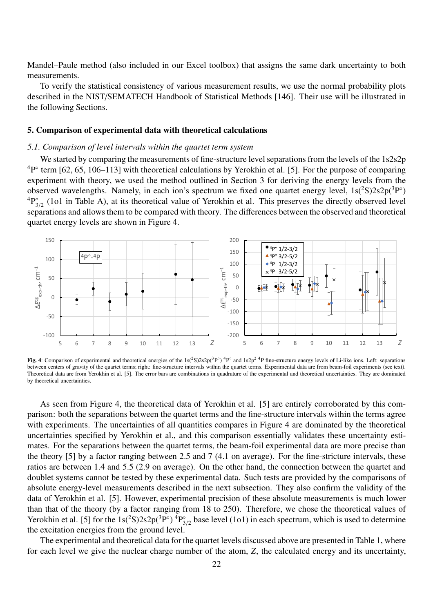Mandel–Paule method (also included in our Excel toolbox) that assigns the same dark uncertainty to both measurements.

To verify the statistical consistency of various measurement results, we use the normal probability plots described in the NIST/SEMATECH Handbook of Statistical Methods [146]. Their use will be illustrated in the following Sections.

#### 5. Comparison of experimental data with theoretical calculations

## *5.1. Comparison of level intervals within the quartet term system*

We started by comparing the measurements of fine-structure level separations from the levels of the 1s2s2p  ${}^{4}P^{\circ}$  term [62, 65, 106–113] with theoretical calculations by Yerokhin et al. [5]. For the purpose of comparing experiment with theory, we used the method outlined in Section 3 for deriving the energy levels from the observed wavelengths. Namely, in each ion's spectrum we fixed one quartet energy level,  $1s(^2S)2s2p(^3P)$ <sup>o</sup>  ${}^4P_3^{\circ}$  $\frac{1}{3/2}$  (1o1 in Table A), at its theoretical value of Yerokhin et al. This preserves the directly observed level separations and allows them to be compared with theory. The differences between the observed and theoretical quartet energy levels are shown in Figure 4.



Fig. 4: Comparison of experimental and theoretical energies of the  $1s(^2S)2s2p(^3P^{\circ})$  <sup>4</sup>P<sup>°</sup> and  $1s2p^2$ <sup>4</sup>P fine-structure energy levels of Li-like ions. Left: separations between centers of gravity of the quartet terms; right: fine-structure intervals within the quartet terms. Experimental data are from beam-foil experiments (see text). Theoretical data are from Yerokhin et al. [5]. The error bars are combinations in quadrature of the experimental and theoretical uncertainties. They are dominated by theoretical uncertainties.

As seen from Figure 4, the theoretical data of Yerokhin et al. [5] are entirely corroborated by this comparison: both the separations between the quartet terms and the fine-structure intervals within the terms agree with experiments. The uncertainties of all quantities compares in Figure 4 are dominated by the theoretical uncertainties specified by Yerokhin et al., and this comparison essentially validates these uncertainty estimates. For the separations between the quartet terms, the beam-foil experimental data are more precise than the theory [5] by a factor ranging between 2.5 and 7 (4.1 on average). For the fine-stricture intervals, these ratios are between 1.4 and 5.5 (2.9 on average). On the other hand, the connection between the quartet and doublet systems cannot be tested by these experimental data. Such tests are provided by the comparisons of absolute energy-level measurements described in the next subsection. They also confirm the validity of the data of Yerokhin et al. [5]. However, experimental precision of these absolute measurements is much lower than that of the theory (by a factor ranging from 18 to 250). Therefore, we chose the theoretical values of Yerokhin et al. [5] for the  $1s(^2S)2s2p(^3P^{\circ})$   ${}^4P_3^{\circ}$  $S_{3/2}$  base level (1o1) in each spectrum, which is used to determine the excitation energies from the ground level.

The experimental and theoretical data for the quartet levels discussed above are presented in Table 1, where for each level we give the nuclear charge number of the atom, *Z*, the calculated energy and its uncertainty,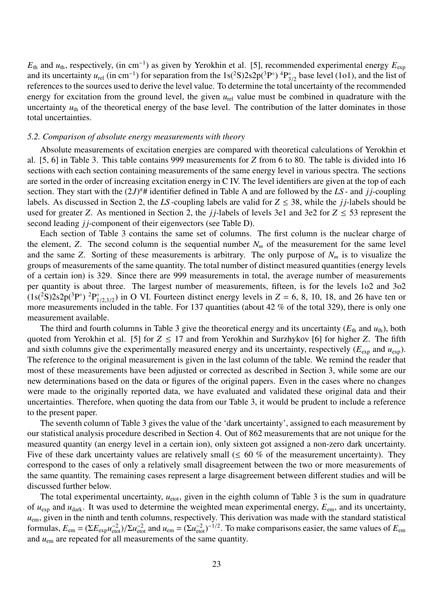$E_{th}$  and  $u_{th}$ , respectively, (in cm<sup>-1</sup>) as given by Yerokhin et al. [5], recommended experimental energy  $E_{exp}$ and its uncertainty  $u_{rel}$  (in cm<sup>-1</sup>) for separation from the 1s(<sup>2</sup>S)2s2p(<sup>3</sup>P°)<sup>4</sup>P<sub>3</sub><sup>3</sup>  $S_{3/2}^{\circ}$  base level (1o1), and the list of references to the sources used to derive the level value. To determine the total uncertainty of the recommended energy for excitation from the ground level, the given  $u_{rel}$  value must be combined in quadrature with the uncertainty  $u_{th}$  of the theoretical energy of the base level. The contribution of the latter dominates in those total uncertainties.

#### *5.2. Comparison of absolute energy measurements with theory*

Absolute measurements of excitation energies are compared with theoretical calculations of Yerokhin et al. [5, 6] in Table 3. This table contains 999 measurements for *Z* from 6 to 80. The table is divided into 16 sections with each section containing measurements of the same energy level in various spectra. The sections are sorted in the order of increasing excitation energy in C IV. The level identifiers are given at the top of each section. They start with the  $(2J)^{\pi}$ # identifier defined in Table A and are followed by the *LS* - and *jj*-coupling labels. As discussed in Section 2, the *LS*-coupling labels are valid for  $Z \leq 38$ , while the *jj*-labels should be used for greater *Z*. As mentioned in Section 2, the *j* $i$ -labels of levels 3e1 and 3e2 for  $Z \le 53$  represent the second leading *j j*-component of their eigenvectors (see Table D).

Each section of Table 3 contains the same set of columns. The first column is the nuclear charge of the element, *Z*. The second column is the sequential number  $N_m$  of the measurement for the same level and the same *Z*. Sorting of these measurements is arbitrary. The only purpose of  $N_m$  is to visualize the groups of measurements of the same quantity. The total number of distinct measured quantities (energy levels of a certain ion) is 329. Since there are 999 measurements in total, the average number of measurements per quantity is about three. The largest number of measurements, fifteen, is for the levels 1o2 and 3o2  $(1s(^{2}S)2s2p(^{3}P^{\circ})^{2}P_{1}^{\circ}$  $_{1/2,3/2}^{\circ}$  in O VI. Fourteen distinct energy levels in  $Z = 6, 8, 10, 18$ , and 26 have ten or more measurements included in the table. For 137 quantities (about 42 % of the total 329), there is only one measurement available.

The third and fourth columns in Table 3 give the theoretical energy and its uncertainty ( $E_{th}$  and  $u_{th}$ ), both quoted from Yerokhin et al. [5] for  $Z \le 17$  and from Yerokhin and Surzhykov [6] for higher *Z*. The fifth and sixth columns give the experimentally measured energy and its uncertainty, respectively  $(E_{\text{exp}}$  and  $u_{\text{exp}})$ . The reference to the original measurement is given in the last column of the table. We remind the reader that most of these measurements have been adjusted or corrected as described in Section 3, while some are our new determinations based on the data or figures of the original papers. Even in the cases where no changes were made to the originally reported data, we have evaluated and validated these original data and their uncertainties. Therefore, when quoting the data from our Table 3, it would be prudent to include a reference to the present paper.

The seventh column of Table 3 gives the value of the 'dark uncertainty', assigned to each measurement by our statistical analysis procedure described in Section 4. Out of 862 measurements that are not unique for the measured quantity (an energy level in a certain ion), only sixteen got assigned a non-zero dark uncertainty. Five of these dark uncertainty values are relatively small ( $\leq 60$  % of the measurement uncertainty). They correspond to the cases of only a relatively small disagreement between the two or more measurements of the same quantity. The remaining cases represent a large disagreement between different studies and will be discussed further below.

The total experimental uncertainty,  $u_{\text{etot}}$ , given in the eighth column of Table 3 is the sum in quadrature of *u*exp and *u*dark. It was used to determine the weighted mean experimental energy, *E*em, and its uncertainty, *u*em, given in the ninth and tenth columns, respectively. This derivation was made with the standard statistical formulas,  $E_{em} = (\Sigma E_{exp} u_{etot}^{-2})/\Sigma u_{etot}^{-2}$  and  $u_{em} = (\Sigma u_{etot}^{-2})^{-1/2}$ . To make comparisons easier, the same values of  $E_{em}$ and *u*em are repeated for all measurements of the same quantity.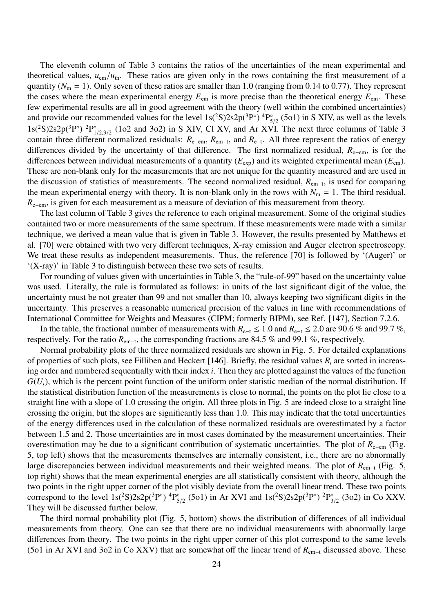The eleventh column of Table 3 contains the ratios of the uncertainties of the mean experimental and theoretical values,  $u_{\text{em}}/u_{\text{th}}$ . These ratios are given only in the rows containing the first measurement of a quantity ( $N<sub>m</sub> = 1$ ). Only seven of these ratios are smaller than 1.0 (ranging from 0.14 to 0.77). They represent the cases where the mean experimental energy  $E_{em}$  is more precise than the theoretical energy  $E_{em}$ . These few experimental results are all in good agreement with the theory (well within the combined uncertainties) and provide our recommended values for the level  $1s(^2S)2s2p(^3P^{\circ})$  <sup>4</sup>P<sub>s</sub>  $S_{5/2}^{\circ}$  (5o1) in S XIV, as well as the levels  $1s(^{2}S)2s2p(^{3}P^{\circ})$   $^{2}P_{1}^{\circ}$  $_{1/2,3/2}$  (1o2 and 3o2) in S XIV, Cl XV, and Ar XVI. The next three columns of Table 3 contain three different normalized residuals:  $R_{e-em}$ ,  $R_{em-t}$ , and  $R_{e-t}$ . All three represent the ratios of energy differences divided by the uncertainty of that difference. The first normalized residual, *R*<sup>e</sup>−em, is for the differences between individual measurements of a quantity (*E*exp) and its weighted experimental mean (*E*em). These are non-blank only for the measurements that are not unique for the quantity measured and are used in the discussion of statistics of measurements. The second normalized residual, *R*em−<sup>t</sup> , is used for comparing the mean experimental energy with theory. It is non-blank only in the rows with  $N_m = 1$ . The third residual, *R*<sub>e−em</sub>, is given for each measurement as a measure of deviation of this measurement from theory.

The last column of Table 3 gives the reference to each original measurement. Some of the original studies contained two or more measurements of the same spectrum. If these measurements were made with a similar technique, we derived a mean value that is given in Table 3. However, the results presented by Matthews et al. [70] were obtained with two very different techniques, X-ray emission and Auger electron spectroscopy. We treat these results as independent measurements. Thus, the reference [70] is followed by '(Auger)' or '(X-ray)' in Table 3 to distinguish between these two sets of results.

For rounding of values given with uncertainties in Table 3, the "rule-of-99" based on the uncertainty value was used. Literally, the rule is formulated as follows: in units of the last significant digit of the value, the uncertainty must be not greater than 99 and not smaller than 10, always keeping two significant digits in the uncertainty. This preserves a reasonable numerical precision of the values in line with recommendations of International Committee for Weights and Measures (CIPM; formerly BIPM), see Ref. [147], Section 7.2.6.

In the table, the fractional number of measurements with  $R_{e-1}$  ≤ 1.0 and  $R_{e-1}$  ≤ 2.0 are 90.6 % and 99.7 %, respectively. For the ratio  $R_{em-t}$ , the corresponding fractions are 84.5 % and 99.1 %, respectively.

Normal probability plots of the three normalized residuals are shown in Fig. 5. For detailed explanations of properties of such plots, see Filliben and Heckert [146]. Briefly, the residual values *R<sup>i</sup>* are sorted in increasing order and numbered sequentially with their index *i*. Then they are plotted against the values of the function  $G(U_i)$ , which is the percent point function of the uniform order statistic median of the normal distribution. If the statistical distribution function of the measurements is close to normal, the points on the plot lie close to a straight line with a slope of 1.0 crossing the origin. All three plots in Fig. 5 are indeed close to a straight line crossing the origin, but the slopes are significantly less than 1.0. This may indicate that the total uncertainties of the energy differences used in the calculation of these normalized residuals are overestimated by a factor between 1.5 and 2. Those uncertainties are in most cases dominated by the measurement uncertainties. Their overestimation may be due to a significant contribution of systematic uncertainties. The plot of *R*<sup>e</sup>−em (Fig. 5, top left) shows that the measurements themselves are internally consistent, i.e., there are no abnormally large discrepancies between individual measurements and their weighted means. The plot of *R*<sub>em−t</sub> (Fig. 5, top right) shows that the mean experimental energies are all statistically consistent with theory, although the two points in the right upper corner of the plot visibly deviate from the overall linear trend. These two points correspond to the level  $1s(^2S)2s2p(^3P^{\circ})$  <sup>4</sup>P<sub>5</sub>  $^{6}_{5/2}$  (5o1) in Ar XVI and 1s(<sup>2</sup>S)2s2p(<sup>3</sup>P°)<sup>2</sup>P<sub>3</sub><sup>3</sup>  $\int_{3/2}^{\infty}$  (3o2) in Co XXV. They will be discussed further below.

The third normal probability plot (Fig. 5, bottom) shows the distribution of differences of all individual measurements from theory. One can see that there are no individual measurements with abnormally large differences from theory. The two points in the right upper corner of this plot correspond to the same levels (5o1 in Ar XVI and 3o2 in Co XXV) that are somewhat off the linear trend of *R*em−<sup>t</sup> discussed above. These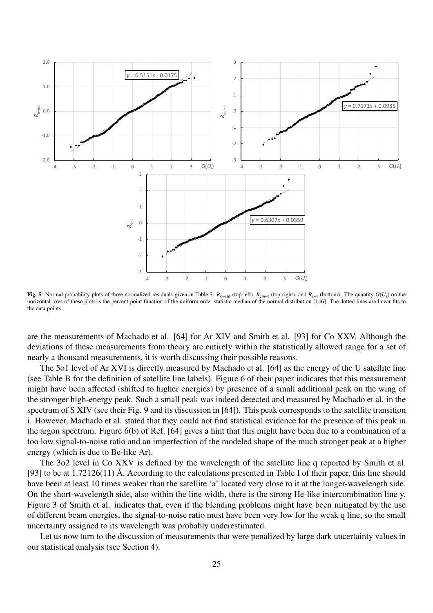

Fig. 5: Normal probability plots of three normalized residuals given in Table 3: *R*e−em (top left), *R*em−<sup>t</sup> (top right), and *R*e−<sup>t</sup> (bottom). The quantity *G*(*Ui*) on the horizontal axes of these plots is the percent point function of the uniform order statistic median of the normal distribution [146]. The dotted lines are linear fits to the data points.

are the measurements of Machado et al. [64] for Ar XIV and Smith et al. [93] for Co XXV. Although the deviations of these measurements from theory are entirely within the statistically allowed range for a set of nearly a thousand measurements, it is worth discussing their possible reasons.

The 5o1 level of Ar XVI is directly measured by Machado et al. [64] as the energy of the U satellite line (see Table B for the definition of satellite line labels). Figure 6 of their paper indicates that this measurement might have been affected (shifted to higher energies) by presence of a small additional peak on the wing of the stronger high-energy peak. Such a small peak was indeed detected and measured by Machado et al. in the spectrum of S XIV (see their Fig. 9 and its discussion in [64]). This peak corresponds to the satellite transition i. However, Machado et al. stated that they could not find statistical evidence for the presence of this peak in the argon spectrum. Figure 6(b) of Ref. [64] gives a hint that this might have been due to a combination of a too low signal-to-noise ratio and an imperfection of the modeled shape of the much stronger peak at a higher energy (which is due to Be-like Ar).

The 3o2 level in Co XXV is defined by the wavelength of the satellite line q reported by Smith et al. [93] to be at 1.72126(11) Å. According to the calculations presented in Table I of their paper, this line should have been at least 10 times weaker than the satellite 'a' located very close to it at the longer-wavelength side. On the short-wavelength side, also within the line width, there is the strong He-like intercombination line y. Figure 3 of Smith et al. indicates that, even if the blending problems might have been mitigated by the use of different beam energies, the signal-to-noise ratio must have been very low for the weak q line, so the small uncertainty assigned to its wavelength was probably underestimated.

Let us now turn to the discussion of measurements that were penalized by large dark uncertainty values in our statistical analysis (see Section 4).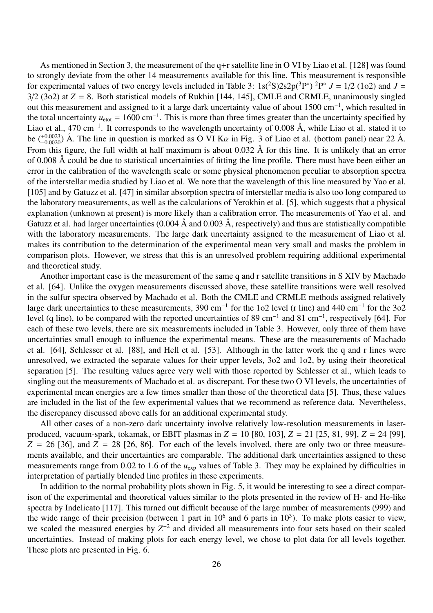As mentioned in Section 3, the measurement of the q+r satellite line in O VI by Liao et al. [128] was found to strongly deviate from the other 14 measurements available for this line. This measurement is responsible for experimental values of two energy levels included in Table 3:  $1s(^2S)2s2p(^3P^{\circ})^2P^{\circ} J = 1/2$  (1o2) and  $J =$  $3/2$  (3o2) at  $Z = 8$ . Both statistical models of Rukhin [144, 145], CMLE and CRMLE, unanimously singled out this measurement and assigned to it a large dark uncertainty value of about 1500 cm<sup>-1</sup>, which resulted in the total uncertainty  $u_{\text{etot}} = 1600 \text{ cm}^{-1}$ . This is more than three times greater than the uncertainty specified by Liao et al., 470 cm<sup>−</sup><sup>1</sup> . It corresponds to the wavelength uncertainty of 0.008 Å, while Liao et al. stated it to be  $(^{+0.0023}_{-0.0020})$  Å. The line in question is marked as O VI K $\alpha$  in Fig. 3 of Liao et al. (bottom panel) near 22 Å. From this figure, the full width at half maximum is about 0.032 Å for this line. It is unlikely that an error of 0.008 Å could be due to statistical uncertainties of fitting the line profile. There must have been either an error in the calibration of the wavelength scale or some physical phenomenon peculiar to absorption spectra of the interstellar media studied by Liao et al. We note that the wavelength of this line measured by Yao et al. [105] and by Gatuzz et al. [47] in similar absorption spectra of interstellar media is also too long compared to the laboratory measurements, as well as the calculations of Yerokhin et al. [5], which suggests that a physical explanation (unknown at present) is more likely than a calibration error. The measurements of Yao et al. and Gatuzz et al. had larger uncertainties (0.004 Å and 0.003 Å, respectively) and thus are statistically compatible with the laboratory measurements. The large dark uncertainty assigned to the measurement of Liao et al. makes its contribution to the determination of the experimental mean very small and masks the problem in comparison plots. However, we stress that this is an unresolved problem requiring additional experimental and theoretical study.

Another important case is the measurement of the same q and r satellite transitions in S XIV by Machado et al. [64]. Unlike the oxygen measurements discussed above, these satellite transitions were well resolved in the sulfur spectra observed by Machado et al. Both the CMLE and CRMLE methods assigned relatively large dark uncertainties to these measurements, 390 cm<sup>-1</sup> for the 1o2 level (r line) and 440 cm<sup>-1</sup> for the 3o2 level (q line), to be compared with the reported uncertainties of 89 cm<sup>-1</sup> and 81 cm<sup>-1</sup>, respectively [64]. For each of these two levels, there are six measurements included in Table 3. However, only three of them have uncertainties small enough to influence the experimental means. These are the measurements of Machado et al. [64], Schlesser et al. [88], and Hell et al. [53]. Although in the latter work the q and r lines were unresolved, we extracted the separate values for their upper levels, 3o2 and 1o2, by using their theoretical separation [5]. The resulting values agree very well with those reported by Schlesser et al., which leads to singling out the measurements of Machado et al. as discrepant. For these two O VI levels, the uncertainties of experimental mean energies are a few times smaller than those of the theoretical data [5]. Thus, these values are included in the list of the few experimental values that we recommend as reference data. Nevertheless, the discrepancy discussed above calls for an additional experimental study.

All other cases of a non-zero dark uncertainty involve relatively low-resolution measurements in laserproduced, vacuum-spark, tokamak, or EBIT plasmas in *Z* = 10 [80, 103], *Z* = 21 [25, 81, 99], *Z* = 24 [99],  $Z = 26$  [36], and  $Z = 28$  [26, 86]. For each of the levels involved, there are only two or three measurements available, and their uncertainties are comparable. The additional dark uncertainties assigned to these measurements range from  $0.02$  to 1.6 of the  $u_{\text{exp}}$  values of Table 3. They may be explained by difficulties in interpretation of partially blended line profiles in these experiments.

In addition to the normal probability plots shown in Fig. 5, it would be interesting to see a direct comparison of the experimental and theoretical values similar to the plots presented in the review of H- and He-like spectra by Indelicato [117]. This turned out difficult because of the large number of measurements (999) and the wide range of their precision (between 1 part in  $10^6$  and 6 parts in  $10^3$ ). To make plots easier to view, we scaled the measured energies by  $Z^{-2}$  and divided all measurements into four sets based on their scaled uncertainties. Instead of making plots for each energy level, we chose to plot data for all levels together. These plots are presented in Fig. 6.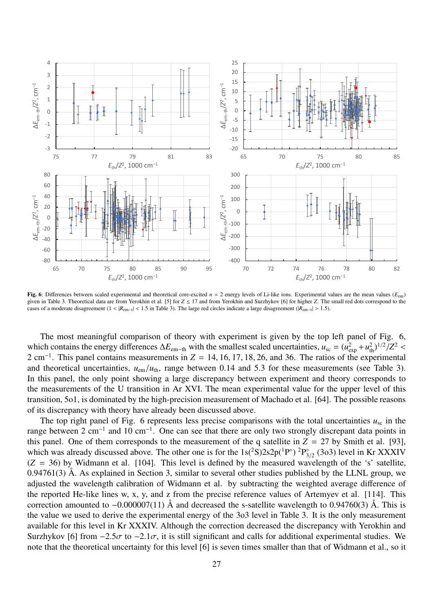

Fig. 6: Differences between scaled experimental and theoretical core-excited  $n = 2$  energy levels of Li-like ions. Experimental values are the mean values ( $E_{\text{em}}$ ) given in Table 3. Theoretical data are from Yerokhin et al. [5] for *Z* ≤ 17 and from Yerokhin and Surzhykov [6] for higher *Z*. The small red dots correspond to the cases of a moderate disagreement  $(1 < |R_{em-t}| < 1.5$  in Table 3). The large red circles indicate a large disagreement ( $|R_{em-t}| > 1.5$ ).

The most meaningful comparison of theory with experiment is given by the top left panel of Fig. 6, which contains the energy differences  $\Delta E_{\text{em-th}}$  with the smallest scaled uncertainties,  $u_{\text{sc}} = (u_{\text{exp}}^2 + u_{\text{th}}^2)^{1/2}/Z^2$ 2 cm<sup>−</sup><sup>1</sup> . This panel contains measurements in *Z* = 14, 16, 17, 18, 26, and 36. The ratios of the experimental and theoretical uncertainties,  $u_{\text{em}}/u_{\text{th}}$ , range between 0.14 and 5.3 for these measurements (see Table 3). In this panel, the only point showing a large discrepancy between experiment and theory corresponds to the measurements of the U transition in Ar XVI. The mean experimental value for the upper level of this transition, 5o1, is dominated by the high-precision measurement of Machado et al. [64]. The possible reasons of its discrepancy with theory have already been discussed above.

The top right panel of Fig. 6 represents less precise comparisons with the total uncertainties  $u_{\rm sc}$  in the range between 2 cm<sup>-1</sup> and 10 cm<sup>-1</sup>. One can see that there are only two strongly discrepant data points in this panel. One of them corresponds to the measurement of the q satellite in  $Z = 27$  by Smith et al. [93], which was already discussed above. The other one is for the  $1s(^2S)2s2p(^1P^{\circ})$   ${}^{2}P_{3}^{\circ}$  $\int_{3/2}^{\infty}$  (3o3) level in Kr XXXIV  $(Z = 36)$  by Widmann et al. [104]. This level is defined by the measured wavelength of the 's' satellite,  $0.94761(3)$  Å. As explained in Section 3, similar to several other studies published by the LLNL group, we adjusted the wavelength calibration of Widmann et al. by subtracting the weighted average difference of the reported He-like lines w, x, y, and z from the precise reference values of Artemyev et al. [114]. This correction amounted to −0.000007(11) Å and decreased the s-satellite wavelength to 0.94760(3) Å. This is the value we used to derive the experimental energy of the 3o3 level in Table 3. It is the only measurement available for this level in Kr XXXIV. Although the correction decreased the discrepancy with Yerokhin and Surzhykov [6] from  $-2.5\sigma$  to  $-2.1\sigma$ , it is still significant and calls for additional experimental studies. We note that the theoretical uncertainty for this level [6] is seven times smaller than that of Widmann et al., so it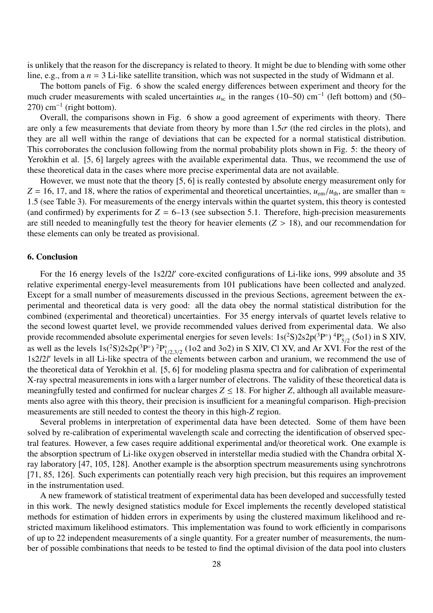is unlikely that the reason for the discrepancy is related to theory. It might be due to blending with some other line, e.g., from a *n* = 3 Li-like satellite transition, which was not suspected in the study of Widmann et al.

The bottom panels of Fig. 6 show the scaled energy differences between experiment and theory for the much cruder measurements with scaled uncertainties *u*<sub>sc</sub> in the ranges (10–50) cm<sup>-1</sup> (left bottom) and (50–  $270$ ) cm<sup>-1</sup> (right bottom).

Overall, the comparisons shown in Fig. 6 show a good agreement of experiments with theory. There are only a few measurements that deviate from theory by more than  $1.5\sigma$  (the red circles in the plots), and they are all well within the range of deviations that can be expected for a normal statistical distribution. This corroborates the conclusion following from the normal probability plots shown in Fig. 5: the theory of Yerokhin et al. [5, 6] largely agrees with the available experimental data. Thus, we recommend the use of these theoretical data in the cases where more precise experimental data are not available.

However, we must note that the theory [5, 6] is really contested by absolute energy measurement only for  $Z = 16, 17,$  and 18, where the ratios of experimental and theoretical uncertainties,  $u_{\rm em}/u_{\rm th}$ , are smaller than  $\approx$ 1.5 (see Table 3). For measurements of the energy intervals within the quartet system, this theory is contested (and confirmed) by experiments for  $Z = 6$ –13 (see subsection 5.1. Therefore, high-precision measurements are still needed to meaningfully test the theory for heavier elements  $(Z > 18)$ , and our recommendation for these elements can only be treated as provisional.

#### 6. Conclusion

For the 16 energy levels of the 1s2*l*2*l'* core-excited configurations of Li-like ions, 999 absolute and 35 relative experimental energy-level measurements from 101 publications have been collected and analyzed. Except for a small number of measurements discussed in the previous Sections, agreement between the experimental and theoretical data is very good: all the data obey the normal statistical distribution for the combined (experimental and theoretical) uncertainties. For 35 energy intervals of quartet levels relative to the second lowest quartet level, we provide recommended values derived from experimental data. We also provide recommended absolute experimental energies for seven levels:  $1s(^{2}S)2s2p(^{3}P^{\circ})$   ${}^{4}P_{5}^{\circ}$  $S_{5/2}^{\circ}$  (501) in S XIV, as well as the levels  $1s(^2S)2s2p(^3P^{\circ})$   ${}^{2}P_1^{\circ}$  $_{1/2,3/2}^{\circ}$  (1o2 and 3o2) in S XIV, Cl XV, and Ar XVI. For the rest of the 1s2*l*2*l* ′ levels in all Li-like spectra of the elements between carbon and uranium, we recommend the use of the theoretical data of Yerokhin et al. [5, 6] for modeling plasma spectra and for calibration of experimental X-ray spectral measurements in ions with a larger number of electrons. The validity of these theoretical data is meaningfully tested and confirmed for nuclear charges  $Z \leq 18$ . For higher *Z*, although all available measurements also agree with this theory, their precision is insufficient for a meaningful comparison. High-precision measurements are still needed to contest the theory in this high-*Z* region.

Several problems in interpretation of experimental data have been detected. Some of them have been solved by re-calibration of experimental wavelength scale and correcting the identification of observed spectral features. However, a few cases require additional experimental and/or theoretical work. One example is the absorption spectrum of Li-like oxygen observed in interstellar media studied with the Chandra orbital Xray laboratory [47, 105, 128]. Another example is the absorption spectrum measurements using synchrotrons [71, 85, 126]. Such experiments can potentially reach very high precision, but this requires an improvement in the instrumentation used.

A new framework of statistical treatment of experimental data has been developed and successfully tested in this work. The newly designed statistics module for Excel implements the recently developed statistical methods for estimation of hidden errors in experiments by using the clustered maximum likelihood and restricted maximum likelihood estimators. This implementation was found to work efficiently in comparisons of up to 22 independent measurements of a single quantity. For a greater number of measurements, the number of possible combinations that needs to be tested to find the optimal division of the data pool into clusters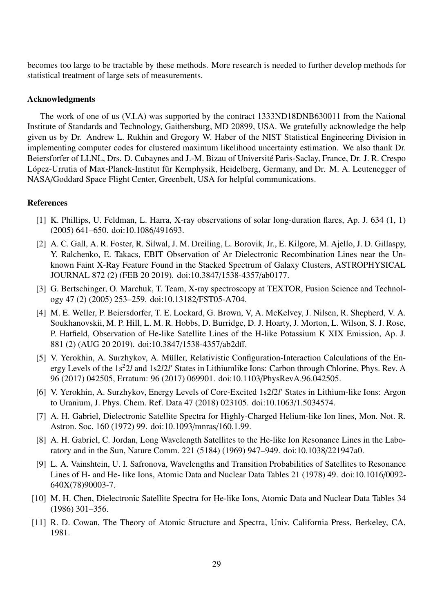becomes too large to be tractable by these methods. More research is needed to further develop methods for statistical treatment of large sets of measurements.

# Acknowledgments

The work of one of us (V.I.A) was supported by the contract 1333ND18DNB630011 from the National Institute of Standards and Technology, Gaithersburg, MD 20899, USA. We gratefully acknowledge the help given us by Dr. Andrew L. Rukhin and Gregory W. Haber of the NIST Statistical Engineering Division in implementing computer codes for clustered maximum likelihood uncertainty estimation. We also thank Dr. Beiersforfer of LLNL, Drs. D. Cubaynes and J.-M. Bizau of Université Paris-Saclay, France, Dr. J. R. Crespo López-Urrutia of Max-Planck-Institut für Kernphysik, Heidelberg, Germany, and Dr. M. A. Leutenegger of NASA/Goddard Space Flight Center, Greenbelt, USA for helpful communications.

# References

- [1] K. Phillips, U. Feldman, L. Harra, X-ray observations of solar long-duration flares, Ap. J. 634 (1, 1) (2005) 641–650. doi:10.1086/491693.
- [2] A. C. Gall, A. R. Foster, R. Silwal, J. M. Dreiling, L. Borovik, Jr., E. Kilgore, M. Ajello, J. D. Gillaspy, Y. Ralchenko, E. Takacs, EBIT Observation of Ar Dielectronic Recombination Lines near the Unknown Faint X-Ray Feature Found in the Stacked Spectrum of Galaxy Clusters, ASTROPHYSICAL JOURNAL 872 (2) (FEB 20 2019). doi:10.3847/1538-4357/ab0177.
- [3] G. Bertschinger, O. Marchuk, T. Team, X-ray spectroscopy at TEXTOR, Fusion Science and Technology 47 (2) (2005) 253–259. doi:10.13182/FST05-A704.
- [4] M. E. Weller, P. Beiersdorfer, T. E. Lockard, G. Brown, V, A. McKelvey, J. Nilsen, R. Shepherd, V. A. Soukhanovskii, M. P. Hill, L. M. R. Hobbs, D. Burridge, D. J. Hoarty, J. Morton, L. Wilson, S. J. Rose, P. Hatfield, Observation of He-like Satellite Lines of the H-like Potassium K XIX Emission, Ap. J. 881 (2) (AUG 20 2019). doi:10.3847/1538-4357/ab2dff.
- [5] V. Yerokhin, A. Surzhykov, A. Müller, Relativistic Configuration-Interaction Calculations of the Energy Levels of the 1s<sup>2</sup>2*l* and 1s2*l*2*l'* States in Lithiumlike Ions: Carbon through Chlorine, Phys. Rev. A 96 (2017) 042505, Erratum: 96 (2017) 069901. doi:10.1103/PhysRevA.96.042505.
- [6] V. Yerokhin, A. Surzhykov, Energy Levels of Core-Excited 1s2/2l' States in Lithium-like Ions: Argon to Uranium, J. Phys. Chem. Ref. Data 47 (2018) 023105. doi:10.1063/1.5034574.
- [7] A. H. Gabriel, Dielectronic Satellite Spectra for Highly-Charged Helium-like Ion lines, Mon. Not. R. Astron. Soc. 160 (1972) 99. doi:10.1093/mnras/160.1.99.
- [8] A. H. Gabriel, C. Jordan, Long Wavelength Satellites to the He-like Ion Resonance Lines in the Laboratory and in the Sun, Nature Comm. 221 (5184) (1969) 947–949. doi:10.1038/221947a0.
- [9] L. A. Vainshtein, U. I. Safronova, Wavelengths and Transition Probabilities of Satellites to Resonance Lines of H- and He- like Ions, Atomic Data and Nuclear Data Tables 21 (1978) 49. doi:10.1016/0092- 640X(78)90003-7.
- [10] M. H. Chen, Dielectronic Satellite Spectra for He-like Ions, Atomic Data and Nuclear Data Tables 34 (1986) 301–356.
- [11] R. D. Cowan, The Theory of Atomic Structure and Spectra, Univ. California Press, Berkeley, CA, 1981.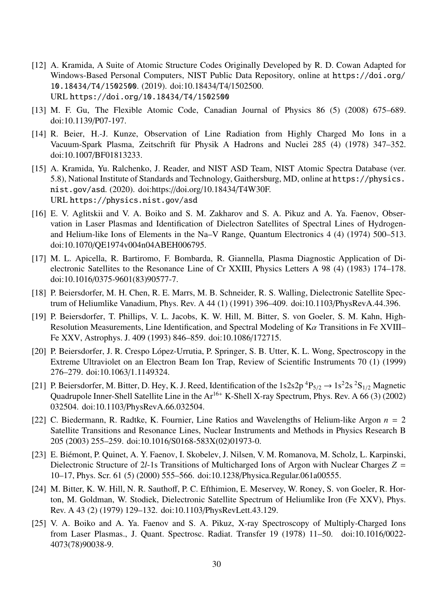- [12] A. Kramida, A Suite of Atomic Structure Codes Originally Developed by R. D. Cowan Adapted for Windows-Based Personal Computers, NIST Public Data Repository, online at https://doi.org/ 10.18434/T4/1502500. (2019). doi:10.18434/T4/1502500. URL https://doi.org/10.18434/T4/1502500
- [13] M. F. Gu, The Flexible Atomic Code, Canadian Journal of Physics 86 (5) (2008) 675–689. doi:10.1139/P07-197.
- [14] R. Beier, H.-J. Kunze, Observation of Line Radiation from Highly Charged Mo Ions in a Vacuum-Spark Plasma, Zeitschrift für Physik A Hadrons and Nuclei 285 (4) (1978) 347–352. doi:10.1007/BF01813233.
- [15] A. Kramida, Yu. Ralchenko, J. Reader, and NIST ASD Team, NIST Atomic Spectra Database (ver. 5.8), National Institute of Standards and Technology, Gaithersburg, MD, online at https://physics. nist.gov/asd. (2020). doi:https://doi.org/10.18434/T4W30F. URL https://physics.nist.gov/asd
- [16] E. V. Aglitskii and V. A. Boiko and S. M. Zakharov and S. A. Pikuz and A. Ya. Faenov, Observation in Laser Plasmas and Identification of Dielectron Satellites of Spectral Lines of Hydrogenand Helium-like Ions of Elements in the Na–V Range, Quantum Electronics 4 (4) (1974) 500–513. doi:10.1070/QE1974v004n04ABEH006795.
- [17] M. L. Apicella, R. Bartiromo, F. Bombarda, R. Giannella, Plasma Diagnostic Application of Dielectronic Satellites to the Resonance Line of Cr XXIII, Physics Letters A 98 (4) (1983) 174–178. doi:10.1016/0375-9601(83)90577-7.
- [18] P. Beiersdorfer, M. H. Chen, R. E. Marrs, M. B. Schneider, R. S. Walling, Dielectronic Satellite Spectrum of Heliumlike Vanadium, Phys. Rev. A 44 (1) (1991) 396–409. doi:10.1103/PhysRevA.44.396.
- [19] P. Beiersdorfer, T. Phillips, V. L. Jacobs, K. W. Hill, M. Bitter, S. von Goeler, S. M. Kahn, High-Resolution Measurements, Line Identification, and Spectral Modeling of  $K\alpha$  Transitions in Fe XVIII– Fe XXV, Astrophys. J. 409 (1993) 846–859. doi:10.1086/172715.
- [20] P. Beiersdorfer, J. R. Crespo López-Urrutia, P. Springer, S. B. Utter, K. L. Wong, Spectroscopy in the Extreme Ultraviolet on an Electron Beam Ion Trap, Review of Scientific Instruments 70 (1) (1999) 276–279. doi:10.1063/1.1149324.
- [21] P. Beiersdorfer, M. Bitter, D. Hey, K. J. Reed, Identification of the  $1s2s2p ^4P_{5/2} \rightarrow 1s^22s ^2S_{1/2}$  Magnetic Quadrupole Inner-Shell Satellite Line in the Ar<sup>16+</sup> K-Shell X-ray Spectrum, Phys. Rev. A 66 (3) (2002) 032504. doi:10.1103/PhysRevA.66.032504.
- [22] C. Biedermann, R. Radtke, K. Fournier, Line Ratios and Wavelengths of Helium-like Argon *n* = 2 Satellite Transitions and Resonance Lines, Nuclear Instruments and Methods in Physics Research B 205 (2003) 255–259. doi:10.1016/S0168-583X(02)01973-0.
- [23] E. Biémont, P. Quinet, A. Y. Faenov, I. Skobelev, J. Nilsen, V. M. Romanova, M. Scholz, L. Karpinski, Dielectronic Structure of 2*l*-1s Transitions of Multicharged Ions of Argon with Nuclear Charges *Z* = 10–17, Phys. Scr. 61 (5) (2000) 555–566. doi:10.1238/Physica.Regular.061a00555.
- [24] M. Bitter, K. W. Hill, N. R. Sauthoff, P. C. Efthimion, E. Meservey, W. Roney, S. von Goeler, R. Horton, M. Goldman, W. Stodiek, Dielectronic Satellite Spectrum of Heliumlike Iron (Fe XXV), Phys. Rev. A 43 (2) (1979) 129–132. doi:10.1103/PhysRevLett.43.129.
- [25] V. A. Boiko and A. Ya. Faenov and S. A. Pikuz, X-ray Spectroscopy of Multiply-Charged Ions from Laser Plasmas., J. Quant. Spectrosc. Radiat. Transfer 19 (1978) 11–50. doi:10.1016/0022- 4073(78)90038-9.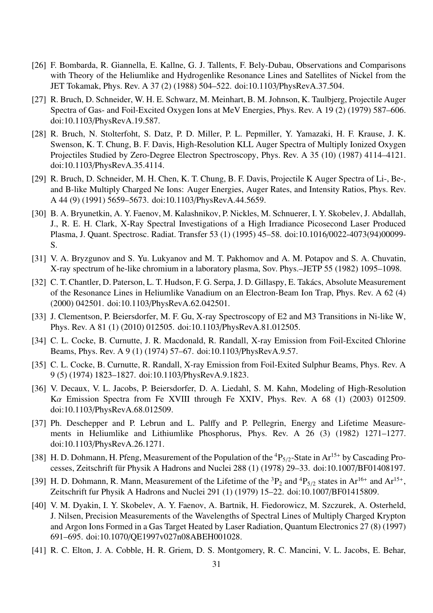- [26] F. Bombarda, R. Giannella, E. Kallne, G. J. Tallents, F. Bely-Dubau, Observations and Comparisons with Theory of the Heliumlike and Hydrogenlike Resonance Lines and Satellites of Nickel from the JET Tokamak, Phys. Rev. A 37 (2) (1988) 504–522. doi:10.1103/PhysRevA.37.504.
- [27] R. Bruch, D. Schneider, W. H. E. Schwarz, M. Meinhart, B. M. Johnson, K. Taulbjerg, Projectile Auger Spectra of Gas- and Foil-Excited Oxygen Ions at MeV Energies, Phys. Rev. A 19 (2) (1979) 587–606. doi:10.1103/PhysRevA.19.587.
- [28] R. Bruch, N. Stolterfoht, S. Datz, P. D. Miller, P. L. Pepmiller, Y. Yamazaki, H. F. Krause, J. K. Swenson, K. T. Chung, B. F. Davis, High-Resolution KLL Auger Spectra of Multiply Ionized Oxygen Projectiles Studied by Zero-Degree Electron Spectroscopy, Phys. Rev. A 35 (10) (1987) 4114–4121. doi:10.1103/PhysRevA.35.4114.
- [29] R. Bruch, D. Schneider, M. H. Chen, K. T. Chung, B. F. Davis, Projectile K Auger Spectra of Li-, Be-, and B-like Multiply Charged Ne Ions: Auger Energies, Auger Rates, and Intensity Ratios, Phys. Rev. A 44 (9) (1991) 5659–5673. doi:10.1103/PhysRevA.44.5659.
- [30] B. A. Bryunetkin, A. Y. Faenov, M. Kalashnikov, P. Nickles, M. Schnuerer, I. Y. Skobelev, J. Abdallah, J., R. E. H. Clark, X-Ray Spectral Investigations of a High Irradiance Picosecond Laser Produced Plasma, J. Quant. Spectrosc. Radiat. Transfer 53 (1) (1995) 45–58. doi:10.1016/0022-4073(94)00099- S.
- [31] V. A. Bryzgunov and S. Yu. Lukyanov and M. T. Pakhomov and A. M. Potapov and S. A. Chuvatin, X-ray spectrum of he-like chromium in a laboratory plasma, Sov. Phys.–JETP 55 (1982) 1095–1098.
- [32] C. T. Chantler, D. Paterson, L. T. Hudson, F. G. Serpa, J. D. Gillaspy, E. Takács, Absolute Measurement of the Resonance Lines in Heliumlike Vanadium on an Electron-Beam Ion Trap, Phys. Rev. A 62 (4) (2000) 042501. doi:10.1103/PhysRevA.62.042501.
- [33] J. Clementson, P. Beiersdorfer, M. F. Gu, X-ray Spectroscopy of E2 and M3 Transitions in Ni-like W, Phys. Rev. A 81 (1) (2010) 012505. doi:10.1103/PhysRevA.81.012505.
- [34] C. L. Cocke, B. Curnutte, J. R. Macdonald, R. Randall, X-ray Emission from Foil-Excited Chlorine Beams, Phys. Rev. A 9 (1) (1974) 57–67. doi:10.1103/PhysRevA.9.57.
- [35] C. L. Cocke, B. Curnutte, R. Randall, X-ray Emission from Foil-Exited Sulphur Beams, Phys. Rev. A 9 (5) (1974) 1823–1827. doi:10.1103/PhysRevA.9.1823.
- [36] V. Decaux, V. L. Jacobs, P. Beiersdorfer, D. A. Liedahl, S. M. Kahn, Modeling of High-Resolution Kα Emission Spectra from Fe XVIII through Fe XXIV, Phys. Rev. A 68 (1) (2003) 012509. doi:10.1103/PhysRevA.68.012509.
- [37] Ph. Deschepper and P. Lebrun and L. Palffy and P. Pellegrin, Energy and Lifetime Measurements in Heliumlike and Lithiumlike Phosphorus, Phys. Rev. A 26 (3) (1982) 1271–1277. doi:10.1103/PhysRevA.26.1271.
- [38] H. D. Dohmann, H. Pfeng, Measurement of the Population of the  ${}^{4}P_{5/2}$ -State in Ar<sup>15+</sup> by Cascading Processes, Zeitschrift für Physik A Hadrons and Nuclei 288 (1) (1978) 29-33. doi:10.1007/BF01408197.
- [39] H. D. Dohmann, R. Mann, Measurement of the Lifetime of the  ${}^{3}P_{2}$  and  ${}^{4}P_{5/2}$  states in Ar<sup>16+</sup> and Ar<sup>15+</sup>, Zeitschrift fur Physik A Hadrons and Nuclei 291 (1) (1979) 15–22. doi:10.1007/BF01415809.
- [40] V. M. Dyakin, I. Y. Skobelev, A. Y. Faenov, A. Bartnik, H. Fiedorowicz, M. Szczurek, A. Osterheld, J. Nilsen, Precision Measurements of the Wavelengths of Spectral Lines of Multiply Charged Krypton and Argon Ions Formed in a Gas Target Heated by Laser Radiation, Quantum Electronics 27 (8) (1997) 691–695. doi:10.1070/QE1997v027n08ABEH001028.
- [41] R. C. Elton, J. A. Cobble, H. R. Griem, D. S. Montgomery, R. C. Mancini, V. L. Jacobs, E. Behar,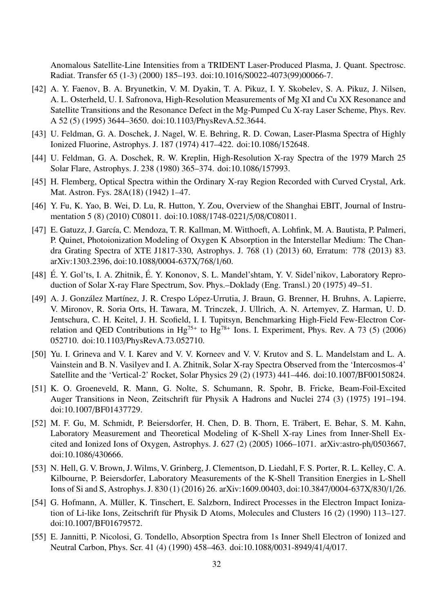Anomalous Satellite-Line Intensities from a TRIDENT Laser-Produced Plasma, J. Quant. Spectrosc. Radiat. Transfer 65 (1-3) (2000) 185–193. doi:10.1016/S0022-4073(99)00066-7.

- [42] A. Y. Faenov, B. A. Bryunetkin, V. M. Dyakin, T. A. Pikuz, I. Y. Skobelev, S. A. Pikuz, J. Nilsen, A. L. Osterheld, U. I. Safronova, High-Resolution Measurements of Mg XI and Cu XX Resonance and Satellite Transitions and the Resonance Defect in the Mg-Pumped Cu X-ray Laser Scheme, Phys. Rev. A 52 (5) (1995) 3644–3650. doi:10.1103/PhysRevA.52.3644.
- [43] U. Feldman, G. A. Doschek, J. Nagel, W. E. Behring, R. D. Cowan, Laser-Plasma Spectra of Highly Ionized Fluorine, Astrophys. J. 187 (1974) 417–422. doi:10.1086/152648.
- [44] U. Feldman, G. A. Doschek, R. W. Kreplin, High-Resolution X-ray Spectra of the 1979 March 25 Solar Flare, Astrophys. J. 238 (1980) 365–374. doi:10.1086/157993.
- [45] H. Flemberg, Optical Spectra within the Ordinary X-ray Region Recorded with Curved Crystal, Ark. Mat. Astron. Fys. 28A(18) (1942) 1–47.
- [46] Y. Fu, K. Yao, B. Wei, D. Lu, R. Hutton, Y. Zou, Overview of the Shanghai EBIT, Journal of Instrumentation 5 (8) (2010) C08011. doi:10.1088/1748-0221/5/08/C08011.
- [47] E. Gatuzz, J. García, C. Mendoza, T. R. Kallman, M. Witthoeft, A. Lohfink, M. A. Bautista, P. Palmeri, P. Quinet, Photoionization Modeling of Oxygen K Absorption in the Interstellar Medium: The Chandra Grating Spectra of XTE J1817-330, Astrophys. J. 768 (1) (2013) 60, Erratum: 778 (2013) 83. arXiv:1303.2396, doi:10.1088/0004-637X/768/1/60.
- [48] É. Y. Gol'ts, I. A. Zhitnik, É. Y. Kononov, S. L. Mandel'shtam, Y. V. Sidel'nikov, Laboratory Reproduction of Solar X-ray Flare Spectrum, Sov. Phys.–Doklady (Eng. Transl.) 20 (1975) 49–51.
- [49] A. J. González Martínez, J. R. Crespo López-Urrutia, J. Braun, G. Brenner, H. Bruhns, A. Lapierre, V. Mironov, R. Soria Orts, H. Tawara, M. Trinczek, J. Ullrich, A. N. Artemyev, Z. Harman, U. D. Jentschura, C. H. Keitel, J. H. Scofield, I. I. Tupitsyn, Benchmarking High-Field Few-Electron Correlation and QED Contributions in  $Hg^{75+}$  to  $Hg^{78+}$  Ions. I. Experiment, Phys. Rev. A 73 (5) (2006) 052710. doi:10.1103/PhysRevA.73.052710.
- [50] Yu. I. Grineva and V. I. Karev and V. V. Korneev and V. V. Krutov and S. L. Mandelstam and L. A. Vainstein and B. N. Vasilyev and I. A. Zhitnik, Solar X-ray Spectra Observed from the 'Intercosmos-4' Satellite and the 'Vertical-2' Rocket, Solar Physics 29 (2) (1973) 441–446. doi:10.1007/BF00150824.
- [51] K. O. Groeneveld, R. Mann, G. Nolte, S. Schumann, R. Spohr, B. Fricke, Beam-Foil-Excited Auger Transitions in Neon, Zeitschrift für Physik A Hadrons and Nuclei 274 (3) (1975) 191–194. doi:10.1007/BF01437729.
- [52] M. F. Gu, M. Schmidt, P. Beiersdorfer, H. Chen, D. B. Thorn, E. Träbert, E. Behar, S. M. Kahn, Laboratory Measurement and Theoretical Modeling of K-Shell X-ray Lines from Inner-Shell Excited and Ionized Ions of Oxygen, Astrophys. J. 627 (2) (2005) 1066–1071. arXiv:astro-ph/0503667, doi:10.1086/430666.
- [53] N. Hell, G. V. Brown, J. Wilms, V. Grinberg, J. Clementson, D. Liedahl, F. S. Porter, R. L. Kelley, C. A. Kilbourne, P. Beiersdorfer, Laboratory Measurements of the K-Shell Transition Energies in L-Shell Ions of Si and S, Astrophys. J. 830 (1) (2016) 26. arXiv:1609.00403, doi:10.3847/0004-637X/830/1/26.
- [54] G. Hofmann, A. Müller, K. Tinschert, E. Salzborn, Indirect Processes in the Electron Impact Ionization of Li-like Ions, Zeitschrift für Physik D Atoms, Molecules and Clusters 16 (2) (1990) 113–127. doi:10.1007/BF01679572.
- [55] E. Jannitti, P. Nicolosi, G. Tondello, Absorption Spectra from 1s Inner Shell Electron of Ionized and Neutral Carbon, Phys. Scr. 41 (4) (1990) 458–463. doi:10.1088/0031-8949/41/4/017.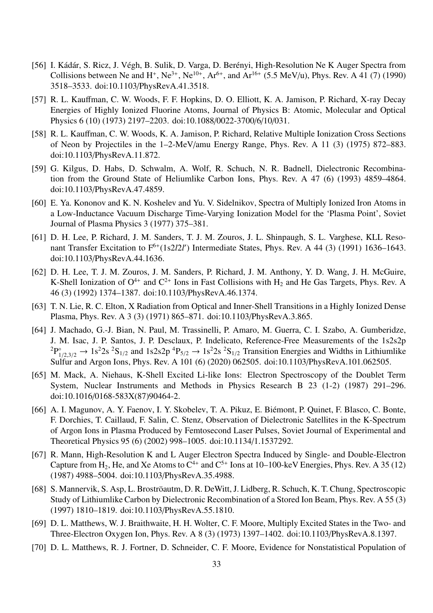- [56] I. Kádár, S. Ricz, J. Végh, B. Sulik, D. Varga, D. Berényi, High-Resolution Ne K Auger Spectra from Collisions between Ne and H<sup>+</sup>, Ne<sup>3+</sup>, Ne<sup>10+</sup>, Ar<sup>6+</sup>, and Ar<sup>16+</sup> (5.5 MeV/u), Phys. Rev. A 41 (7) (1990) 3518–3533. doi:10.1103/PhysRevA.41.3518.
- [57] R. L. Kauffman, C. W. Woods, F. F. Hopkins, D. O. Elliott, K. A. Jamison, P. Richard, X-ray Decay Energies of Highly Ionized Fluorine Atoms, Journal of Physics B: Atomic, Molecular and Optical Physics 6 (10) (1973) 2197–2203. doi:10.1088/0022-3700/6/10/031.
- [58] R. L. Kauffman, C. W. Woods, K. A. Jamison, P. Richard, Relative Multiple Ionization Cross Sections of Neon by Projectiles in the 1–2-MeV/amu Energy Range, Phys. Rev. A 11 (3) (1975) 872–883. doi:10.1103/PhysRevA.11.872.
- [59] G. Kilgus, D. Habs, D. Schwalm, A. Wolf, R. Schuch, N. R. Badnell, Dielectronic Recombination from the Ground State of Heliumlike Carbon Ions, Phys. Rev. A 47 (6) (1993) 4859–4864. doi:10.1103/PhysRevA.47.4859.
- [60] E. Ya. Kononov and K. N. Koshelev and Yu. V. Sidelnikov, Spectra of Multiply Ionized Iron Atoms in a Low-Inductance Vacuum Discharge Time-Varying Ionization Model for the 'Plasma Point', Soviet Journal of Plasma Physics 3 (1977) 375–381.
- [61] D. H. Lee, P. Richard, J. M. Sanders, T. J. M. Zouros, J. L. Shinpaugh, S. L. Varghese, KLL Resonant Transfer Excitation to F<sup>6+</sup>(1s2*l*2*l'*) Intermediate States, Phys. Rev. A 44 (3) (1991) 1636–1643. doi:10.1103/PhysRevA.44.1636.
- [62] D. H. Lee, T. J. M. Zouros, J. M. Sanders, P. Richard, J. M. Anthony, Y. D. Wang, J. H. McGuire, K-Shell Ionization of  $O^{4+}$  and  $C^{2+}$  Ions in Fast Collisions with  $H_2$  and He Gas Targets, Phys. Rev. A 46 (3) (1992) 1374–1387. doi:10.1103/PhysRevA.46.1374.
- [63] T. N. Lie, R. C. Elton, X Radiation from Optical and Inner-Shell Transitions in a Highly Ionized Dense Plasma, Phys. Rev. A 3 (3) (1971) 865–871. doi:10.1103/PhysRevA.3.865.
- [64] J. Machado, G.-J. Bian, N. Paul, M. Trassinelli, P. Amaro, M. Guerra, C. I. Szabo, A. Gumberidze, J. M. Isac, J. P. Santos, J. P. Desclaux, P. Indelicato, Reference-Free Measurements of the 1s2s2p  ${}^{2}P^{\circ}_{1/2,3/2} \rightarrow 1s^{2}2s \ {}^{2}S_{1/2}$  and  $1s2s2p \ {}^{4}P_{5/2} \rightarrow 1s^{2}2s \ {}^{2}S_{1/2}$  Transition Energies and Widths in Lithiumlike Sulfur and Argon Ions, Phys. Rev. A 101 (6) (2020) 062505. doi:10.1103/PhysRevA.101.062505.
- [65] M. Mack, A. Niehaus, K-Shell Excited Li-like Ions: Electron Spectroscopy of the Doublet Term System, Nuclear Instruments and Methods in Physics Research B 23 (1-2) (1987) 291–296. doi:10.1016/0168-583X(87)90464-2.
- [66] A. I. Magunov, A. Y. Faenov, I. Y. Skobelev, T. A. Pikuz, E. Biémont, P. Quinet, F. Blasco, C. Bonte, F. Dorchies, T. Caillaud, F. Salin, C. Stenz, Observation of Dielectronic Satellites in the K-Spectrum of Argon Ions in Plasma Produced by Femtosecond Laser Pulses, Soviet Journal of Experimental and Theoretical Physics 95 (6) (2002) 998–1005. doi:10.1134/1.1537292.
- [67] R. Mann, High-Resolution K and L Auger Electron Spectra Induced by Single- and Double-Electron Capture from  $H_2$ , He, and Xe Atoms to  $C^{4+}$  and  $C^{5+}$  Ions at 10–100-keV Energies, Phys. Rev. A 35 (12) (1987) 4988–5004. doi:10.1103/PhysRevA.35.4988.
- [68] S. Mannervik, S. Asp, L. Broströautm, D. R. DeWitt, J. Lidberg, R. Schuch, K. T. Chung, Spectroscopic Study of Lithiumlike Carbon by Dielectronic Recombination of a Stored Ion Beam, Phys. Rev. A 55 (3) (1997) 1810–1819. doi:10.1103/PhysRevA.55.1810.
- [69] D. L. Matthews, W. J. Braithwaite, H. H. Wolter, C. F. Moore, Multiply Excited States in the Two- and Three-Electron Oxygen Ion, Phys. Rev. A 8 (3) (1973) 1397–1402. doi:10.1103/PhysRevA.8.1397.
- [70] D. L. Matthews, R. J. Fortner, D. Schneider, C. F. Moore, Evidence for Nonstatistical Population of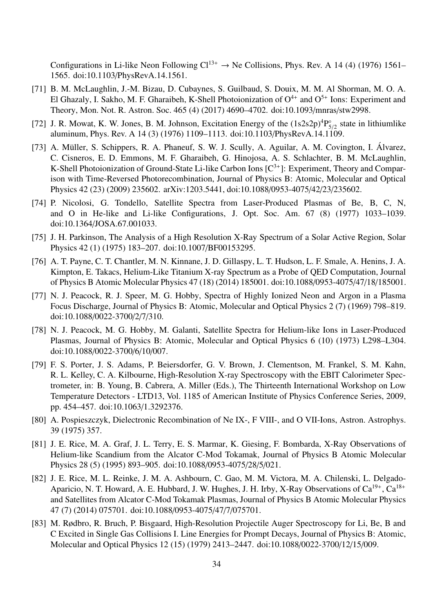Configurations in Li-like Neon Following  $Cl^{13+} \to Ne$  Collisions, Phys. Rev. A 14 (4) (1976) 1561– 1565. doi:10.1103/PhysRevA.14.1561.

- [71] B. M. McLaughlin, J.-M. Bizau, D. Cubaynes, S. Guilbaud, S. Douix, M. M. Al Shorman, M. O. A. El Ghazaly, I. Sakho, M. F. Gharaibeh, K-Shell Photoionization of  $O^{4+}$  and  $O^{5+}$  Ions: Experiment and Theory, Mon. Not. R. Astron. Soc. 465 (4) (2017) 4690–4702. doi:10.1093/mnras/stw2998.
- [72] J. R. Mowat, K. W. Jones, B. M. Johnson, Excitation Energy of the  $(1s2s2p)^4P_s^{\circ}$  $\int_{5/2}^{\infty}$  state in lithiumlike aluminum, Phys. Rev. A 14 (3) (1976) 1109–1113. doi:10.1103/PhysRevA.14.1109.
- [73] A. Müller, S. Schippers, R. A. Phaneuf, S. W. J. Scully, A. Aguilar, A. M. Covington, I. Álvarez, C. Cisneros, E. D. Emmons, M. F. Gharaibeh, G. Hinojosa, A. S. Schlachter, B. M. McLaughlin, K-Shell Photoionization of Ground-State Li-like Carbon Ions  $[C^{3+}]$ : Experiment, Theory and Comparison with Time-Reversed Photorecombination, Journal of Physics B: Atomic, Molecular and Optical Physics 42 (23) (2009) 235602. arXiv:1203.5441, doi:10.1088/0953-4075/42/23/235602.
- [74] P. Nicolosi, G. Tondello, Satellite Spectra from Laser-Produced Plasmas of Be, B, C, N, and O in He-like and Li-like Configurations, J. Opt. Soc. Am. 67 (8) (1977) 1033–1039. doi:10.1364/JOSA.67.001033.
- [75] J. H. Parkinson, The Analysis of a High Resolution X-Ray Spectrum of a Solar Active Region, Solar Physics 42 (1) (1975) 183–207. doi:10.1007/BF00153295.
- [76] A. T. Payne, C. T. Chantler, M. N. Kinnane, J. D. Gillaspy, L. T. Hudson, L. F. Smale, A. Henins, J. A. Kimpton, E. Takacs, Helium-Like Titanium X-ray Spectrum as a Probe of QED Computation, Journal of Physics B Atomic Molecular Physics 47 (18) (2014) 185001. doi:10.1088/0953-4075/47/18/185001.
- [77] N. J. Peacock, R. J. Speer, M. G. Hobby, Spectra of Highly Ionized Neon and Argon in a Plasma Focus Discharge, Journal of Physics B: Atomic, Molecular and Optical Physics 2 (7) (1969) 798–819. doi:10.1088/0022-3700/2/7/310.
- [78] N. J. Peacock, M. G. Hobby, M. Galanti, Satellite Spectra for Helium-like Ions in Laser-Produced Plasmas, Journal of Physics B: Atomic, Molecular and Optical Physics 6 (10) (1973) L298–L304. doi:10.1088/0022-3700/6/10/007.
- [79] F. S. Porter, J. S. Adams, P. Beiersdorfer, G. V. Brown, J. Clementson, M. Frankel, S. M. Kahn, R. L. Kelley, C. A. Kilbourne, High-Resolution X-ray Spectroscopy with the EBIT Calorimeter Spectrometer, in: B. Young, B. Cabrera, A. Miller (Eds.), The Thirteenth International Workshop on Low Temperature Detectors - LTD13, Vol. 1185 of American Institute of Physics Conference Series, 2009, pp. 454–457. doi:10.1063/1.3292376.
- [80] A. Pospieszczyk, Dielectronic Recombination of Ne IX-, F VIII-, and O VII-Ions, Astron. Astrophys. 39 (1975) 357.
- [81] J. E. Rice, M. A. Graf, J. L. Terry, E. S. Marmar, K. Giesing, F. Bombarda, X-Ray Observations of Helium-like Scandium from the Alcator C-Mod Tokamak, Journal of Physics B Atomic Molecular Physics 28 (5) (1995) 893–905. doi:10.1088/0953-4075/28/5/021.
- [82] J. E. Rice, M. L. Reinke, J. M. A. Ashbourn, C. Gao, M. M. Victora, M. A. Chilenski, L. Delgado-Aparicio, N. T. Howard, A. E. Hubbard, J. W. Hughes, J. H. Irby, X-Ray Observations of Ca<sup>19+</sup>, Ca<sup>18+</sup> and Satellites from Alcator C-Mod Tokamak Plasmas, Journal of Physics B Atomic Molecular Physics 47 (7) (2014) 075701. doi:10.1088/0953-4075/47/7/075701.
- [83] M. Rødbro, R. Bruch, P. Bisgaard, High-Resolution Projectile Auger Spectroscopy for Li, Be, B and C Excited in Single Gas Collisions I. Line Energies for Prompt Decays, Journal of Physics B: Atomic, Molecular and Optical Physics 12 (15) (1979) 2413–2447. doi:10.1088/0022-3700/12/15/009.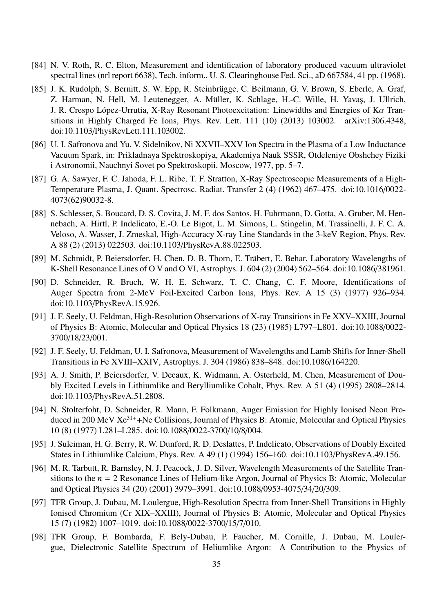- [84] N. V. Roth, R. C. Elton, Measurement and identification of laboratory produced vacuum ultraviolet spectral lines (nrl report 6638), Tech. inform., U. S. Clearinghouse Fed. Sci., aD 667584, 41 pp. (1968).
- [85] J. K. Rudolph, S. Bernitt, S. W. Epp, R. Steinbrügge, C. Beilmann, G. V. Brown, S. Eberle, A. Graf, Z. Harman, N. Hell, M. Leutenegger, A. Müller, K. Schlage, H.-C. Wille, H. Yavas, J. Ullrich, J. R. Crespo López-Urrutia, X-Ray Resonant Photoexcitation: Linewidths and Energies of Kα Transitions in Highly Charged Fe Ions, Phys. Rev. Lett. 111 (10) (2013) 103002. arXiv:1306.4348, doi:10.1103/PhysRevLett.111.103002.
- [86] U. I. Safronova and Yu. V. Sidelnikov, Ni XXVII–XXV Ion Spectra in the Plasma of a Low Inductance Vacuum Spark, in: Prikladnaya Spektroskopiya, Akademiya Nauk SSSR, Otdeleniye Obshchey Fiziki i Astronomii, Nauchnyi Sovet po Spektroskopii, Moscow, 1977, pp. 5–7.
- [87] G. A. Sawyer, F. C. Jahoda, F. L. Ribe, T. F. Stratton, X-Ray Spectroscopic Measurements of a High-Temperature Plasma, J. Quant. Spectrosc. Radiat. Transfer 2 (4) (1962) 467–475. doi:10.1016/0022- 4073(62)90032-8.
- [88] S. Schlesser, S. Boucard, D. S. Covita, J. M. F. dos Santos, H. Fuhrmann, D. Gotta, A. Gruber, M. Hennebach, A. Hirtl, P. Indelicato, E.-O. Le Bigot, L. M. Simons, L. Stingelin, M. Trassinelli, J. F. C. A. Veloso, A. Wasser, J. Zmeskal, High-Accuracy X-ray Line Standards in the 3-keV Region, Phys. Rev. A 88 (2) (2013) 022503. doi:10.1103/PhysRevA.88.022503.
- [89] M. Schmidt, P. Beiersdorfer, H. Chen, D. B. Thorn, E. Träbert, E. Behar, Laboratory Wavelengths of K-Shell Resonance Lines of O V and O VI, Astrophys. J. 604 (2) (2004) 562–564. doi:10.1086/381961.
- [90] D. Schneider, R. Bruch, W. H. E. Schwarz, T. C. Chang, C. F. Moore, Identifications of Auger Spectra from 2-MeV Foil-Excited Carbon Ions, Phys. Rev. A 15 (3) (1977) 926–934. doi:10.1103/PhysRevA.15.926.
- [91] J. F. Seely, U. Feldman, High-Resolution Observations of X-ray Transitions in Fe XXV–XXIII, Journal of Physics B: Atomic, Molecular and Optical Physics 18 (23) (1985) L797–L801. doi:10.1088/0022- 3700/18/23/001.
- [92] J. F. Seely, U. Feldman, U. I. Safronova, Measurement of Wavelengths and Lamb Shifts for Inner-Shell Transitions in Fe XVIII–XXIV, Astrophys. J. 304 (1986) 838–848. doi:10.1086/164220.
- [93] A. J. Smith, P. Beiersdorfer, V. Decaux, K. Widmann, A. Osterheld, M. Chen, Measurement of Doubly Excited Levels in Lithiumlike and Berylliumlike Cobalt, Phys. Rev. A 51 (4) (1995) 2808–2814. doi:10.1103/PhysRevA.51.2808.
- [94] N. Stolterfoht, D. Schneider, R. Mann, F. Folkmann, Auger Emission for Highly Ionised Neon Produced in 200 MeV Xe<sup>31+</sup> +Ne Collisions, Journal of Physics B: Atomic, Molecular and Optical Physics 10 (8) (1977) L281–L285. doi:10.1088/0022-3700/10/8/004.
- [95] J. Suleiman, H. G. Berry, R. W. Dunford, R. D. Deslattes, P. Indelicato, Observations of Doubly Excited States in Lithiumlike Calcium, Phys. Rev. A 49 (1) (1994) 156–160. doi:10.1103/PhysRevA.49.156.
- [96] M. R. Tarbutt, R. Barnsley, N. J. Peacock, J. D. Silver, Wavelength Measurements of the Satellite Transitions to the *n* = 2 Resonance Lines of Helium-like Argon, Journal of Physics B: Atomic, Molecular and Optical Physics 34 (20) (2001) 3979–3991. doi:10.1088/0953-4075/34/20/309.
- [97] TFR Group, J. Dubau, M. Loulergue, High-Resolution Spectra from Inner-Shell Transitions in Highly Ionised Chromium (Cr XIX–XXIII), Journal of Physics B: Atomic, Molecular and Optical Physics 15 (7) (1982) 1007–1019. doi:10.1088/0022-3700/15/7/010.
- [98] TFR Group, F. Bombarda, F. Bely-Dubau, P. Faucher, M. Cornille, J. Dubau, M. Loulergue, Dielectronic Satellite Spectrum of Heliumlike Argon: A Contribution to the Physics of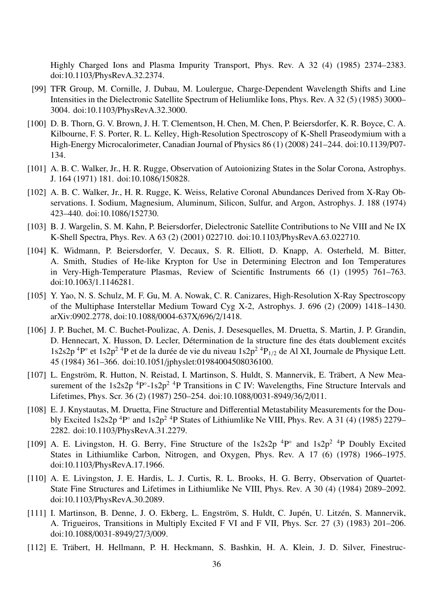Highly Charged Ions and Plasma Impurity Transport, Phys. Rev. A 32 (4) (1985) 2374–2383. doi:10.1103/PhysRevA.32.2374.

- [99] TFR Group, M. Cornille, J. Dubau, M. Loulergue, Charge-Dependent Wavelength Shifts and Line Intensities in the Dielectronic Satellite Spectrum of Heliumlike Ions, Phys. Rev. A 32 (5) (1985) 3000– 3004. doi:10.1103/PhysRevA.32.3000.
- [100] D. B. Thorn, G. V. Brown, J. H. T. Clementson, H. Chen, M. Chen, P. Beiersdorfer, K. R. Boyce, C. A. Kilbourne, F. S. Porter, R. L. Kelley, High-Resolution Spectroscopy of K-Shell Praseodymium with a High-Energy Microcalorimeter, Canadian Journal of Physics 86 (1) (2008) 241–244. doi:10.1139/P07- 134.
- [101] A. B. C. Walker, Jr., H. R. Rugge, Observation of Autoionizing States in the Solar Corona, Astrophys. J. 164 (1971) 181. doi:10.1086/150828.
- [102] A. B. C. Walker, Jr., H. R. Rugge, K. Weiss, Relative Coronal Abundances Derived from X-Ray Observations. I. Sodium, Magnesium, Aluminum, Silicon, Sulfur, and Argon, Astrophys. J. 188 (1974) 423–440. doi:10.1086/152730.
- [103] B. J. Wargelin, S. M. Kahn, P. Beiersdorfer, Dielectronic Satellite Contributions to Ne VIII and Ne IX K-Shell Spectra, Phys. Rev. A 63 (2) (2001) 022710. doi:10.1103/PhysRevA.63.022710.
- [104] K. Widmann, P. Beiersdorfer, V. Decaux, S. R. Elliott, D. Knapp, A. Osterheld, M. Bitter, A. Smith, Studies of He-like Krypton for Use in Determining Electron and Ion Temperatures in Very-High-Temperature Plasmas, Review of Scientific Instruments 66 (1) (1995) 761–763. doi:10.1063/1.1146281.
- [105] Y. Yao, N. S. Schulz, M. F. Gu, M. A. Nowak, C. R. Canizares, High-Resolution X-Ray Spectroscopy of the Multiphase Interstellar Medium Toward Cyg X-2, Astrophys. J. 696 (2) (2009) 1418–1430. arXiv:0902.2778, doi:10.1088/0004-637X/696/2/1418.
- [106] J. P. Buchet, M. C. Buchet-Poulizac, A. Denis, J. Desesquelles, M. Druetta, S. Martin, J. P. Grandin, D. Hennecart, X. Husson, D. Lecler, Détermination de la structure fine des états doublement excités  $1s2s2p$ <sup>4</sup>P° et  $1s2p^2$ <sup>4</sup>P et de la durée de vie du niveau  $1s2p^2$ <sup>4</sup>P<sub>1/2</sub> de Al XI, Journale de Physique Lett. 45 (1984) 361–366. doi:10.1051/jphyslet:01984004508036100.
- [107] L. Engström, R. Hutton, N. Reistad, I. Martinson, S. Huldt, S. Mannervik, E. Träbert, A New Measurement of the  $1s2s2p$  <sup>4</sup>P $\circ$ -1s2p<sup>2</sup> <sup>4</sup>P Transitions in C IV: Wavelengths, Fine Structure Intervals and Lifetimes, Phys. Scr. 36 (2) (1987) 250–254. doi:10.1088/0031-8949/36/2/011.
- [108] E. J. Knystautas, M. Druetta, Fine Structure and Differential Metastability Measurements for the Doubly Excited 1s2s2p<sup>4</sup>P° and 1s2p<sup>24</sup>P States of Lithiumlike Ne VIII, Phys. Rev. A 31 (4) (1985) 2279– 2282. doi:10.1103/PhysRevA.31.2279.
- [109] A. E. Livingston, H. G. Berry, Fine Structure of the  $1s2s2p$  <sup>4</sup>P° and  $1s2p^2$  <sup>4</sup>P Doubly Excited States in Lithiumlike Carbon, Nitrogen, and Oxygen, Phys. Rev. A 17 (6) (1978) 1966–1975. doi:10.1103/PhysRevA.17.1966.
- [110] A. E. Livingston, J. E. Hardis, L. J. Curtis, R. L. Brooks, H. G. Berry, Observation of Quartet-State Fine Structures and Lifetimes in Lithiumlike Ne VIII, Phys. Rev. A 30 (4) (1984) 2089–2092. doi:10.1103/PhysRevA.30.2089.
- [111] I. Martinson, B. Denne, J. O. Ekberg, L. Engström, S. Huldt, C. Jupén, U. Litzén, S. Mannervik, A. Trigueiros, Transitions in Multiply Excited F VI and F VII, Phys. Scr. 27 (3) (1983) 201–206. doi:10.1088/0031-8949/27/3/009.
- [112] E. Träbert, H. Hellmann, P. H. Heckmann, S. Bashkin, H. A. Klein, J. D. Silver, Finestruc-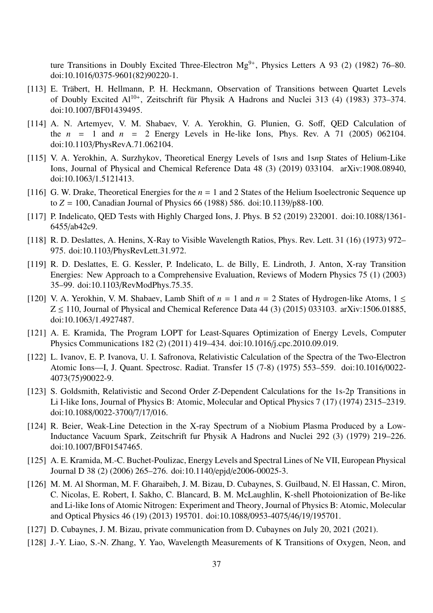ture Transitions in Doubly Excited Three-Electron  $Mg^{9+}$ , Physics Letters A 93 (2) (1982) 76–80. doi:10.1016/0375-9601(82)90220-1.

- [113] E. Träbert, H. Hellmann, P. H. Heckmann, Observation of Transitions between Quartet Levels of Doubly Excited Al<sup>10+</sup>, Zeitschrift für Physik A Hadrons and Nuclei 313 (4) (1983) 373-374. doi:10.1007/BF01439495.
- [114] A. N. Artemyev, V. M. Shabaev, V. A. Yerokhin, G. Plunien, G. Soff, QED Calculation of the  $n = 1$  and  $n = 2$  Energy Levels in He-like Ions, Phys. Rev. A 71 (2005) 062104. doi:10.1103/PhysRevA.71.062104.
- [115] V. A. Yerokhin, A. Surzhykov, Theoretical Energy Levels of 1s*n*s and 1s*n*p States of Helium-Like Ions, Journal of Physical and Chemical Reference Data 48 (3) (2019) 033104. arXiv:1908.08940, doi:10.1063/1.5121413.
- [116] G. W. Drake, Theoretical Energies for the  $n = 1$  and 2 States of the Helium Isoelectronic Sequence up to *Z* = 100, Canadian Journal of Physics 66 (1988) 586. doi:10.1139/p88-100.
- [117] P. Indelicato, QED Tests with Highly Charged Ions, J. Phys. B 52 (2019) 232001. doi:10.1088/1361-6455/ab42c9.
- [118] R. D. Deslattes, A. Henins, X-Ray to Visible Wavelength Ratios, Phys. Rev. Lett. 31 (16) (1973) 972– 975. doi:10.1103/PhysRevLett.31.972.
- [119] R. D. Deslattes, E. G. Kessler, P. Indelicato, L. de Billy, E. Lindroth, J. Anton, X-ray Transition Energies: New Approach to a Comprehensive Evaluation, Reviews of Modern Physics 75 (1) (2003) 35–99. doi:10.1103/RevModPhys.75.35.
- [120] V. A. Yerokhin, V. M. Shabaev, Lamb Shift of  $n = 1$  and  $n = 2$  States of Hydrogen-like Atoms,  $1 \le$  $Z \le 110$ , Journal of Physical and Chemical Reference Data 44 (3) (2015) 033103. arXiv:1506.01885, doi:10.1063/1.4927487.
- [121] A. E. Kramida, The Program LOPT for Least-Squares Optimization of Energy Levels, Computer Physics Communications 182 (2) (2011) 419–434. doi:10.1016/j.cpc.2010.09.019.
- [122] L. Ivanov, E. P. Ivanova, U. I. Safronova, Relativistic Calculation of the Spectra of the Two-Electron Atomic Ions—I, J. Quant. Spectrosc. Radiat. Transfer 15 (7-8) (1975) 553–559. doi:10.1016/0022- 4073(75)90022-9.
- [123] S. Goldsmith, Relativistic and Second Order *Z*-Dependent Calculations for the 1s-2p Transitions in Li I-like Ions, Journal of Physics B: Atomic, Molecular and Optical Physics 7 (17) (1974) 2315–2319. doi:10.1088/0022-3700/7/17/016.
- [124] R. Beier, Weak-Line Detection in the X-ray Spectrum of a Niobium Plasma Produced by a Low-Inductance Vacuum Spark, Zeitschrift fur Physik A Hadrons and Nuclei 292 (3) (1979) 219–226. doi:10.1007/BF01547465.
- [125] A. E. Kramida, M.-C. Buchet-Poulizac, Energy Levels and Spectral Lines of Ne VII, European Physical Journal D 38 (2) (2006) 265–276. doi:10.1140/epjd/e2006-00025-3.
- [126] M. M. Al Shorman, M. F. Gharaibeh, J. M. Bizau, D. Cubaynes, S. Guilbaud, N. El Hassan, C. Miron, C. Nicolas, E. Robert, I. Sakho, C. Blancard, B. M. McLaughlin, K-shell Photoionization of Be-like and Li-like Ions of Atomic Nitrogen: Experiment and Theory, Journal of Physics B: Atomic, Molecular and Optical Physics 46 (19) (2013) 195701. doi:10.1088/0953-4075/46/19/195701.
- [127] D. Cubaynes, J. M. Bizau, private communication from D. Cubaynes on July 20, 2021 (2021).
- [128] J.-Y. Liao, S.-N. Zhang, Y. Yao, Wavelength Measurements of K Transitions of Oxygen, Neon, and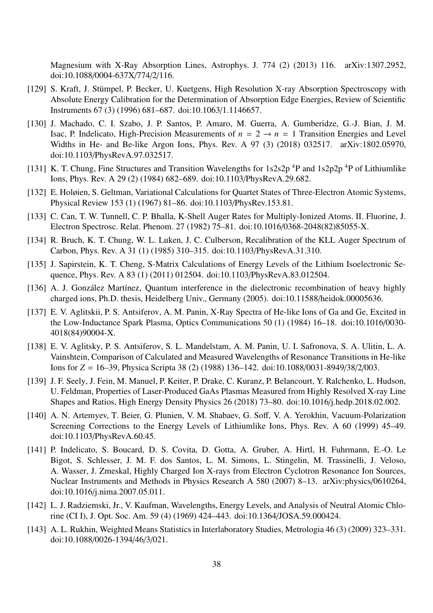Magnesium with X-Ray Absorption Lines, Astrophys. J. 774 (2) (2013) 116. arXiv:1307.2952, doi:10.1088/0004-637X/774/2/116.

- [129] S. Kraft, J. Stümpel, P. Becker, U. Kuetgens, High Resolution X-ray Absorption Spectroscopy with Absolute Energy Calibration for the Determination of Absorption Edge Energies, Review of Scientific Instruments 67 (3) (1996) 681–687. doi:10.1063/1.1146657.
- [130] J. Machado, C. I. Szabo, J. P. Santos, P. Amaro, M. Guerra, A. Gumberidze, G.-J. Bian, J. M. Isac, P. Indelicato, High-Precision Measurements of  $n = 2 \rightarrow n = 1$  Transition Energies and Level Widths in He- and Be-like Argon Ions, Phys. Rev. A 97 (3) (2018) 032517. arXiv:1802.05970, doi:10.1103/PhysRevA.97.032517.
- [131] K. T. Chung, Fine Structures and Transition Wavelengths for  $1s2s2p^{4}P$  and  $1s2p2p^{4}P$  of Lithiumlike Ions, Phys. Rev. A 29 (2) (1984) 682–689. doi:10.1103/PhysRevA.29.682.
- [132] E. Holøien, S. Geltman, Variational Calculations for Quartet States of Three-Electron Atomic Systems, Physical Review 153 (1) (1967) 81–86. doi:10.1103/PhysRev.153.81.
- [133] C. Can, T. W. Tunnell, C. P. Bhalla, K-Shell Auger Rates for Multiply-Ionized Atoms. II. Fluorine, J. Electron Spectrosc. Relat. Phenom. 27 (1982) 75–81. doi:10.1016/0368-2048(82)85055-X.
- [134] R. Bruch, K. T. Chung, W. L. Luken, J. C. Culberson, Recalibration of the KLL Auger Spectrum of Carbon, Phys. Rev. A 31 (1) (1985) 310–315. doi:10.1103/PhysRevA.31.310.
- [135] J. Sapirstein, K. T. Cheng, S-Matrix Calculations of Energy Levels of the Lithium Isoelectronic Sequence, Phys. Rev. A 83 (1) (2011) 012504. doi:10.1103/PhysRevA.83.012504.
- [136] A. J. González Martínez, Quantum interference in the dielectronic recombination of heavy highly charged ions, Ph.D. thesis, Heidelberg Univ., Germany (2005). doi:10.11588/heidok.00005636.
- [137] E. V. Aglitskii, P. S. Antsiferov, A. M. Panin, X-Ray Spectra of He-like Ions of Ga and Ge, Excited in the Low-Inductance Spark Plasma, Optics Communications 50 (1) (1984) 16–18. doi:10.1016/0030- 4018(84)90004-X.
- [138] E. V. Aglitsky, P. S. Antsiferov, S. L. Mandelstam, A. M. Panin, U. I. Safronova, S. A. Ulitin, L. A. Vainshtein, Comparison of Calculated and Measured Wavelengths of Resonance Transitions in He-like Ions for *Z* = 16–39, Physica Scripta 38 (2) (1988) 136–142. doi:10.1088/0031-8949/38/2/003.
- [139] J. F. Seely, J. Fein, M. Manuel, P. Keiter, P. Drake, C. Kuranz, P. Belancourt, Y. Ralchenko, L. Hudson, U. Feldman, Properties of Laser-Produced GaAs Plasmas Measured from Highly Resolved X-ray Line Shapes and Ratios, High Energy Density Physics 26 (2018) 73–80. doi:10.1016/j.hedp.2018.02.002.
- [140] A. N. Artemyev, T. Beier, G. Plunien, V. M. Shabaev, G. Soff, V. A. Yerokhin, Vacuum-Polarization Screening Corrections to the Energy Levels of Lithiumlike Ions, Phys. Rev. A 60 (1999) 45–49. doi:10.1103/PhysRevA.60.45.
- [141] P. Indelicato, S. Boucard, D. S. Covita, D. Gotta, A. Gruber, A. Hirtl, H. Fuhrmann, E.-O. Le Bigot, S. Schlesser, J. M. F. dos Santos, L. M. Simons, L. Stingelin, M. Trassinelli, J. Veloso, A. Wasser, J. Zmeskal, Highly Charged Ion X-rays from Electron Cyclotron Resonance Ion Sources, Nuclear Instruments and Methods in Physics Research A 580 (2007) 8–13. arXiv:physics/0610264, doi:10.1016/j.nima.2007.05.011.
- [142] L. J. Radziemski, Jr., V. Kaufman, Wavelengths, Energy Levels, and Analysis of Neutral Atomic Chlorine (CI I), J. Opt. Soc. Am. 59 (4) (1969) 424–443. doi:10.1364/JOSA.59.000424.
- [143] A. L. Rukhin, Weighted Means Statistics in Interlaboratory Studies, Metrologia 46 (3) (2009) 323–331. doi:10.1088/0026-1394/46/3/021.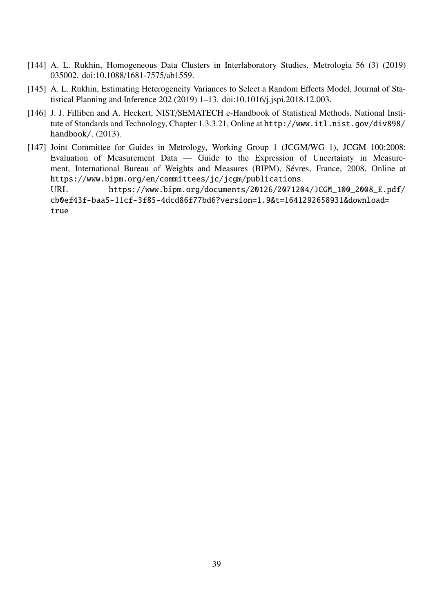- [144] A. L. Rukhin, Homogeneous Data Clusters in Interlaboratory Studies, Metrologia 56 (3) (2019) 035002. doi:10.1088/1681-7575/ab1559.
- [145] A. L. Rukhin, Estimating Heterogeneity Variances to Select a Random Effects Model, Journal of Statistical Planning and Inference 202 (2019) 1–13. doi:10.1016/j.jspi.2018.12.003.
- [146] J. J. Filliben and A. Heckert, NIST/SEMATECH e-Handbook of Statistical Methods, National Institute of Standards and Technology, Chapter 1.3.3.21, Online at http://www.itl.nist.gov/div898/ handbook/. (2013).
- [147] Joint Committee for Guides in Metrology, Working Group 1 (JCGM/WG 1), JCGM 100:2008: Evaluation of Measurement Data — Guide to the Expression of Uncertainty in Measurement, International Bureau of Weights and Measures (BIPM), Sévres, France, 2008, Online at https://www.bipm.org/en/committees/jc/jcgm/publications. URL https://www.bipm.org/documents/20126/2071204/JCGM\_100\_2008\_E.pdf/

cb0ef43f-baa5-11cf-3f85-4dcd86f77bd6?version=1.9&t=1641292658931&download= true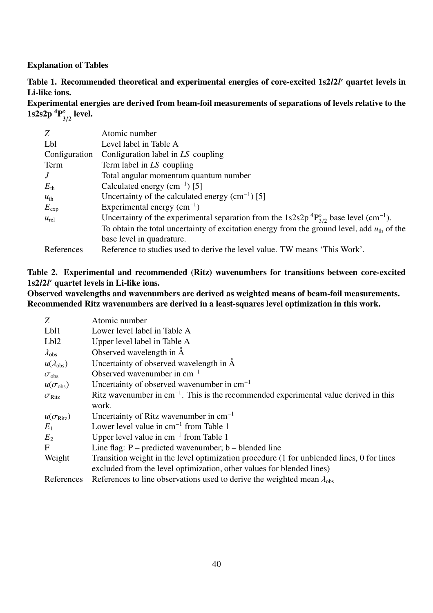# Explanation of Tables

Table 1. Recommended theoretical and experimental energies of core-excited 1s2*l*2*l* ′ quartet levels in Li-like ions.

Experimental energies are derived from beam-foil measurements of separations of levels relative to the  $1s2s2p~^4P$  $\frac{1}{3/2}$  level.

| Z               | Atomic number                                                                                                             |
|-----------------|---------------------------------------------------------------------------------------------------------------------------|
| Lbl             | Level label in Table A                                                                                                    |
| Configuration   | Configuration label in LS coupling                                                                                        |
| Term            | Term label in LS coupling                                                                                                 |
| $\overline{J}$  | Total angular momentum quantum number                                                                                     |
| $E_{\rm th}$    | Calculated energy $(cm^{-1})$ [5]                                                                                         |
| $u_{\text{th}}$ | Uncertainty of the calculated energy $(cm^{-1})$ [5]                                                                      |
| $E_{\rm exp}$   | Experimental energy $(cm^{-1})$                                                                                           |
| $u_{\rm rel}$   | Uncertainty of the experimental separation from the 1s2s2p <sup>4</sup> $P_{3/2}^{\circ}$ base level (cm <sup>-1</sup> ). |
|                 | To obtain the total uncertainty of excitation energy from the ground level, add $u_{\text{th}}$ of the                    |
|                 | base level in quadrature.                                                                                                 |
| References      | Reference to studies used to derive the level value. TW means 'This Work'.                                                |

# Table 2. Experimental and recommended (Ritz) wavenumbers for transitions between core-excited 1s2*l*2*l* ′ quartet levels in Li-like ions.

Observed wavelengths and wavenumbers are derived as weighted means of beam-foil measurements. Recommended Ritz wavenumbers are derived in a least-squares level optimization in this work.

| Z                         | Atomic number                                                                             |
|---------------------------|-------------------------------------------------------------------------------------------|
| Lb <sub>11</sub>          | Lower level label in Table A                                                              |
| Lb <sub>12</sub>          | Upper level label in Table A                                                              |
| $\lambda_{\rm obs}$       | Observed wavelength in A                                                                  |
| $u(\lambda_{\text{obs}})$ | Uncertainty of observed wavelength in $\AA$                                               |
| $\sigma_{\rm obs}$        | Observed wavenumber in $cm^{-1}$                                                          |
| $u(\sigma_{\rm obs})$     | Uncertainty of observed wavenumber in $cm^{-1}$                                           |
| $\sigma_{\text{Ritz}}$    | Ritz wavenumber in $cm^{-1}$ . This is the recommended experimental value derived in this |
|                           | work.                                                                                     |
| $u(\sigma_{\text{Ritz}})$ | Uncertainty of Ritz wavenumber in $cm^{-1}$                                               |
| $E_1$                     | Lower level value in $cm^{-1}$ from Table 1                                               |
| $E_2$                     | Upper level value in $cm^{-1}$ from Table 1                                               |
| $\mathbf F$               | Line flag: $P$ – predicted wavenumber; $b$ – blended line                                 |
| Weight                    | Transition weight in the level optimization procedure (1 for unblended lines, 0 for lines |
|                           | excluded from the level optimization, other values for blended lines)                     |
| References                | References to line observations used to derive the weighted mean $\lambda_{obs}$          |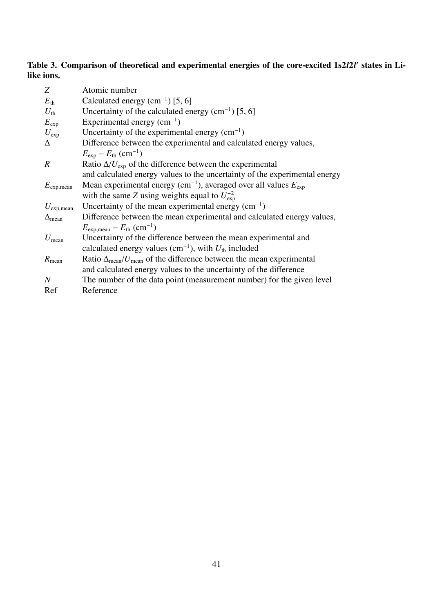# Table 3. Comparison of theoretical and experimental energies of the core-excited 1s2l2l' states in Lilike ions.

| Z                     | Atomic number                                                                           |
|-----------------------|-----------------------------------------------------------------------------------------|
| $E_{\rm th}$          | Calculated energy $(cm-1) [5, 6]$                                                       |
| $U_{\rm th}$          | Uncertainty of the calculated energy $(cm^{-1})$ [5, 6]                                 |
| $E_{\rm exp}$         | Experimental energy $(cm^{-1})$                                                         |
| $U_{\rm exp}$         | Uncertainty of the experimental energy $(cm-1)$                                         |
| Δ                     | Difference between the experimental and calculated energy values,                       |
|                       | $E_{\rm exp} - E_{\rm th}$ (cm <sup>-1</sup> )                                          |
| $\boldsymbol{R}$      | Ratio $\Delta/U_{\rm exp}$ of the difference between the experimental                   |
|                       | and calculated energy values to the uncertainty of the experimental energy              |
| $E_{\text{exp,mean}}$ | Mean experimental energy (cm <sup>-1</sup> ), averaged over all values $E_{\text{exp}}$ |
|                       | with the same Z using weights equal to $U_{\text{exp}}^{-2}$                            |
| $U_{\text{exp,mean}}$ | Uncertainty of the mean experimental energy $(cm-1)$                                    |
| $\Delta_{mean}$       | Difference between the mean experimental and calculated energy values,                  |
|                       | $E_{\text{exp,mean}} - E_{\text{th}}$ (cm <sup>-1</sup> )                               |
| $U_{\text{mean}}$     | Uncertainty of the difference between the mean experimental and                         |
|                       | calculated energy values (cm <sup>-1</sup> ), with $U_{th}$ included                    |
| $R_{\text{mean}}$     | Ratio $\Delta_{mean}/U_{mean}$ of the difference between the mean experimental          |
|                       | and calculated energy values to the uncertainty of the difference                       |
| N                     | The number of the data point (measurement number) for the given level                   |
| Ref                   | Reference                                                                               |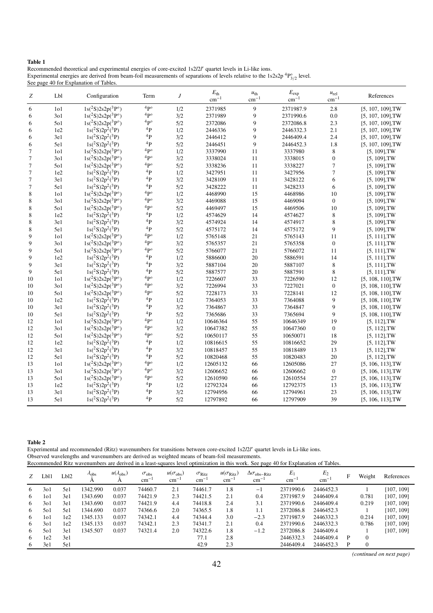#### Table 1

Recommended theoretical and experimental energies of core-excited 1s2*l*2*l* ′ quartet levels in Li-like ions. Experimental energies are derived from beam-foil measurements of separations of levels relative to the  $1s2s2p$ <sup>4</sup> $P^{\circ}_{3/2}$  level. See page 40 for Explanation of Tables.

| Ζ                | Lbl              | Configuration                  | Term                   | J   | $E_{\text{th}}$<br>$\rm cm^{-1}$ | $u_{\text{th}}$<br>$cm^{-1}$ | $E_{\rm exp}$<br>$cm^{-1}$ | $u_{rel}$<br>$\text{cm}^{-1}$ | References           |
|------------------|------------------|--------------------------------|------------------------|-----|----------------------------------|------------------------------|----------------------------|-------------------------------|----------------------|
| 6                | 1 <sub>0</sub> 1 | $1s(^{2}S)2s2p(^{3}P^{\circ})$ | 4p <sub>o</sub>        | 1/2 | 2371985                          | 9                            | 2371987.9                  | 2.8                           | $[5, 107, 109]$ , TW |
| 6                | 301              | $1s(^{2}S)2s2p(^{3}P^{\circ})$ | 4p <sub>o</sub>        | 3/2 | 2371989                          | 9                            | 2371990.6                  | 0.0                           | $[5, 107, 109]$ , TW |
| 6                | 501              | $1s(^{2}S)2s2p(^{3}P^{\circ})$ | ${}^4P^{\circ}$        | 5/2 | 2372086                          | 9                            | 2372086.8                  | 2.3                           | $[5, 107, 109]$ , TW |
| 6                | 1e2              | $1s(^{2}S)2p^{2}(^{3}P)$       | ${}^4P$                | 1/2 | 2446336                          | 9                            | 2446332.3                  | 2.1                           | $[5, 107, 109]$ , TW |
| 6                | 3e1              | $1s(^{2}S)2p^{2}(^{3}P)$       | ${}^4P$                | 3/2 | 2446412                          | 9                            | 2446409.4                  | 2.4                           | $[5, 107, 109]$ , TW |
| 6                | 5e1              | $1s(^{2}S)2p^{2}(^{3}P)$       | 4 <sub>p</sub>         | 5/2 | 2446451                          | 9                            | 2446452.3                  | 1.8                           | $[5, 107, 109]$ , TW |
| $\tau$           | 1 <sub>0</sub> 1 | $1s(^2S)2s2p(^3P^{\circ})$     | 4p <sub>o</sub>        | 1/2 | 3337990                          | 11                           | 3337980                    | 8                             | $[5, 109]$ , TW      |
| $\boldsymbol{7}$ | 301              | $1s(^{2}S)2s2p(^{3}P^{\circ})$ | ${}^4{\rm P}^{\circ}$  | 3/2 | 3338024                          | 11                           | 3338015                    | $\boldsymbol{0}$              | $[5, 109]$ , TW      |
| $\tau$           | 501              | $1s(^{2}S)2s2p(^{3}P^{\circ})$ | 4p <sub>o</sub>        | 5/2 | 3338236                          | 11                           | 3338227                    | $\overline{7}$                | $[5, 109]$ , TW      |
| $\tau$           | 1e2              | $1s(^{2}S)2p^{2}(^{3}P)$       | ${}^4P$                | 1/2 | 3427951                          | 11                           | 3427956                    | 7                             | $[5, 109]$ , TW      |
| $\boldsymbol{7}$ | 3e1              | $1s(^{2}S)2p^{2}(^{3}P)$       | $\rm ^4P$              | 3/2 | 3428109                          | 11                           | 3428122                    | 6                             | $[5, 109]$ , TW      |
| $\tau$           | 5e1              | $1s(^{2}S)2p^{2}(^{3}P)$       | 4 <sub>p</sub>         | 5/2 | 3428222                          | 11                           | 3428233                    | 6                             | $[5, 109]$ , TW      |
| 8                | 1 <sub>0</sub> 1 | $1s(^2S)2s2p(^3P^{\circ})$     | ${}^4{\rm P}^{\circ}$  | 1/2 | 4468990                          | 15                           | 4468986                    | 10                            | $[5, 109]$ , TW      |
| 8                | 301              | $1s(^{2}S)2s2p(^{3}P^{\circ})$ | ${}^4{\rm P}^{\circ}$  | 3/2 | 4469088                          | 15                           | 4469094                    | $\boldsymbol{0}$              | $[5, 109]$ , TW      |
| $\,$ 8 $\,$      | 501              | $1s(^{2}S)2s2p(^{3}P^{\circ})$ | ${}^4P^{\circ}$        | 5/2 | 4469497                          | 15                           | 4469506                    | 10                            | $[5, 109]$ , TW      |
| $\,$ 8 $\,$      | 1e2              | $1s(^{2}S)2p^{2}(^{3}P)$       | $\rm ^4P$              | 1/2 | 4574629                          | 14                           | 4574627                    | 8                             | $[5, 109]$ , TW      |
| 8                | 3e1              | $1s(^{2}S)2p^{2}(^{3}P)$       | $\rm ^4P$              | 3/2 | 4574924                          | 14                           | 4574917                    | 8                             | $[5, 109]$ , TW      |
| $\,$ 8 $\,$      | 5e1              | $1s(^{2}S)2p^{2}(^{3}P)$       | 4 <sub>p</sub>         | 5/2 | 4575172                          | 14                           | 4575172                    | 9                             | $[5, 109]$ , TW      |
| $\overline{9}$   | 1 <sub>0</sub> 1 | $1s(^{2}S)2s2p(^{3}P^{\circ})$ | ${}^4{\rm P}^{\circ}$  | 1/2 | 5765148                          | 21                           | 5765143                    | 11                            | $[5, 111]$ , TW      |
| 9                | 301              | $1s(^{2}S)2s2p(^{3}P^{\circ})$ | ${}^4P^{\circ}$        | 3/2 | 5765357                          | 21                           | 5765358                    | $\boldsymbol{0}$              | $[5, 111]$ , TW      |
| 9                | 501              | $1s(^{2}S)2s2p(^{3}P^{\circ})$ | ${}^4P^{\circ}$        | 5/2 | 5766077                          | 21                           | 5766072                    | 11                            | $[5, 111]$ , TW      |
| 9                | 1e2              | $1s(^{2}S)2p^{2}(^{3}P)$       | $\rm ^4P$              | 1/2 | 5886600                          | 20                           | 5886591                    | 14                            | $[5, 111]$ , TW      |
| 9                | 3e1              | $1s(^{2}S)2p^{2}(^{3}P)$       | ${}^4P$                | 3/2 | 5887104                          | 20                           | 5887107                    | 8                             | $[5, 111]$ , TW      |
| 9                | 5e1              | $1s(^{2}S)2p^{2}(^{3}P)$       | 4 <sub>p</sub>         | 5/2 | 5887577                          | 20                           | 5887591                    | 8                             | $[5, 111]$ , TW      |
| 10               | 1 <sub>0</sub> 1 | $1s(^{2}S)2s2p(^{3}P^{\circ})$ | ${}^4P^{\circ}$        | 1/2 | 7226607                          | 33                           | 7226590                    | 12                            | $[5, 108, 110]$ , TW |
| 10               | 301              | $1s(^{2}S)2s2p(^{3}P^{\circ})$ | ${}^4P^{\circ}$        | 3/2 | 7226994                          | 33                           | 7227021                    | $\boldsymbol{0}$              | $[5, 108, 110]$ , TW |
| 10               | 501              | $1s(^2S)2s2p(^3P^{\circ})$     | ${}^4P^{\circ}$        | 5/2 | 7228173                          | 33                           | 7228141                    | 12                            | $[5, 108, 110]$ , TW |
| 10               | 1e2              | $1s(^{2}S)2p^{2}(^{3}P)$       | $^4{\rm P}$            | 1/2 | 7364053                          | 33                           | 7364088                    | 9                             | $[5, 108, 110]$ , TW |
| 10               | 3e1              | $1s(^{2}S)2p^{2}(^{3}P)$       | 4 <sub>p</sub>         | 3/2 | 7364867                          | 33                           | 7364847                    | 9                             | $[5, 108, 110]$ , TW |
| 10               | 5e1              | $1s(^{2}S)2p^{2}(^{3}P)$       | 4P                     | 5/2 | 7365686                          | 33                           | 7365694                    | 9                             | $[5, 108, 110]$ , TW |
| 12               | 1 <sub>0</sub> 1 | $1s(^{2}S)2s2p(^{3}P^{\circ})$ | ${}^4\mathrm{P}^\circ$ | 1/2 | 10646364                         | 55                           | 10646349                   | 19                            | $[5, 112]$ , TW      |
| 12               | 301              | $1s(^2S)2s2p(^3P°)$            | 4p <sup>o</sup>        | 3/2 | 10647382                         | 55                           | 10647360                   | $\boldsymbol{0}$              | $[5, 112]$ , TW      |
| 12               | 501              | $1s(^{2}S)2s2p(^{3}P^{\circ})$ | ${}^4P^{\circ}$        | 5/2 | 10650117                         | 55                           | 10650071                   | 18                            | $[5, 112]$ , TW      |
| 12               | 1e2              | $1s(^{2}S)2p^{2}(^{3}P)$       | ${}^4P$                | 1/2 | 10816615                         | 55                           | 10816652                   | 29                            | $[5, 112]$ , TW      |
| 12               | 3e1              | $1s(^{2}S)2p^{2}(^{3}P)$       | 4 <sub>p</sub>         | 3/2 | 10818457                         | 55                           | 10818489                   | 13                            | $[5, 112]$ , TW      |
| 12               | 5e1              | $1s(^{2}S)2p^{2}(^{3}P)$       | 4 <sub>p</sub>         | 5/2 | 10820468                         | 55                           | 10820483                   | $20\,$                        | $[5, 112]$ , TW      |
| 13               | 1 <sub>0</sub> 1 | $1s(^{2}S)2s2p(^{3}P^{\circ})$ | ${}^4P^{\circ}$        | 1/2 | 12605132                         | 66                           | 12605086                   | 27                            | $[5, 106, 113]$ , TW |
| 13               | 301              | $1s(^{2}S)2s2p(^{3}P^{\circ})$ | ${}^4P^{\circ}$        | 3/2 | 12606652                         | 66                           | 12606662                   | $\boldsymbol{0}$              | $[5, 106, 113]$ , TW |
| 13               | 501              | $1s(^{2}S)2s2p(^{3}P^{\circ})$ | $4p^{\circ}$           | 5/2 | 12610590                         | 66                           | 12610554                   | 27                            | $[5, 106, 113]$ , TW |
| 13               | 1e2              | $1s(^{2}S)2p^{2}(^{3}P)$       | $\rm ^4P$              | 1/2 | 12792324                         | 66                           | 12792375                   | 13                            | $[5, 106, 113]$ , TW |
| 13               | 3e1              | $1s(^{2}S)2p^{2}(^{3}P)$       | ${}^4P$                | 3/2 | 12794956                         | 66                           | 12794961                   | 23                            | $[5, 106, 113]$ , TW |
| 13               | 5e1              | $1s(^{2}S)2p^{2}(^{3}P)$       | 4 <sub>p</sub>         | 5/2 | 12797892                         | 66                           | 12797909                   | 39                            | $[5, 106, 113]$ , TW |

|--|--|

Experimental and recommended (Ritz) wavenumbers for transitions between core-excited 1s2*l*2*l* ′ quartet levels in Li-like ions. Observed wavelengths and wavenumbers are derived as weighted means of beam-foil measurements. Recommended Ritz wavenumbers are derived in a least-squares level optimization in this work. See page 40 for Explanation of Tables.

| Z  | Lbl1 | Lbl2 | $\lambda_{\rm obs}$<br>А | $u(\lambda_{\rm obs})$ | $\sigma_{\rm obs}$<br>$cm^{-1}$ | $u(\sigma_{\rm obs})$<br>$cm^{-}$ | $\sigma_{\text{Ritz}}$<br>$cm^{-1}$ | $u(\sigma_{\text{Ritz}})$<br>$cm^{-1}$ | $\Delta\sigma_{\rm obs-Ritz}$<br>$\text{cm}^{-1}$ | $E_1$<br>$cm^{-1}$ | E <sub>2</sub><br>$cm^{-1}$ | F | Weight   | References |
|----|------|------|--------------------------|------------------------|---------------------------------|-----------------------------------|-------------------------------------|----------------------------------------|---------------------------------------------------|--------------------|-----------------------------|---|----------|------------|
| 6  | 301  | 5e1  | 1342.990                 | 0.037                  | 74460.7                         | 2.1                               | 74461.7                             | 1.8                                    | - 1                                               | 2371990.6          | 2446452.3                   |   |          | [107, 109] |
| 6  | 1o1  | 3e1  | 1343.690                 | 0.037                  | 74421.9                         | 2.3                               | 74421.5                             | 2.1                                    | 0.4                                               | 2371987.9          | 2446409.4                   |   | 0.781    | [107, 109] |
| 6  | 301  | 3e1  | 1343.690                 | 0.037                  | 74421.9                         | 4.4                               | 74418.8                             | 2.4                                    | 3.1                                               | 2371990.6          | 2446409.4                   |   | 0.219    | [107, 109] |
| 6  | 501  | 5e1  | 1344.690                 | 0.037                  | 74366.6                         | 2.0                               | 74365.5                             | 1.8                                    | 1.1                                               | 2372086.8          | 2446452.3                   |   |          | [107, 109] |
| 6  | 101  | 1e2  | 1345.133                 | 0.037                  | 74342.1                         | 4.4                               | 74344.4                             | 3.0                                    | $-2.3$                                            | 2371987.9          | 2446332.3                   |   | 0.214    | [107, 109] |
| 6  | 301  | 1e2  | 1345.133                 | 0.037                  | 74342.1                         | 2.3                               | 74341.7                             | 2.1                                    | 0.4                                               | 2371990.6          | 2446332.3                   |   | 0.786    | [107, 109] |
| 6  | 501  | 3e1  | 1345.507                 | 0.037                  | 74321.4                         | 2.0                               | 74322.6                             | 1.8                                    | $-1.2$                                            | 2372086.8          | 2446409.4                   |   |          | [107, 109] |
| -6 | 1e2  | 3e1  |                          |                        |                                 |                                   | 77.1                                | 2.8                                    |                                                   | 2446332.3          | 2446409.4                   | P | $\Omega$ |            |
| 6  | 3e1  | 5e1  |                          |                        |                                 |                                   | 42.9                                | 2.3                                    |                                                   | 2446409.4          | 2446452.3                   | P | $\Omega$ |            |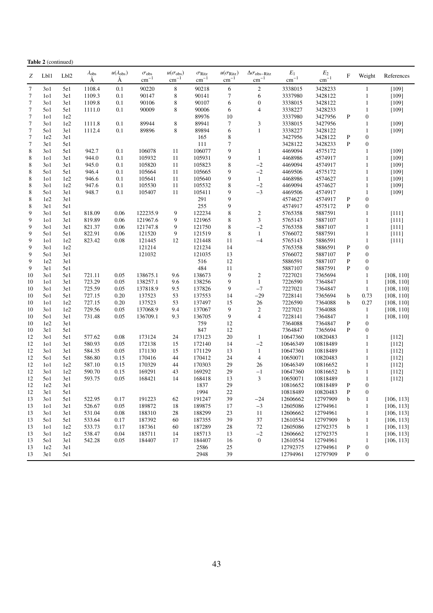|             | <b>Table 2</b> (continued) |                  |                          |                                |                                        |                                    |                                            |                                        |                                                   |                                  |                        |              |                              |                          |
|-------------|----------------------------|------------------|--------------------------|--------------------------------|----------------------------------------|------------------------------------|--------------------------------------------|----------------------------------------|---------------------------------------------------|----------------------------------|------------------------|--------------|------------------------------|--------------------------|
| Ζ           | Lb11                       | Lb <sub>12</sub> | $\lambda_{\rm obs}$<br>Ă | $u(\lambda_{\text{obs}})$<br>А | $\sigma_{\rm obs}$<br>$\text{cm}^{-1}$ | $u(\sigma_{\rm obs})$<br>$cm^{-1}$ | $\sigma_{\text{Ritz}}$<br>$\text{cm}^{-1}$ | $u(\sigma_{\text{Ritz}})$<br>$cm^{-1}$ | $\Delta\sigma_{\rm obs-Ritz}$<br>$\text{cm}^{-1}$ | $\mathcal{E}_1$<br>$\rm cm^{-1}$ | $E_2$<br>$\rm cm^{-1}$ | F            | Weight                       | References               |
| $\tau$      | 301                        | 5e1              | 1108.4                   | 0.1                            | 90220                                  | $\,8\,$                            | 90218                                      | $\sqrt{6}$                             | $\sqrt{2}$                                        | 3338015                          | 3428233                |              | $\mathbf{1}$                 | [109]                    |
| $\tau$      | 1 <sub>0</sub> 1           | 3e1              | 1109.3                   | 0.1                            | 90147                                  | 8                                  | 90141                                      | $\tau$                                 | 6                                                 | 3337980                          | 3428122                |              | $\mathbf{1}$                 | [109]                    |
| 7           | 301                        | 3e1              | 1109.8                   | 0.1                            | 90106                                  | 8                                  | 90107                                      | 6                                      | $\boldsymbol{0}$                                  | 3338015                          | 3428122                |              | $\mathbf{1}$                 | $[109]$                  |
| 7           | 501                        | 5e1              | 1111.0                   | 0.1                            | 90009                                  | 8                                  | 90006                                      | 6                                      | 4                                                 | 3338227                          | 3428233                |              | $\mathbf{1}$                 | [109]                    |
| 7           | 1 <sub>0</sub> 1           | 1e2              |                          |                                |                                        |                                    | 89976                                      | 10                                     |                                                   | 3337980                          | 3427956                | $\mathbf{P}$ | $\boldsymbol{0}$             |                          |
| 7           | 301                        | 1e2              | 1111.8                   | 0.1                            | 89944                                  | 8                                  | 89941                                      | $\tau$                                 | 3                                                 | 3338015                          | 3427956                |              | $\mathbf{1}$                 | [109]                    |
| 7           | 501                        | 3e1              | 1112.4                   | 0.1                            | 89896                                  | 8                                  | 89894                                      | 6                                      | $\mathbf{1}$                                      | 3338227                          | 3428122                |              | $\mathbf{1}$                 | [109]                    |
| 7           | 1e2                        | 3e1              |                          |                                |                                        |                                    | 165                                        | $\,$ 8 $\,$                            |                                                   | 3427956                          | 3428122                | P            | $\boldsymbol{0}$             |                          |
| 7           | 3e1                        | 5e1              |                          |                                |                                        |                                    | 111                                        | $\tau$                                 |                                                   | 3428122                          | 3428233                | P            | $\boldsymbol{0}$             |                          |
| 8           | 301                        | 5e1              | 942.7                    | 0.1                            | 106078                                 | 11                                 | 106077                                     | 9                                      | $\mathbf{1}$                                      | 4469094                          | 4575172                |              | $\mathbf{1}$                 | [109]                    |
| 8           | 1 <sub>0</sub> 1           | 3e1              | 944.0                    | 0.1                            | 105932                                 | 11                                 | 105931                                     | 9                                      | $\mathbf{1}$                                      | 4468986                          | 4574917                |              | $\mathbf{1}$                 | [109]                    |
| 8           | 301                        | 3e1              | 945.0                    | 0.1                            | 105820                                 | 11                                 | 105823                                     | $\,$ 8 $\,$                            | $-2$                                              | 4469094                          | 4574917                |              | $\mathbf{1}$                 | [109]                    |
| 8           | 501                        | 5e1              | 946.4                    | 0.1                            | 105664                                 | 11                                 | 105665                                     | 9                                      | $-2$                                              | 4469506                          | 4575172                |              | $\mathbf{1}$                 | [109]                    |
| $\,$ 8 $\,$ | 101                        | 1e2              | 946.6                    | 0.1                            | 105641                                 | 11                                 | 105640                                     | 9                                      | $\mathbf{1}$                                      | 4468986                          | 4574627                |              | $\mathbf{1}$                 | [109]                    |
| 8           | 301                        | 1e2              | 947.6                    | 0.1                            | 105530                                 | 11                                 | 105532                                     | $\,$ 8 $\,$                            | $-2$                                              | 4469094                          | 4574627                |              | $\mathbf{1}$                 | $[109]$                  |
| 8           | 501                        | 3e1              | 948.7                    | 0.1                            | 105407                                 | 11                                 | 105411                                     | 9                                      | $-3$                                              | 4469506                          | 4574917                |              | $\mathbf{1}$                 | $[109]$                  |
| 8           | 1e2                        | 3e1              |                          |                                |                                        |                                    | 291                                        | 9                                      |                                                   | 4574627                          | 4574917                | P            | $\boldsymbol{0}$             |                          |
| 8           | 3e1                        | 5e1              |                          |                                |                                        |                                    | 255                                        | 9                                      |                                                   | 4574917                          | 4575172                | P            | $\boldsymbol{0}$             |                          |
| 9           | 301                        | 5e1              | 818.09                   | 0.06                           | 122235.9                               | 9                                  | 122234                                     | $\,$ 8 $\,$                            | $\overline{2}$                                    | 5765358                          | 5887591                |              | $\mathbf{1}$                 | $[111]$                  |
| 9           | 1 <sub>0</sub> 1           | 3e1              | 819.89                   | 0.06                           | 121967.6                               | 9                                  | 121965                                     | $\,$ 8 $\,$                            | 3                                                 | 5765143                          | 5887107                |              | $\mathbf{1}$                 | $[111]$                  |
| 9           | 301                        | 3e1              | 821.37                   | 0.06                           | 121747.8                               | 9                                  | 121750                                     | $\,$ 8 $\,$                            | $-2$                                              | 5765358                          | 5887107                |              | $\mathbf{1}$                 | $[111]$                  |
| 9           | 501                        | 5e1              | 822.91                   | 0.06                           | 121520                                 | 9                                  | 121519                                     | 8                                      | 1                                                 | 5766072                          | 5887591                |              | $\mathbf{1}$                 | $[111]$                  |
| 9           | 1 <sub>0</sub> 1           | 1e2              | 823.42                   | 0.08                           | 121445                                 | 12                                 | 121448                                     | 11                                     | $-4$                                              | 5765143                          | 5886591                |              | $\mathbf{1}$                 | $[111]$                  |
| 9           | 301                        | 1e2              |                          |                                | 121214                                 |                                    | 121234                                     | 14                                     |                                                   | 5765358                          | 5886591                | P            | $\boldsymbol{0}$             |                          |
| 9           | 501                        | 3e1              |                          |                                | 121032                                 |                                    | 121035                                     | 13                                     |                                                   | 5766072                          | 5887107                | P            | $\boldsymbol{0}$             |                          |
| 9<br>9      | 1e2                        | 3e1              |                          |                                |                                        |                                    | 516                                        | 12                                     |                                                   | 5886591                          | 5887107                | P<br>P       | $\boldsymbol{0}$             |                          |
|             | 3e1                        | 5e1              |                          |                                |                                        |                                    | 484<br>138673                              | 11<br>9                                |                                                   | 5887107                          | 5887591<br>7365694     |              | $\boldsymbol{0}$             |                          |
| 10          | 301                        | 5e1              | 721.11<br>723.29         | 0.05<br>0.05                   | 138675.1<br>138257.1                   | 9.6                                | 138256                                     | 9                                      | $\overline{2}$<br>$\mathbf{1}$                    | 7227021<br>7226590               | 7364847                |              | $\mathbf{1}$<br>$\mathbf{1}$ | [108, 110]               |
| 10<br>10    | 1 <sub>0</sub> 1<br>301    | 3e1<br>3e1       | 725.59                   | 0.05                           | 137818.9                               | 9.6<br>9.5                         | 137826                                     | 9                                      | $-7$                                              | 7227021                          | 7364847                |              | $\mathbf{1}$                 | [108, 110]<br>[108, 110] |
| 10          | 501                        | 5e1              | 727.15                   | 0.20                           | 137523                                 | 53                                 | 137553                                     | 14                                     | $-29$                                             | 7228141                          | 7365694                | b            | 0.73                         | [108, 110]               |
| 10          | 1 <sub>0</sub> 1           | 1e2              | 727.15                   | 0.20                           | 137523                                 | 53                                 | 137497                                     | 15                                     | 26                                                | 7226590                          | 7364088                | b            | 0.27                         | [108, 110]               |
| 10          | 301                        | 1e2              | 729.56                   | 0.05                           | 137068.9                               | 9.4                                | 137067                                     | 9                                      | $\sqrt{2}$                                        | 7227021                          | 7364088                |              | 1                            | [108, 110]               |
| 10          | 501                        | 3e1              | 731.48                   | 0.05                           | 136709.1                               | 9.3                                | 136705                                     | 9                                      | $\overline{4}$                                    | 7228141                          | 7364847                |              | $\mathbf{1}$                 | [108, 110]               |
| 10          | 1e2                        | 3e1              |                          |                                |                                        |                                    | 759                                        | 12                                     |                                                   | 7364088                          | 7364847                | $\mathbf{P}$ | $\boldsymbol{0}$             |                          |
| 10          | 3e1                        | 5e1              |                          |                                |                                        |                                    | 847                                        | 12                                     |                                                   | 7364847                          | 7365694                | P            | $\boldsymbol{0}$             |                          |
| 12          | 301                        | 5e1              | 577.62                   | 0.08                           | 173124                                 | 24                                 | 173123                                     | 20                                     | 1                                                 | 10647360                         | 10820483               |              | $\mathbf{1}$                 | $[112]$                  |
| 12          | 1 <sub>0</sub> 1           | 3e1              | 580.93                   | 0.05                           | 172138                                 | 15                                 | 172140                                     | 14                                     | $-2$                                              | 10646349                         | 10818489               |              | $\mathbf{1}$                 | [112]                    |
| 12          | 301                        | 3e1              | 584.35                   | 0.05                           | 171130                                 | 15                                 | 171129                                     | 13                                     | $\mathbf{1}$                                      | 10647360                         | 10818489               |              | $\mathbf{1}$                 | $[112]$                  |
| 12          | 501                        | 5e1              | 586.80                   | 0.15                           | 170416                                 | 44                                 | 170412                                     | 24                                     | $\overline{4}$                                    | 10650071                         | 10820483               |              | $\mathbf{1}$                 | $[112]$                  |
| 12          | 1 <sub>0</sub> 1           | 1e2              | 587.10                   | 0.15                           | 170329                                 | 44                                 | 170303                                     | 29                                     | 26                                                | 10646349                         | 10816652               |              | $\mathbf{1}$                 | $[112]$                  |
| 12          | 301                        | 1e2              | 590.70                   | 0.15                           | 169291                                 | 43                                 | 169292                                     | 29                                     | $-1$                                              | 10647360                         | 10816652               | b            | $\mathbf{1}$                 | $[112]$                  |
| 12          | 501                        | 3e1              | 593.75                   | 0.05                           | 168421                                 | 14                                 | 168418                                     | 13                                     | 3                                                 | 10650071                         | 10818489               |              | $\mathbf{1}$                 | $[112]$                  |
| 12          | 1e2                        | 3e1              |                          |                                |                                        |                                    | 1837                                       | 29                                     |                                                   | 10816652                         | 10818489               | P            | $\boldsymbol{0}$             |                          |
| 12          | 3e1                        | 5e1              |                          |                                |                                        |                                    | 1994                                       | 22                                     |                                                   | 10818489                         | 10820483               | ${\bf P}$    | $\boldsymbol{0}$             |                          |
| 13          | 301                        | 5e1              | 522.95                   | 0.17                           | 191223                                 | 62                                 | 191247                                     | 39                                     | $-24$                                             | 12606662                         | 12797909               | b            | $\mathbf{1}$                 | [106, 113]               |
| 13          | 1 <sub>0</sub> 1           | 3e1              | 526.67                   | 0.05                           | 189872                                 | 18                                 | 189875                                     | 17                                     | $-3$                                              | 12605086                         | 12794961               |              | $\mathbf{1}$                 | [106, 113]               |
| 13          | 301                        | 3e1              | 531.04                   | 0.08                           | 188310                                 | 28                                 | 188299                                     | 23                                     | 11                                                | 12606662                         | 12794961               |              | $\mathbf{1}$                 | [106, 113]               |
| 13          | 501                        | 5e1              | 533.64                   | 0.17                           | 187392                                 | 60                                 | 187355                                     | 39                                     | 37                                                | 12610554                         | 12797909               | b            | $\mathbf{1}$                 | [106, 113]               |
| 13          | 1 <sub>0</sub> 1           | 1e2              | 533.73                   | 0.17                           | 187361                                 | 60                                 | 187289                                     | 28                                     | 72                                                | 12605086                         | 12792375               | b            | $\mathbf{1}$                 | [106, 113]               |
| 13          | 301                        | 1e2              | 538.47                   | 0.04                           | 185711                                 | 14                                 | 185713                                     | 13                                     | $-2$                                              | 12606662                         | 12792375               |              | $\mathbf{1}$                 | [106, 113]               |
| 13          | 501                        | 3e1              | 542.28                   | 0.05                           | 184407                                 | 17                                 | 184407                                     | 16                                     | $\boldsymbol{0}$                                  | 12610554                         | 12794961               |              | $\mathbf{1}$                 | [106, 113]               |
| 13          | 1e2                        | 3e1              |                          |                                |                                        |                                    | 2586                                       | 25                                     |                                                   | 12792375                         | 12794961               | P            | $\boldsymbol{0}$             |                          |
| 13          | 3e1                        | 5e1              |                          |                                |                                        |                                    | 2948                                       | 39                                     |                                                   | 12794961                         | 12797909               | $\mathbf P$  | $\mathbf{0}$                 |                          |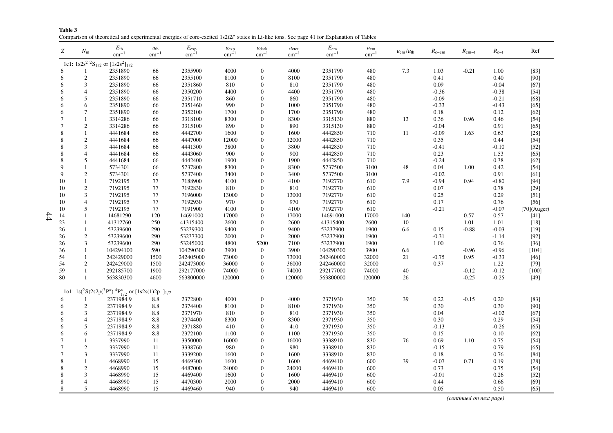| Table 3 |                                                                                                                                           |  |  |
|---------|-------------------------------------------------------------------------------------------------------------------------------------------|--|--|
|         | Comparison of theoretical and experimental energies of core-excited 1s2l2l' states in Li-like ions. See page 41 for Explanation of Tables |  |  |

| Ζ              | $N_{\rm m}$    | $E_{\rm th}$<br>$\text{cm}^{-1}$                                                                            | $u_{\text{th}}$<br>$cm^{-1}$ | $E_{\rm exp}$<br>$cm^{-1}$ | $u_{\exp}$<br>$cm^{-1}$ | $u_{\text{dark}}$<br>$cm^{-1}$ | $u_{\text{etot}}$<br>$\rm cm^{-1}$ | $E_{\rm em}$<br>$\text{cm}^{-1}$ | $u_{\rm em}$<br>$\rm cm^{-1}$ | $u_{\rm em}/u_{\rm th}$ | $R_{e-em}$ | $R_{\rm em-t}$ | $R_{e-t}$ | Ref            |
|----------------|----------------|-------------------------------------------------------------------------------------------------------------|------------------------------|----------------------------|-------------------------|--------------------------------|------------------------------------|----------------------------------|-------------------------------|-------------------------|------------|----------------|-----------|----------------|
|                |                | 1e1: $1s2s^2$ <sup>2</sup> S <sub>1/2</sub> or $[1s2s^2]_{1/2}$                                             |                              |                            |                         |                                |                                    |                                  |                               |                         |            |                |           |                |
| 6              |                | 2351890                                                                                                     | 66                           | 2355900                    | 4000                    | $\theta$                       | 4000                               | 2351790                          | 480                           | 7.3                     | 1.03       | $-0.21$        | 1.00      | $[83]$         |
| 6              | $\mathbf{2}$   | 2351890                                                                                                     | 66                           | 2355100                    | 8100                    | $\overline{0}$                 | 8100                               | 2351790                          | 480                           |                         | 0.41       |                | 0.40      | [90]           |
| 6              | 3              | 2351890                                                                                                     | 66                           | 2351860                    | 810                     | $\mathbf{0}$                   | 810                                | 2351790                          | 480                           |                         | 0.09       |                | $-0.04$   | $[67]$         |
| 6              | $\overline{4}$ | 2351890                                                                                                     | 66                           | 2350200                    | 4400                    | $\mathbf{0}$                   | 4400                               | 2351790                          | 480                           |                         | $-0.36$    |                | $-0.38$   | $[54]$         |
| 6              | 5              | 2351890                                                                                                     | 66                           | 2351710                    | 860                     | $\mathbf{0}$                   | 860                                | 2351790                          | 480                           |                         | $-0.09$    |                | $-0.21$   | $[68]$         |
| 6              | 6              | 2351890                                                                                                     | 66                           | 2351460                    | 990                     | $\theta$                       | 1000                               | 2351790                          | 480                           |                         | $-0.33$    |                | $-0.43$   | $[65]$         |
| 6              | $\overline{7}$ | 2351890                                                                                                     | 66                           | 2352100                    | 1700                    | $\theta$                       | 1700                               | 2351790                          | 480                           |                         | 0.18       |                | 0.12      | $[62]$         |
| 7              |                | 3314286                                                                                                     | 66                           | 3318100                    | 8300                    | $\theta$                       | 8300                               | 3315130                          | 880                           | 13                      | 0.36       | 0.96           | 0.46      | $[54]$         |
| $\overline{7}$ | $\mathfrak{2}$ | 3314286                                                                                                     | 66                           | 3315100                    | 890                     | $\mathbf{0}$                   | 890                                | 3315130                          | 880                           |                         | $-0.04$    |                | 0.91      | $[65]$         |
| 8              |                | 4441684                                                                                                     | 66                           | 4442700                    | 1600                    | $\theta$                       | 1600                               | 4442850                          | 710                           | 11                      | $-0.09$    | 1.63           | 0.63      | $[28]$         |
| 8              | $\overline{2}$ | 4441684                                                                                                     | 66                           | 4447000                    | 12000                   | $\theta$                       | 12000                              | 4442850                          | 710                           |                         | 0.35       |                | 0.44      | $[54]$         |
| 8              | 3              | 4441684                                                                                                     | 66                           | 4441300                    | 3800                    | $\mathbf{0}$                   | 3800                               | 4442850                          | 710                           |                         | $-0.41$    |                | $-0.10$   | $[52]$         |
| 8              |                | 4441684                                                                                                     | 66                           | 4443060                    | 900                     | $\mathbf{0}$                   | 900                                | 4442850                          | 710                           |                         | 0.23       |                | 1.53      | $[65]$         |
| 8              | 5              | 4441684                                                                                                     | 66                           | 4442400                    | 1900                    | $\mathbf{0}$                   | 1900                               | 4442850                          | 710                           |                         | $-0.24$    |                | 0.38      | $[62]$         |
| 9              |                | 5734301                                                                                                     | 66                           | 5737800                    | 8300                    | $\theta$                       | 8300                               | 5737500                          | 3100                          | 48                      | 0.04       | 1.00           | 0.42      | $[54]$         |
| 9              | $\overline{c}$ | 5734301                                                                                                     | 66                           | 5737400                    | 3400                    | $\Omega$                       | 3400                               | 5737500                          | 3100                          |                         | $-0.02$    |                | 0.91      | [61]           |
| 10             | 1              | 7192195                                                                                                     | 77                           | 7188900                    | 4100                    | $\mathbf{0}$                   | 4100                               | 7192770                          | 610                           | 7.9                     | $-0.94$    | 0.94           | $-0.80$   | $[94]$         |
| 10             | $\mathfrak{2}$ | 7192195                                                                                                     | 77                           | 7192830                    | 810                     | $\theta$                       | 810                                | 7192770                          | 610                           |                         | $0.07\,$   |                | 0.78      | $[29]$         |
| 10             | 3              | 7192195                                                                                                     | 77                           | 7196000                    | 13000                   | $\theta$                       | 13000                              | 7192770                          | 610                           |                         | 0.25       |                | 0.29      | $[51]$         |
| 10             | $\overline{4}$ | 7192195                                                                                                     | 77                           | 7192930                    | 970                     | $\mathbf{0}$                   | 970                                | 7192770                          | 610                           |                         | 0.17       |                | 0.76      | $[56]$         |
| 10             | 5              | 7192195                                                                                                     | 77                           | 7191900                    | 4100                    | $\mathbf{0}$                   | 4100                               | 7192770                          | 610                           |                         | $-0.21$    |                | $-0.07$   | $[70]$ (Auger) |
| 14             | 1              | 14681290                                                                                                    | 120                          | 14691000                   | 17000                   | $\mathbf{0}$                   | 17000                              | 14691000                         | 17000                         | 140                     |            | 0.57           | 0.57      | $[41]$         |
| 23             | 1              | 41312760                                                                                                    | 250                          | 41315400                   | 2600                    | $\mathbf{0}$                   | 2600                               | 41315400                         | 2600                          | 10                      |            | 1.01           | 1.01      | $[18]$         |
| 26             | 1              | 53239600                                                                                                    | 290                          | 53239300                   | 9400                    | $\mathbf{0}$                   | 9400                               | 53237900                         | 1900                          | 6.6                     | 0.15       | $-0.88$        | $-0.03$   | $[19]$         |
| 26             | 2              | 53239600                                                                                                    | 290                          | 53237300                   | 2000                    | $\boldsymbol{0}$               | 2000                               | 53237900                         | 1900                          |                         | $-0.31$    |                | $-1.14$   | $[92]$         |
| 26             | 3              | 53239600                                                                                                    | 290                          | 53245000                   | 4800                    | 5200                           | 7100                               | 53237900                         | 1900                          |                         | 1.00       |                | 0.76      | $[36]$         |
| 36             | 1              | 104294100                                                                                                   | 590                          | 104290300                  | 3900                    | $\boldsymbol{0}$               | 3900                               | 104290300                        | 3900                          | 6.6                     |            | $-0.96$        | $-0.96$   | $[104]$        |
| 54             | 1              | 242429000                                                                                                   | 1500                         | 242405000                  | 73000                   | $\theta$                       | 73000                              | 242460000                        | 32000                         | 21                      | $-0.75$    | 0.95           | $-0.33$   | $[46]$         |
| 54             | $\mathfrak{2}$ | 242429000                                                                                                   | 1500                         | 242473000                  | 36000                   | $\theta$                       | 36000                              | 242460000                        | 32000                         |                         | 0.37       |                | 1.22      | $[79]$         |
| 59             |                | 292185700                                                                                                   | 1900                         | 292177000                  | 74000                   | $\mathbf{0}$                   | 74000                              | 292177000                        | 74000                         | 40                      |            | $-0.12$        | $-0.12$   | $[100]$        |
| 80             | $\mathbf{1}$   | 563830300                                                                                                   | 4600                         | 563800000                  | 120000                  | $\boldsymbol{0}$               | 120000                             | 563800000                        | 120000                        | 26                      |            | $-0.25$        | $-0.25$   | $[49]$         |
|                |                | 1o1: 1s( <sup>2</sup> S)2s2p( <sup>3</sup> P°) <sup>4</sup> P <sub>1/2</sub> or [1s2s(1)2p <sub>-11/2</sub> |                              |                            |                         |                                |                                    |                                  |                               |                         |            |                |           |                |
| 6              | 1              | 2371984.9                                                                                                   | 8.8                          | 2372800                    | 4000                    | $\boldsymbol{0}$               | 4000                               | 2371930                          | 350                           | 39                      | 0.22       | $-0.15$        | 0.20      | $[83]$         |
| 6              | $\overline{c}$ | 2371984.9                                                                                                   | 8.8                          | 2374400                    | 8100                    | $\mathbf{0}$                   | 8100                               | 2371930                          | 350                           |                         | 0.30       |                | 0.30      | [90]           |
| 6              | 3              | 2371984.9                                                                                                   | 8.8                          | 2371970                    | 810                     | $\mathbf{0}$                   | 810                                | 2371930                          | 350                           |                         | 0.04       |                | $-0.02$   | $[67]$         |
| 6              | $\overline{4}$ | 2371984.9                                                                                                   | 8.8                          | 2374400                    | 8300                    | $\mathbf{0}$                   | 8300                               | 2371930                          | 350                           |                         | 0.30       |                | 0.29      | $[54]$         |
| 6              | 5              | 2371984.9                                                                                                   | 8.8                          | 2371880                    | 410                     | $\theta$                       | 410                                | 2371930                          | 350                           |                         | $-0.13$    |                | $-0.26$   | $[65]$         |
| 6              | 6              | 2371984.9                                                                                                   | 8.8                          | 2372100                    | 1100                    | $\Omega$                       | 1100                               | 2371930                          | 350                           |                         | 0.15       |                | 0.10      | $[62]$         |
| $\overline{7}$ |                | 3337990                                                                                                     | 11                           | 3350000                    | 16000                   | $\Omega$                       | 16000                              | 3338910                          | 830                           | 76                      | 0.69       | 1.10           | 0.75      | $[54]$         |
| $\overline{7}$ | $\mathbf{2}$   | 3337990                                                                                                     | 11                           | 3338760                    | 980                     | $\mathbf{0}$                   | 980                                | 3338910                          | 830                           |                         | $-0.15$    |                | 0.79      | $[65]$         |
| $\overline{7}$ | 3              | 3337990                                                                                                     | 11                           | 3339200                    | 1600                    | $\theta$                       | 1600                               | 3338910                          | 830                           |                         | 0.18       |                | 0.76      | $[84]$         |
| 8              |                | 4468990                                                                                                     | 15                           | 4469300                    | 1600                    | $\theta$                       | 1600                               | 4469410                          | 600                           | 39                      | $-0.07$    | 0.71           | 0.19      | $[28]$         |
| 8              | $\mathbf{2}$   | 4468990                                                                                                     | 15                           | 4487000                    | 24000                   | $\Omega$                       | 24000                              | 4469410                          | 600                           |                         | 0.73       |                | 0.75      | $[54]$         |
| 8              | 3              | 4468990                                                                                                     | 15                           | 4469400                    | 1600                    | $\Omega$                       | 1600                               | 4469410                          | 600                           |                         | $-0.01$    |                | 0.26      | $[52]$         |
| 8              | 4              | 4468990                                                                                                     | 15                           | 4470300                    | 2000                    | $\Omega$                       | 2000                               | 4469410                          | 600                           |                         | 0.44       |                | 0.66      | [69]           |
| 8              | 5              | 4468990                                                                                                     | 15                           | 4469460                    | 940                     | $\overline{0}$                 | 940                                | 4469410                          | 600                           |                         | 0.05       |                | 0.50      | [65]           |

*(continued on next page)*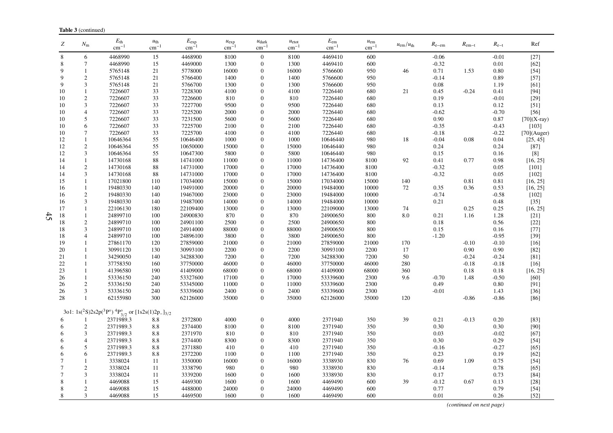| Z               | $N_{\rm m}$         | $E_{\rm th}$<br>$\rm cm^{-1}$                                                                     | $u_{\text{th}}$<br>$cm^{-1}$ | $E_{\rm exp}$<br>$\rm cm^{-1}$ | $u_{\exp}$<br>$cm-$ | $u_{\text{dark}}$<br>$\rm cm^{-1}$ | $u_{\text{etot}}$<br>$\rm cm^{-1}$ | $E_{\rm em}$<br>$\rm cm^{-1}$ | $u_{\rm em}$<br>$cm^{-1}$ | $u_{\rm em}/u_{\rm th}$ | $R_{e-em}$      | $R_{\rm em-t}$ | $R_{e-t}$    | Ref              |
|-----------------|---------------------|---------------------------------------------------------------------------------------------------|------------------------------|--------------------------------|---------------------|------------------------------------|------------------------------------|-------------------------------|---------------------------|-------------------------|-----------------|----------------|--------------|------------------|
| 8               | 6                   | 4468990                                                                                           | 15                           | 4468900                        | 8100                | $\overline{0}$                     | 8100                               | 4469410                       | 600                       |                         | $-0.06$         |                | $-0.01$      | $[27]$           |
| 8               | $\tau$              | 4468990                                                                                           | 15                           | 4469000                        | 1300                | $\mathbf{0}$                       | 1300                               | 4469410                       | 600                       |                         | $-0.32$         |                | 0.01         | $[62]$           |
| 9               |                     | 5765148                                                                                           | 21                           | 5778000                        | 16000               | $\mathbf{0}$                       | 16000                              | 5766600                       | 950                       | 46                      | 0.71            | 1.53           | 0.80         | $[54]$           |
| 9               | $\overline{c}$      | 5765148                                                                                           | 21                           | 5766400                        | 1400                | $\boldsymbol{0}$                   | 1400                               | 5766600                       | 950                       |                         | $-0.14$         |                | 0.89         | $[57]$           |
| $\mathbf{Q}$    | 3                   | 5765148                                                                                           | 21                           | 5766700                        | 1300                | $\overline{0}$                     | 1300                               | 5766600                       | 950                       |                         | 0.08            |                | 1.19         | [61]             |
| 10              | $\mathbf{1}$        | 7226607                                                                                           | 33                           | 7228300                        | 4100                | $\Omega$                           | 4100                               | 7226440                       | 680                       | 21                      | 0.45            | $-0.24$        | 0.41         | [94]             |
| 10              | $\sqrt{2}$          | 7226607                                                                                           | 33                           | 7226600                        | 810                 | $\Omega$                           | 810                                | 7226440                       | 680                       |                         | 0.19            |                | $-0.01$      | $[29]$           |
| 10              | $\mathfrak{Z}$      | 7226607                                                                                           | 33                           | 7227700                        | 9500                | $\Omega$                           | 9500                               | 7226440                       | 680                       |                         | 0.13            |                | 0.12         | $[51]$           |
| 10              | $\overline{4}$      | 7226607                                                                                           | 33                           | 7225200                        | 2000                | $\mathbf{0}$                       | 2000                               | 7226440                       | 680                       |                         | $-0.62$         |                | $-0.70$      | $[56]$           |
| 10              | $\sqrt{5}$          | 7226607                                                                                           | 33                           | 7231500                        | 5600                | $\mathbf{0}$                       | 5600                               | 7226440                       | 680                       |                         | $0.90\,$        |                | 0.87         | $[70](X-ray)$    |
| 10              | 6                   | 7226607                                                                                           | 33                           | 7225700                        | 2100                | $\Omega$                           | 2100                               | 7226440                       | 680                       |                         | $-0.35$         |                | $-0.43$      | $[103]$          |
| 10              | $\tau$              | 7226607                                                                                           | 33                           | 7225700                        | 4100                | $\Omega$                           | 4100                               | 7226440                       | 680                       |                         | $-0.18$         |                | $-0.22$      | $[70]$ (Auger)   |
| 12              | $\mathbf{1}$        | 10646364                                                                                          | 55                           | 10646400                       | 1000<br>15000       | $\Omega$<br>$\Omega$               | 1000                               | 10646440                      | 980<br>980                | 18                      | $-0.04$         | 0.08           | 0.04         | [25, 45]         |
| 12              | $\overline{c}$      | 10646364<br>10646364                                                                              | 55                           | 10650000<br>10647300           | 5800                | $\overline{0}$                     | 15000<br>5800                      | 10646440<br>10646440          | 980                       |                         | 0.24            |                | 0.24         | $[87]$<br>$[8]$  |
| 12<br>14        | 3<br>$\overline{1}$ | 14730168                                                                                          | 55<br>88                     | 14741000                       | 11000               | $\mathbf{0}$                       | 11000                              | 14736400                      | 8100                      | 92                      | 0.15<br>0.41    | 0.77           | 0.16<br>0.98 | [16, 25]         |
| 14              | $\mathbf{2}$        | 14730168                                                                                          | 88                           | 14731000                       | 17000               | $\overline{0}$                     | 17000                              | 14736400                      | 8100                      |                         | $-0.32$         |                | 0.05         | $[101]$          |
| 14              | 3                   | 14730168                                                                                          | 88                           | 14731000                       | 17000               | $\Omega$                           | 17000                              | 14736400                      | 8100                      |                         | $-0.32$         |                | 0.05         | $[102]$          |
| 15              | $\mathbf{1}$        | 17021800                                                                                          | 110                          | 17034000                       | 15000               | $\Omega$                           | 15000                              | 17034000                      | 15000                     | 140                     |                 | 0.81           | 0.81         | [16, 25]         |
| 16              | $\mathbf{1}$        | 19480330                                                                                          | 140                          | 19491000                       | 20000               | $\overline{0}$                     | 20000                              | 19484000                      | 10000                     | 72                      | 0.35            | 0.36           | 0.53         | [16, 25]         |
| 16              | $\sqrt{2}$          | 19480330                                                                                          | 140                          | 19467000                       | 23000               | $\overline{0}$                     | 23000                              | 19484000                      | 10000                     |                         | $-0.74$         |                | $-0.58$      | $[102]$          |
| 16              | 3                   | 19480330                                                                                          | 140                          | 19487000                       | 14000               | $\Omega$                           | 14000                              | 19484000                      | 10000                     |                         | 0.21            |                | 0.48         | $[35]$           |
| 17              | $\mathbf{1}$        | 22106130                                                                                          | 180                          | 22109400                       | 13000               | $\mathbf{0}$                       | 13000                              | 22109000                      | 13000                     | 74                      |                 | 0.25           | 0.25         | [16, 25]         |
| 18              | $\mathbf{1}$        | 24899710                                                                                          | 100                          | 24900830                       | 870                 | $\Omega$                           | 870                                | 24900650                      | 800                       | 8.0                     | 0.21            | 1.16           | 1.28         | $[21]$           |
| 18              | $\overline{c}$      | 24899710                                                                                          | 100                          | 24901100                       | 2500                | $\Omega$                           | 2500                               | 24900650                      | 800                       |                         | 0.18            |                | 0.56         | $[22]$           |
| 18              | 3                   | 24899710                                                                                          | 100                          | 24914000                       | 88000               | $\mathbf{0}$                       | 88000                              | 24900650                      | 800                       |                         | 0.15            |                | 0.16         | $[77]$           |
| 18              | 4                   | 24899710                                                                                          | 100                          | 24896100                       | 3800                | $\Omega$                           | 3800                               | 24900650                      | 800                       |                         | $-1.20$         |                | $-0.95$      | $[39]$           |
| 19              | $\mathbf{1}$        | 27861170                                                                                          | 120                          | 27859000                       | 21000               | $\Omega$                           | 21000                              | 27859000                      | 21000                     | 170                     |                 | $-0.10$        | $-0.10$      | $[16]$           |
| 20              | 1                   | 30991120                                                                                          | 130                          | 30993100                       | 2200                | $\Omega$                           | 2200                               | 30993100                      | 2200                      | 17                      |                 | 0.90           | 0.90         | $[82]$           |
| 21              | $\mathbf{1}$        | 34290050                                                                                          | 140                          | 34288300                       | 7200                | $\overline{0}$                     | 7200                               | 34288300                      | 7200                      | 50                      |                 | $-0.24$        | $-0.24$      | [81]             |
| 22              | $\mathbf{1}$        | 37758350                                                                                          | 160                          | 37750000                       | 46000               | $\mathbf{0}$                       | 46000                              | 37750000                      | 46000                     | 280                     |                 | $-0.18$        | $-0.18$      | $[16]$           |
| 23              | $\mathbf{1}$        | 41396580                                                                                          | 190                          | 41409000                       | 68000               | $\overline{0}$                     | 68000                              | 41409000                      | 68000                     | 360                     |                 | 0.18           | 0.18         | [16, 25]         |
| 26              | 1                   | 53336150                                                                                          | 240                          | 53327600                       | 17100               | $\Omega$                           | 17000                              | 53339600                      | 2300                      | 9.6                     | $-0.70$         | 1.48           | $-0.50$      | $[60]$           |
| 26              | $\sqrt{2}$          | 53336150                                                                                          | 240                          | 53345000                       | 11000               | $\Omega$                           | 11000                              | 53339600                      | 2300                      |                         | 0.49            |                | 0.80         | $[91]$           |
| 26              | 3                   | 53336150                                                                                          | 240                          | 53339600                       | 2400                | $\overline{0}$                     | 2400                               | 53339600                      | 2300                      |                         | $-0.01$         |                | 1.43         | $[36]$           |
| 28              | $\mathbf{1}$        | 62155980                                                                                          | 300                          | 62126000                       | 35000               | $\boldsymbol{0}$                   | 35000                              | 62126000                      | 35000                     | 120                     |                 | $-0.86$        | $-0.86$      | $[86]$           |
|                 |                     | 3o1: $1s(^{2}S)2s2p(^{3}P^{\circ})$ <sup>4</sup> $P^{\circ}_{3/2}$ or [1s2s(1)2p <sub>-13/2</sub> |                              |                                |                     |                                    |                                    |                               |                           |                         |                 |                |              |                  |
| 6               |                     | 2371989.3                                                                                         | $8.8\,$                      | 2372800                        | 4000                | $\boldsymbol{0}$                   | 4000                               | 2371940                       | 350                       | 39                      | 0.21            | $-0.13$        | 0.20         | $[83]$           |
| 6               | $\overline{c}$      | 2371989.3                                                                                         | 8.8                          | 2374400                        | 8100                | $\mathbf{0}$                       | 8100                               | 2371940                       | 350                       |                         | 0.30            |                | 0.30         | $[90]$           |
| 6               | 3                   | 2371989.3                                                                                         | 8.8                          | 2371970                        | 810                 | $\Omega$                           | 810                                | 2371940                       | 350                       |                         | 0.03            |                | $-0.02$      | $[67]$           |
| 6               | $\overline{4}$      | 2371989.3                                                                                         | 8.8                          | 2374400                        | 8300                | $\mathbf{0}$                       | 8300                               | 2371940                       | 350                       |                         | 0.30            |                | 0.29         | $[54]$           |
| 6               | 5                   | 2371989.3                                                                                         | 8.8                          | 2371880                        | 410                 | $\overline{0}$                     | 410                                | 2371940                       | 350                       |                         | $-0.16$         |                | $-0.27$      | $[65]$           |
| 6               | 6                   | 2371989.3                                                                                         | 8.8                          | 2372200                        | 1100                | $\overline{0}$                     | 1100                               | 2371940                       | 350                       |                         | 0.23            |                | 0.19         | $[62]$           |
| 7               | 1                   | 3338024                                                                                           | 11                           | 3350000                        | 16000               | $\Omega$                           | 16000                              | 3338930                       | 830                       | 76                      | 0.69            | 1.09           | 0.75         | $[54]$           |
| $7\phantom{.0}$ | $\overline{c}$      | 3338024                                                                                           | 11                           | 3338790                        | 980                 | $\Omega$                           | 980                                | 3338930                       | 830                       |                         | $-0.14$         |                | 0.78         | $[65]$           |
| $\tau$          | 3<br>$\overline{1}$ | 3338024                                                                                           | 11                           | 3339200                        | 1600                | $\mathbf{0}$<br>$\Omega$           | 1600                               | 3338930                       | 830                       |                         | $0.17\,$        | 0.67           | 0.73         | $[84]$           |
| 8               |                     | 4469088<br>4469088                                                                                | 15                           | 4469300<br>4488000             | 1600                |                                    | 1600<br>24000                      | 4469490<br>4469490            | 600<br>600                | 39                      | $-0.12$<br>0.77 |                | 0.13<br>0.79 | $[28]$           |
| 8<br>8          | $\sqrt{2}$<br>3     | 4469088                                                                                           | 15<br>15                     | 4469500                        | 24000<br>1600       | $\overline{0}$<br>$\Omega$         | 1600                               | 4469490                       | 600                       |                         | 0.01            |                | 0.26         | $[54]$<br>$[52]$ |
|                 |                     |                                                                                                   |                              |                                |                     |                                    |                                    |                               |                           |                         |                 |                |              |                  |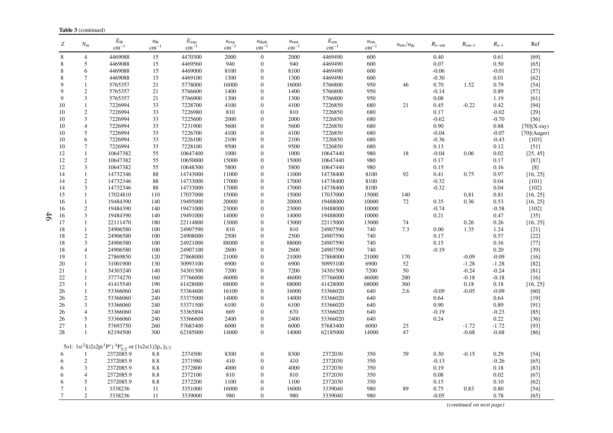| Z        | $N_{\rm m}$       | $E_{\rm th}$<br>$cm^{-1}$                                                                                      | $u_{\text{th}}$<br>$cm^{-1}$ | $E_{\rm exp}$<br>$cm^{-1}$ | $u_{\exp}$<br>$cm-$ | $u_{\text{dark}}$<br>$cm^{-1}$ | $u_{\text{etot}}$<br>$cm^{-1}$ | $E_{\rm em}$<br>$cm^{-1}$ | $u_{\rm em}$<br>$cm^{-1}$ | $u_{\rm em}/u_{\rm th}$ | $R_{e-em}$ | $R_{\rm em-t}$ | $R_{e-t}$       | Ref                  |
|----------|-------------------|----------------------------------------------------------------------------------------------------------------|------------------------------|----------------------------|---------------------|--------------------------------|--------------------------------|---------------------------|---------------------------|-------------------------|------------|----------------|-----------------|----------------------|
| 8        | $\overline{4}$    | 4469088                                                                                                        | 15                           | 4470300                    | 2000                | $\overline{0}$                 | 2000                           | 4469490                   | 600                       |                         | 0.40       |                | 0.61            | [69]                 |
| 8        | 5                 | 4469088                                                                                                        | 15                           | 4469560                    | 940                 | $\mathbf{0}$                   | 940                            | 4469490                   | 600                       |                         | 0.07       |                | 0.50            | $[65]$               |
| 8        | 6                 | 4469088                                                                                                        | 15                           | 4469000                    | 8100                | $\mathbf{0}$                   | 8100                           | 4469490                   | 600                       |                         | $-0.06$    |                | $-0.01$         | $[27]$               |
| 8        | 7                 | 4469088                                                                                                        | 15                           | 4469100                    | 1300                | $\theta$                       | 1300                           | 4469490                   | 600                       |                         | $-0.30$    |                | 0.01            | $[62]$               |
| 9        | 1                 | 5765357                                                                                                        | 21                           | 5778000                    | 16000               | $\Omega$                       | 16000                          | 5766800                   | 950                       | 46                      | 0.70       | 1.52           | 0.79            | $[54]$               |
| 9        | $\overline{c}$    | 5765357                                                                                                        | 21                           | 5766600                    | 1400                | $\mathbf{0}$                   | 1400                           | 5766800                   | 950                       |                         | $-0.14$    |                | 0.89            | $[57]$               |
| 9        | 3                 | 5765357                                                                                                        | 21                           | 5766900                    | 1300                | $\Omega$                       | 1300                           | 5766800                   | 950                       |                         | $0.08\,$   |                | 1.19            | $[61]$               |
| 10       | $\mathbf{1}$      | 7226994                                                                                                        | 33                           | 7228700                    | 4100                | $\theta$                       | 4100                           | 7226850                   | 680                       | 21                      | 0.45       | $-0.22$        | 0.42            | $[94]$               |
| 10       | $\overline{c}$    | 7226994                                                                                                        | 33                           | 7226980                    | 810                 | $\mathbf{0}$                   | 810                            | 7226850                   | 680                       |                         | 0.17       |                | $-0.02$         | $[29]$               |
| 10       | 3                 | 7226994                                                                                                        | 33                           | 7225600                    | 2000                | $\mathbf{0}$                   | 2000                           | 7226850                   | 680                       |                         | $-0.62$    |                | $-0.70$         | $[56]$               |
| 10       | $\overline{4}$    | 7226994                                                                                                        | 33                           | 7231900                    | 5600                | $\Omega$                       | 5600                           | 7226850                   | 680                       |                         | 0.90       |                | 0.88            | $[70](X-ray)$        |
| 10       | 5                 | 7226994                                                                                                        | 33                           | 7226700                    | 4100                | $\Omega$                       | 4100                           | 7226850                   | 680                       |                         | $-0.04$    |                | $-0.07$         | $[70]$ (Auger)       |
| 10       | 6                 | 7226994                                                                                                        | 33                           | 7226100                    | 2100                | $\mathbf{0}$                   | 2100                           | 7226850                   | 680                       |                         | $-0.36$    |                | $-0.43$         | [103]                |
| 10       | $\tau$            | 7226994                                                                                                        | 33                           | 7228100                    | 9500                | $\Omega$                       | 9500                           | 7226850                   | 680                       |                         | 0.13       |                | 0.12            | $[51]$               |
| 12       | 1                 | 10647382                                                                                                       | 55                           | 10647400                   | 1000                | $\theta$                       | 1000                           | 10647440                  | 980                       | 18                      | $-0.04$    | 0.06           | 0.02            | [25, 45]             |
| 12       | $\sqrt{2}$        | 10647382                                                                                                       | 55                           | 10650000                   | 15000               | $\mathbf{0}$                   | 15000                          | 10647440                  | 980                       |                         | 0.17       |                | 0.17            | $[87]$               |
| 12       | 3                 | 10647382                                                                                                       | 55                           | 10648300                   | 5800                | $\Omega$                       | 5800                           | 10647440                  | 980                       |                         | 0.15       |                | 0.16            | [8]                  |
| 14       | 1                 | 14732346                                                                                                       | 88                           | 14743000                   | 11000               | $\Omega$                       | 11000                          | 14738400                  | 8100                      | 92                      | 0.41       | 0.75           | 0.97            | [16, 25]             |
| 14       | $\mathbf{2}$      | 14732346                                                                                                       | 88                           | 14733000                   | 17000               | $\theta$                       | 17000                          | 14738400                  | 8100                      |                         | $-0.32$    |                | 0.04            | $[101]$              |
| 14       | 3                 | 14732346                                                                                                       | 88                           | 14733000                   | 17000               | $\mathbf{0}$<br>$\overline{0}$ | 17000                          | 14738400                  | 8100                      |                         | $-0.32$    |                | 0.04            | $[102]$              |
| 15       | 1<br>$\mathbf{1}$ | 17024810<br>19484390                                                                                           | 110<br>140                   | 17037000<br>19495000       | 15000               | $\Omega$                       | 15000<br>20000                 | 17037000<br>19488000      | 15000                     | 140<br>72               | 0.35       | 0.81<br>0.36   | 0.81            | [16, 25]<br>[16, 25] |
| 16       | $\sqrt{2}$        | 19484390                                                                                                       | 140                          | 19471000                   | 20000<br>23000      | $\mathbf{0}$                   | 23000                          | 19488000                  | 10000<br>10000            |                         | $-0.74$    |                | 0.53<br>$-0.58$ | $[102]$              |
| 16<br>16 | 3                 | 19484390                                                                                                       | 140                          | 19491000                   | 14000               | $\Omega$                       | 14000                          | 19488000                  | 10000                     |                         | 0.21       |                | 0.47            | $[35]$               |
| 17       | 1                 | 22111470                                                                                                       | 180                          | 22114800                   | 13000               | $\mathbf{0}$                   | 13000                          | 22115000                  | 13000                     | 74                      |            | 0.26           | 0.26            | [16, 25]             |
| 18       | $\mathbf{1}$      | 24906580                                                                                                       | 100                          | 24907590                   | 810                 | $\theta$                       | 810                            | 24907590                  | 740                       | 7.3                     | $0.00\,$   | 1.35           | 1.24            | $[21]$               |
| 18       | $\mathbf{2}$      | 24906580                                                                                                       | 100                          | 24908000                   | 2500                | $\Omega$                       | 2500                           | 24907590                  | 740                       |                         | 0.17       |                | 0.57            | $[22]$               |
| 18       | 3                 | 24906580                                                                                                       | 100                          | 24921000                   | 88000               | $\Omega$                       | 88000                          | 24907590                  | 740                       |                         | 0.15       |                | 0.16            | $[77]$               |
| 18       | $\overline{4}$    | 24906580                                                                                                       | 100                          | 24907100                   | 2600                | $\Omega$                       | 2600                           | 24907590                  | 740                       |                         | $-0.19$    |                | 0.20            | $[39]$               |
| 19       | 1                 | 27869850                                                                                                       | 120                          | 27868000                   | 21000               | $\overline{0}$                 | 21000                          | 27868000                  | 21000                     | 170                     |            | $-0.09$        | $-0.09$         | $[16]$               |
| 20       | $\mathbf{1}$      | 31001900                                                                                                       | 130                          | 30993100                   | 6900                | $\mathbf{0}$                   | 6900                           | 30993100                  | 6900                      | 52                      |            | $-1.28$        | $-1.28$         | $[82]$               |
| 21       | $\mathbf{1}$      | 34303240                                                                                                       | 140                          | 34301500                   | 7200                | $\overline{0}$                 | 7200                           | 34301500                  | 7200                      | 50                      |            | $-0.24$        | $-0.24$         | $[81]$               |
| 22       | $\mathbf{1}$      | 37774270                                                                                                       | 160                          | 37766000                   | 46000               | $\Omega$                       | 46000                          | 37766000                  | 46000                     | 280                     |            | $-0.18$        | $-0.18$         | $[16]$               |
| 23       | $\mathbf{1}$      | 41415540                                                                                                       | 190                          | 41428000                   | 68000               | $\Omega$                       | 68000                          | 41428000                  | 68000                     | 360                     |            | 0.18           | 0.18            | [16, 25]             |
| 26       | $\mathbf{1}$      | 53366060                                                                                                       | 240                          | 53364600                   | 16100               | $\mathbf{0}$                   | 16000                          | 53366020                  | 640                       | 2.6                     | $-0.09$    | $-0.05$        | $-0.09$         | [60]                 |
| 26       | $\overline{2}$    | 53366060                                                                                                       | 240                          | 53375000                   | 14000               | $\mathbf{0}$                   | 14000                          | 53366020                  | 640                       |                         | 0.64       |                | 0.64            | $[19]$               |
| 26       | $\mathfrak{Z}$    | 53366060                                                                                                       | 240                          | 53371500                   | 6100                | $\Omega$                       | 6100                           | 53366020                  | 640                       |                         | 0.90       |                | 0.89            | $[91]$               |
| 26       | $\overline{4}$    | 53366060                                                                                                       | 240                          | 53365894                   | 669                 | $\Omega$                       | 670                            | 53366020                  | 640                       |                         | $-0.19$    |                | $-0.23$         | $[85]$               |
| 26       | 5                 | 53366060                                                                                                       | 240                          | 53366600                   | 2400                | $\Omega$                       | 2400                           | 53366020                  | 640                       |                         | 0.24       |                | 0.22            | $[36]$               |
| 27       | 1                 | 57693750                                                                                                       | 260                          | 57683400                   | 6000                | $\theta$                       | 6000                           | 57683400                  | 6000                      | 23                      |            | $-1.72$        | $-1.72$         | $[93]$               |
| 28       | $\mathbf{1}$      | 62194500                                                                                                       | 300                          | 62185000                   | 14000               | $\overline{0}$                 | 14000                          | 62185000                  | 14000                     | 47                      |            | $-0.68$        | $-0.68$         | $[86]$               |
|          |                   | 5o1: $1s(^{2}S)2s2p(^{3}P^{\circ})$ <sup>4</sup> $P_{5/2}^{\circ}$ or [1s2s(1)2p <sub>+</sub> ] <sub>5/2</sub> |                              |                            |                     |                                |                                |                           |                           |                         |            |                |                 |                      |
| 6        |                   | 2372085.9                                                                                                      | 8.8                          | 2374500                    | 8300                | $\boldsymbol{0}$               | 8300                           | 2372030                   | 350                       | 39                      | 0.30       | $-0.15$        | 0.29            | $[54]$               |
| 6        | $\sqrt{2}$        | 2372085.9                                                                                                      | 8.8                          | 2371980                    | 410                 | $\theta$                       | 410                            | 2372030                   | 350                       |                         | $-0.13$    |                | $-0.26$         | $[65]$               |
| 6        | 3                 | 2372085.9                                                                                                      | 8.8                          | 2372800                    | 4000                | $\theta$                       | 4000                           | 2372030                   | 350                       |                         | 0.19       |                | 0.18            | $[83]$               |
| 6        | $\overline{4}$    | 2372085.9                                                                                                      | 8.8                          | 2372100                    | 810                 | $\mathbf{0}$                   | 810                            | 2372030                   | 350                       |                         | $0.08\,$   |                | 0.02            | $[67]$               |
| 6        | 5                 | 2372085.9                                                                                                      | 8.8                          | 2372200                    | 1100                | $\Omega$                       | 1100                           | 2372030                   | 350                       |                         | 0.15       |                | 0.10            | $[62]$               |
| 7        | 1                 | 3338236                                                                                                        | 11                           | 3351000                    | 16000               | $\overline{0}$                 | 16000                          | 3339040                   | 980                       | 89                      | 0.75       | 0.83           | 0.80            | $[54]$               |
| $\tau$   | 2                 | 3338236                                                                                                        | 11                           | 3339000                    | 980                 | $\overline{0}$                 | 980                            | 3339040                   | 980                       |                         | $-0.05$    |                | 0.78            | $[65]$               |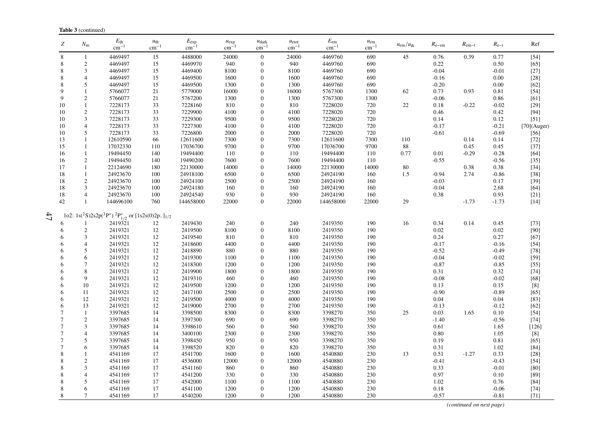| Z              | $N_{\rm m}$    | $E_{\rm th}$<br>$\text{cm}^{-1}$                                                 | $u_{\text{th}}$<br>$\rm cm^{-1}$ | $E_{\rm exp}$<br>$cm^{-}$ | $u_{\exp}$<br>$cm^{-1}$ | $u_{\text{dark}}$<br>$cm^{-}$ | $u_{\text{etot}}$<br>$cm^{-1}$ | $E_{\rm em}$<br>$\text{cm}^{-1}$ | $u_{\rm em}$<br>$\text{cm}^{-1}$ | $u_{\rm em}/u_{\rm th}$ | $R_{e-em}$ | $R_{\rm em-t}$ | $R_{e-t}$ | Ref            |
|----------------|----------------|----------------------------------------------------------------------------------|----------------------------------|---------------------------|-------------------------|-------------------------------|--------------------------------|----------------------------------|----------------------------------|-------------------------|------------|----------------|-----------|----------------|
| $\,$ 8 $\,$    | 1              | 4469497                                                                          | 15                               | 4488000                   | 24000                   | $\boldsymbol{0}$              | 24000                          | 4469760                          | 690                              | 45                      | 0.76       | 0.39           | 0.77      | $[54]$         |
| 8              | $\overline{2}$ | 4469497                                                                          | 15                               | 4469970                   | 940                     | $\overline{0}$                | 940                            | 4469760                          | 690                              |                         | 0.22       |                | 0.50      | $[65]$         |
| 8              | 3              | 4469497                                                                          | 15                               | 4469400                   | 8100                    | 0                             | 8100                           | 4469760                          | 690                              |                         | $-0.04$    |                | $-0.01$   | $[27]$         |
| 8              | $\overline{4}$ | 4469497                                                                          | 15                               | 4469500                   | 1600                    | $\overline{0}$                | 1600                           | 4469760                          | 690                              |                         | $-0.16$    |                | 0.00      | $[28]$         |
| 8              | 5              | 4469497                                                                          | 15                               | 4469500                   | 1300                    | $\overline{0}$                | 1300                           | 4469760                          | 690                              |                         | $-0.20$    |                | 0.00      | $[62]$         |
| 9              |                | 5766077                                                                          | 21                               | 5779000                   | 16000                   | $\Omega$                      | 16000                          | 5767300                          | 1300                             | 62                      | 0.73       | 0.93           | 0.81      | $[54]$         |
| 9              | $\overline{c}$ | 5766077                                                                          | 21                               | 5767200                   | 1300                    | $\Omega$                      | 1300                           | 5767300                          | 1300                             |                         | $-0.06$    |                | 0.86      | [61]           |
| 10             | $\mathbf{1}$   | 7228173                                                                          | 33                               | 7228160                   | 810                     | 0                             | 810                            | 7228020                          | 720                              | $22\,$                  | 0.18       | $-0.22$        | $-0.02$   | $[29]$         |
| 10             | $\sqrt{2}$     | 7228173                                                                          | 33                               | 7229900                   | 4100                    | $\Omega$                      | 4100                           | 7228020                          | 720                              |                         | 0.46       |                | 0.42      | $[94]$         |
| 10             | 3              | 7228173                                                                          | 33                               | 7229300                   | 9500                    | $\overline{0}$                | 9500                           | 7228020                          | 720                              |                         | 0.14       |                | 0.12      | $[51]$         |
| 10             | $\overline{4}$ | 7228173                                                                          | 33                               | 7227300                   | 4100                    | 0                             | 4100                           | 7228020                          | 720                              |                         | $-0.17$    |                | $-0.21$   | $[70]$ (Auger) |
| 10             | 5              | 7228173                                                                          | 33                               | 7226800                   | 2000                    | $\Omega$                      | 2000                           | 7228020                          | 720                              |                         | $-0.61$    |                | $-0.69$   | $[56]$         |
| 13             | $\mathbf{1}$   | 12610590                                                                         | 66                               | 12611600                  | 7300                    | 0                             | 7300                           | 12611600                         | 7300                             | 110                     |            | 0.14           | 0.14      | $[72]$         |
| 15             | 1              | 17032330                                                                         | 110                              | 17036700                  | 9700                    | 0                             | 9700                           | 17036700                         | 9700                             | 88                      |            | 0.45           | 0.45      | $[37]$         |
| 16             |                | 19494450                                                                         | 140                              | 19494400                  | 110                     | $\Omega$                      | 110                            | 19494400                         | 110                              | 0.77                    | 0.01       | $-0.29$        | $-0.28$   | $[64]$         |
| 16             | $\overline{c}$ | 19494450                                                                         | 140                              | 19490200                  | 7600                    | $\Omega$                      | 7600                           | 19494400                         | 110                              |                         | $-0.55$    |                | $-0.56$   | $[35]$         |
| 17             | $\mathbf{1}$   | 22124690                                                                         | 180                              | 22130000                  | 14000                   | $\overline{0}$                | 14000                          | 22130000                         | 14000                            | $80\,$                  |            | 0.38           | 0.38      | $[34]$         |
| 18             | $\mathbf{1}$   | 24923670                                                                         | 100                              | 24918100                  | 6500                    | $\overline{0}$                | 6500                           | 24924190                         | 160                              | 1.5                     | $-0.94$    | 2.74           | $-0.86$   | $[38]$         |
| 18             | $\overline{2}$ | 24923670                                                                         | 100                              | 24924100                  | 2500                    | 0                             | 2500                           | 24924190                         | 160                              |                         | $-0.03$    |                | 0.17      | $[39]$         |
| 18             | 3              | 24923670                                                                         | 100                              | 24924180                  | 160                     | 0                             | 160                            | 24924190                         | 160                              |                         | $-0.04$    |                | 2.68      | $[64]$         |
| 18             | $\overline{4}$ | 24923670                                                                         | 100                              | 24924540                  | 930                     | 0                             | 930                            | 24924190                         | 160                              |                         | 0.38       |                | 0.93      | $[21]$         |
| 42             | $\mathbf{1}$   | 144696100                                                                        | 760                              | 144658000                 | 22000                   | 0                             | 22000                          | 144658000                        | 22000                            | 29                      |            | $-1.73$        | $-1.73$   | $[14]$         |
| 47             |                | 1o2: $1s(^2S)2s2p(^3P^{\circ})$ ${}^2P^{\circ}_{1/2}$ or $[1s2s(0)2p_{-}]_{1/2}$ |                                  |                           |                         |                               |                                |                                  |                                  |                         |            |                |           |                |
|                |                | 2419321                                                                          | $12\,$                           | 2419430                   | 240                     | 0                             | 240                            | 2419350                          | 190                              | 16                      | 0.34       | 0.14           | 0.45      | $[73]$         |
| 6              | $\sqrt{2}$     | 2419321                                                                          | 12                               | 2419500                   | 8100                    | $\theta$                      | 8100                           | 2419350                          | 190                              |                         | 0.02       |                | 0.02      | $[90]$         |
| 6              | 3              | 2419321                                                                          | 12                               | 2419540                   | 810                     | 0                             | 810                            | 2419350                          | 190                              |                         | 0.24       |                | 0.27      | $[67]$         |
| 6              | $\overline{4}$ | 2419321                                                                          | 12                               | 2418600                   | 4400                    | 0                             | 4400                           | 2419350                          | 190                              |                         | $-0.17$    |                | $-0.16$   | $[54]$         |
| 6              | 5              | 2419321                                                                          | 12                               | 2418890                   | 880                     | $\Omega$                      | 880                            | 2419350                          | 190                              |                         | $-0.52$    |                | $-0.49$   | $[78]$         |
| 6              | 6              | 2419321                                                                          | 12                               | 2419300                   | 1100                    | $\Omega$                      | 1100                           | 2419350                          | 190                              |                         | $-0.04$    |                | $-0.02$   | $[59]$         |
| 6              | $\overline{7}$ | 2419321                                                                          | 12                               | 2418300                   | 1200                    | $\overline{0}$                | 1200                           | 2419350                          | 190                              |                         | $-0.87$    |                | $-0.85$   | $[55]$         |
| 6              | 8              | 2419321                                                                          | 12                               | 2419900                   | 1800                    | $\Omega$                      | 1800                           | 2419350                          | 190                              |                         | 0.31       |                | 0.32      | $[74]$         |
| 6              | 9              | 2419321                                                                          | 12                               | 2419310                   | 460                     | $\Omega$                      | 460                            | 2419350                          | 190                              |                         | $-0.08$    |                | $-0.02$   | $[68]$         |
| 6              | 10             | 2419321                                                                          | 12                               | 2419500                   | 1200                    | $\overline{0}$                | 1200                           | 2419350                          | 190                              |                         | 0.13       |                | 0.15      | $[8]$          |
| 6              | 11             | 2419321                                                                          | 12                               | 2417100                   | 2500                    | 0                             | 2500                           | 2419350                          | 190                              |                         | $-0.90$    |                | $-0.89$   | $[65]$         |
| 6              | 12             | 2419321                                                                          | 12                               | 2419500                   | 4000                    | $\Omega$                      | 4000                           | 2419350                          | 190                              |                         | 0.04       |                | 0.04      | $[83]$         |
| 6              | 13             | 2419321                                                                          | 12                               | 2419000                   | 2700                    | $\Omega$                      | 2700                           | 2419350                          | 190                              |                         | $-0.13$    |                | $-0.12$   | $[62]$         |
| $\overline{7}$ | 1              | 3397685                                                                          | 14                               | 3398500                   | 8300                    | 0                             | 8300                           | 3398270                          | 350                              | 25                      | 0.03       | 1.65           | 0.10      | $[54]$         |
| $\overline{7}$ | $\overline{c}$ | 3397685                                                                          | 14                               | 3397300                   | 690                     | $\Omega$                      | 690                            | 3398270                          | 350                              |                         | $-1.40$    |                | $-0.56$   | $[74]$         |
| $\overline{7}$ | 3              | 3397685                                                                          | 14                               | 3398610                   | 560                     | $\Omega$                      | 560                            | 3398270                          | 350                              |                         | 0.61       |                | 1.65      | $[126]$        |
| $\overline{7}$ | $\overline{4}$ | 3397685                                                                          | 14                               | 3400100                   | 2300                    | $\overline{0}$                | 2300                           | 3398270                          | 350                              |                         | 0.80       |                | 1.05      |                |
| $\overline{7}$ | 5              | 3397685                                                                          | 14                               | 3398450                   | 950                     | $\Omega$                      | 950                            | 3398270                          | 350                              |                         | 0.19       |                | 0.81      | $[65]$         |
| $\overline{7}$ | 6              | 3397685                                                                          | 14                               | 3398520                   | 820                     | $\overline{0}$                | 820                            | 3398270                          | 350                              |                         | 0.31       |                | 1.02      | $[84]$         |
| 8              |                | 4541169                                                                          | 17                               | 4541700                   | 1600                    | $\overline{0}$                | 1600                           | 4540880                          | 230                              | 13                      | 0.51       | $-1.27$        | 0.33      | $[28]$         |
| 8              | $\overline{c}$ | 4541169                                                                          | 17                               | 4536000                   | 12000                   | $\Omega$                      | 12000                          | 4540880                          | 230                              |                         | $-0.41$    |                | $-0.43$   | $[54]$         |
| 8              | 3              | 4541169                                                                          | 17                               | 4541160                   | 860                     | 0                             | 860                            | 4540880                          | 230                              |                         | 0.33       |                | $-0.01$   | $[80]$         |
| 8              | $\overline{4}$ | 4541169                                                                          | 17                               | 4541200                   | 330                     | $\Omega$                      | 330                            | 4540880                          | 230                              |                         | 0.97       |                | 0.10      | $[89]$         |
| 8              | 5              | 4541169                                                                          | 17                               | 4542000                   | 1100                    | $\Omega$                      | 1100                           | 4540880                          | 230                              |                         | 1.02       |                | 0.76      | $[84]$         |
| 8              | 6              | 4541169                                                                          | 17                               | 4541100                   | 1200                    | 0                             | 1200                           | 4540880                          | 230                              |                         | 0.18       |                | $-0.06$   | $[74]$         |
| 8              | $\overline{7}$ | 4541169                                                                          | 17                               | 4540200                   | 1200                    | $\theta$                      | 1200                           | 4540880                          | 230                              |                         | $-0.57$    |                | $-0.81$   | $[71]$         |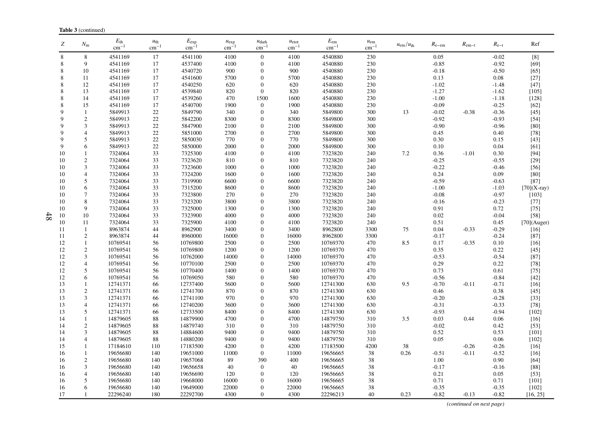| Z           | $N_{\rm m}$              | $E_{\rm th}$<br>$cm^{-1}$ | $u_{\text{th}}$<br>$cm^{-1}$ | $E_{\rm exp}$<br>$\rm cm^{-1}$ | $u_{\exp}$<br>$cm^{-}$ | $u_{\text{dark}}$<br>$cm^{-1}$ | $u_{\text{etot}}$<br>$cm^{-1}$ | $E_{\rm em}$<br>$\rm cm^{-1}$ | $u_{\rm em}$<br>$cm^{-1}$ | $u_{\rm em}/u_{\rm th}$ | $R_{\rm e-em}$ | $R_{\rm em-t}$ | $R_{e-t}$       | Ref              |
|-------------|--------------------------|---------------------------|------------------------------|--------------------------------|------------------------|--------------------------------|--------------------------------|-------------------------------|---------------------------|-------------------------|----------------|----------------|-----------------|------------------|
| 8           | 8                        | 4541169                   | 17                           | 4541100                        | 4100                   | $\boldsymbol{0}$               | 4100                           | 4540880                       | 230                       |                         | 0.05           |                | $-0.02$         | [8]              |
| 8           | 9                        | 4541169                   | 17                           | 4537400                        | 4100                   | $\mathbf{0}$                   | 4100                           | 4540880                       | 230                       |                         | $-0.85$        |                | $-0.92$         | $[69]$           |
| 8           | 10                       | 4541169                   | 17                           | 4540720                        | 900                    | $\mathbf{0}$                   | 900                            | 4540880                       | 230                       |                         | $-0.18$        |                | $-0.50$         | [65]             |
| 8           | 11                       | 4541169                   | 17                           | 4541600                        | 5700                   | $\mathbf{0}$                   | 5700                           | 4540880                       | 230                       |                         | 0.13           |                | 0.08            | $[27]$           |
| 8           | 12                       | 4541169                   | 17                           | 4540250                        | 620                    | $\theta$                       | 620                            | 4540880                       | 230                       |                         | $-1.02$        |                | $-1.48$         | $[47]$           |
| 8           | 13                       | 4541169                   | 17                           | 4539840                        | 820                    | $\theta$                       | 820                            | 4540880                       | 230                       |                         | $-1.27$        |                | $-1.62$         | [105]            |
| 8           | 14                       | 4541169                   | 17                           | 4539260                        | 470                    | 1500                           | 1600                           | 4540880                       | 230                       |                         | $-1.00$        |                | $-1.18$         | $[128]$          |
| 8           | 15                       | 4541169                   | 17                           | 4540700                        | 1900                   | $\mathbf{0}$                   | 1900                           | 4540880                       | 230                       |                         | $-0.09$        |                | $-0.25$         | $[62]$           |
| 9           | $\mathbf{1}$             | 5849913                   | $22\,$                       | 5849790                        | 340                    | $\mathbf{0}$                   | 340                            | 5849800                       | 300                       | 13                      | $-0.02$        | $-0.38$        | $-0.36$         | $[45]$           |
| 9           | $\overline{c}$           | 5849913                   | 22                           | 5842200                        | 8300                   | $\mathbf{0}$                   | 8300                           | 5849800                       | 300                       |                         | $-0.92$        |                | $-0.93$         | $[54]$           |
| 9           | 3                        | 5849913                   | 22                           | 5847900                        | 2100                   | $\mathbf{0}$                   | 2100                           | 5849800                       | 300                       |                         | $-0.90$        |                | $-0.96$         | $[80]$           |
| $\mathbf Q$ | $\overline{4}$           | 5849913                   | 22                           | 5851000                        | 2700                   | $\mathbf{0}$                   | 2700                           | 5849800                       | 300                       |                         | 0.45           |                | 0.40            | $[78]$           |
| $\mathbf Q$ | 5                        | 5849913                   | 22                           | 5850030                        | 770                    | $\Omega$                       | 770                            | 5849800                       | 300                       |                         | 0.30           |                | 0.15            | $[43]$           |
| 9           | 6                        | 5849913                   | 22                           | 5850000                        | 2000                   | $\mathbf{0}$                   | 2000                           | 5849800                       | 300                       |                         | 0.10           |                | 0.04            | [61]             |
| 10          | $\mathbf{1}$             | 7324064                   | 33                           | 7325300                        | 4100                   | $\mathbf{0}$                   | 4100                           | 7323820                       | 240                       | 7.2                     | 0.36           | $-1.01$        | 0.30            | $[94]$           |
| 10          | $\overline{c}$           | 7324064                   | 33                           | 7323620                        | 810                    | $\theta$                       | 810                            | 7323820                       | 240                       |                         | $-0.25$        |                | $-0.55$         | $[29]$           |
| 10          | 3                        | 7324064                   | 33                           | 7323600                        | 1000                   | $\mathbf{0}$                   | 1000                           | 7323820                       | 240                       |                         | $-0.22$        |                | $-0.46$         | $[56]$           |
| 10          | $\overline{4}$           | 7324064                   | 33                           | 7324200                        | 1600                   | $\Omega$                       | 1600                           | 7323820                       | 240                       |                         | 0.24           |                | 0.09            | [80]             |
| 10          | 5                        | 7324064                   | 33                           | 7319900                        | 6600                   | $\mathbf{0}$                   | 6600                           | 7323820                       | 240                       |                         | $-0.59$        |                | $-0.63$         | $[87]$           |
| 10          | 6                        | 7324064                   | 33                           | 7315200                        | 8600                   | $\mathbf{0}$                   | 8600                           | 7323820                       | 240                       |                         | $-1.00$        |                | $-1.03$         | $[70](X-ray)$    |
| 10          | 7                        | 7324064                   | 33                           | 7323800                        | 270                    | $\theta$                       | 270                            | 7323820                       | 240                       |                         | $-0.08$        |                | $-0.97$         | [103]            |
| 10          | 8                        | 7324064                   | 33                           | 7323200                        | 3800                   | $\theta$                       | 3800                           | 7323820                       | 240                       |                         | $-0.16$        |                | $-0.23$         | $[77]$           |
| 10          | 9                        | 7324064                   | 33                           | 7325000                        | 1300                   | $\Omega$                       | 1300                           | 7323820                       | 240                       |                         | 0.91           |                | 0.72            | $[75]$           |
| 10          | 10                       | 7324064                   | 33                           | 7323900                        | 4000                   | $\mathbf{0}$                   | 4000                           | 7323820                       | 240                       |                         | 0.02           |                | $-0.04$         | $[58]$           |
| 10          | 11                       | 7324064                   | 33                           | 7325900                        | 4100                   | $\mathbf{0}$                   | 4100                           | 7323820                       | 240                       |                         | 0.51           |                | 0.45            | $[70]$ (Auger)   |
| 11          | $\mathbf{1}$             | 8963874                   | 44                           | 8962900                        | 3400                   | $\Omega$                       | 3400                           | 8962800                       | 3300                      | 75                      | 0.04           | $-0.33$        | $-0.29$         | $[16]$           |
| 11          | $\mathfrak{2}$           | 8963874                   | 44                           | 8960000                        | 16000                  | $\mathbf{0}$                   | 16000                          | 8962800                       | 3300                      |                         | $-0.17$        |                | $-0.24$         | $[87]$           |
| 12          | $\mathbf{1}$             | 10769541                  | 56                           | 10769800                       | 2500                   | $\mathbf{0}$                   | 2500                           | 10769370                      | 470                       | 8.5                     | 0.17<br>0.35   | $-0.35$        | 0.10            | $[16]$           |
| 12          | $\mathfrak{2}$           | 10769541                  | 56                           | 10769800                       | 1200                   | $\theta$<br>$\mathbf{0}$       | 1200                           | 10769370                      | 470                       |                         | $-0.53$        |                | 0.22<br>$-0.54$ | $[45]$<br>$[87]$ |
| 12          | 3                        | 10769541                  | 56                           | 10762000<br>10770100           | 14000<br>2500          | $\Omega$                       | 14000                          | 10769370<br>10769370          | 470                       |                         | 0.29           |                | 0.22            |                  |
| 12<br>12    | $\overline{4}$<br>5      | 10769541<br>10769541      | 56<br>56                     | 10770400                       | 1400                   | $\mathbf{0}$                   | 2500<br>1400                   | 10769370                      | 470<br>470                |                         | 0.73           |                | 0.61            | $[78]$<br>$[75]$ |
| 12          | 6                        | 10769541                  | 56                           | 10769050                       | 580                    | $\mathbf{0}$                   | 580                            | 10769370                      | 470                       |                         | $-0.56$        |                | $-0.84$         | $[42]$           |
| 13          | 1                        | 12741371                  | 66                           | 12737400                       | 5600                   | $\theta$                       | 5600                           | 12741300                      | 630                       | 9.5                     | $-0.70$        | $-0.11$        | $-0.71$         | $[16]$           |
| 13          | $\mathfrak{2}$           | 12741371                  | 66                           | 12741700                       | 870                    | $\mathbf{0}$                   | 870                            | 12741300                      | 630                       |                         | 0.46           |                | 0.38            | $[45]$           |
| 13          | 3                        | 12741371                  | 66                           | 12741100                       | 970                    | $\mathbf{0}$                   | 970                            | 12741300                      | 630                       |                         | $-0.20$        |                | $-0.28$         | $[33]$           |
| 13          | $\overline{4}$           | 12741371                  | 66                           | 12740200                       | 3600                   | $\overline{0}$                 | 3600                           | 12741300                      | 630                       |                         | $-0.31$        |                | $-0.33$         | $[78]$           |
| 13          | 5                        | 12741371                  | 66                           | 12733500                       | 8400                   | $\mathbf{0}$                   | 8400                           | 12741300                      | 630                       |                         | $-0.93$        |                | $-0.94$         | $[102]$          |
| 14          | 1                        | 14879605                  | 88                           | 14879900                       | 4700                   | $\theta$                       | 4700                           | 14879750                      | 310                       | 3.5                     | 0.03           | 0.44           | 0.06            | $[16]$           |
| 14          | $\overline{c}$           | 14879605                  | 88                           | 14879740                       | 310                    | $\mathbf{0}$                   | 310                            | 14879750                      | 310                       |                         | $-0.02$        |                | 0.42            | $[53]$           |
| 14          | 3                        | 14879605                  | 88                           | 14884600                       | 9400                   | $\mathbf{0}$                   | 9400                           | 14879750                      | 310                       |                         | 0.52           |                | 0.53            | $[101]$          |
| 14          | $\overline{4}$           | 14879605                  | 88                           | 14880200                       | 9400                   | $\Omega$                       | 9400                           | 14879750                      | 310                       |                         | 0.05           |                | 0.06            | $[102]$          |
| 15          | 1                        | 17184610                  | 110                          | 17183500                       | 4200                   | $\overline{0}$                 | 4200                           | 17183500                      | 4200                      | 38                      |                | $-0.26$        | $-0.26$         | $[16]$           |
| 16          | $\mathbf{1}$             | 19656680                  | 140                          | 19651000                       | 11000                  | $\mathbf{0}$                   | 11000                          | 19656665                      | $38\,$                    | 0.26                    | $-0.51$        | $-0.11$        | $-0.52$         | $[16]$           |
| 16          | $\overline{c}$           | 19656680                  | 140                          | 19657068                       | 89                     | 390                            | 400                            | 19656665                      | 38                        |                         | 1.00           |                | 0.90            | [64]             |
| 16          | 3                        | 19656680                  | 140                          | 19656658                       | 40                     | $\mathbf{0}$                   | 40                             | 19656665                      | $38\,$                    |                         | $-0.17$        |                | $-0.16$         | $[88]$           |
| 16          | $\overline{\mathcal{A}}$ | 19656680                  | 140                          | 19656690                       | 120                    | $\mathbf{0}$                   | 120                            | 19656665                      | 38                        |                         | 0.21           |                | 0.05            | $[53]$           |
| 16          | 5                        | 19656680                  | 140                          | 19668000                       | 16000                  | $\mathbf{0}$                   | 16000                          | 19656665                      | 38                        |                         | 0.71           |                | 0.71            | [101]            |
| 16          | 6                        | 19656680                  | 140                          | 19649000                       | 22000                  | $\mathbf{0}$                   | 22000                          | 19656665                      | 38                        |                         | $-0.35$        |                | $-0.35$         | $[102]$          |
| 17          |                          | 22296240                  | 180                          | 22292700                       | 4300                   | $\overline{0}$                 | 4300                           | 22296213                      | 40                        | 0.23                    | $-0.82$        | $-0.13$        | $-0.82$         | [16, 25]         |

*(continued on next page)*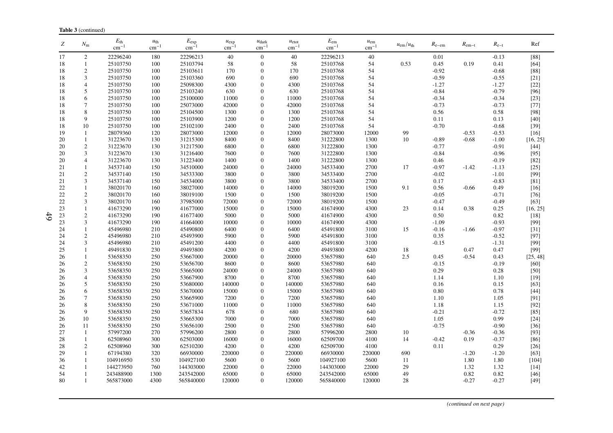| Ζ  | $N_{\rm m}$    | $E_{\rm th}$<br>$\text{cm}^{-1}$ | $u_{\text{th}}$<br>$\text{cm}^{-1}$ | $E_{\rm exp}$<br>$\text{cm}^{-1}$ | $u_{\exp}$<br>$cm^{-}$ | $u_{\text{dark}}$<br>$\rm cm^{-1}$ | $u_{\text{etot}}$<br>$cm^{-}$ | $E_{\rm em}$<br>$\text{cm}^{-1}$ | $u_{\rm em}$<br>$\rm cm^{-1}$ | $u_{\rm em}/u_{\rm th}$ | $R_{\rm e-em}$ | $R_{\rm em-t}$ | $R_{e-t}$ | Ref      |
|----|----------------|----------------------------------|-------------------------------------|-----------------------------------|------------------------|------------------------------------|-------------------------------|----------------------------------|-------------------------------|-------------------------|----------------|----------------|-----------|----------|
| 17 | 2              | 22296240                         | 180                                 | 22296213                          | 40                     | $\mathbf{0}$                       | 40                            | 22296213                         | 40                            |                         | 0.01           |                | $-0.13$   | $[88]$   |
| 18 | $\mathbf{1}$   | 25103750                         | 100                                 | 25103794                          | $58\,$                 | $\boldsymbol{0}$                   | 58                            | 25103768                         | 54                            | 0.53                    | 0.45           | 0.19           | 0.41      | $[64]$   |
| 18 | $\mathbf{2}$   | 25103750                         | 100                                 | 25103611                          | 170                    | $\overline{0}$                     | 170                           | 25103768                         | 54                            |                         | $-0.92$        |                | $-0.68$   | $[88]$   |
| 18 | 3              | 25103750                         | 100                                 | 25103360                          | 690                    | $\overline{0}$                     | 690                           | 25103768                         | 54                            |                         | $-0.59$        |                | $-0.55$   | $[21]$   |
| 18 | $\overline{4}$ | 25103750                         | 100                                 | 25098300                          | 4300                   | $\overline{0}$                     | 4300                          | 25103768                         | 54                            |                         | $-1.27$        |                | $-1.27$   | $[22]$   |
| 18 | 5              | 25103750                         | 100                                 | 25103240                          | 630                    | $\boldsymbol{0}$                   | 630                           | 25103768                         | 54                            |                         | $-0.84$        |                | $-0.79$   | [96]     |
| 18 | 6              | 25103750                         | 100                                 | 25100000                          | 11000                  | $\overline{0}$                     | 11000                         | 25103768                         | 54                            |                         | $-0.34$        |                | $-0.34$   | $[23]$   |
| 18 | 7              | 25103750                         | 100                                 | 25073000                          | 42000                  | $\overline{0}$                     | 42000                         | 25103768                         | 54                            |                         | $-0.73$        |                | $-0.73$   | $[77]$   |
| 18 | $\,$ 8 $\,$    | 25103750                         | 100                                 | 25104500                          | 1300                   | $\overline{0}$                     | 1300                          | 25103768                         | 54                            |                         | 0.56           |                | 0.58      | [98]     |
| 18 | 9              | 25103750                         | 100                                 | 25103900                          | 1200                   | $\overline{0}$                     | 1200                          | 25103768                         | 54                            |                         | 0.11           |                | 0.13      | $[40]$   |
| 18 | 10             | 25103750                         | 100                                 | 25102100                          | 2400                   | $\theta$                           | 2400                          | 25103768                         | 54                            |                         | $-0.70$        |                | $-0.68$   | $[39]$   |
| 19 | $\mathbf{1}$   | 28079360                         | 120                                 | 28073000                          | 12000                  | $\overline{0}$                     | 12000                         | 28073000                         | 12000                         | 99                      |                | $-0.53$        | $-0.53$   | $[16]$   |
| 20 | 1              | 31223670                         | 130                                 | 31215300                          | 8400                   | $\overline{0}$                     | 8400                          | 31222800                         | 1300                          | 10                      | $-0.89$        | $-0.68$        | $-1.00$   | [16, 25] |
| 20 | 2              | 31223670                         | 130                                 | 31217500                          | 6800                   | 0                                  | 6800                          | 31222800                         | 1300                          |                         | $-0.77$        |                | $-0.91$   | $[44]$   |
| 20 | 3              | 31223670                         | 130                                 | 31216400                          | 7600                   | $\overline{0}$                     | 7600                          | 31222800                         | 1300                          |                         | $-0.84$        |                | $-0.96$   | $[95]$   |
| 20 | 4              | 31223670                         | 130                                 | 31223400                          | 1400                   | $\overline{0}$                     | 1400                          | 31222800                         | 1300                          |                         | 0.46           |                | $-0.19$   | $[82]$   |
| 21 | $\mathbf{1}$   | 34537140                         | 150                                 | 34510000                          | 24000                  | $\boldsymbol{0}$                   | 24000                         | 34533400                         | 2700                          | 17                      | $-0.97$        | $-1.42$        | $-1.13$   | $[25]$   |
| 21 | $\mathbf{2}$   | 34537140                         | 150                                 | 34533300                          | 3800                   | $\boldsymbol{0}$                   | 3800                          | 34533400                         | 2700                          |                         | $-0.02$        |                | $-1.01$   | $[99]$   |
| 21 | $\mathfrak{Z}$ | 34537140                         | 150                                 | 34534000                          | 3800                   | $\boldsymbol{0}$                   | 3800                          | 34533400                         | 2700                          |                         | 0.17           |                | $-0.83$   | $[81]$   |
| 22 | $\mathbf{1}$   | 38020170                         | 160                                 | 38027000                          | 14000                  | $\overline{0}$                     | 14000                         | 38019200                         | 1500                          | 9.1                     | 0.56           | $-0.66$        | 0.49      | $[16]$   |
| 22 | $\overline{c}$ | 38020170                         | 160                                 | 38019100                          | 1500                   | $\overline{0}$                     | 1500                          | 38019200                         | 1500                          |                         | $-0.05$        |                | $-0.71$   | $[76]$   |
| 22 | 3              | 38020170                         | 160                                 | 37985000                          | 72000                  | 0                                  | 72000                         | 38019200                         | 1500                          |                         | $-0.47$        |                | $-0.49$   | $[63]$   |
| 23 | $\mathbf{1}$   | 41673290                         | 190                                 | 41677000                          | 15000                  | $\boldsymbol{0}$                   | 15000                         | 41674900                         | 4300                          | 23                      | 0.14           | 0.38           | 0.25      | [16, 25] |
| 23 | $\mathbf{2}$   | 41673290                         | 190                                 | 41677400                          | 5000                   | $\overline{0}$                     | 5000                          | 41674900                         | 4300                          |                         | 0.50           |                | 0.82      | $[18]$   |
| 23 | $\mathfrak{Z}$ | 41673290                         | 190                                 | 41664000                          | 10000                  | $\overline{0}$                     | 10000                         | 41674900                         | 4300                          |                         | $-1.09$        |                | $-0.93$   | $[99]$   |
| 24 | $\mathbf{1}$   | 45496980                         | 210                                 | 45490800                          | 6400                   | $\overline{0}$                     | 6400                          | 45491800                         | 3100                          | 15                      | $-0.16$        | $-1.66$        | $-0.97$   | $[31]$   |
| 24 | $\sqrt{2}$     | 45496980                         | 210                                 | 45493900                          | 5900                   | $\overline{0}$                     | 5900                          | 45491800                         | 3100                          |                         | 0.35           |                | $-0.52$   | [97]     |
| 24 | 3              | 45496980                         | 210                                 | 45491200                          | 4400                   | $\overline{0}$                     | 4400                          | 45491800                         | 3100                          |                         | $-0.15$        |                | $-1.31$   | [99]     |
| 25 | 1              | 49491830                         | 230                                 | 49493800                          | 4200                   | $\overline{0}$                     | 4200                          | 49493800                         | 4200                          | 18                      |                | 0.47           | 0.47      | [99]     |
| 26 | 1              | 53658350                         | 250                                 | 53667000                          | 20000                  | 0                                  | 20000                         | 53657980                         | 640                           | 2.5                     | 0.45           | $-0.54$        | 0.43      | [25, 48] |
| 26 | $\sqrt{2}$     | 53658350                         | 250                                 | 53656700                          | 8600                   | 0                                  | 8600                          | 53657980                         | 640                           |                         | $-0.15$        |                | $-0.19$   | $[60]$   |
| 26 | 3              | 53658350                         | 250                                 | 53665000                          | 24000                  | $\overline{0}$                     | 24000                         | 53657980                         | 640                           |                         | 0.29           |                | 0.28      | $[50]$   |
| 26 | 4              | 53658350                         | 250                                 | 53667900                          | 8700                   | $\overline{0}$                     | 8700                          | 53657980                         | 640                           |                         | 1.14           |                | 1.10      | $[19]$   |
| 26 | 5              | 53658350                         | 250                                 | 53680000                          | 140000                 | $\boldsymbol{0}$                   | 140000                        | 53657980                         | 640                           |                         | 0.16           |                | 0.15      | $[63]$   |
| 26 | 6              | 53658350                         | 250                                 | 53670000                          | 15000                  | $\overline{0}$                     | 15000                         | 53657980                         | 640                           |                         | 0.80           |                | 0.78      | $[44]$   |
| 26 | 7              | 53658350                         | 250                                 | 53665900                          | 7200                   | $\overline{0}$                     | 7200                          | 53657980                         | 640                           |                         | 1.10           |                | 1.05      | [91]     |
| 26 | 8              | 53658350                         | 250                                 | 53671000                          | 11000                  | $\overline{0}$                     | 11000                         | 53657980                         | 640                           |                         | 1.18           |                | 1.15      | [92]     |
| 26 | 9              | 53658350                         | 250                                 | 53657834                          | 678                    | $\overline{0}$                     | 680                           | 53657980                         | 640                           |                         | $-0.21$        |                | $-0.72$   | $[85]$   |
| 26 | 10             | 53658350                         | 250                                 | 53665300                          | 7000                   | $\overline{0}$                     | 7000                          | 53657980                         | 640                           |                         | 1.05           |                | 0.99      | $[24]$   |
| 26 | 11             | 53658350                         | 250                                 | 53656100                          | 2500                   | $\boldsymbol{0}$                   | 2500                          | 53657980                         | 640                           |                         | $-0.75$        |                | $-0.90$   | $[36]$   |
| 27 | 1              | 57997200                         | 270                                 | 57996200                          | 2800                   | $\overline{0}$                     | 2800                          | 57996200                         | 2800                          | 10                      |                | $-0.36$        | $-0.36$   | [93]     |
| 28 | $\mathbf{1}$   | 62508960                         | 300                                 | 62503000                          | 16000                  | $\overline{0}$                     | 16000                         | 62509700                         | 4100                          | 14                      | $-0.42$        | 0.19           | $-0.37$   | $[86]$   |
| 28 | $\overline{c}$ | 62508960                         | 300                                 | 62510200                          | 4200                   | $\overline{0}$                     | 4200                          | 62509700                         | 4100                          |                         | 0.11           |                | 0.29      | $[26]$   |
| 29 | $\mathbf{1}$   | 67194380                         | 320                                 | 66930000                          | 220000                 | $\boldsymbol{0}$                   | 220000                        | 66930000                         | 220000                        | 690                     |                | $-1.20$        | $-1.20$   | $[63]$   |
| 36 | $\mathbf{1}$   | 104916950                        | 530                                 | 104927100                         | 5600                   | $\overline{0}$                     | 5600                          | 104927100                        | 5600                          | 11                      |                | 1.80           | 1.80      | [104]    |
| 42 | 1              | 144273950                        | 760                                 | 144303000                         | 22000                  | 0                                  | 22000                         | 144303000                        | 22000                         | 29                      |                | 1.32           | 1.32      | $[14]$   |
| 54 | $\mathbf{1}$   | 243488900                        | 1300                                | 243542000                         | 65000                  | 0                                  | 65000                         | 243542000                        | 65000                         | 49                      |                | 0.82           | 0.82      | $[46]$   |
| 80 | $\mathbf{1}$   | 565873000                        | 4300                                | 565840000                         | 120000                 | $\overline{0}$                     | 120000                        | 565840000                        | 120000                        | 28                      |                | $-0.27$        | $-0.27$   | $[49]$   |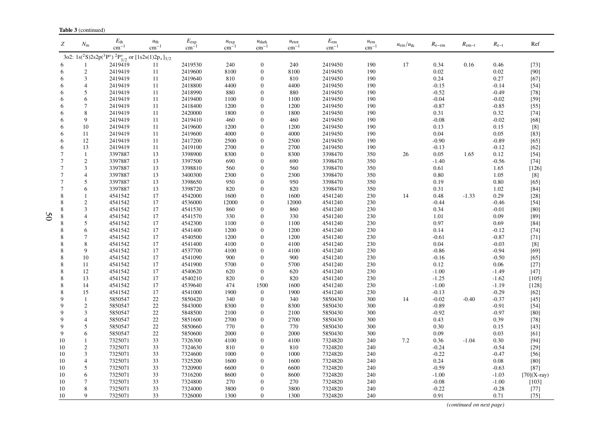|                | <b>Table 3</b> (continued) |                                                                                   |                                     |                                  |                        |                                       |                                       |                               |                           |                         |                   |                |                    |                                                                                                                                                                                                                          |
|----------------|----------------------------|-----------------------------------------------------------------------------------|-------------------------------------|----------------------------------|------------------------|---------------------------------------|---------------------------------------|-------------------------------|---------------------------|-------------------------|-------------------|----------------|--------------------|--------------------------------------------------------------------------------------------------------------------------------------------------------------------------------------------------------------------------|
| Z              | $N_{\rm m}$                | $E_{\rm th}$<br>$cm^{-}$                                                          | $u_{\text{th}}$<br>$\text{cm}^{-1}$ | $E_{\rm exp}$<br>cm <sup>-</sup> | $u_{\exp}$<br>$cm^{-}$ | $u_{\text{dark}}$<br>$\text{cm}^{-1}$ | $u_{\text{etot}}$<br>$\text{cm}^{-1}$ | $E_{\rm em}$<br>$\rm cm^{-1}$ | $u_{\rm em}$<br>$cm^{-1}$ | $u_{\rm em}/u_{\rm th}$ | $R_{\text{e-em}}$ | $R_{\rm em-t}$ | $R_{\rm e-t}$      | Ref                                                                                                                                                                                                                      |
|                |                            | 3o2: $1s(^{2}S)2s2p(^{3}P^{\circ})^{2}P_{3/2}^{\circ}$ or $[1s2s(1)2p_{+}]_{3/2}$ |                                     |                                  |                        |                                       |                                       |                               |                           |                         |                   |                |                    |                                                                                                                                                                                                                          |
|                |                            | 2419419                                                                           | 11                                  | 2419530                          | 240                    | $\mathbf{0}$                          | 240                                   | 2419450                       | 190                       | 17                      | 0.34              | 0.16           | 0.46               | $[73]$                                                                                                                                                                                                                   |
| 6              | $\mathfrak{2}$             | 2419419                                                                           | 11                                  | 2419600                          | 8100                   | $\boldsymbol{0}$                      | 8100                                  | 2419450                       | 190                       |                         | 0.02              |                | 0.02               | [90]                                                                                                                                                                                                                     |
| 6              | 3                          | 2419419                                                                           | 11                                  | 2419640                          | 810                    | $\overline{0}$                        | 810                                   | 2419450                       | 190                       |                         | 0.24              |                | 0.27               | $[67]$                                                                                                                                                                                                                   |
| 6              | $\overline{4}$             | 2419419                                                                           | 11                                  | 2418800                          | 4400                   | $\theta$                              | 4400                                  | 2419450                       | 190                       |                         | $-0.15$           |                | $-0.14$            | $[54]$                                                                                                                                                                                                                   |
| 6              | 5                          | 2419419                                                                           | 11                                  | 2418990                          | 880                    | $\overline{0}$                        | 880                                   | 2419450                       | 190                       |                         | $-0.52$           |                | $-0.49$            | $[78]$                                                                                                                                                                                                                   |
| 6              | 6                          | 2419419                                                                           | 11                                  | 2419400                          | 1100                   | $\theta$                              | 1100                                  | 2419450                       | 190                       |                         | $-0.04$           |                | $-0.02$            | $[59]$                                                                                                                                                                                                                   |
| 6              | 7                          | 2419419                                                                           | 11                                  | 2418400                          | 1200                   | $\Omega$                              | 1200                                  | 2419450                       | 190                       |                         | $-0.87$           |                | $-0.85$            | $[55]$                                                                                                                                                                                                                   |
| 6              | 8                          | 2419419                                                                           | 11                                  | 2420000                          | 1800                   | $\overline{0}$                        | 1800                                  | 2419450                       | 190                       |                         | 0.31              |                | 0.32               | $[74]$                                                                                                                                                                                                                   |
| 6              | 9                          | 2419419                                                                           | 11                                  | 2419410                          | 460                    | $\mathbf{0}$                          | 460                                   | 2419450                       | 190                       |                         | $-0.08$           |                | $-0.02$            | $[68]$                                                                                                                                                                                                                   |
| 6              | 10                         | 2419419                                                                           | 11                                  | 2419600                          | 1200                   | $\boldsymbol{0}$                      | 1200                                  | 2419450                       | 190                       |                         | 0.13              |                | 0.15               | $[8]$                                                                                                                                                                                                                    |
| 6              | 11                         | 2419419                                                                           | 11                                  | 2419600                          | 4000                   | $\overline{0}$                        | 4000                                  | 2419450                       | 190                       |                         | 0.04              |                | 0.05               | $[83]$                                                                                                                                                                                                                   |
| 6              | 12                         | 2419419                                                                           | 11                                  | 2417200                          | 2500                   | $\theta$                              | 2500                                  | 2419450                       | 190                       |                         | $-0.90$           |                | $-0.89$            | $[65]$                                                                                                                                                                                                                   |
| 6              | 13                         | 2419419                                                                           | 11                                  | 2419100                          | 2700                   | $\theta$                              | 2700                                  | 2419450                       | 190                       |                         | $-0.13$           |                | $-0.12$            | $[62]$                                                                                                                                                                                                                   |
| $\overline{7}$ | $\mathbf{1}$               | 3397887                                                                           | 13                                  | 3398900                          | 8300                   | $\boldsymbol{0}$                      | 8300                                  | 3398470                       | 350                       | 26                      | 0.05              | 1.65           | 0.12               | $[54]$                                                                                                                                                                                                                   |
| $\overline{7}$ | $\sqrt{2}$                 | 3397887                                                                           | 13                                  | 3397500                          | 690                    | $\mathbf{0}$                          | 690                                   | 3398470                       | 350                       |                         | $-1.40$           |                | $-0.56$            | $[74]$                                                                                                                                                                                                                   |
| $\overline{7}$ | 3                          | 3397887                                                                           | 13                                  | 3398810                          | 560                    | $\theta$                              | 560                                   | 3398470                       | 350                       |                         | 0.61              |                | 1.65               | $[126]$                                                                                                                                                                                                                  |
| $\overline{7}$ | $\overline{4}$             | 3397887                                                                           | 13                                  | 3400300                          | 2300                   | $\theta$                              | 2300                                  | 3398470                       | 350                       |                         | 0.80              |                | 1.05               | $[8]$                                                                                                                                                                                                                    |
| $\overline{7}$ | 5                          | 3397887                                                                           | 13                                  | 3398650                          | 950                    | $\overline{0}$                        | 950                                   | 3398470                       | 350                       |                         | 0.19              |                | 0.80               | $[65]$                                                                                                                                                                                                                   |
| $\overline{7}$ | 6                          | 3397887                                                                           | 13                                  | 3398720                          | 820                    | $\overline{0}$                        | 820                                   | 3398470                       | 350                       |                         | 0.31              |                | 1.02               | $[84]$                                                                                                                                                                                                                   |
| 8              |                            | 4541542                                                                           | 17                                  | 4542000                          | 1600                   | $\theta$                              | 1600                                  | 4541240                       | 230                       | 14                      | 0.48              | $-1.33$        | 0.29               | $[28]$                                                                                                                                                                                                                   |
| 8              | $\overline{c}$             | 4541542                                                                           | 17                                  | 4536000                          | 12000                  | $\theta$                              | 12000                                 | 4541240                       | 230                       |                         | $-0.44$           |                | $-0.46$            | $[54]$                                                                                                                                                                                                                   |
| 8              | 3                          | 4541542                                                                           | 17                                  | 4541530                          | 860                    | $\mathbf{0}$                          | 860                                   | 4541240                       | 230                       |                         | 0.34              |                | $-0.01$            | $[80]$                                                                                                                                                                                                                   |
| 8              | 4                          | 4541542                                                                           | 17                                  | 4541570                          | 330                    | $\boldsymbol{0}$                      | 330                                   | 4541240                       | 230                       |                         | 1.01              |                | 0.09               | $[89]$                                                                                                                                                                                                                   |
| 8              | 5                          | 4541542                                                                           | 17                                  | 4542300                          | 1100                   | $\theta$                              | 1100                                  | 4541240                       | 230                       |                         | 0.97              |                | 0.69               | $[84]$                                                                                                                                                                                                                   |
| 8              | 6                          | 4541542                                                                           | 17                                  | 4541400                          | 1200                   | $\theta$                              | 1200                                  | 4541240                       | 230                       |                         | 0.14              |                | $-0.12$            | $[74]$                                                                                                                                                                                                                   |
| 8              | 7                          | 4541542                                                                           | 17                                  | 4540500                          | 1200                   | $\theta$                              | 1200                                  | 4541240                       | 230                       |                         | $-0.61$           |                | $-0.87$            | $[71]$                                                                                                                                                                                                                   |
| 8              | 8                          | 4541542                                                                           | 17                                  | 4541400                          | 4100                   | $\boldsymbol{0}$                      | 4100                                  | 4541240                       | 230                       |                         | 0.04              |                | $-0.03$            | $[8] % \includegraphics[width=0.9\columnwidth]{figures/fig_10.pdf} \caption{The 3D (black) model for a different region of the parameter $\Omega$. The left side is the same as in Figure \ref{fig:10}.} \label{fig:10}$ |
| 8              | 9                          | 4541542                                                                           | 17                                  | 4537700                          | 4100                   | $\theta$                              | 4100                                  | 4541240                       | 230                       |                         | $-0.86$           |                | $-0.94$            | [69]                                                                                                                                                                                                                     |
| 8              | 10                         | 4541542                                                                           | 17                                  | 4541090                          | 900                    | $\theta$                              | 900                                   | 4541240                       | 230                       |                         | $-0.16$           |                | $-0.50$            | $[65]$<br>$[27]$                                                                                                                                                                                                         |
| 8<br>8         | 11                         | 4541542<br>4541542                                                                | 17<br>17                            | 4541900<br>4540620               | 5700<br>620            | $\theta$<br>$\mathbf{0}$              | 5700                                  | 4541240<br>4541240            | 230<br>230                |                         | 0.12<br>$-1.00$   |                | 0.06               |                                                                                                                                                                                                                          |
| 8              | 12<br>13                   | 4541542                                                                           | 17                                  | 4540210                          | 820                    | $\mathbf{0}$                          | 620<br>820                            | 4541240                       | 230                       |                         | $-1.25$           |                | $-1.49$            | $[47]$<br>$[105]$                                                                                                                                                                                                        |
| 8              | 14                         | 4541542                                                                           | 17                                  | 4539640                          | 474                    | 1500                                  | 1600                                  | 4541240                       | 230                       |                         | $-1.00$           |                | $-1.62$<br>$-1.19$ | $[128]$                                                                                                                                                                                                                  |
| 8              | 15                         | 4541542                                                                           | 17                                  | 4541000                          | 1900                   | $\mathbf{0}$                          | 1900                                  | 4541240                       | 230                       |                         | $-0.13$           |                | $-0.29$            | $[62]$                                                                                                                                                                                                                   |
| $\mathbf Q$    | $\mathbf{1}$               | 5850547                                                                           | $22\,$                              | 5850420                          | 340                    | $\boldsymbol{0}$                      | 340                                   | 5850430                       | 300                       | 14                      | $-0.02$           | $-0.40$        | $-0.37$            | $[45]$                                                                                                                                                                                                                   |
| 9              | $\overline{c}$             | 5850547                                                                           | 22                                  | 5843000                          | 8300                   | $\theta$                              | 8300                                  | 5850430                       | 300                       |                         | $-0.89$           |                | $-0.91$            | $[54]$                                                                                                                                                                                                                   |
| $\mathbf Q$    | 3                          | 5850547                                                                           | 22                                  | 5848500                          | 2100                   | $\theta$                              | 2100                                  | 5850430                       | 300                       |                         | $-0.92$           |                | $-0.97$            | $[80]$                                                                                                                                                                                                                   |
| $\mathbf Q$    | $\overline{4}$             | 5850547                                                                           | 22                                  | 5851600                          | 2700                   | $\theta$                              | 2700                                  | 5850430                       | 300                       |                         | 0.43              |                | 0.39               | $[78]$                                                                                                                                                                                                                   |
| 9              | 5                          | 5850547                                                                           | 22                                  | 5850660                          | 770                    | $\theta$                              | 770                                   | 5850430                       | 300                       |                         | 0.30              |                | 0.15               | $[43]$                                                                                                                                                                                                                   |
| 9              | 6                          | 5850547                                                                           | 22                                  | 5850600                          | 2000                   | $\overline{0}$                        | 2000                                  | 5850430                       | 300                       |                         | 0.09              |                | 0.03               | [61]                                                                                                                                                                                                                     |
| 10             | 1                          | 7325071                                                                           | 33                                  | 7326300                          | 4100                   | $\theta$                              | 4100                                  | 7324820                       | 240                       | 7.2                     | 0.36              | $-1.04$        | 0.30               | $[94]$                                                                                                                                                                                                                   |
| 10             | $\boldsymbol{2}$           | 7325071                                                                           | 33                                  | 7324630                          | 810                    | $\theta$                              | 810                                   | 7324820                       | 240                       |                         | $-0.24$           |                | $-0.54$            | $[29]$                                                                                                                                                                                                                   |
| 10             | 3                          | 7325071                                                                           | 33                                  | 7324600                          | 1000                   | $\theta$                              | 1000                                  | 7324820                       | 240                       |                         | $-0.22$           |                | $-0.47$            | $[56]$                                                                                                                                                                                                                   |
| 10             | 4                          | 7325071                                                                           | 33                                  | 7325200                          | 1600                   | $\theta$                              | 1600                                  | 7324820                       | 240                       |                         | 0.24              |                | 0.08               | $[80]$                                                                                                                                                                                                                   |
| 10             | 5                          | 7325071                                                                           | 33                                  | 7320900                          | 6600                   | $\boldsymbol{0}$                      | 6600                                  | 7324820                       | 240                       |                         | $-0.59$           |                | $-0.63$            | $[87]$                                                                                                                                                                                                                   |
| 10             | 6                          | 7325071                                                                           | 33                                  | 7316200                          | 8600                   | $\boldsymbol{0}$                      | 8600                                  | 7324820                       | 240                       |                         | $-1.00$           |                | $-1.03$            | $[70](X-ray)$                                                                                                                                                                                                            |
| 10             | 7                          | 7325071                                                                           | 33                                  | 7324800                          | 270                    | $\theta$                              | 270                                   | 7324820                       | 240                       |                         | $-0.08$           |                | $-1.00$            | $[103]$                                                                                                                                                                                                                  |
| 10             | 8                          | 7325071                                                                           | 33                                  | 7324000                          | 3800                   | $\mathbf{0}$                          | 3800                                  | 7324820                       | 240                       |                         | $-0.22$           |                | $-0.28$            | $[77]$                                                                                                                                                                                                                   |
| 10             | 9                          | 7325071                                                                           | 33                                  | 7326000                          | 1300                   | $\mathbf{0}$                          | 1300                                  | 7324820                       | 240                       |                         | 0.91              |                | 0.71               | $[75]$                                                                                                                                                                                                                   |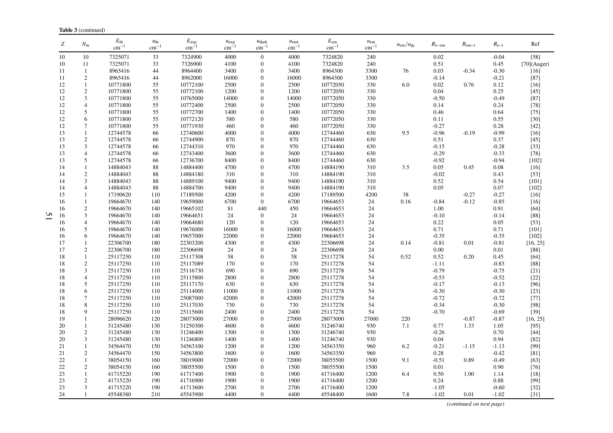| Ζ  | $N_{\rm m}$                 | $E_{\rm th}$<br>$\rm cm^{-1}$ | $u_{\text{th}}$<br>$cm^{-1}$ | $E_{\rm exp}$<br>$cm^{-}$ | $u_{\exp}$<br>$cm^{-}$ | $u_{\text{dark}}$<br>$cm^{-1}$ | $u_{\text{etot}}$<br>$\rm cm^{-1}$ | $E_{\rm em}$<br>$cm^{-1}$ | $u_{\rm em}$<br>$\text{cm}^{-1}$ | $u_{\rm em}/u_{\rm th}$ | $R_{e-em}$ | $R_{\rm em-t}$ | $R_{e-t}$ | Ref            |
|----|-----------------------------|-------------------------------|------------------------------|---------------------------|------------------------|--------------------------------|------------------------------------|---------------------------|----------------------------------|-------------------------|------------|----------------|-----------|----------------|
| 10 | 10                          | 7325071                       | 33                           | 7324900                   | 4000                   | $\mathbf{0}$                   | 4000                               | 7324820                   | 240                              |                         | 0.02       |                | $-0.04$   | $[58]$         |
| 10 | 11                          | 7325071                       | 33                           | 7326900                   | 4100                   | $\mathbf{0}$                   | 4100                               | 7324820                   | 240                              |                         | 0.51       |                | 0.45      | $[70]$ (Auger) |
| 11 | $\mathbf{1}$                | 8965416                       | 44                           | 8964400                   | 3400                   | $\mathbf{0}$                   | 3400                               | 8964300                   | 3300                             | 76                      | 0.03       | $-0.34$        | $-0.30$   | $[16]$         |
| 11 | $\overline{c}$              | 8965416                       | 44                           | 8962000                   | 16000                  | $\boldsymbol{0}$               | 16000                              | 8964300                   | 3300                             |                         | $-0.14$    |                | $-0.21$   | $[87]$         |
| 12 | $\mathbf{1}$                | 10771800                      | 55                           | 10772100                  | 2500                   | $\theta$                       | 2500                               | 10772050                  | 330                              | 6.0                     | 0.02       | 0.76           | 0.12      | $[16]$         |
| 12 | $\overline{c}$              | 10771800                      | 55                           | 10772100                  | 1200                   | $\mathbf{0}$                   | 1200                               | 10772050                  | 330                              |                         | 0.04       |                | 0.25      | $[45]$         |
| 12 | 3                           | 10771800                      | 55                           | 10765000                  | 14000                  | $\mathbf{0}$                   | 14000                              | 10772050                  | 330                              |                         | $-0.50$    |                | $-0.49$   | $[87]$         |
| 12 | $\overline{4}$              | 10771800                      | 55                           | 10772400                  | 2500                   | $\mathbf{0}$                   | 2500                               | 10772050                  | 330                              |                         | 0.14       |                | 0.24      | $[78]$         |
| 12 | 5                           | 10771800                      | 55                           | 10772700                  | 1400                   | $\boldsymbol{0}$               | 1400                               | 10772050                  | 330                              |                         | 0.46       |                | 0.64      | $[75]$         |
| 12 | 6                           | 10771800                      | 55                           | 10772120                  | 580                    | $\theta$                       | 580                                | 10772050                  | 330                              |                         | 0.11       |                | 0.55      | $[30]$         |
| 12 | $\overline{7}$              | 10771800                      | 55                           | 10771930                  | 460                    | $\boldsymbol{0}$               | 460                                | 10772050                  | 330                              |                         | $-0.27$    |                | 0.28      | $[42]$         |
| 13 | $\mathbf{1}$                | 12744578                      | 66                           | 12740600                  | 4000                   | $\mathbf{0}$                   | 4000                               | 12744460                  | 630                              | 9.5                     | $-0.96$    | $-0.19$        | $-0.99$   | $[16]$         |
| 13 | $\sqrt{2}$                  | 12744578                      | 66                           | 12744900                  | 870                    | $\mathbf{0}$                   | 870                                | 12744460                  | 630                              |                         | 0.51       |                | 0.37      | $[45]$         |
| 13 | $\mathfrak{Z}$              | 12744578                      | 66                           | 12744310                  | 970                    | $\mathbf{0}$                   | 970                                | 12744460                  | 630                              |                         | $-0.15$    |                | $-0.28$   | $[33]$         |
| 13 | $\overline{4}$              | 12744578                      | 66                           | 12743400                  | 3600                   | $\mathbf{0}$                   | 3600                               | 12744460                  | 630                              |                         | $-0.29$    |                | $-0.33$   | $[78]$         |
| 13 | 5                           | 12744578                      | 66                           | 12736700                  | 8400                   | $\boldsymbol{0}$               | 8400                               | 12744460                  | 630                              |                         | $-0.92$    |                | $-0.94$   | $[102]$        |
| 14 | $\mathbf{1}$                | 14884043                      | 88                           | 14884400                  | 4700                   | $\mathbf{0}$                   | 4700                               | 14884190                  | 310                              | 3.5                     | 0.05       | 0.45           | 0.08      | $[16]$         |
| 14 | $\sqrt{2}$                  | 14884043                      | 88                           | 14884180                  | 310                    | $\mathbf{0}$                   | 310                                | 14884190                  | 310                              |                         | $-0.02$    |                | 0.43      | $[53]$         |
| 14 | 3                           | 14884043                      | 88                           | 14889100                  | 9400                   | $\boldsymbol{0}$               | 9400                               | 14884190                  | 310                              |                         | 0.52       |                | 0.54      | $[101]$        |
| 14 | $\overline{4}$              | 14884043                      | 88                           | 14884700                  | 9400                   | $\mathbf{0}$                   | 9400                               | 14884190                  | 310                              |                         | 0.05       |                | 0.07      | $[102]$        |
| 15 | $\mathbf{1}$                | 17190620                      | 110                          | 17189500                  | 4200                   | $\boldsymbol{0}$               | 4200                               | 17189500                  | 4200                             | 38                      |            | $-0.27$        | $-0.27$   | $[16]$         |
| 16 | $\mathbf{1}$                | 19664670                      | 140                          | 19659000                  | 6700                   | $\theta$                       | 6700                               | 19664653                  | 24                               | 0.16                    | $-0.84$    | $-0.12$        | $-0.85$   | $[16]$         |
| 16 | $\mathbf{2}$                | 19664670                      | 140                          | 19665102                  | 81                     | 440                            | 450                                | 19664653                  | 24                               |                         | 1.00       |                | 0.91      | [64]           |
| 16 | 3                           | 19664670                      | 140                          | 19664651                  | 24                     | $\boldsymbol{0}$               | 24                                 | 19664653                  | 24                               |                         | $-0.10$    |                | $-0.14$   | $[88]$         |
| 16 | 4                           | 19664670                      | 140                          | 19664680                  | 120                    | $\theta$                       | 120                                | 19664653                  | 24                               |                         | 0.22       |                | 0.05      | $[53]$         |
| 16 | 5                           | 19664670                      | 140                          | 19676000                  | 16000                  | $\mathbf{0}$                   | 16000                              | 19664653                  | 24                               |                         | 0.71       |                | 0.71      | $[101]$        |
| 16 | 6                           | 19664670                      | 140                          | 19657000                  | 22000                  | $\boldsymbol{0}$               | 22000                              | 19664653                  | 24                               |                         | $-0.35$    |                | $-0.35$   | $[102]$        |
| 17 | $\mathbf{1}$                | 22306700                      | 180                          | 22303200                  | 4300                   | $\mathbf{0}$                   | 4300                               | 22306698                  | 24                               | 0.14                    | $-0.81$    | 0.01           | $-0.81$   | [16, 25]       |
| 17 | $\sqrt{2}$                  | 22306700                      | 180                          | 22306698                  | 24                     | $\mathbf{0}$                   | 24                                 | 22306698                  | 24                               |                         | 0.00       |                | 0.01      | $[88]$         |
| 18 | $\mathbf{1}$                | 25117250                      | 110                          | 25117308                  | 58                     | $\mathbf{0}$                   | 58                                 | 25117278                  | 54                               | 0.52                    | 0.52       | 0.20           | 0.45      | [64]           |
| 18 | $\sqrt{2}$                  | 25117250                      | 110                          | 25117089                  | 170                    | $\mathbf{0}$                   | 170                                | 25117278                  | 54                               |                         | $-1.11$    |                | $-0.83$   | $[88]$         |
| 18 | $\ensuremath{\mathfrak{Z}}$ | 25117250                      | 110                          | 25116730                  | 690                    | $\Omega$                       | 690                                | 25117278                  | 54                               |                         | $-0.79$    |                | $-0.75$   | $[21]$         |
| 18 | $\overline{4}$              | 25117250                      | 110                          | 25115800                  | 2800                   | $\mathbf{0}$                   | 2800                               | 25117278                  | 54                               |                         | $-0.53$    |                | $-0.52$   | $[22]$         |
| 18 | 5                           | 25117250                      | 110                          | 25117170                  | 630                    | $\boldsymbol{0}$               | 630                                | 25117278                  | 54                               |                         | $-0.17$    |                | $-0.13$   | $[96]$         |
| 18 | 6                           | 25117250                      | 110                          | 25114000                  | 11000                  | $\mathbf{0}$                   | 11000                              | 25117278                  | 54                               |                         | $-0.30$    |                | $-0.30$   | $[23]$         |
| 18 | $\overline{7}$              | 25117250                      | 110                          | 25087000                  | 42000                  | $\mathbf{0}$                   | 42000                              | 25117278                  | 54                               |                         | $-0.72$    |                | $-0.72$   | $[77]$         |
| 18 | $\,$ 8 $\,$                 | 25117250                      | 110                          | 25117030                  | 730                    | $\Omega$                       | 730                                | 25117278                  | 54                               |                         | $-0.34$    |                | $-0.30$   | $[98]$         |
| 18 | 9                           | 25117250                      | 110                          | 25115600                  | 2400                   | $\mathbf{0}$                   | 2400                               | 25117278                  | 54                               |                         | $-0.70$    |                | $-0.69$   | $[39]$         |
| 19 | $\mathbf{1}$                | 28096620                      | 120                          | 28073000                  | 27000                  | $\mathbf{0}$                   | 27000                              | 28073000                  | 27000                            | 220                     |            | $-0.87$        | $-0.87$   | [16, 25]       |
| 20 | $\mathbf{1}$                | 31245480                      | 130                          | 31250300                  | 4600                   | $\theta$                       | 4600                               | 31246740                  | 930                              | 7.1                     | 0.77       | 1.33           | 1.05      | $[95]$         |
| 20 | $\sqrt{2}$                  | 31245480                      | 130                          | 31246400                  | 1300                   | $\mathbf{0}$                   | 1300                               | 31246740                  | 930                              |                         | $-0.26$    |                | 0.70      | $[44]$         |
| 20 | 3                           | 31245480                      | 130                          | 31246800                  | 1400                   | $\Omega$                       | 1400                               | 31246740                  | 930                              |                         | 0.04       |                | 0.94      | $[82]$         |
| 21 | -1                          | 34564470                      | 150                          | 34563100                  | 1200                   | $\mathbf{0}$                   | 1200                               | 34563350                  | 960                              | 6.2                     | $-0.21$    | $-1.15$        | $-1.13$   | $[99]$         |
| 21 | $\sqrt{2}$                  | 34564470                      | 150                          | 34563800                  | 1600                   | $\mathbf{0}$                   | 1600                               | 34563350                  | 960                              |                         | 0.28       |                | $-0.42$   | [81]           |
| 22 | $\mathbf{1}$                | 38054150                      | 160                          | 38019000                  | 72000                  | $\theta$                       | 72000                              | 38055500                  | 1500                             | 9.1                     | $-0.51$    | 0.89           | $-0.49$   | $[63]$         |
| 22 | $\sqrt{2}$                  | 38054150                      | 160                          | 38055500                  | 1500                   | $\boldsymbol{0}$               | 1500                               | 38055500                  | 1500                             |                         | 0.01       |                | 0.90      | $[76]$         |
| 23 | $\mathbf{1}$                | 41715220                      | 190                          | 41717400                  | 1900                   | $\mathbf{0}$                   | 1900                               | 41716400                  | 1200                             | 6.4                     | 0.50       | 1.00           | 1.14      | $[18]$         |
| 23 | $\sqrt{2}$                  | 41715220                      | 190                          | 41716900                  | 1900                   | $\theta$                       | 1900                               | 41716400                  | 1200                             |                         | 0.24       |                | 0.88      | $[99]$         |
| 23 | 3                           | 41715220                      | 190                          | 41713600                  | 2700                   | $\theta$                       | 2700                               | 41716400                  | 1200                             |                         | $-1.05$    |                | $-0.60$   | $[32]$         |
| 24 |                             | 45548380                      | 210                          | 45543900                  | 4400                   | $\Omega$                       | 4400                               | 45548400                  | 1600                             | 7.8                     | $-1.02$    | 0.01           | $-1.02$   | $[31]$         |

*(continued on next page)*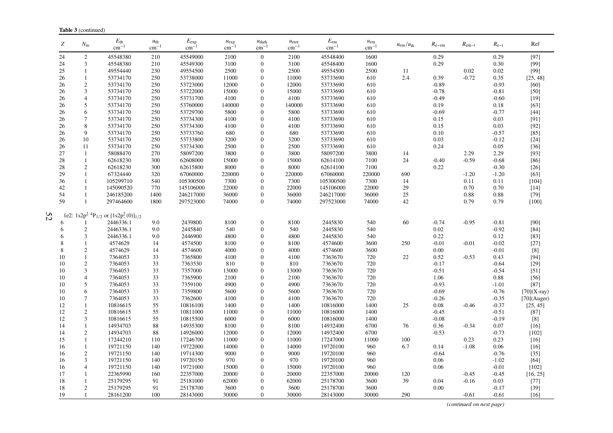| Z        | $N_{\rm m}$                  | $E_{\rm th}$<br>$cm^{-1}$                                   | $u_{\text{th}}$<br>$\text{cm}^{-1}$ | $E_{\rm exp}$<br>cm <sup>-</sup> | $u_{\exp}$<br>$\text{cm}^{-1}$ | $u_{\text{dark}}$<br>$cm^{-}$ | $u_{\text{etot}}$<br>$\rm cm^{-1}$ | $E_{\rm em}$<br>$cm^{-1}$ | $u_{\rm em}$<br>$\rm cm^{-1}$ | $u_{\rm em}/u_{\rm th}$ | $R_{e-em}$ | $R_{\rm em-t}$ | $R_{e-t}$    | Ref              |
|----------|------------------------------|-------------------------------------------------------------|-------------------------------------|----------------------------------|--------------------------------|-------------------------------|------------------------------------|---------------------------|-------------------------------|-------------------------|------------|----------------|--------------|------------------|
| 24       | $\overline{2}$               | 45548380                                                    | 210                                 | 45549000                         | 2100                           | $\mathbf{0}$                  | 2100                               | 45548400                  | 1600                          |                         | 0.29       |                | 0.29         | $[97]$           |
| 24       | $\mathfrak{Z}$               | 45548380                                                    | 210                                 | 45549300                         | 3100                           | $\Omega$                      | 3100                               | 45548400                  | 1600                          |                         | 0.29       |                | 0.30         | [99]             |
| 25       | $\mathbf{1}$                 | 49554440                                                    | 230                                 | 49554500                         | 2500                           | $\Omega$                      | 2500                               | 49554500                  | 2500                          | 11                      |            | 0.02           | 0.02         | $[99]$           |
| 26       | $\mathbf{1}$                 | 53734170                                                    | 250                                 | 53738000                         | 11000                          | 0                             | 11000                              | 53733690                  | 610                           | 2.4                     | 0.39       | $-0.72$        | 0.35         | [25, 48]         |
| 26       | $\overline{2}$               | 53734170                                                    | 250                                 | 53723000                         | 12000                          | 0                             | 12000                              | 53733690                  | 610                           |                         | $-0.89$    |                | $-0.93$      | $[60]$           |
| 26       | 3                            | 53734170                                                    | 250                                 | 53722000                         | 15000                          | $\Omega$                      | 15000                              | 53733690                  | 610                           |                         | $-0.78$    |                | $-0.81$      | $[50]$           |
| 26       | $\overline{4}$               | 53734170                                                    | 250                                 | 53731700                         | 4100                           | $\Omega$                      | 4100                               | 53733690                  | 610                           |                         | $-0.49$    |                | $-0.60$      | $[19]$           |
| 26       | 5                            | 53734170                                                    | 250                                 | 53760000                         | 140000                         | $\Omega$                      | 140000                             | 53733690                  | 610                           |                         | 0.19       |                | 0.18         | $[63]$           |
| 26       | 6                            | 53734170                                                    | 250                                 | 53729700                         | 5800                           | $\Omega$                      | 5800                               | 53733690                  | 610                           |                         | $-0.69$    |                | $-0.77$      | $[44]$           |
| 26       | $\overline{7}$               | 53734170                                                    | 250                                 | 53734300                         | 4100                           | 0                             | 4100                               | 53733690                  | 610                           |                         | 0.15       |                | 0.03         | [91]             |
| 26       | 8                            | 53734170                                                    | 250                                 | 53734300                         | 4100                           | $\Omega$                      | 4100                               | 53733690                  | 610                           |                         | 0.15       |                | 0.03         | $[92]$           |
| 26       | 9                            | 53734170                                                    | 250                                 | 53733760                         | 680                            | $\Omega$                      | 680                                | 53733690                  | 610                           |                         | 0.10       |                | $-0.57$      | $[85]$           |
| 26       | 10                           | 53734170                                                    | 250                                 | 53733800                         | 3200                           | $\overline{0}$                | 3200                               | 53733690                  | 610                           |                         | 0.03       |                | $-0.12$      | $[24]$           |
| 26       | 11                           | 53734170                                                    | 250                                 | 53734300                         | 2500                           | $\Omega$                      | 2500                               | 53733690                  | 610                           |                         | 0.24       |                | 0.05         | $[36]$           |
| 27       | 1                            | 58088470                                                    | 270                                 | 58097200                         | 3800                           | $\Omega$                      | 3800                               | 58097200                  | 3800                          | 14                      |            | 2.29           | 2.29         | [93]             |
| 28       | $\mathbf{1}$                 | 62618230                                                    | 300                                 | 62608000                         | 15000                          | 0                             | 15000                              | 62614100                  | 7100                          | 24                      | $-0.40$    | $-0.59$        | $-0.68$      | $[86]$           |
| 28       | $\overline{2}$               | 62618230                                                    | 300                                 | 62615800                         | 8000                           | $\Omega$                      | 8000                               | 62614100                  | 7100                          |                         | 0.22       |                | $-0.30$      | $[26]$           |
| 29       | $\mathbf{1}$                 | 67324440                                                    | 320                                 | 67060000                         | 220000                         | $\Omega$<br>$\Omega$          | 220000                             | 67060000                  | 220000                        | 690                     |            | $-1.20$        | $-1.20$      | [63]             |
| 36       | $\mathbf{1}$<br>$\mathbf{1}$ | 105299710                                                   | 540                                 | 105300500                        | 7300                           | $\Omega$                      | 7300                               | 105300500                 | 7300                          | 14<br>29                |            | 0.11           | 0.11         | $[104]$          |
| 42<br>54 | $\mathbf{1}$                 | 145090520<br>246185200                                      | 770<br>1400                         | 145106000<br>246217000           | 22000<br>36000                 | 0                             | 22000<br>36000                     | 145106000<br>246217000    | 22000<br>36000                | 25                      |            | 0.70<br>0.88   | 0.70<br>0.88 | $[14]$<br>$[79]$ |
| 59       | $\mathbf{1}$                 | 297464600                                                   | 1800                                | 297523000                        | 74000                          | $\overline{0}$                | 74000                              | 297523000                 | 74000                         | 42                      |            | 0.79           | 0.79         | $[100]$          |
|          |                              |                                                             |                                     |                                  |                                |                               |                                    |                           |                               |                         |            |                |              |                  |
| 52       |                              | 1e2: $1s2p^2$ <sup>4</sup> $P_{1/2}$ or $[1s2p^2(0)]_{1/2}$ |                                     |                                  |                                |                               |                                    |                           |                               |                         |            |                |              |                  |
|          |                              | 2446336.1                                                   | 9.0                                 | 2439800                          | 8100                           | $\overline{0}$                | 8100                               | 2445830                   | 540                           | 60                      | $-0.74$    | $-0.95$        | $-0.81$      | [90]             |
| 6        | $\overline{2}$               | 2446336.1                                                   | 9.0                                 | 2445840                          | 540                            | $\Omega$                      | 540                                | 2445830                   | 540                           |                         | 0.02       |                | $-0.92$      | $[84]$           |
| 6        | 3                            | 2446336.1                                                   | 9.0                                 | 2446900                          | 4800                           | 0                             | 4800                               | 2445830                   | 540                           |                         | 0.22       |                | 0.12         | $[83]$           |
| 8        |                              | 4574629                                                     | 14                                  | 4574500                          | 8100                           | 0                             | 8100                               | 4574600                   | 3600                          | 250                     | $-0.01$    | $-0.01$        | $-0.02$      | $[27]$           |
| 8        | $\overline{2}$               | 4574629                                                     | 14                                  | 4574600                          | 4000                           | $\Omega$                      | 4000                               | 4574600                   | 3600                          |                         | 0.00       |                | $-0.01$      | [8]              |
| 10       | $\mathbf{1}$                 | 7364053                                                     | 33                                  | 7365800                          | 4100                           | $\Omega$                      | 4100                               | 7363670                   | 720                           | $22\,$                  | 0.52       | $-0.53$        | 0.43         | [94]             |
| 10       | $\sqrt{2}$                   | 7364053                                                     | 33                                  | 7363530                          | 810                            | $\overline{0}$                | 810                                | 7363670                   | 720                           |                         | $-0.17$    |                | $-0.64$      | $[29]$           |
| 10       | $\mathfrak{Z}$               | 7364053                                                     | 33                                  | 7357000                          | 13000                          | $\Omega$                      | 13000                              | 7363670                   | 720                           |                         | $-0.51$    |                | $-0.54$      | $[51]$           |
| 10       | $\overline{4}$               | 7364053                                                     | 33                                  | 7365900                          | 2100                           | $\Omega$                      | 2100                               | 7363670                   | 720                           |                         | 1.06       |                | 0.88         | $[56]$           |
| 10       | 5                            | 7364053                                                     | 33                                  | 7359100                          | 4900                           | $\overline{0}$                | 4900                               | 7363670                   | 720                           |                         | $-0.93$    |                | $-1.01$      | $[87]$           |
| 10       | 6                            | 7364053                                                     | 33                                  | 7359800                          | 5600                           | $\Omega$                      | 5600                               | 7363670                   | 720                           |                         | $-0.69$    |                | $-0.76$      | $[70](X-ray)$    |
| 10       | $\overline{7}$               | 7364053                                                     | 33                                  | 7362600                          | 4100                           | $\Omega$                      | 4100                               | 7363670                   | 720                           |                         | $-0.26$    |                | $-0.35$      | $[70]$ (Auger)   |
| 12       | $\mathbf{1}$                 | 10816615                                                    | 55                                  | 10816100                         | 1400                           | $\Omega$                      | 1400                               | 10816000                  | 1400                          | 25                      | 0.08       | $-0.46$        | $-0.37$      | [25, 45]         |
| 12       | $\overline{2}$               | 10816615                                                    | 55                                  | 10811000                         | 11000                          | $\Omega$                      | 11000                              | 10816000                  | 1400                          |                         | $-0.45$    |                | $-0.51$      | $[87]$           |
| 12       | 3                            | 10816615                                                    | 55                                  | 10815500                         | 6000                           | 0                             | 6000                               | 10816000                  | 1400                          |                         | $-0.08$    |                | $-0.19$      | [8]              |
| 14       | $\overline{1}$               | 14934703                                                    | 88                                  | 14935300                         | 8100                           | $\overline{0}$                | 8100                               | 14932400                  | 6700                          | 76                      | 0.36       | $-0.34$        | 0.07         | $[16]$           |
| 14       | $\overline{2}$               | 14934703                                                    | 88                                  | 14926000                         | 12000                          | $\Omega$                      | 12000                              | 14932400                  | 6700                          |                         | $-0.53$    |                | $-0.73$      | [102]            |
| 15       | $\mathbf{1}$                 | 17244210                                                    | 110                                 | 17246700                         | 11000                          | $\overline{0}$                | 11000                              | 17247000                  | 11000                         | 100                     |            | 0.23           | 0.23         | $[16]$           |
| 16       | $\overline{1}$               | 19721150                                                    | 140                                 | 19722000                         | 14000                          | $\Omega$                      | 14000                              | 19720100                  | 960                           | 6.7                     | 0.14       | $-1.08$        | 0.06         | $[16]$           |
| 16       | $\overline{2}$               | 19721150                                                    | 140                                 | 19714300                         | 9000                           | $\Omega$                      | 9000                               | 19720100                  | 960                           |                         | $-0.64$    |                | $-0.76$      | $[35]$           |
| 16       | 3                            | 19721150                                                    | 140                                 | 19720150                         | 970                            | 0                             | 970                                | 19720100                  | 960                           |                         | 0.06       |                | $-1.02$      | $[64]$           |
| 16       | $\overline{4}$               | 19721150                                                    | 140                                 | 19721000                         | 15000                          | $\Omega$                      | 15000                              | 19720100                  | 960                           |                         | 0.06       |                | $-0.01$      | $[102]$          |
| 17       | 1                            | 22365990                                                    | 160                                 | 22357000                         | 20000                          | $\Omega$                      | 20000                              | 22357000                  | 20000                         | 120                     |            | $-0.45$        | $-0.45$      | [16, 25]         |
| 18       |                              | 25179295                                                    | 91                                  | 25181000                         | 62000                          | $\overline{0}$                | 62000                              | 25178700                  | 3600                          | 39                      | 0.04       | $-0.16$        | 0.03         | $[77]$           |
| 18       | $\overline{2}$               | 25179295                                                    | 91                                  | 25178700                         | 3600                           | $\Omega$                      | 3600                               | 25178700                  | 3600                          |                         | 0.00       |                | $-0.17$      | $[39]$           |
| 19       | $\mathbf{1}$                 | 28161200                                                    | 100                                 | 28143000                         | 30000                          | $\theta$                      | 30000                              | 28143000                  | 30000                         | 290                     |            | $-0.61$        | $-0.61$      | $[16]$           |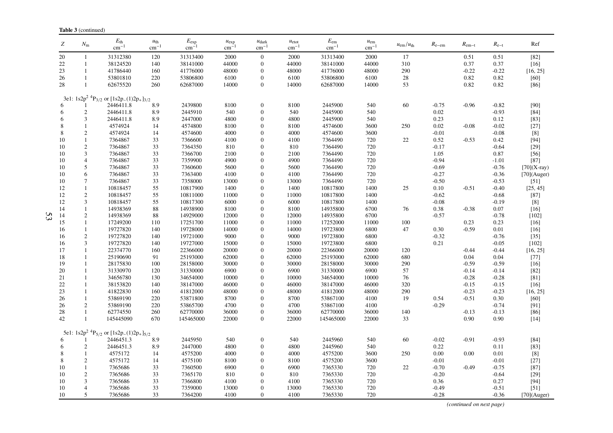|          | <b>Table 3</b> (continued)       |                                                                        |                                     |                           |                        |                                       |                                |                          |                               |                         |                 |                    |                    |                          |
|----------|----------------------------------|------------------------------------------------------------------------|-------------------------------------|---------------------------|------------------------|---------------------------------------|--------------------------------|--------------------------|-------------------------------|-------------------------|-----------------|--------------------|--------------------|--------------------------|
| Z        | $N_{\rm m}$                      | $E_{\rm th}$<br>$\rm cm^{-1}$                                          | $u_{\text{th}}$<br>$\text{cm}^{-1}$ | $E_{\rm exp}$<br>$cm^{-}$ | $u_{\exp}$<br>$cm^{-}$ | $u_{\text{dark}}$<br>$\text{cm}^{-1}$ | $u_{\text{etot}}$<br>$cm^{-1}$ | $E_{\rm em}$<br>$cm^{-}$ | $u_{\rm em}$<br>$\rm cm^{-1}$ | $u_{\rm em}/u_{\rm th}$ | $R_{e-em}$      | $R_{\rm em-t}$     | $R_{\rm e-t}$      | Ref                      |
| 20       | $\mathbf{1}$                     | 31312380                                                               | 120                                 | 31313400                  | 2000                   | $\mathbf{0}$                          | 2000                           | 31313400                 | 2000                          | 17                      |                 | 0.51               | 0.51               | $[82]$                   |
| 22       | $\mathbf{1}$                     | 38124520                                                               | 140                                 | 38141000                  | 44000                  | $\mathbf{0}$                          | 44000                          | 38141000                 | 44000                         | 310                     |                 | 0.37               | 0.37               | $[16]$                   |
| 23       | $\mathbf{1}$                     | 41786440                                                               | 160                                 | 41776000                  | 48000                  | $\mathbf{0}$                          | 48000                          | 41776000                 | 48000                         | 290                     |                 | $-0.22$            | $-0.22$            | [16, 25]                 |
| 26       | 1                                | 53801810                                                               | 220                                 | 53806800                  | 6100                   | $\boldsymbol{0}$                      | 6100                           | 53806800                 | 6100                          | 28                      |                 | 0.82               | 0.82               | [60]                     |
| 28       | $\mathbf{1}$                     | 62675520                                                               | 260                                 | 62687000                  | 14000                  | $\overline{0}$                        | 14000                          | 62687000                 | 14000                         | 53                      |                 | 0.82               | 0.82               | $[86]$                   |
|          |                                  |                                                                        |                                     |                           |                        |                                       |                                |                          |                               |                         |                 |                    |                    |                          |
|          |                                  | 3e1: $1s2p^2$ <sup>4</sup> P <sub>3/2</sub> or $[1s2p_-(1)2p_+]_{3/2}$ |                                     |                           |                        |                                       |                                |                          |                               |                         |                 |                    |                    |                          |
| 6        |                                  | 2446411.8                                                              | 8.9                                 | 2439800                   | 8100                   | $\overline{0}$                        | 8100                           | 2445900                  | 540                           | 60                      | $-0.75$         | $-0.96$            | $-0.82$            | [90]                     |
| 6        | $\sqrt{2}$                       | 2446411.8                                                              | 8.9                                 | 2445910                   | 540                    | $\mathbf{0}$<br>$\mathbf{0}$          | 540                            | 2445900                  | 540                           |                         | $0.02\,$        |                    | $-0.93$            | $[84]$                   |
| 6        | $\mathfrak{Z}$                   | 2446411.8                                                              | 8.9                                 | 2447000                   | 4800                   |                                       | 4800                           | 2445900                  | 540                           |                         | 0.23            |                    | 0.12               | $[83]$                   |
| 8<br>8   | $\mathbf{1}$                     | 4574924                                                                | 14<br>14                            | 4574800                   | 8100                   | $\mathbf{0}$                          | 8100                           | 4574600                  | 3600                          | 250                     | 0.02            | $-0.08$            | $-0.02$            | $[27]$                   |
| 10       | $\mathbf{2}$<br>1                | 4574924<br>7364867                                                     | 33                                  | 4574600<br>7366600        | 4000<br>4100           | $\theta$<br>$\Omega$                  | 4000<br>4100                   | 4574600<br>7364490       | 3600<br>720                   |                         | $-0.01$<br>0.52 | $-0.53$            | $-0.08$<br>0.42    | $[8]$<br>$[94]$          |
| 10       | $\mathbf{2}$                     | 7364867                                                                | 33                                  | 7364350                   | 810                    | $\mathbf{0}$                          | 810                            | 7364490                  | 720                           | $22\,$                  | $-0.17$         |                    | $-0.64$            | $[29]$                   |
|          |                                  |                                                                        |                                     |                           |                        |                                       |                                |                          |                               |                         |                 |                    |                    |                          |
| 10       | 3                                | 7364867                                                                | 33                                  | 7366700                   | 2100                   | $\mathbf{0}$                          | 2100                           | 7364490                  | 720                           |                         | 1.05            |                    | 0.87               | $[56]$                   |
| 10       | $\overline{4}$                   | 7364867                                                                | 33                                  | 7359900                   | 4900                   | $\mathbf{0}$                          | 4900                           | 7364490                  | 720<br>720                    |                         | $-0.94$         |                    | $-1.01$            | $[87]$                   |
| 10       | 5                                | 7364867                                                                | 33<br>33                            | 7360600                   | 5600                   | $\mathbf{0}$<br>$\mathbf{0}$          | 5600                           | 7364490                  | 720                           |                         | $-0.69$         |                    | $-0.76$            | $[70](X-ray)$            |
| 10       | 6                                | 7364867                                                                |                                     | 7363400                   | 4100                   |                                       | 4100                           | 7364490                  |                               |                         | $-0.27$         |                    | $-0.36$            | $[70]$ (Auger)<br>$[51]$ |
| 10       | 7<br>1                           | 7364867                                                                | 33<br>55                            | 7358000                   | 13000                  | $\mathbf{0}$                          | 13000                          | 7364490                  | 720                           |                         | $-0.50$         |                    | $-0.53$            |                          |
| 12       | $\sqrt{2}$                       | 10818457<br>10818457                                                   |                                     | 10817900                  | 1400                   | $\mathbf{0}$<br>$\mathbf{0}$          | 1400                           | 10817800                 | 1400                          | 25                      | 0.10            | $-0.51$            | $-0.40$            | [25, 45]<br>$[87]$       |
| 12       |                                  |                                                                        | 55                                  | 10811000                  | 11000<br>6000          |                                       | 11000                          | 10817800                 | 1400<br>1400                  |                         | $-0.62$         |                    | $-0.68$            | $[8]$                    |
| 12       | 3                                | 10818457                                                               | 55                                  | 10817300                  |                        | $\mathbf{0}$                          | 6000                           | 10817800                 |                               |                         | $-0.08$         |                    | $-0.19$            |                          |
| 14       | $\mathbf{1}$                     | 14938369                                                               | 88                                  | 14938900                  | 8100                   | $\mathbf{0}$                          | 8100                           | 14935800                 | 6700                          | 76                      | 0.38            | $-0.38$            | 0.07               | $[16]$                   |
| 14       | $\boldsymbol{2}$                 | 14938369                                                               | 88                                  | 14929000                  | 12000                  | $\mathbf{0}$                          | 12000                          | 14935800                 | 6700                          |                         | $-0.57$         |                    | $-0.78$            | [102]                    |
| 15       | $\mathbf{1}$                     | 17249200                                                               | 110                                 | 17251700                  | 11000                  | $\mathbf{0}$                          | 11000                          | 17252000                 | 11000                         | 100                     |                 | 0.23               | 0.23               | $[16]$                   |
| 16       | $\mathbf{1}$<br>$\boldsymbol{2}$ | 19727820<br>19727820                                                   | 140<br>140                          | 19728000<br>19721000      | 14000<br>9000          | $\theta$<br>$\mathbf{0}$              | 14000<br>9000                  | 19723800<br>19723800     | 6800<br>6800                  | 47                      | 0.30<br>$-0.32$ | $-0.59$            | 0.01               | $[16]$<br>$[35]$         |
| 16       |                                  |                                                                        |                                     |                           |                        |                                       |                                |                          |                               |                         |                 |                    | $-0.76$            |                          |
| 16       | 3                                | 19727820                                                               | 140                                 | 19727000                  | 15000                  | $\mathbf{0}$                          | 15000                          | 19723800                 | 6800                          |                         | 0.21            |                    | $-0.05$            | [102]                    |
| 17       | 1<br>$\mathbf{1}$                | 22374770<br>25190690                                                   | 160                                 | 22366000<br>25193000      | 20000<br>62000         | $\mathbf{0}$                          | 20000                          | 22366000                 | 20000                         | 120                     |                 | $-0.44$<br>0.04    | $-0.44$            | [16, 25]                 |
| 18       | 1                                |                                                                        | 91                                  | 28158000                  |                        | $\theta$<br>$\mathbf{0}$              | 62000                          | 25193000                 | 62000                         | 680                     |                 |                    | 0.04               | $[77]$                   |
| 19       | $\mathbf{1}$                     | 28175830                                                               | 100                                 |                           | 30000                  |                                       | 30000                          | 28158000                 | 30000                         | 290                     |                 | $-0.59$            | $-0.59$            | $[16]$                   |
| 20       |                                  | 31330970                                                               | 120                                 | 31330000                  | 6900                   | $\mathbf{0}$                          | 6900                           | 31330000                 | 6900                          | 57                      |                 | $-0.14$            | $-0.14$            | $[82]$                   |
| 21<br>22 | 1<br>$\mathbf{1}$                | 34656780                                                               | 130<br>140                          | 34654000<br>38147000      | 10000<br>46000         | $\mathbf{0}$<br>$\mathbf{0}$          | 10000<br>46000                 | 34654000                 | 10000<br>46000                | 76                      |                 | $-0.28$<br>$-0.15$ | $-0.28$<br>$-0.15$ | [81]                     |
|          | 1                                | 38153820                                                               |                                     |                           |                        | $\mathbf{0}$                          |                                | 38147000                 | 48000                         | 320                     |                 |                    |                    | $[16]$                   |
| 23       |                                  | 41822830                                                               | 160<br>220                          | 41812000<br>53871800      | 48000                  | $\mathbf{0}$                          | 48000                          | 41812000                 |                               | 290                     |                 | $-0.23$            | $-0.23$            | [16, 25]                 |
| 26       | $\mathbf{1}$                     | 53869190                                                               |                                     |                           | 8700<br>4700           |                                       | 8700                           | 53867100                 | 4100<br>4100                  | 19                      | 0.54<br>$-0.29$ | $-0.51$            | 0.30               | [60]                     |
| 26       | $\overline{c}$                   | 53869190                                                               | 220                                 | 53865700                  |                        | $\mathbf{0}$                          | 4700                           | 53867100                 |                               |                         |                 |                    | $-0.74$            | $[91]$                   |
| 28<br>42 | $\mathbf{1}$<br>1                | 62774550                                                               | 260<br>670                          | 62770000                  | 36000                  | $\mathbf{0}$<br>$\theta$              | 36000                          | 62770000                 | 36000                         | 140                     |                 | $-0.13$<br>0.90    | $-0.13$<br>0.90    | [86]                     |
|          |                                  | 145445090                                                              |                                     | 145465000                 | 22000                  |                                       | 22000                          | 145465000                | 22000                         | 33                      |                 |                    |                    | $[14]$                   |
|          |                                  | 5e1: $1s2p^2$ <sup>4</sup> P <sub>5/2</sub> or $[1s2p_-(1)2p_+]_{5/2}$ |                                     |                           |                        |                                       |                                |                          |                               |                         |                 |                    |                    |                          |
| 6        | $\mathbf{1}$                     | 2446451.3                                                              | 8.9                                 | 2445950                   | 540                    | $\boldsymbol{0}$                      | 540                            | 2445960                  | 540                           | 60                      | $-0.02$         | $-0.91$            | $-0.93$            | $[84]$                   |
| 6        | $\overline{c}$                   | 2446451.3                                                              | 8.9                                 | 2447000                   | 4800                   | $\boldsymbol{0}$                      | 4800                           | 2445960                  | 540                           |                         | 0.22            |                    | 0.11               | $[83]$                   |
| 8        | $\mathbf{1}$                     | 4575172                                                                | 14                                  | 4575200                   | 4000                   | $\mathbf{0}$                          | 4000                           | 4575200                  | 3600                          | 250                     | 0.00            | 0.00               | 0.01               | $[8]$                    |
| 8        | $\overline{2}$                   | 4575172                                                                | 14                                  | 4575100                   | 8100                   | $\mathbf{0}$                          | 8100                           | 4575200                  | 3600                          |                         | $-0.01$         |                    | $-0.01$            | [27]                     |
| 10       | $\mathbf{1}$                     | 7365686                                                                | 33                                  | 7360500                   | 6900                   | $\mathbf{0}$                          | 6900                           | 7365330                  | 720                           | 22                      | $-0.70$         | $-0.49$            | $-0.75$            | $[87]$                   |
| 10       | $\overline{2}$                   | 7365686                                                                | 33                                  | 7365170                   | 810                    | $\mathbf{0}$                          | 810                            | 7365330                  | 720                           |                         | $-0.20$         |                    | $-0.64$            | $[29]$                   |
| 10       | 3                                | 7365686                                                                | 33                                  | 7366800                   | 4100                   | $\theta$                              | 4100                           | 7365330                  | 720                           |                         | 0.36            |                    | 0.27               | $[94]$                   |
| 10       | $\overline{4}$                   | 7365686                                                                | 33                                  | 7359000                   | 13000                  | $\Omega$                              | 13000                          | 7365330                  | 720                           |                         | $-0.49$         |                    | $-0.51$            | $[51]$                   |
| 10       | 5                                | 7365686                                                                | 33                                  | 7364200                   | 4100                   | $\overline{0}$                        | 4100                           | 7365330                  | 720                           |                         | $-0.28$         |                    | $-0.36$            | $[70]$ (Auger)           |

*(continued on next page)*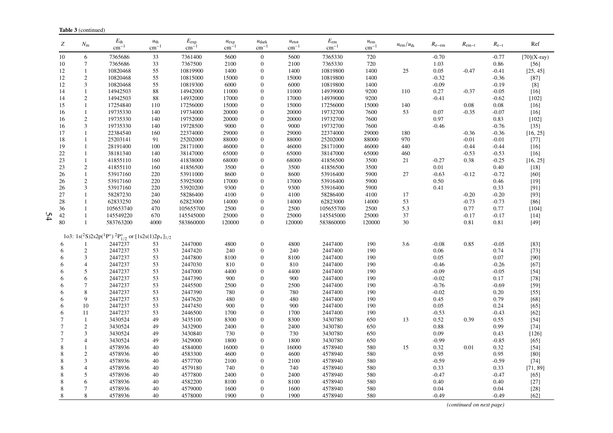| Z              | $N_{\rm m}$    | $E_{\rm th}$<br>$cm^{-1}$                                                              | $u_{\text{th}}$<br>$\rm cm^{-1}$ | $E_{\rm exp}$<br>$\text{cm}^{-1}$ | $u_{\exp}$<br>$cm^{-}$ | $u_{\text{dark}}$<br>$\rm cm^{-1}$ | $u_{\text{etot}}$<br>$\rm cm^{-1}$ | $E_{\rm em}$<br>$\rm cm^{-1}$ | $u_{\rm em}$<br>$cm^{-1}$ | $u_{\rm em}/u_{\rm th}$ | $R_{\rm e-em}$ | $R_{\rm em-t}$ | $R_{e-t}$ | Ref           |
|----------------|----------------|----------------------------------------------------------------------------------------|----------------------------------|-----------------------------------|------------------------|------------------------------------|------------------------------------|-------------------------------|---------------------------|-------------------------|----------------|----------------|-----------|---------------|
| 10             | 6              | 7365686                                                                                | 33                               | 7361400                           | 5600                   | $\overline{0}$                     | 5600                               | 7365330                       | 720                       |                         | $-0.70$        |                | $-0.77$   | $[70](X-ray)$ |
| 10             | 7              | 7365686                                                                                | 33                               | 7367500                           | 2100                   | $\mathbf{0}$                       | 2100                               | 7365330                       | 720                       |                         | 1.03           |                | 0.86      | $[56]$        |
| 12             | 1              | 10820468                                                                               | 55                               | 10819900                          | 1400                   | $\overline{0}$                     | 1400                               | 10819800                      | 1400                      | 25                      | $0.05\,$       | $-0.47$        | $-0.41$   | [25, 45]      |
| 12             | $\overline{c}$ | 10820468                                                                               | 55                               | 10815000                          | 15000                  | $\Omega$                           | 15000                              | 10819800                      | 1400                      |                         | $-0.32$        |                | $-0.36$   | $[87]$        |
| 12             | $\mathfrak{Z}$ | 10820468                                                                               | 55                               | 10819300                          | 6000                   | $\Omega$                           | 6000                               | 10819800                      | 1400                      |                         | $-0.09$        |                | $-0.19$   | $[8]$         |
| 14             | $\mathbf{1}$   | 14942503                                                                               | 88                               | 14942000                          | 11000                  | $\Omega$                           | 11000                              | 14939000                      | 9200                      | 110                     | 0.27           | $-0.37$        | $-0.05$   | $[16]$        |
| 14             | $\mathbf{2}$   | 14942503                                                                               | 88                               | 14932000                          | 17000                  | $\Omega$                           | 17000                              | 14939000                      | 9200                      |                         | $-0.41$        |                | $-0.62$   | $[102]$       |
| 15             | $\mathbf{1}$   | 17254840                                                                               | 110                              | 17256000                          | 15000                  | $\Omega$                           | 15000                              | 17256000                      | 15000                     | 140                     |                | 0.08           | $0.08\,$  | [16]          |
| 16             | $\mathbf{1}$   | 19735330                                                                               | 140                              | 19734000                          | 20000                  | $\overline{0}$                     | 20000                              | 19732700                      | 7600                      | 53                      | 0.07           | $-0.35$        | $-0.07$   | $[16]$        |
| 16             | $\mathbf{2}$   | 19735330                                                                               | 140                              | 19752000                          | 20000                  | $\overline{0}$                     | 20000                              | 19732700                      | 7600                      |                         | 0.97           |                | 0.83      | $[102]$       |
| 16             | 3              | 19735330                                                                               | 140                              | 19728500                          | 9000                   | $\Omega$                           | 9000                               | 19732700                      | 7600                      |                         | $-0.46$        |                | $-0.76$   | $[35]$        |
| 17             | 1              | 22384540                                                                               | 160                              | 22374000                          | 29000                  | $\Omega$                           | 29000                              | 22374000                      | 29000                     | 180                     |                | $-0.36$        | $-0.36$   | [16, 25]      |
| 18             | $\mathbf{1}$   | 25203141                                                                               | 91                               | 25202000                          | 88000                  | $\Omega$                           | 88000                              | 25202000                      | 88000                     | 970                     |                | $-0.01$        | $-0.01$   | $[77]$        |
| 19             | 1              | 28191400                                                                               | 100                              | 28171000                          | 46000                  | $\Omega$                           | 46000                              | 28171000                      | 46000                     | 440                     |                | $-0.44$        | $-0.44$   | $[16]$        |
| 22             | 1              | 38181340                                                                               | 140                              | 38147000                          | 65000                  | $\Omega$                           | 65000                              | 38147000                      | 65000                     | 460                     |                | $-0.53$        | $-0.53$   | $[16]$        |
| 23             | $\mathbf{1}$   | 41855110                                                                               | 160                              | 41838000                          | 68000                  | $\Omega$                           | 68000                              | 41856500                      | 3500                      | 21                      | $-0.27$        | 0.38           | $-0.25$   | [16, 25]      |
| 23             | $\overline{c}$ | 41855110                                                                               | 160                              | 41856500                          | 3500                   | $\overline{0}$                     | 3500                               | 41856500                      | 3500                      |                         | 0.01           |                | 0.40      | $[18]$        |
| 26             | $\mathbf{1}$   | 53917160                                                                               | 220                              | 53911000                          | 8600                   | $\Omega$                           | 8600                               | 53916400                      | 5900                      | 27                      | $-0.63$        | $-0.12$        | $-0.72$   | [60]          |
| 26             | $\mathbf{2}$   | 53917160                                                                               | 220                              | 53925000                          | 17000                  | $\Omega$                           | 17000                              | 53916400                      | 5900                      |                         | 0.50           |                | 0.46      | $[19]$        |
| 26             | 3              | 53917160                                                                               | 220                              | 53920200                          | 9300                   | $\overline{0}$                     | 9300                               | 53916400                      | 5900                      |                         | 0.41           |                | 0.33      | [91]          |
| 27             | $\mathbf{1}$   | 58287230                                                                               | 240                              | 58286400                          | 4100                   | $\Omega$                           | 4100                               | 58286400                      | 4100                      | 17                      |                | $-0.20$        | $-0.20$   | $[93]$        |
| 28             | 1              | 62833250                                                                               | 260                              | 62823000                          | 14000                  | $\Omega$                           | 14000                              | 62823000                      | 14000                     | 53                      |                | $-0.73$        | $-0.73$   | $[86]$        |
| 36             | $\mathbf{1}$   | 105653740                                                                              | 470                              | 105655700                         | 2500                   | $\Omega$                           | 2500                               | 105655700                     | 2500                      | 5.3                     |                | 0.77           | 0.77      | $[104]$       |
| 42             | $\mathbf{1}$   | 145549220                                                                              | 670                              | 145545000                         | 25000                  | $\boldsymbol{0}$                   | 25000                              | 145545000                     | 25000                     | 37                      |                | $-0.17$        | $-0.17$   | $[14]$        |
| 80             | $\mathbf{1}$   | 583763200                                                                              | 4000                             | 583860000                         | 120000                 | $\boldsymbol{0}$                   | 120000                             | 583860000                     | 120000                    | 30                      |                | 0.81           | 0.81      | $[49]$        |
|                |                | 1o3: $1s(^{2}S)2s2p(^{1}P^{\circ})$ ${}^{2}P_{1/2}^{\circ}$ or $[1s2s(1)2p_{+}]_{1/2}$ |                                  |                                   |                        |                                    |                                    |                               |                           |                         |                |                |           |               |
| 6              | -1             | 2447237                                                                                | 53                               | 2447000                           | 4800                   | $\boldsymbol{0}$                   | 4800                               | 2447400                       | 190                       | 3.6                     | $-0.08$        | 0.85           | $-0.05$   | $[83]$        |
| 6              | $\mathfrak{2}$ | 2447237                                                                                | 53                               | 2447420                           | 240                    | $\overline{0}$                     | 240                                | 2447400                       | 190                       |                         | 0.06           |                | 0.74      | $[73]$        |
| 6              | 3              | 2447237                                                                                | 53                               | 2447800                           | 8100                   | $\Omega$                           | 8100                               | 2447400                       | 190                       |                         | 0.05           |                | 0.07      | [90]          |
| 6              | 4              | 2447237                                                                                | 53                               | 2447030                           | 810                    | $\Omega$                           | 810                                | 2447400                       | 190                       |                         | $-0.46$        |                | $-0.26$   | $[67]$        |
| 6              | 5              | 2447237                                                                                | 53                               | 2447000                           | 4400                   | $\overline{0}$                     | 4400                               | 2447400                       | 190                       |                         | $-0.09$        |                | $-0.05$   | $[54]$        |
| 6              | 6              | 2447237                                                                                | 53                               | 2447390                           | 900                    | $\overline{0}$                     | 900                                | 2447400                       | 190                       |                         | $-0.02$        |                | 0.17      | $[78]$        |
| 6              | 7              | 2447237                                                                                | 53                               | 2445500                           | 2500                   | $\Omega$                           | 2500                               | 2447400                       | 190                       |                         | $-0.76$        |                | $-0.69$   | $[59]$        |
| 6              | 8              | 2447237                                                                                | 53                               | 2447390                           | 780                    | $\Omega$                           | 780                                | 2447400                       | 190                       |                         | $-0.02$        |                | 0.20      | $[55]$        |
| 6              | 9              | 2447237                                                                                | 53                               | 2447620                           | 480                    | $\Omega$                           | 480                                | 2447400                       | 190                       |                         | 0.45           |                | 0.79      | $[68]$        |
| 6              | 10             | 2447237                                                                                | 53                               | 2447450                           | 900                    | $\Omega$                           | 900                                | 2447400                       | 190                       |                         | 0.05           |                | 0.24      | $[65]$        |
| 6              | 11             | 2447237                                                                                | 53                               | 2446500                           | 1700                   | $\Omega$                           | 1700                               | 2447400                       | 190                       |                         | $-0.53$        |                | $-0.43$   | $[62]$        |
| 7              | -1             | 3430524                                                                                | 49                               | 3435100                           | 8300                   | $\overline{0}$                     | 8300                               | 3430780                       | 650                       | 13                      | 0.52           | 0.39           | 0.55      | $[54]$        |
| 7              | $\overline{c}$ | 3430524                                                                                | 49                               | 3432900                           | 2400                   | $\overline{0}$                     | 2400                               | 3430780                       | 650                       |                         | 0.88           |                | 0.99      | $[74]$        |
| 7              | 3              | 3430524                                                                                | 49                               | 3430840                           | 730                    | $\Omega$                           | 730                                | 3430780                       | 650                       |                         | 0.09           |                | 0.43      | $[126]$       |
| $\overline{7}$ | 4              | 3430524                                                                                | 49                               | 3429000                           | 1800                   | $\Omega$                           | 1800                               | 3430780                       | 650                       |                         | $-0.99$        |                | $-0.85$   | [65]          |
| 8              | 1              | 4578936                                                                                | 40                               | 4584000                           | 16000                  | $\overline{0}$                     | 16000                              | 4578940                       | 580                       | 15                      | 0.32           | 0.01           | 0.32      | $[54]$        |
| 8              | $\overline{c}$ | 4578936                                                                                | 40                               | 4583300                           | 4600                   | $\overline{0}$                     | 4600                               | 4578940                       | 580                       |                         | 0.95           |                | 0.95      | [80]          |
| 8              | $\mathfrak{Z}$ | 4578936                                                                                | 40                               | 4577700                           | 2100                   | $\Omega$                           | 2100                               | 4578940                       | 580                       |                         | $-0.59$        |                | $-0.59$   | $[74]$        |
| 8              | $\overline{4}$ | 4578936                                                                                | 40                               | 4579180                           | 740                    | $\Omega$                           | 740                                | 4578940                       | 580                       |                         | 0.33           |                | 0.33      | [71, 89]      |
| 8              | 5              | 4578936                                                                                | 40                               | 4577800                           | 2400                   | $\Omega$                           | 2400                               | 4578940                       | 580                       |                         | $-0.47$        |                | $-0.47$   | $[65]$        |
| 8              | 6              | 4578936                                                                                | 40                               | 4582200                           | 8100                   | $\Omega$                           | 8100                               | 4578940                       | 580                       |                         | 0.40           |                | 0.40      | $[27]$        |
| 8              | $\overline{7}$ | 4578936                                                                                | 40                               | 4579000                           | 1600                   | $\overline{0}$                     | 1600                               | 4578940                       | 580                       |                         | 0.04           |                | 0.04      | $[28]$        |
| 8              | 8              | 4578936                                                                                | 40                               | 4578000                           | 1900                   | $\overline{0}$                     | 1900                               | 4578940                       | 580                       |                         | $-0.49$        |                | $-0.49$   | [62]          |
|                |                |                                                                                        |                                  |                                   |                        |                                    |                                    |                               |                           |                         |                |                |           |               |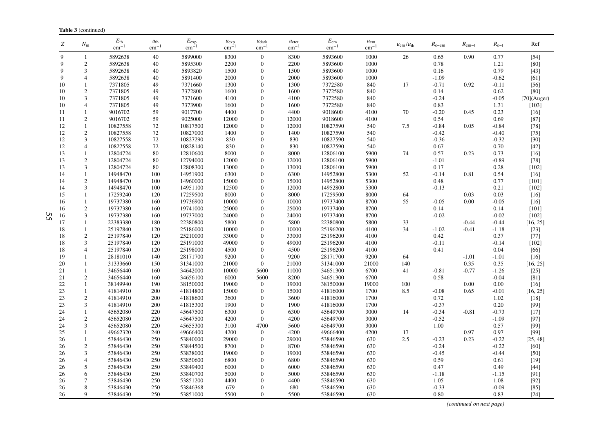| Ζ        | $N_{\rm m}$                      | $E_{\text{th}}$<br>$cm^{-1}$ | $u_{\text{th}}$<br>$cm^{-1}$ | $E_{\rm exp}$<br>cm <sup>-</sup> | $u_{\exp}$<br>$cm^{-}$ | $u_{\text{dark}}$<br>$cm^{-1}$     | $u_{\text{etot}}$<br>$\rm cm^{-1}$ | $E_{\rm em}$<br>$cm^{-1}$ | $u_{\rm em}$<br>$\rm cm^{-1}$ | $u_{\rm em}/u_{\rm th}$ | $R_{e-em}$      | $R_{\rm em-t}$ | $R_{e-t}$       | Ref            |
|----------|----------------------------------|------------------------------|------------------------------|----------------------------------|------------------------|------------------------------------|------------------------------------|---------------------------|-------------------------------|-------------------------|-----------------|----------------|-----------------|----------------|
| 9        | -1                               | 5892638                      | 40                           | 5899000                          | 8300                   | $\boldsymbol{0}$                   | 8300                               | 5893600                   | 1000                          | 26                      | 0.65            | 0.90           | 0.77            | $[54]$         |
| 9        | $\overline{c}$                   | 5892638                      | 40                           | 5895300                          | 2200                   | $\boldsymbol{0}$                   | 2200                               | 5893600                   | 1000                          |                         | 0.78            |                | 1.21            | [80]           |
| 9        | 3                                | 5892638                      | 40                           | 5893820                          | 1500                   | $\overline{0}$                     | 1500                               | 5893600                   | 1000                          |                         | 0.16            |                | 0.79            | [43]           |
| 9        | 4                                | 5892638                      | 40                           | 5891400                          | 2000                   | $\boldsymbol{0}$                   | 2000                               | 5893600                   | 1000                          |                         | $-1.09$         |                | $-0.62$         | [61]           |
| 10       | $\mathbf{1}$                     | 7371805                      | 49                           | 7371660                          | 1300                   | $\overline{0}$                     | 1300                               | 7372580                   | 840                           | 17                      | $-0.71$         | 0.92           | $-0.11$         | $[56]$         |
| 10       | $\overline{2}$                   | 7371805                      | 49                           | 7372800                          | 1600                   | $\overline{0}$                     | 1600                               | 7372580                   | 840                           |                         | 0.14            |                | 0.62            | [80]           |
| 10       | 3                                | 7371805                      | 49                           | 7371600                          | 4100                   | $\boldsymbol{0}$                   | 4100                               | 7372580                   | 840                           |                         | $-0.24$         |                | $-0.05$         | $[70]$ (Auger) |
| 10       | 4                                | 7371805                      | 49                           | 7373900                          | 1600                   | $\overline{0}$                     | 1600                               | 7372580                   | 840                           |                         | 0.83            |                | 1.31            | [103]          |
| 11       | $\mathbf{1}$                     | 9016702                      | 59                           | 9017700                          | 4400                   | $\boldsymbol{0}$                   | 4400                               | 9018600                   | 4100                          | 70                      | $-0.20$         | 0.45           | 0.23            | $[16]$         |
| 11       | $\overline{c}$                   | 9016702                      | 59                           | 9025000                          | 12000                  | $\boldsymbol{0}$                   | 12000                              | 9018600                   | 4100                          |                         | 0.54            |                | 0.69            | $[87]$         |
| 12       | $\mathbf{1}$                     | 10827558                     | 72                           | 10817500                         | 12000                  | $\overline{0}$                     | 12000                              | 10827590                  | 540                           | 7.5                     | $-0.84$         | 0.05           | $-0.84$         | $[78]$         |
| 12       | $\overline{c}$                   | 10827558                     | 72                           | 10827000                         | 1400                   | $\boldsymbol{0}$                   | 1400                               | 10827590                  | 540                           |                         | $-0.42$         |                | $-0.40$         | $[75]$         |
| 12       | 3                                | 10827558                     | 72                           | 10827290                         | 830                    | $\overline{0}$                     | 830                                | 10827590                  | 540                           |                         | $-0.36$         |                | $-0.32$         | $[30]$         |
| 12       | $\overline{4}$                   | 10827558                     | 72                           | 10828140                         | 830                    | $\overline{0}$                     | 830                                | 10827590                  | 540                           |                         | 0.67            |                | 0.70            | $[42]$         |
| 13       | $\mathbf{1}$                     | 12804724                     | 80                           | 12810600                         | 8000                   | $\boldsymbol{0}$                   | 8000                               | 12806100                  | 5900                          | 74                      | 0.57            | 0.23           | 0.73            | $[16]$         |
| 13       | $\mathbf{2}$                     | 12804724                     | 80                           | 12794000                         | 12000                  | 0                                  | 12000                              | 12806100                  | 5900                          |                         | $-1.01$         |                | $-0.89$         | $[78]$         |
| 13       | $\mathfrak{Z}$                   | 12804724                     | 80                           | 12808300                         | 13000                  | $\overline{0}$                     | 13000                              | 12806100                  | 5900                          |                         | 0.17            |                | 0.28            | $[102]$        |
| 14       | $\mathbf{1}$                     | 14948470                     | 100                          | 14951900                         | 6300                   | $\overline{0}$                     | 6300                               | 14952800                  | 5300                          | 52                      | $-0.14$         | 0.81           | 0.54            | $[16]$         |
| 14       | $\sqrt{2}$                       | 14948470                     | 100                          | 14960000                         | 15000                  | $\overline{0}$                     | 15000                              | 14952800                  | 5300                          |                         | 0.48            |                | 0.77            | $[101]$        |
| 14       | $\mathfrak{Z}$                   | 14948470                     | 100                          | 14951100                         | 12500                  | $\overline{0}$                     | 12000                              | 14952800                  | 5300                          |                         | $-0.13$         |                | 0.21            | $[102]$        |
| 15       | 1                                | 17259240                     | 120                          | 17259500                         | 8000                   | $\overline{0}$                     | 8000                               | 17259500                  | 8000                          | 64                      |                 | 0.03           | 0.03            | $[16]$         |
| 16       | $\mathbf{1}$                     | 19737380                     | 160                          | 19736900                         | 10000                  | $\boldsymbol{0}$                   | 10000                              | 19737400                  | 8700                          | 55                      | $-0.05$         | 0.00           | $-0.05$         | $[16]$         |
| 16       | $\sqrt{2}$                       | 19737380                     | 160                          | 19741000                         | 25000                  | $\boldsymbol{0}$                   | 25000                              | 19737400                  | 8700                          |                         | 0.14            |                | 0.14            | $[101]$        |
| 16       | 3                                | 19737380                     | 160                          | 19737000                         | 24000                  | $\overline{0}$                     | 24000                              | 19737400                  | 8700                          |                         | $-0.02$         |                | $-0.02$         | $[102]$        |
| 17       | $\mathbf{1}$                     | 22383380                     | 180                          | 22380800                         | 5800                   | $\boldsymbol{0}$                   | 5800                               | 22380800                  | 5800                          | 33                      |                 | $-0.44$        | $-0.44$         | [16, 25]       |
| 18       | $\mathbf{1}$                     | 25197840                     | 120                          | 25186000                         | 10000                  | $\overline{0}$                     | 10000                              | 25196200                  | 4100                          | 34                      | $-1.02$         | $-0.41$        | $-1.18$         | $[23]$         |
| 18       | $\sqrt{2}$                       | 25197840                     | 120                          | 25210000                         | 33000                  | $\overline{0}$                     | 33000                              | 25196200                  | 4100                          |                         | 0.42            |                | 0.37            | $[77]$         |
| 18       | 3                                | 25197840                     | 120                          | 25191000                         | 49000                  | 0                                  | 49000                              | 25196200                  | 4100                          |                         | $-0.11$         |                | $-0.14$         | $[102]$        |
| 18       | 4                                | 25197840                     | 120                          | 25198000                         | 4500                   | $\overline{0}$                     | 4500                               | 25196200                  | 4100                          |                         | 0.41            |                | 0.04            | [66]           |
| 19       | $\mathbf{1}$                     | 28181010                     | 140                          | 28171700                         | 9200                   | $\boldsymbol{0}$                   | 9200                               | 28171700                  | 9200                          | 64                      |                 | $-1.01$        | $-1.01$         | $[16]$         |
| 20       | $\mathbf{1}$                     | 31333660                     | 150                          | 31341000                         | 21000                  | $\mathbf{0}$                       | 21000                              | 31341000                  | 21000                         | 140                     |                 | 0.35           | 0.35            | [16, 25]       |
| 21       | $\mathbf{1}$                     | 34656440                     | 160                          | 34642000                         | 10000                  | 5600                               | 11000                              | 34651300                  | 6700                          | 41                      | $-0.81$         | $-0.77$        | $-1.26$         | $[25]$         |
| 21       | $\overline{c}$                   | 34656440                     | 160                          | 34656100                         | 6000                   | 5600                               | 8200                               | 34651300                  | 6700                          |                         | 0.58            |                | $-0.04$         | [81]           |
| 22       | $\mathbf{1}$                     | 38149940                     | 190                          | 38150000                         | 19000                  | $\mathbf{0}$                       | 19000                              | 38150000                  | 19000                         | 100                     |                 | 0.00           | 0.00            | $[16]$         |
| 23       | $\mathbf{1}$                     | 41814910                     | 200                          | 41814800                         | 15000                  | $\overline{0}$                     | 15000                              | 41816000                  | 1700                          | 8.5                     | $-0.08$         | 0.65           | $-0.01$         | [16, 25]       |
| 23       | $\overline{c}$<br>$\mathfrak{Z}$ | 41814910<br>41814910         | 200<br>200                   | 41818600<br>41815300             | 3600                   | $\boldsymbol{0}$<br>$\overline{0}$ | 3600<br>1900                       | 41816000                  | 1700<br>1700                  |                         | 0.72<br>$-0.37$ |                | 1.02<br>0.20    | $[18]$<br>[99] |
| 23<br>24 | $\mathbf{1}$                     | 45652080                     | 220                          | 45647500                         | 1900<br>6300           | $\boldsymbol{0}$                   | 6300                               | 41816000<br>45649700      | 3000                          | 14                      | $-0.34$         | $-0.81$        | $-0.73$         |                |
| 24       |                                  |                              |                              |                                  |                        | $\overline{0}$                     |                                    |                           |                               |                         |                 |                |                 | $[17]$         |
|          | $\overline{c}$<br>$\mathfrak{Z}$ | 45652080<br>45652080         | 220<br>220                   | 45647500<br>45655300             | 4200<br>3100           | 4700                               | 4200<br>5600                       | 45649700<br>45649700      | 3000<br>3000                  |                         | $-0.52$<br>1.00 |                | $-1.09$<br>0.57 | $[97]$<br>[99] |
| 24<br>25 | $\mathbf{1}$                     | 49662320                     | 240                          | 49666400                         | 4200                   | $\mathbf{0}$                       | 4200                               | 49666400                  | 4200                          | 17                      |                 | 0.97           | 0.97            | [99]           |
| 26       | $\mathbf{1}$                     | 53846430                     | 250                          | 53840000                         | 29000                  | $\overline{0}$                     | 29000                              | 53846590                  | 630                           | 2.5                     | $-0.23$         | 0.23           | $-0.22$         | [25, 48]       |
| 26       | $\sqrt{2}$                       | 53846430                     | 250                          | 53844500                         | 8700                   | $\overline{0}$                     | 8700                               | 53846590                  | 630                           |                         | $-0.24$         |                | $-0.22$         | $[60]$         |
| 26       | 3                                | 53846430                     | 250                          | 53838000                         | 19000                  | $\boldsymbol{0}$                   | 19000                              | 53846590                  | 630                           |                         | $-0.45$         |                | $-0.44$         | $[50]$         |
| 26       | 4                                | 53846430                     | 250                          | 53850600                         | 6800                   | 0                                  | 6800                               | 53846590                  | 630                           |                         | 0.59            |                | 0.61            | [19]           |
| 26       | 5                                | 53846430                     | 250                          | 53849400                         | 6000                   | $\overline{0}$                     | 6000                               | 53846590                  | 630                           |                         | 0.47            |                | 0.49            | $[44]$         |
| 26       | 6                                | 53846430                     | 250                          | 53840700                         | 5000                   | $\Omega$                           | 5000                               | 53846590                  | 630                           |                         | $-1.18$         |                | $-1.15$         | [91]           |
| 26       | 7                                | 53846430                     | 250                          | 53851200                         | 4400                   | $\overline{0}$                     | 4400                               | 53846590                  | 630                           |                         | 1.05            |                | 1.08            | $[92]$         |
| 26       | 8                                | 53846430                     | 250                          | 53846368                         | 679                    | $\overline{0}$                     | 680                                | 53846590                  | 630                           |                         | $-0.33$         |                | $-0.09$         | $[85]$         |
| 26       | 9                                | 53846430                     | 250                          | 53851000                         | 5500                   | $\overline{0}$                     | 5500                               | 53846590                  | 630                           |                         | 0.80            |                | 0.83            | $[24]$         |
|          |                                  |                              |                              |                                  |                        |                                    |                                    |                           |                               |                         |                 |                |                 |                |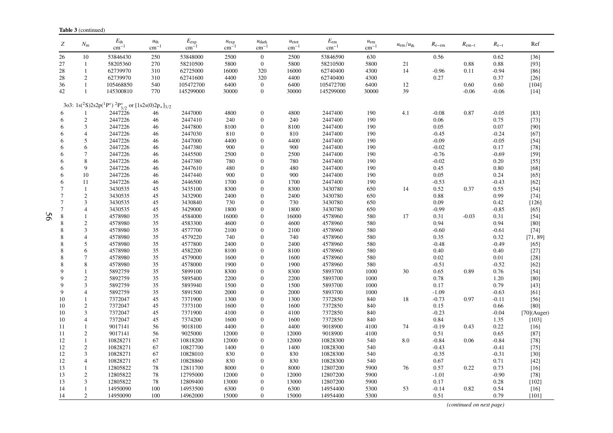|                 | <b>Table 3</b> (continued)  |                                                                                                                          |                                  |                                  |                        |                                |                               |                               |                               |                         |            |                |               |                |
|-----------------|-----------------------------|--------------------------------------------------------------------------------------------------------------------------|----------------------------------|----------------------------------|------------------------|--------------------------------|-------------------------------|-------------------------------|-------------------------------|-------------------------|------------|----------------|---------------|----------------|
| Z               | $N_{\rm m}$                 | $E_{\rm th}$<br>$\rm cm^{-1}$                                                                                            | $u_{\text{th}}$<br>$\rm cm^{-1}$ | $E_{\rm exp}$<br>cm <sup>-</sup> | $u_{\exp}$<br>$cm^{-}$ | $u_{\text{dark}}$<br>$cm^{-1}$ | $u_{\text{etot}}$<br>$cm^{-}$ | $E_{\rm em}$<br>$\rm cm^{-1}$ | $u_{\rm em}$<br>$\rm cm^{-1}$ | $u_{\rm em}/u_{\rm th}$ | $R_{e-em}$ | $R_{\rm em-t}$ | $R_{\rm e-t}$ | Ref            |
| 26              | 10                          | 53846430                                                                                                                 | 250                              | 53848000                         | 2500                   | $\mathbf{0}$                   | 2500                          | 53846590                      | 630                           |                         | 0.56       |                | 0.62          | $[36]$         |
| 27              | $\mathbf{1}$                | 58205360                                                                                                                 | 270                              | 58210500                         | 5800                   | $\mathbf{0}$                   | 5800                          | 58210500                      | 5800                          | 21                      |            | 0.88           | 0.88          | [93]           |
| 28              | $\mathbf{1}$                | 62739970                                                                                                                 | 310                              | 62725000                         | 16000                  | 320                            | 16000                         | 62740400                      | 4300                          | 14                      | $-0.96$    | 0.11           | $-0.94$       | $[86]$         |
| 28              | $\overline{2}$              | 62739970                                                                                                                 | 310                              | 62741600                         | 4400                   | 320                            | 4400                          | 62740400                      | 4300                          |                         | 0.27       |                | 0.37          | $[26]$         |
| 36              | $\mathbf{1}$                | 105468850                                                                                                                | 540                              | 105472700                        | 6400                   | $\overline{0}$                 | 6400                          | 105472700                     | 6400                          | 12                      |            | 0.60           | 0.60          | $[104]$        |
| 42              | $\mathbf{1}$                | 145300810                                                                                                                | 770                              | 145299000                        | 30000                  | $\mathbf{0}$                   | 30000                         | 145299000                     | 30000                         | 39                      |            | $-0.06$        | $-0.06$       | $[14]$         |
|                 |                             |                                                                                                                          |                                  |                                  |                        |                                |                               |                               |                               |                         |            |                |               |                |
|                 |                             | 3o3: 1s( <sup>2</sup> S)2s2p( <sup>1</sup> P°) <sup>2</sup> P <sub>3/2</sub> or [1s2s(0)2p <sub>+</sub> ] <sub>3/2</sub> |                                  |                                  |                        |                                |                               |                               |                               |                         |            |                |               |                |
| 6               |                             | 2447226                                                                                                                  | 46                               | 2447000                          | 4800                   | $\mathbf{0}$                   | 4800                          | 2447400                       | 190                           | 4.1                     | $-0.08$    | 0.87           | $-0.05$       | $[83]$         |
| 6               | $\sqrt{2}$                  | 2447226                                                                                                                  | 46                               | 2447410                          | 240                    | $\boldsymbol{0}$               | 240                           | 2447400                       | 190                           |                         | 0.06       |                | 0.75          | $[73]$         |
| 6               | 3                           | 2447226                                                                                                                  | 46                               | 2447800                          | 8100                   | $\mathbf{0}$                   | 8100                          | 2447400                       | 190                           |                         | 0.05       |                | 0.07          | [90]           |
| 6               | $\overline{4}$              | 2447226                                                                                                                  | 46                               | 2447030                          | 810                    | $\mathbf{0}$                   | 810                           | 2447400                       | 190                           |                         | $-0.45$    |                | $-0.24$       | [67]           |
| 6               | 5                           | 2447226                                                                                                                  | 46                               | 2447000                          | 4400                   | $\mathbf{0}$                   | 4400                          | 2447400                       | 190                           |                         | $-0.09$    |                | $-0.05$       | $[54]$         |
| 6               | 6                           | 2447226                                                                                                                  | 46                               | 2447380                          | 900                    | $\mathbf{0}$                   | 900                           | 2447400                       | 190                           |                         | $-0.02$    |                | 0.17          | $[78]$         |
| 6               | 7                           | 2447226                                                                                                                  | 46                               | 2445500                          | 2500                   | $\mathbf{0}$                   | 2500                          | 2447400                       | 190                           |                         | $-0.76$    |                | $-0.69$       | $[59]$         |
| 6               | 8                           | 2447226                                                                                                                  | 46                               | 2447380                          | 780                    | $\mathbf{0}$                   | 780                           | 2447400                       | 190                           |                         | $-0.02$    |                | 0.20          | $[55]$         |
| 6               | 9                           | 2447226                                                                                                                  | 46                               | 2447610                          | 480                    | $\mathbf{0}$                   | 480                           | 2447400                       | 190                           |                         | 0.45       |                | 0.80          | $[68]$         |
| 6               | 10                          | 2447226                                                                                                                  | 46                               | 2447440                          | 900                    | $\mathbf{0}$                   | 900                           | 2447400                       | 190                           |                         | 0.05       |                | 0.24          | $[65]$         |
| 6               | 11                          | 2447226                                                                                                                  | 46                               | 2446500                          | 1700                   | $\mathbf{0}$                   | 1700                          | 2447400                       | 190                           |                         | $-0.53$    |                | $-0.43$       | $[62]$         |
| $\overline{7}$  | $\mathbf{1}$                | 3430535                                                                                                                  | 45                               | 3435100                          | 8300                   | $\mathbf{0}$                   | 8300                          | 3430780                       | 650                           | 14                      | 0.52       | 0.37           | 0.55          | $[54]$         |
| $7\phantom{.0}$ | $\overline{2}$              | 3430535                                                                                                                  | 45                               | 3432900                          | 2400                   | $\mathbf{0}$                   | 2400                          | 3430780                       | 650                           |                         | 0.88       |                | 0.99          | $[74]$         |
| $\overline{7}$  | 3                           | 3430535                                                                                                                  | 45                               | 3430840                          | 730                    | $\mathbf{0}$                   | 730                           | 3430780                       | 650                           |                         | 0.09       |                | 0.42          | [126]          |
| $\overline{7}$  | $\overline{4}$              | 3430535                                                                                                                  | 45                               | 3429000                          | 1800                   | $\mathbf{0}$                   | 1800                          | 3430780                       | 650                           |                         | $-0.99$    |                | $-0.85$       | $[65]$         |
| 8               | $\mathbf{1}$                | 4578980                                                                                                                  | 35                               | 4584000                          | 16000                  | $\mathbf{0}$                   | 16000                         | 4578960                       | 580                           | 17                      | 0.31       | $-0.03$        | 0.31          | $[54]$         |
| 8               | $\mathfrak{2}$              | 4578980                                                                                                                  | 35                               | 4583300                          | 4600                   | $\mathbf{0}$                   | 4600                          | 4578960                       | 580                           |                         | 0.94       |                | 0.94          | [80]           |
| 8               | 3                           | 4578980                                                                                                                  | 35                               | 4577700                          |                        | $\mathbf{0}$                   | 2100                          | 4578960                       | 580                           |                         | $-0.60$    |                |               | $[74]$         |
| 8               | $\overline{4}$              | 4578980                                                                                                                  | 35                               | 4579220                          | 2100<br>740            | $\mathbf{0}$                   | 740                           | 4578960                       | 580                           |                         | 0.35       |                | $-0.61$       | [71, 89]       |
|                 |                             |                                                                                                                          |                                  |                                  |                        |                                |                               |                               |                               |                         |            |                | 0.32          |                |
| 8               | 5                           | 4578980                                                                                                                  | 35                               | 4577800                          | 2400                   | $\theta$                       | 2400                          | 4578960                       | 580                           |                         | $-0.48$    |                | $-0.49$       | [65]           |
| 8               | 6                           | 4578980                                                                                                                  | 35                               | 4582200                          | 8100                   | $\mathbf{0}$                   | 8100                          | 4578960                       | 580                           |                         | 0.40       |                | 0.40          | $[27]$         |
| 8               | 7                           | 4578980                                                                                                                  | 35                               | 4579000                          | 1600                   | $\mathbf{0}$                   | 1600                          | 4578960                       | 580                           |                         | 0.02       |                | 0.01          | $[28]$         |
| 8               | 8                           | 4578980                                                                                                                  | 35                               | 4578000                          | 1900                   | $\overline{0}$                 | 1900                          | 4578960                       | 580                           |                         | $-0.51$    |                | $-0.52$       | $[62]$         |
| $\mathbf Q$     |                             | 5892759                                                                                                                  | 35                               | 5899100                          | 8300                   | $\mathbf{0}$                   | 8300                          | 5893700                       | 1000                          | 30                      | 0.65       | 0.89           | 0.76          | $[54]$         |
| 9               | $\sqrt{2}$                  | 5892759                                                                                                                  | 35                               | 5895400                          | 2200                   | $\mathbf{0}$                   | 2200                          | 5893700                       | 1000                          |                         | 0.78       |                | 1.20          | [80]           |
| 9               | 3                           | 5892759                                                                                                                  | 35                               | 5893940                          | 1500                   | $\mathbf{0}$                   | 1500                          | 5893700                       | 1000                          |                         | 0.17       |                | 0.79          | [43]           |
| $\mathbf{Q}$    | $\overline{4}$              | 5892759                                                                                                                  | 35                               | 5891500                          | 2000                   | $\mathbf{0}$                   | 2000                          | 5893700                       | 1000                          |                         | $-1.09$    |                | $-0.63$       | [61]           |
| 10              | $\mathbf{1}$                | 7372047                                                                                                                  | 45                               | 7371900                          | 1300                   | $\overline{0}$                 | 1300                          | 7372850                       | 840                           | 18                      | $-0.73$    | 0.97           | $-0.11$       | $[56]$         |
| 10              | $\overline{2}$              | 7372047                                                                                                                  | 45                               | 7373100                          | 1600                   | $\mathbf{0}$                   | 1600                          | 7372850                       | 840                           |                         | 0.15       |                | 0.66          | $[80]$         |
| 10              | 3                           | 7372047                                                                                                                  | 45                               | 7371900                          | 4100                   | $\mathbf{0}$                   | 4100                          | 7372850                       | 840                           |                         | $-0.23$    |                | $-0.04$       | $[70]$ (Auger) |
| 10              | $\overline{4}$              | 7372047                                                                                                                  | 45                               | 7374200                          | 1600                   | $\theta$                       | 1600                          | 7372850                       | 840                           |                         | 0.84       |                | 1.35          | [103]          |
| 11              | $\mathbf{1}$                | 9017141                                                                                                                  | 56                               | 9018100                          | 4400                   | $\overline{0}$                 | 4400                          | 9018900                       | 4100                          | 74                      | $-0.19$    | 0.43           | 0.22          | $[16]$         |
| 11              | $\sqrt{2}$                  | 9017141                                                                                                                  | 56                               | 9025000                          | 12000                  | $\overline{0}$                 | 12000                         | 9018900                       | 4100                          |                         | 0.51       |                | 0.65          | $[87]$         |
| 12              | $\mathbf{1}$                | 10828271                                                                                                                 | 67                               | 10818200                         | 12000                  | $\mathbf{0}$                   | 12000                         | 10828300                      | 540                           | 8.0                     | $-0.84$    | 0.06           | $-0.84$       | $[78]$         |
| 12              | $\overline{2}$              | 10828271                                                                                                                 | 67                               | 10827700                         | 1400                   | $\mathbf{0}$                   | 1400                          | 10828300                      | 540                           |                         | $-0.43$    |                | $-0.41$       | $[75]$         |
| 12              | $\ensuremath{\mathfrak{Z}}$ | 10828271                                                                                                                 | 67                               | 10828010                         | 830                    | $\overline{0}$                 | 830                           | 10828300                      | 540                           |                         | $-0.35$    |                | $-0.31$       | $[30]$         |
| 12              | $\overline{4}$              | 10828271                                                                                                                 | 67                               | 10828860                         | 830                    | $\mathbf{0}$                   | 830                           | 10828300                      | 540                           |                         | 0.67       |                | 0.71          | $[42]$         |
| 13              | 1                           | 12805822                                                                                                                 | 78                               | 12811700                         | 8000                   | $\Omega$                       | 8000                          | 12807200                      | 5900                          | 76                      | 0.57       | 0.22           | 0.73          | $[16]$         |
| 13              | $\sqrt{2}$                  | 12805822                                                                                                                 | 78                               | 12795000                         | 12000                  | $\mathbf{0}$                   | 12000                         | 12807200                      | 5900                          |                         | $-1.01$    |                | $-0.90$       | $[78]$         |
| 13              | $\mathfrak{Z}$              | 12805822                                                                                                                 | 78                               | 12809400                         | 13000                  | $\theta$                       | 13000                         | 12807200                      | 5900                          |                         | 0.17       |                | 0.28          | $[102]$        |
| 14              | $\mathbf{1}$                | 14950090                                                                                                                 | 100                              | 14953500                         | 6300                   | $\Omega$                       | 6300                          | 14954400                      | 5300                          | 53                      | $-0.14$    | 0.82           | 0.54          | $[16]$         |
| 14              | 2                           | 14950090                                                                                                                 | 100                              | 14962000                         | 15000                  | $\mathbf{0}$                   | 15000                         | 14954400                      | 5300                          |                         | 0.51       |                | 0.79          | $[101]$        |
|                 |                             |                                                                                                                          |                                  |                                  |                        |                                |                               |                               |                               |                         |            |                |               |                |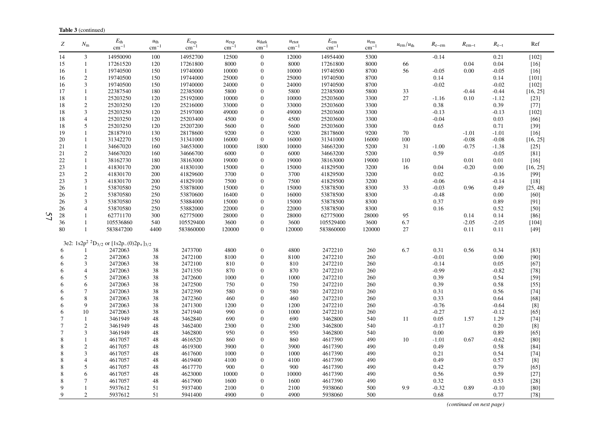| Ζ      | $N_{\rm m}$    | $E_{\rm th}$<br>$\text{cm}^{-1}$                      | $u_{\text{th}}$<br>$cm^{-1}$ | $E_{\rm exp}$<br>$\text{cm}^{-1}$ | $u_{\exp}$<br>$cm^{-}$ | $u_{\text{dark}}$<br>$cm^{-}$ | $u_{\text{etot}}$<br>$cm^{-1}$ | $E_{\rm em}$<br>$\text{cm}^{-1}$ | $u_{\rm em}$<br>$\text{cm}^{-1}$ | $u_{\rm em}/u_{\rm th}$ | $R_{e-em}$ | $R_{\rm em-t}$ | $R_{e-t}$ | Ref                                                                                                                                                                                                                      |
|--------|----------------|-------------------------------------------------------|------------------------------|-----------------------------------|------------------------|-------------------------------|--------------------------------|----------------------------------|----------------------------------|-------------------------|------------|----------------|-----------|--------------------------------------------------------------------------------------------------------------------------------------------------------------------------------------------------------------------------|
| 14     | 3              | 14950090                                              | 100                          | 14952700                          | 12500                  | $\mathbf{0}$                  | 12000                          | 14954400                         | 5300                             |                         | $-0.14$    |                | 0.21      | $[102]$                                                                                                                                                                                                                  |
| 15     | 1              | 17261520                                              | 120                          | 17261800                          | 8000                   | $\mathbf{0}$                  | 8000                           | 17261800                         | 8000                             | 66                      |            | 0.04           | 0.04      | $[16]$                                                                                                                                                                                                                   |
| 16     | $\mathbf{1}$   | 19740500                                              | 150                          | 19740000                          | 10000                  | $\theta$                      | 10000                          | 19740500                         | 8700                             | 56                      | $-0.05$    | 0.00           | $-0.05$   | $[16]$                                                                                                                                                                                                                   |
| 16     | $\sqrt{2}$     | 19740500                                              | 150                          | 19744000                          | 25000                  | $\overline{0}$                | 25000                          | 19740500                         | 8700                             |                         | 0.14       |                | 0.14      | $[101]$                                                                                                                                                                                                                  |
| 16     | 3              | 19740500                                              | 150                          | 19740000                          | 24000                  | 0                             | 24000                          | 19740500                         | 8700                             |                         | $-0.02$    |                | $-0.02$   | $[102]$                                                                                                                                                                                                                  |
| 17     | $\mathbf{1}$   | 22387540                                              | 180                          | 22385000                          | 5800                   | $\theta$                      | 5800                           | 22385000                         | 5800                             | 33                      |            | $-0.44$        | $-0.44$   | [16, 25]                                                                                                                                                                                                                 |
| 18     | $\mathbf{1}$   | 25203250                                              | 120                          | 25192000                          | 10000                  | $\overline{0}$                | 10000                          | 25203600                         | 3300                             | 27                      | $-1.16$    | 0.10           | $-1.12$   | $[23]$                                                                                                                                                                                                                   |
| 18     | $\sqrt{2}$     | 25203250                                              | 120                          | 25216000                          | 33000                  | $\Omega$                      | 33000                          | 25203600                         | 3300                             |                         | 0.38       |                | 0.39      | $[77]$                                                                                                                                                                                                                   |
| 18     | 3              | 25203250                                              | 120                          | 25197000                          | 49000                  | $\theta$                      | 49000                          | 25203600                         | 3300                             |                         | $-0.13$    |                | $-0.13$   | $[102]$                                                                                                                                                                                                                  |
| 18     | $\overline{4}$ | 25203250                                              | 120                          | 25203400                          | 4500                   | $\theta$                      | 4500                           | 25203600                         | 3300                             |                         | $-0.04$    |                | 0.03      | [66]                                                                                                                                                                                                                     |
| 18     | 5              | 25203250                                              | 120                          | 25207200                          | 5600                   | $\boldsymbol{0}$              | 5600                           | 25203600                         | 3300                             |                         | 0.65       |                | 0.71      | $[39]$                                                                                                                                                                                                                   |
| 19     | $\mathbf{1}$   | 28187910                                              | 130                          | 28178600                          | 9200                   | $\overline{0}$                | 9200                           | 28178600                         | 9200                             | 70                      |            | $-1.01$        | $-1.01$   | $[16]$                                                                                                                                                                                                                   |
| 20     | 1              | 31342270                                              | 150                          | 31341000                          | 16000                  | $\boldsymbol{0}$              | 16000                          | 31341000                         | 16000                            | 100                     |            | $-0.08$        | $-0.08$   | [16, 25]                                                                                                                                                                                                                 |
| 21     | $\mathbf{1}$   | 34667020                                              | 160                          | 34653000                          | 10000                  | 1800                          | 10000                          | 34663200                         | 5200                             | 31                      | $-1.00$    | $-0.75$        | $-1.38$   | $[25]$                                                                                                                                                                                                                   |
| 21     | $\overline{c}$ | 34667020                                              | 160                          | 34666700                          | 6000                   | $\overline{0}$                | 6000                           | 34663200                         | 5200                             |                         | 0.59       |                | $-0.05$   | $[81]$                                                                                                                                                                                                                   |
| 22     | $\mathbf{1}$   | 38162730                                              | 180                          | 38163000                          | 19000                  | $\mathbf{0}$                  | 19000                          | 38163000                         | 19000                            | 110                     |            | 0.01           | 0.01      | $[16]$                                                                                                                                                                                                                   |
| 23     | $\mathbf{1}$   | 41830170                                              | 200                          | 41830100                          | 15000                  | $\boldsymbol{0}$              | 15000                          | 41829500                         | 3200                             | 16                      | 0.04       | $-0.20$        | 0.00      | [16, 25]                                                                                                                                                                                                                 |
| 23     | $\mathbf{2}$   | 41830170                                              | 200                          | 41829600                          | 3700                   | $\theta$                      | 3700                           | 41829500                         | 3200                             |                         | 0.02       |                | $-0.16$   | $[99]$                                                                                                                                                                                                                   |
| 23     | 3              | 41830170                                              | 200                          | 41829100                          | 7500                   | $\overline{0}$                | 7500                           | 41829500                         | 3200                             |                         | $-0.06$    |                | $-0.14$   | $[18]$                                                                                                                                                                                                                   |
| 26     | $\mathbf{1}$   | 53870580                                              | 250                          | 53878000                          | 15000                  | $\theta$                      | 15000                          | 53878500                         | 8300                             | 33                      | $-0.03$    | 0.96           | 0.49      | [25, 48]                                                                                                                                                                                                                 |
| 26     | $\mathbf{2}$   | 53870580                                              | 250                          | 53870600                          | 16400                  | $\theta$                      | 16000                          | 53878500                         | 8300                             |                         | $-0.48$    |                | 0.00      | [60]                                                                                                                                                                                                                     |
| 26     | $\mathfrak{Z}$ | 53870580                                              | 250                          | 53884000                          | 15000                  | 0                             | 15000                          | 53878500                         | 8300                             |                         | 0.37       |                | 0.89      | [91]                                                                                                                                                                                                                     |
| 26     | 4              | 53870580                                              | 250                          | 53882000                          | 22000                  | $\boldsymbol{0}$              | 22000                          | 53878500                         | 8300                             |                         | 0.16       |                | 0.52      | $[50]$                                                                                                                                                                                                                   |
| 28     | $\mathbf{1}$   | 62771170                                              | 300                          | 62775000                          | 28000                  | $\overline{0}$                | 28000                          | 62775000                         | 28000                            | 95                      |            | 0.14           | 0.14      | $[86]$                                                                                                                                                                                                                   |
| 36     | $\mathbf{1}$   | 105536860                                             | 540                          | 105529400                         | 3600                   | $\theta$                      | 3600                           | 105529400                        | 3600                             | 6.7                     |            | $-2.05$        | $-2.05$   | $[104]$                                                                                                                                                                                                                  |
| 80     | $\mathbf{1}$   | 583847200                                             | 4400                         | 583860000                         | 120000                 | $\mathbf{0}$                  | 120000                         | 583860000                        | 120000                           | 27                      |            | 0.11           | 0.11      | $[49]$                                                                                                                                                                                                                   |
|        |                | 3e2: $1s2p^2$ ${}^2D_{3/2}$ or $[1s2p-(0)2p_+]_{3/2}$ |                              |                                   |                        |                               |                                |                                  |                                  |                         |            |                |           |                                                                                                                                                                                                                          |
| 6      |                | 2472063                                               | 38                           | 2473700                           | 4800                   | $\boldsymbol{0}$              | 4800                           | 2472210                          | 260                              | 6.7                     | 0.31       | 0.56           | 0.34      | $[83]$                                                                                                                                                                                                                   |
| 6      | $\mathbf{2}$   | 2472063                                               | 38                           | 2472100                           | 8100                   | $\overline{0}$                | 8100                           | 2472210                          | 260                              |                         | $-0.01$    |                | 0.00      | [90]                                                                                                                                                                                                                     |
| 6      | 3              | 2472063                                               | 38                           | 2472100                           | 810                    | $\theta$                      | 810                            | 2472210                          | 260                              |                         | $-0.14$    |                | 0.05      | $[67]$                                                                                                                                                                                                                   |
| 6      | 4              | 2472063                                               | 38                           | 2471350                           | 870                    | $\theta$                      | 870                            | 2472210                          | 260                              |                         | $-0.99$    |                | $-0.82$   | $[78]$                                                                                                                                                                                                                   |
| 6      | 5              | 2472063                                               | 38                           | 2472600                           | 1000                   | $\theta$                      | 1000                           | 2472210                          | 260                              |                         | 0.39       |                | 0.54      | $[59]$                                                                                                                                                                                                                   |
| 6      | 6              | 2472063                                               | 38                           | 2472500                           | 750                    | $\overline{0}$                | 750                            | 2472210                          | 260                              |                         | 0.39       |                | 0.58      | $[55]$                                                                                                                                                                                                                   |
| 6      | 7              | 2472063                                               | 38                           | 2472390                           | 580                    | $\theta$                      | 580                            | 2472210                          | 260                              |                         | 0.31       |                | 0.56      | $[74]$                                                                                                                                                                                                                   |
| 6      | 8              | 2472063                                               | 38                           | 2472360                           | 460                    | $\theta$                      | 460                            | 2472210                          | 260                              |                         | 0.33       |                | 0.64      | $[68]$                                                                                                                                                                                                                   |
| 6      | 9              | 2472063                                               | 38                           | 2471300                           | 1200                   | $\theta$                      | 1200                           | 2472210                          | 260                              |                         | $-0.76$    |                | $-0.64$   | $[8]$                                                                                                                                                                                                                    |
| 6      | 10             | 2472063                                               | 38                           | 2471940                           | 990                    | $\theta$                      | 1000                           | 2472210                          | 260                              |                         | $-0.27$    |                | $-0.12$   | $[65]$                                                                                                                                                                                                                   |
| 7      | $\mathbf{1}$   | 3461949                                               | 48                           | 3462840                           | 690                    | $\overline{0}$                | 690                            | 3462800                          | 540                              | 11                      | 0.05       | 1.57           | 1.29      | $[74]$                                                                                                                                                                                                                   |
| 7      | $\sqrt{2}$     | 3461949                                               | 48                           | 3462400                           | 2300                   | $\boldsymbol{0}$              | 2300                           | 3462800                          | 540                              |                         | $-0.17$    |                | 0.20      | $[8] % \begin{center} \includegraphics[width=\linewidth]{images/Transr1.pdf} \end{center} % \vspace*{-1em} \caption{The image shows the number of observations in the left and right.} \label{fig:class} %$              |
| $\tau$ | 3              | 3461949                                               | 48                           | 3462800                           | 950                    | $\theta$                      | 950                            | 3462800                          | 540                              |                         | 0.00       |                | 0.89      | $[65]$                                                                                                                                                                                                                   |
| 8      | $\mathbf{1}$   | 4617057                                               | 48                           | 4616520                           | 860                    | $\theta$                      | 860                            | 4617390                          | 490                              | 10                      | $-1.01$    | 0.67           | $-0.62$   | [80]                                                                                                                                                                                                                     |
| 8      | $\sqrt{2}$     | 4617057                                               | 48                           | 4619300                           | 3900                   | $\overline{0}$                | 3900                           | 4617390                          | 490                              |                         | 0.49       |                | 0.58      | $[84]$                                                                                                                                                                                                                   |
| 8      | 3              | 4617057                                               | 48                           | 4617600                           | 1000                   | $\theta$                      | 1000                           | 4617390                          | 490                              |                         | 0.21       |                | 0.54      | $[74]$                                                                                                                                                                                                                   |
| 8      | 4              | 4617057                                               | 48                           | 4619400                           | 4100                   | $\overline{0}$                | 4100                           | 4617390                          | 490                              |                         | 0.49       |                | 0.57      | $[8] % \includegraphics[width=0.9\columnwidth]{figures/fig_10.pdf} \caption{The 3D (black) model for a different region of the parameter $\Omega$. The left side is the same as in Figure \ref{fig:10}.} \label{fig:10}$ |
| 8      | 5              | 4617057                                               | 48                           | 4617770                           | 900                    | $\overline{0}$                | 900                            | 4617390                          | 490                              |                         | 0.42       |                | 0.79      | $[65]$                                                                                                                                                                                                                   |
| 8      | 6              | 4617057                                               | 48                           | 4623000                           | 10000                  | $\theta$                      | 10000                          | 4617390                          | 490                              |                         | 0.56       |                | 0.59      | $[27]$                                                                                                                                                                                                                   |
| 8      | 7              | 4617057                                               | 48                           | 4617900                           | 1600                   | $\theta$                      | 1600                           | 4617390                          | 490                              |                         | 0.32       |                | 0.53      | $[28]$                                                                                                                                                                                                                   |
| 9      | $\mathbf{1}$   | 5937612                                               | 51                           | 5937400                           | 2100                   | $\Omega$                      | 2100                           | 5938060                          | 500                              | 9.9                     | $-0.32$    | 0.89           | $-0.10$   | $[80]$                                                                                                                                                                                                                   |
| 9      | $\mathbf{2}$   | 5937612                                               | 51                           | 5941400                           | 4900                   | $\overline{0}$                | 4900                           | 5938060                          | 500                              |                         | 0.68       |                | 0.77      | $[78]$                                                                                                                                                                                                                   |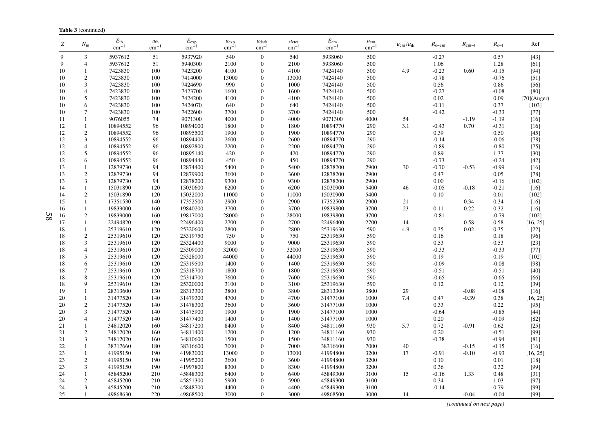| Ζ        | $N_{\rm m}$                      | $E_{\text{th}}$<br>cm <sup>-</sup> | $u_{\text{th}}$<br>$cm^{-1}$ | $E_{\rm exp}$<br>cm <sup>-</sup> | $u_{\exp}$<br>$cm^{-}$ | $u_{\text{dark}}$<br>$cm^{-}$      | $u_{\text{etot}}$<br>$cm^{-1}$ | $E_{\rm em}$<br>$\text{cm}^{-1}$ | $u_{\rm em}$<br>$\rm cm^{-1}$ | $u_{\rm em}/u_{\rm th}$ | $R_{e-em}$         | $R_{\rm em-t}$ | $R_{e-t}$          | Ref              |
|----------|----------------------------------|------------------------------------|------------------------------|----------------------------------|------------------------|------------------------------------|--------------------------------|----------------------------------|-------------------------------|-------------------------|--------------------|----------------|--------------------|------------------|
| 9        | 3                                | 5937612                            | 51                           | 5937920                          | 540                    | $\mathbf{0}$                       | 540                            | 5938060                          | 500                           |                         | $-0.27$            |                | 0.57               | $[43]$           |
| 9        | $\overline{4}$                   | 5937612                            | 51                           | 5940300                          | 2100                   | $\boldsymbol{0}$                   | 2100                           | 5938060                          | 500                           |                         | 1.06               |                | 1.28               | [61]             |
| 10       | 1                                | 7423830                            | 100                          | 7423200                          | 4100                   | $\overline{0}$                     | 4100                           | 7424140                          | 500                           | 4.9                     | $-0.23$            | 0.60           | $-0.15$            | [94]             |
| 10       | $\overline{c}$                   | 7423830                            | 100                          | 7414000                          | 13000                  | $\boldsymbol{0}$                   | 13000                          | 7424140                          | 500                           |                         | $-0.78$            |                | $-0.76$            | $[51]$           |
| 10       | 3                                | 7423830                            | 100                          | 7424690                          | 990                    | $\boldsymbol{0}$                   | 1000                           | 7424140                          | 500                           |                         | 0.56               |                | 0.86               | $[56]$           |
| 10       | $\overline{4}$                   | 7423830                            | 100                          | 7423700                          | 1600                   | $\overline{0}$                     | 1600                           | 7424140                          | 500                           |                         | $-0.27$            |                | $-0.08$            | [80]             |
| 10       | 5                                | 7423830                            | 100                          | 7424200                          | 4100                   | $\boldsymbol{0}$                   | 4100                           | 7424140                          | 500                           |                         | 0.02               |                | 0.09               | $[70]$ (Auger)   |
| 10       | 6                                | 7423830                            | 100                          | 7424070                          | 640                    | $\overline{0}$                     | 640                            | 7424140                          | 500                           |                         | $-0.11$            |                | 0.37               | $[103]$          |
| 10       | 7                                | 7423830                            | 100                          | 7422600                          | 3700                   | $\overline{0}$                     | 3700                           | 7424140                          | 500                           |                         | $-0.42$            |                | $-0.33$            | $[77]$           |
| 11       | $\mathbf{1}$                     | 9076055                            | 74                           | 9071300                          | 4000                   | $\boldsymbol{0}$                   | 4000                           | 9071300                          | 4000                          | 54                      |                    | $-1.19$        | $-1.19$            | $[16]$           |
| 12       | 1                                | 10894552                           | 96                           | 10894000                         | 1800                   | 0                                  | 1800                           | 10894770                         | 290                           | 3.1                     | $-0.43$            | 0.70           | $-0.31$            | $[16]$           |
| 12       | $\boldsymbol{2}$                 | 10894552                           | 96                           | 10895500                         | 1900                   | $\overline{0}$                     | 1900                           | 10894770                         | 290                           |                         | 0.39               |                | 0.50               | $[45]$           |
| 12       | 3                                | 10894552                           | 96                           | 10894400                         | 2600                   | $\overline{0}$                     | 2600                           | 10894770                         | 290                           |                         | $-0.14$            |                | $-0.06$            | $[78]$           |
| 12       | $\overline{4}$                   | 10894552                           | 96                           | 10892800                         | 2200                   | $\overline{0}$                     | 2200                           | 10894770                         | 290                           |                         | $-0.89$            |                | $-0.80$            | $[75]$           |
| 12       | 5                                | 10894552                           | 96                           | 10895140                         | 420                    | $\overline{0}$                     | 420                            | 10894770                         | 290                           |                         | 0.89               |                | 1.37               | $[30]$           |
| 12       | 6<br>$\mathbf{1}$                | 10894552<br>12879730               | 96<br>94                     | 10894440<br>12874400             | 450<br>5400            | $\overline{0}$<br>$\boldsymbol{0}$ | 450<br>5400                    | 10894770<br>12878200             | 290<br>2900                   | 30                      | $-0.73$<br>$-0.70$ | $-0.53$        | $-0.24$<br>$-0.99$ | $[42]$           |
| 13<br>13 | $\boldsymbol{2}$                 | 12879730                           | 94                           | 12879900                         | 3600                   | $\Omega$                           | 3600                           | 12878200                         | 2900                          |                         | 0.47               |                | 0.05               | $[16]$<br>$[78]$ |
| 13       | 3                                | 12879730                           | 94                           | 12878200                         | 9300                   | $\overline{0}$                     | 9300                           | 12878200                         | 2900                          |                         | 0.00               |                | $-0.16$            | $[102]$          |
| 14       | $\mathbf{1}$                     | 15031890                           | 120                          | 15030600                         | 6200                   | $\overline{0}$                     | 6200                           | 15030900                         | 5400                          | 46                      | $-0.05$            | $-0.18$        | $-0.21$            | $[16]$           |
| 14       | $\overline{c}$                   | 15031890                           | 120                          | 15032000                         | 11000                  | $\overline{0}$                     | 11000                          | 15030900                         | 5400                          |                         | 0.10               |                | 0.01               | $[102]$          |
| 15       | $\mathbf{1}$                     | 17351530                           | 140                          | 17352500                         | 2900                   | $\boldsymbol{0}$                   | 2900                           | 17352500                         | 2900                          | 21                      |                    | 0.34           | 0.34               | $[16]$           |
| 16       | $\mathbf{1}$                     | 19839000                           | 160                          | 19840200                         | 3700                   | $\boldsymbol{0}$                   | 3700                           | 19839800                         | 3700                          | 23                      | 0.11               | 0.22           | 0.32               | $[16]$           |
| 16       | $\overline{c}$                   | 19839000                           | 160                          | 19817000                         | 28000                  | $\overline{0}$                     | 28000                          | 19839800                         | 3700                          |                         | $-0.81$            |                | $-0.79$            | $[102]$          |
| 17       | $\mathbf{1}$                     | 22494820                           | 190                          | 22496400                         | 2700                   | $\boldsymbol{0}$                   | 2700                           | 22496400                         | 2700                          | 14                      |                    | 0.58           | 0.58               | [16, 25]         |
| 18       | $\mathbf{1}$                     | 25319610                           | 120                          | 25320600                         | 2800                   | $\boldsymbol{0}$                   | 2800                           | 25319630                         | 590                           | 4.9                     | 0.35               | 0.02           | 0.35               | $[22]$           |
| 18       | $\mathfrak{2}$                   | 25319610                           | 120                          | 25319750                         | 750                    | $\overline{0}$                     | 750                            | 25319630                         | 590                           |                         | 0.16               |                | 0.18               | [96]             |
| 18       | 3                                | 25319610                           | 120                          | 25324400                         | 9000                   | $\boldsymbol{0}$                   | 9000                           | 25319630                         | 590                           |                         | 0.53               |                | 0.53               | $[23]$           |
| 18       | $\overline{4}$                   | 25319610                           | 120                          | 25309000                         | 32000                  | $\overline{0}$                     | 32000                          | 25319630                         | 590                           |                         | $-0.33$            |                | $-0.33$            | $[77]$           |
| 18       | 5                                | 25319610                           | 120                          | 25328000                         | 44000                  | $\overline{0}$                     | 44000                          | 25319630                         | 590                           |                         | 0.19               |                | 0.19               | $[102]$          |
| 18       | 6                                | 25319610                           | 120                          | 25319500                         | 1400                   | $\boldsymbol{0}$                   | 1400                           | 25319630                         | 590                           |                         | $-0.09$            |                | $-0.08$            | $[98]$           |
| 18       | $\tau$                           | 25319610                           | 120                          | 25318700                         | 1800                   | $\overline{0}$                     | 1800                           | 25319630                         | 590                           |                         | $-0.51$            |                | $-0.51$            | [40]             |
| 18       | 8                                | 25319610                           | 120                          | 25314700                         | 7600                   | $\overline{0}$                     | 7600                           | 25319630                         | 590                           |                         | $-0.65$            |                | $-0.65$            | $[66]$           |
| 18       | 9                                | 25319610                           | 120                          | 25320000                         | 3100                   | $\overline{0}$                     | 3100                           | 25319630                         | 590                           |                         | 0.12               |                | 0.12               | $[39]$           |
| 19       | $\mathbf{1}$                     | 28313600                           | 130                          | 28313300                         | 3800                   | $\overline{0}$                     | 3800                           | 28313300                         | 3800                          | 29                      |                    | $-0.08$        | $-0.08$            | $[16]$           |
| 20       | $\mathbf{1}$                     | 31477520                           | 140                          | 31479300                         | 4700                   | $\overline{0}$                     | 4700                           | 31477100                         | 1000                          | 7.4                     | 0.47               | $-0.39$        | 0.38               | [16, 25]         |
| 20       | $\mathfrak{2}$                   | 31477520                           | 140                          | 31478300                         | 3600                   | $\overline{0}$                     | 3600                           | 31477100                         | 1000                          |                         | 0.33               |                | 0.22               | $[95]$           |
| 20       | 3                                | 31477520                           | 140                          | 31475900                         | 1900                   | $\overline{0}$                     | 1900                           | 31477100                         | 1000                          |                         | $-0.64$            |                | $-0.85$            | $[44]$           |
| 20       | $\overline{4}$                   | 31477520                           | 140                          | 31477400                         | 1400                   | $\boldsymbol{0}$                   | 1400                           | 31477100                         | 1000                          |                         | 0.20               |                | $-0.09$            | $[82]$           |
| 21       | 1                                | 34812020                           | 160                          | 34817200                         | 8400                   | $\overline{0}$                     | 8400                           | 34811160                         | 930                           | 5.7                     | 0.72               | $-0.91$        | 0.62               | $[25]$           |
| 21       | $\boldsymbol{2}$                 | 34812020                           | 160                          | 34811400                         | 1200                   | $\overline{0}$                     | 1200                           | 34811160                         | 930                           |                         | 0.20               |                | $-0.51$            | [99]             |
| 21       | 3                                | 34812020                           | 160                          | 34810600                         | 1500                   | $\overline{0}$                     | 1500                           | 34811160                         | 930                           |                         | $-0.38$            |                | $-0.94$            | $[81]$           |
| 22       | $\mathbf{1}$                     | 38317660                           | 180                          | 38316600                         | 7000                   | $\overline{0}$                     | 7000                           | 38316600                         | 7000                          | 40                      |                    | $-0.15$        | $-0.15$            | $[16]$           |
| 23       | $\mathbf{1}$                     | 41995150                           | 190                          | 41983000                         | 13000                  | $\overline{0}$                     | 13000                          | 41994800                         | 3200                          | 17                      | $-0.91$            | $-0.10$        | $-0.93$            | [16, 25]         |
| 23<br>23 | $\overline{2}$<br>$\mathfrak{Z}$ | 41995150<br>41995150               | 190<br>190                   | 41995200<br>41997800             | 3600<br>8300           | $\overline{0}$<br>$\boldsymbol{0}$ | 3600<br>8300                   | 41994800<br>41994800             | 3200<br>3200                  |                         | 0.10<br>0.36       |                | 0.01<br>0.32       | $[18]$           |
| 24       | $\mathbf{1}$                     | 45845200                           | 210                          | 45848300                         | 6400                   | $\Omega$                           | 6400                           | 45849300                         | 3100                          | 15                      | $-0.16$            | 1.33           | 0.48               | $[99]$           |
| 24       | $\mathbf{2}$                     | 45845200                           | 210                          | 45851300                         | 5900                   | $\overline{0}$                     | 5900                           | 45849300                         | 3100                          |                         | 0.34               |                | 1.03               | $[31]$<br>[97]   |
| 24       | 3                                | 45845200                           | 210                          | 45848700                         | 4400                   | $\overline{0}$                     | 4400                           | 45849300                         | 3100                          |                         | $-0.14$            |                | 0.79               | [99]             |
| 25       | $\mathbf{1}$                     | 49868630                           | 220                          | 49868500                         | 3000                   | $\Omega$                           | 3000                           | 49868500                         | 3000                          | 14                      |                    | $-0.04$        | $-0.04$            | [99]             |

*(continued on next page)*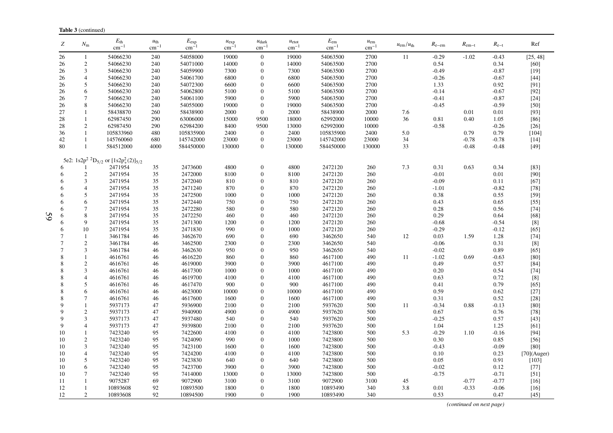| Ζ              | $N_{\rm m}$      | $E_{\rm th}$<br>$\text{cm}^{-1}$                     | $u_{\text{th}}$<br>$cm^{-1}$ | $E_{\rm exp}$<br>cm <sup>-</sup> | $u_{\exp}$<br>$cm^{-}$ | $u_{\text{dark}}$<br>$\text{cm}^{-1}$ | $u_{\text{etot}}$<br>$\rm cm^{-1}$ | $E_{\rm em}$<br>$\rm cm^{-1}$ | $u_{\rm em}$<br>$cm^{-1}$ | $u_{\rm em}/u_{\rm th}$ | $R_{e-em}$ | $R_{\rm em-t}$ | $R_{e-t}$ | Ref            |
|----------------|------------------|------------------------------------------------------|------------------------------|----------------------------------|------------------------|---------------------------------------|------------------------------------|-------------------------------|---------------------------|-------------------------|------------|----------------|-----------|----------------|
| 26             | $\mathbf{1}$     | 54066230                                             | 240                          | 54058000                         | 19000                  | $\mathbf{0}$                          | 19000                              | 54063500                      | 2700                      | 11                      | $-0.29$    | $-1.02$        | $-0.43$   | [25, 48]       |
| 26             | 2                | 54066230                                             | 240                          | 54071000                         | 14000                  | $\mathbf{0}$                          | 14000                              | 54063500                      | 2700                      |                         | 0.54       |                | 0.34      | $[60]$         |
| 26             | 3                | 54066230                                             | 240                          | 54059900                         | 7300                   | $\Omega$                              | 7300                               | 54063500                      | 2700                      |                         | $-0.49$    |                | $-0.87$   | $[19]$         |
| 26             | $\overline{4}$   | 54066230                                             | 240                          | 54061700                         | 6800                   | $\mathbf{0}$                          | 6800                               | 54063500                      | 2700                      |                         | $-0.26$    |                | $-0.67$   | $[44]$         |
| 26             | 5                | 54066230                                             | 240                          | 54072300                         | 6600                   | $\mathbf{0}$                          | 6600                               | 54063500                      | 2700                      |                         | 1.33       |                | 0.92      | [91]           |
| 26             | 6                | 54066230                                             | 240                          | 54062800                         | 5100                   | $\theta$                              | 5100                               | 54063500                      | 2700                      |                         | $-0.14$    |                | $-0.67$   | $[92]$         |
| 26             | 7                | 54066230                                             | 240                          | 54061100                         | 5900                   | $\mathbf{0}$                          | 5900                               | 54063500                      | 2700                      |                         | $-0.41$    |                | $-0.87$   | $[24]$         |
| 26             | 8                | 54066230                                             | 240                          | 54055000                         | 19000                  | $\mathbf{0}$                          | 19000                              | 54063500                      | 2700                      |                         | $-0.45$    |                | $-0.59$   | $[50]$         |
| 27             | 1                | 58438870                                             | 260                          | 58438900                         | 2000                   | $\mathbf{0}$                          | 2000                               | 58438900                      | 2000                      | 7.6                     |            | 0.01           | 0.01      | [93]           |
| 28             | $\mathbf{1}$     | 62987450                                             | 290                          | 63006000                         | 15000                  | 9500                                  | 18000                              | 62992000                      | 10000                     | 36                      | 0.81       | 0.40           | 1.05      | $[86]$         |
| 28             | $\overline{2}$   | 62987450                                             | 290                          | 62984200                         | 8400                   | 9500                                  | 13000                              | 62992000                      | 10000                     |                         | $-0.58$    |                | $-0.26$   | $[26]$         |
| 36             | 1                | 105833960                                            | 480                          | 105835900                        | 2400                   | $\mathbf{0}$                          | 2400                               | 105835900                     | 2400                      | 5.0                     |            | 0.79           | 0.79      | [104]          |
| 42             | 1                | 145760060                                            | 680                          | 145742000                        | 23000                  | $\boldsymbol{0}$                      | 23000                              | 145742000                     | 23000                     | 34                      |            | $-0.78$        | $-0.78$   | $[14]$         |
| 80             | 1                | 584512000                                            | 4000                         | 584450000                        | 130000                 | $\overline{0}$                        | 130000                             | 584450000                     | 130000                    | 33                      |            | $-0.48$        | $-0.48$   | $[49]$         |
|                |                  | 5e2: $1s2p^2$ ${}^2D_{5/2}$ or $[1s2p_+^2(2)]_{5/2}$ |                              |                                  |                        |                                       |                                    |                               |                           |                         |            |                |           |                |
| 6              |                  | 2471954                                              | 35                           | 2473600                          | 4800                   | $\mathbf{0}$                          | 4800                               | 2472120                       | 260                       | 7.3                     | 0.31       | 0.63           | 0.34      | $[83]$         |
| 6              | $\mathbf{2}$     | 2471954                                              | 35                           | 2472000                          | 8100                   | $\theta$                              | 8100                               | 2472120                       | 260                       |                         | $-0.01$    |                | 0.01      | $[90]$         |
| 6              | 3                | 2471954                                              | 35                           | 2472040                          | 810                    | $\theta$                              | 810                                | 2472120                       | 260                       |                         | $-0.09$    |                | 0.11      | $[67]$         |
| 6              | $\overline{4}$   | 2471954                                              | 35                           | 2471240                          | 870                    | $\theta$                              | 870                                | 2472120                       | 260                       |                         | $-1.01$    |                | $-0.82$   | $[78]$         |
| 6              | 5                | 2471954                                              | 35                           | 2472500                          | 1000                   | $\theta$                              | 1000                               | 2472120                       | 260                       |                         | 0.38       |                | 0.55      | $[59]$         |
| 6              | 6                | 2471954                                              | 35                           | 2472440                          | 750                    | $\boldsymbol{0}$                      | 750                                | 2472120                       | 260                       |                         | 0.43       |                | 0.65      | $[55]$         |
| 6              | $\tau$           | 2471954                                              | 35                           | 2472280                          | 580                    | $\theta$                              | 580                                | 2472120                       | 260                       |                         | 0.28       |                | 0.56      | $[74]$         |
| 6              | 8                | 2471954                                              | 35                           | 2472250                          | 460                    | $\theta$                              | 460                                | 2472120                       | 260                       |                         | 0.29       |                | 0.64      | $[68]$         |
| 6              | 9                | 2471954                                              | 35                           | 2471300                          | 1200                   | $\Omega$                              | 1200                               | 2472120                       | 260                       |                         | $-0.68$    |                | $-0.54$   | [8]            |
| 6              | 10               | 2471954                                              | 35                           | 2471830                          | 990                    | $\theta$                              | 1000                               | 2472120                       | 260                       |                         | $-0.29$    |                | $-0.12$   | $[65]$         |
| $\overline{7}$ | 1                | 3461784                                              | 46                           | 3462670                          | 690                    | $\theta$                              | 690                                | 3462650                       | 540                       | 12                      | 0.03       | 1.59           | 1.28      | $[74]$         |
| $\overline{7}$ | $\overline{2}$   | 3461784                                              | 46                           | 3462500                          | 2300                   | $\theta$                              | 2300                               | 3462650                       | 540                       |                         | $-0.06$    |                | 0.31      | $[8]$          |
| $\overline{7}$ | 3                | 3461784                                              | 46                           | 3462630                          | 950                    | $\theta$                              | 950                                | 3462650                       | 540                       |                         | $-0.02$    |                | 0.89      | [65]           |
| 8              | $\mathbf{1}$     | 4616761                                              | 46                           | 4616220                          | 860                    | $\Omega$                              | 860                                | 4617100                       | 490                       | 11                      | $-1.02$    | 0.69           | $-0.63$   | $[80]$         |
| 8              | $\overline{2}$   | 4616761                                              | 46                           | 4619000                          | 3900                   | $\theta$                              | 3900                               | 4617100                       | 490                       |                         | 0.49       |                | 0.57      | $[84]$         |
| 8              | 3                | 4616761                                              | 46                           | 4617300                          | 1000                   | $\Omega$                              | 1000                               | 4617100                       | 490                       |                         | 0.20       |                | 0.54      | $[74]$         |
| 8              | $\overline{4}$   | 4616761                                              | 46                           | 4619700                          | 4100                   | $\Omega$                              | 4100                               | 4617100                       | 490                       |                         | 0.63       |                | 0.72      | [8]            |
| 8              | 5                | 4616761                                              | 46                           | 4617470                          | 900                    | $\theta$                              | 900                                | 4617100                       | 490                       |                         | 0.41       |                | 0.79      | [65]           |
| 8              | 6                | 4616761                                              | 46                           | 4623000                          | 10000                  | $\theta$                              | 10000                              | 4617100                       | 490                       |                         | 0.59       |                | 0.62      | $[27]$         |
| 8              | $\tau$           | 4616761                                              | 46                           | 4617600                          | 1600                   | $\Omega$                              | 1600                               | 4617100                       | 490                       |                         | 0.31       |                | 0.52      | $[28]$         |
| 9              | 1                | 5937173                                              | 47                           | 5936900                          | 2100                   | $\theta$                              | 2100                               | 5937620                       | 500                       | 11                      | $-0.34$    | 0.88           | $-0.13$   | [80]           |
| $\mathbf Q$    | $\sqrt{2}$       | 5937173                                              | 47                           | 5940900                          | 4900                   | $\theta$                              | 4900                               | 5937620                       | 500                       |                         | 0.67       |                | 0.76      | $[78]$         |
| 9              | 3                | 5937173                                              | 47                           | 5937480                          | 540                    | $\theta$                              | 540                                | 5937620                       | 500                       |                         | $-0.25$    |                | 0.57      | $[43]$         |
| 9              | $\overline{4}$   | 5937173                                              | 47                           | 5939800                          | 2100                   | $\theta$                              | 2100                               | 5937620                       | 500                       |                         | 1.04       |                | 1.25      | [61]           |
| 10             | $\mathbf{1}$     | 7423240                                              | 95                           | 7422600                          | 4100                   | $\theta$                              | 4100                               | 7423800                       | 500                       | 5.3                     | $-0.29$    | 1.10           | $-0.16$   | $[94]$         |
| 10             | $\overline{c}$   | 7423240                                              | 95                           | 7424090                          | 990                    | $\theta$                              | 1000                               | 7423800                       | 500                       |                         | 0.30       |                | 0.85      | $[56]$         |
| 10             | 3                | 7423240                                              | 95                           | 7423100                          | 1600                   | $\mathbf{0}$                          | 1600                               | 7423800                       | 500                       |                         | $-0.43$    |                | $-0.09$   | [80]           |
| 10             | 4                | 7423240                                              | 95                           | 7424200                          | 4100                   | $\Omega$                              | 4100                               | 7423800                       | 500                       |                         | 0.10       |                | 0.23      | $[70]$ (Auger) |
| 10             | 5                | 7423240                                              | 95                           | 7423830                          | 640                    | $\theta$                              | 640                                | 7423800                       | 500                       |                         | 0.05       |                | 0.91      | $[103]$        |
| 10             | 6                | 7423240                                              | 95                           | 7423700                          | 3900                   | $\theta$                              | 3900                               | 7423800                       | 500                       |                         | $-0.02$    |                | 0.12      | $[77]$         |
| 10             | $\tau$           | 7423240                                              | 95                           | 7414000                          | 13000                  | $\Omega$                              | 13000                              | 7423800                       | 500                       |                         | $-0.75$    |                | $-0.71$   | $[51]$         |
| 11             |                  | 9075287                                              | 69                           | 9072900                          | 3100                   | $\theta$                              | 3100                               | 9072900                       | 3100                      | 45                      |            | $-0.77$        | $-0.77$   | $[16]$         |
| 12             |                  | 10893608                                             | 92                           | 10893500                         | 1800                   | $\Omega$                              | 1800                               | 10893490                      | 340                       | 3.8                     | 0.01       | $-0.33$        | $-0.06$   | $[16]$         |
| 12             | $\boldsymbol{2}$ | 10893608                                             | 92                           | 10894500                         | 1900                   | $\Omega$                              | 1900                               | 10893490                      | 340                       |                         | 0.53       |                | 0.47      | $[45]$         |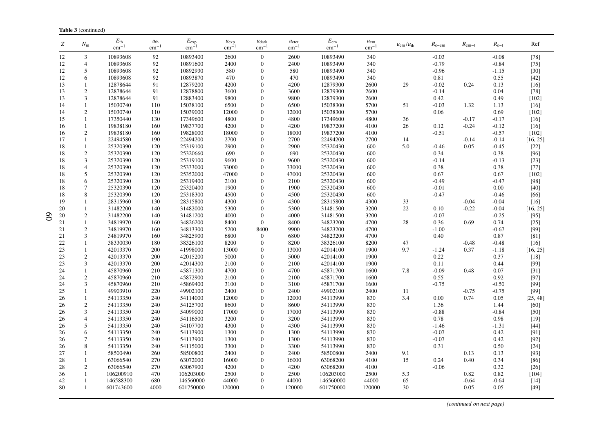| Ζ  | $N_{\rm m}$    | $E_{\rm th}$<br>$\rm cm^{-1}$ | $u_{\text{th}}$<br>$cm^{-1}$ | $E_{\rm exp}$<br>$cm^{-}$ | $u_{\exp}$<br>$cm^{-}$ | $u_{\text{dark}}$<br>$\rm cm^{-1}$ | $u_{\text{etot}}$<br>$cm^{-1}$ | $E_{\rm em}$<br>$\rm cm^{-1}$ | $u_{\rm em}$<br>$cm^{-1}$ | $u_{\rm em}/u_{\rm th}$ | $R_{e-em}$ | $R_{\rm em-t}$ | $R_{e-t}$ | Ref      |
|----|----------------|-------------------------------|------------------------------|---------------------------|------------------------|------------------------------------|--------------------------------|-------------------------------|---------------------------|-------------------------|------------|----------------|-----------|----------|
| 12 | 3              | 10893608                      | 92                           | 10893400                  | 2600                   | $\overline{0}$                     | 2600                           | 10893490                      | 340                       |                         | $-0.03$    |                | $-0.08$   | $[78]$   |
| 12 | $\overline{4}$ | 10893608                      | 92                           | 10891600                  | 2400                   | $\overline{0}$                     | 2400                           | 10893490                      | 340                       |                         | $-0.79$    |                | $-0.84$   | $[75]$   |
| 12 | 5              | 10893608                      | 92                           | 10892930                  | 580                    | $\boldsymbol{0}$                   | 580                            | 10893490                      | 340                       |                         | $-0.96$    |                | $-1.15$   | $[30]$   |
| 12 | 6              | 10893608                      | 92                           | 10893870                  | 470                    | $\overline{0}$                     | 470                            | 10893490                      | 340                       |                         | 0.81       |                | 0.55      | $[42]$   |
| 13 | $\mathbf{1}$   | 12878644                      | 91                           | 12879200                  | 4200                   | $\boldsymbol{0}$                   | 4200                           | 12879300                      | 2600                      | 29                      | $-0.02$    | 0.24           | 0.13      | [16]     |
| 13 | $\overline{c}$ | 12878644                      | 91                           | 12878800                  | 3600                   | $\boldsymbol{0}$                   | 3600                           | 12879300                      | 2600                      |                         | $-0.14$    |                | 0.04      | $[78]$   |
| 13 | 3              | 12878644                      | 91                           | 12883400                  | 9800                   | $\overline{0}$                     | 9800                           | 12879300                      | 2600                      |                         | 0.42       |                | 0.49      | $[102]$  |
| 14 | $\mathbf{1}$   | 15030740                      | 110                          | 15038100                  | 6500                   | $\overline{0}$                     | 6500                           | 15038300                      | 5700                      | 51                      | $-0.03$    | 1.32           | 1.13      | $[16]$   |
| 14 | $\overline{c}$ | 15030740                      | 110                          | 15039000                  | 12000                  | 0                                  | 12000                          | 15038300                      | 5700                      |                         | 0.06       |                | 0.69      | $[102]$  |
| 15 | $\mathbf{1}$   | 17350440                      | 130                          | 17349600                  | 4800                   | $\boldsymbol{0}$                   | 4800                           | 17349600                      | 4800                      | 36                      |            | $-0.17$        | $-0.17$   | $[16]$   |
| 16 | $\mathbf{1}$   | 19838180                      | 160                          | 19837700                  | 4200                   | $\overline{0}$                     | 4200                           | 19837200                      | 4100                      | 26                      | 0.12       | $-0.24$        | $-0.12$   | $[16]$   |
| 16 | $\overline{2}$ | 19838180                      | 160                          | 19828000                  | 18000                  | $\overline{0}$                     | 18000                          | 19837200                      | 4100                      |                         | $-0.51$    |                | $-0.57$   | $[102]$  |
| 17 | $\mathbf{1}$   | 22494580                      | 190                          | 22494200                  | 2700                   | $\boldsymbol{0}$                   | 2700                           | 22494200                      | 2700                      | 14                      |            | $-0.14$        | $-0.14$   | [16, 25] |
| 18 | $\mathbf{1}$   | 25320390                      | 120                          | 25319100                  | 2900                   | $\overline{0}$                     | 2900                           | 25320430                      | 600                       | 5.0                     | $-0.46$    | 0.05           | $-0.45$   | $[22]$   |
| 18 | $\overline{c}$ | 25320390                      | 120                          | 25320660                  | 690                    | $\overline{0}$                     | 690                            | 25320430                      | 600                       |                         | 0.34       |                | 0.38      | $[96]$   |
| 18 | 3              | 25320390                      | 120                          | 25319100                  | 9600                   | $\boldsymbol{0}$                   | 9600                           | 25320430                      | 600                       |                         | $-0.14$    |                | $-0.13$   | $[23]$   |
| 18 | $\overline{4}$ | 25320390                      | 120                          | 25333000                  | 33000                  | $\overline{0}$                     | 33000                          | 25320430                      | 600                       |                         | 0.38       |                | 0.38      | $[77]$   |
| 18 | 5              | 25320390                      | 120                          | 25352000                  | 47000                  | $\Omega$                           | 47000                          | 25320430                      | 600                       |                         | 0.67       |                | 0.67      | $[102]$  |
| 18 | 6              | 25320390                      | 120                          | 25319400                  | 2100                   | $\boldsymbol{0}$                   | 2100                           | 25320430                      | 600                       |                         | $-0.49$    |                | $-0.47$   | [98]     |
| 18 | $\overline{7}$ | 25320390                      | 120                          | 25320400                  | 1900                   | $\overline{0}$                     | 1900                           | 25320430                      | 600                       |                         | $-0.01$    |                | 0.00      | [40]     |
| 18 | 8              | 25320390                      | 120                          | 25318300                  | 4500                   | $\boldsymbol{0}$                   | 4500                           | 25320430                      | 600                       |                         | $-0.47$    |                | $-0.46$   | $[66]$   |
| 19 | $\mathbf{1}$   | 28315960                      | 130                          | 28315800                  | 4300                   | $\overline{0}$                     | 4300                           | 28315800                      | 4300                      | 33                      |            | $-0.04$        | $-0.04$   | $[16]$   |
| 20 | 1              | 31482200                      | 140                          | 31482000                  | 5300                   | $\overline{0}$                     | 5300                           | 31481500                      | 3200                      | 22                      | 0.10       | $-0.22$        | $-0.04$   | [16, 25] |
| 20 | $\sqrt{2}$     | 31482200                      | 140                          | 31481200                  | 4000                   | $\boldsymbol{0}$                   | 4000                           | 31481500                      | 3200                      |                         | $-0.07$    |                | $-0.25$   | $[95]$   |
| 21 | $\mathbf{1}$   | 34819970                      | 160                          | 34826200                  | 8400                   | $\overline{0}$                     | 8400                           | 34823200                      | 4700                      | 28                      | 0.36       | 0.69           | 0.74      | $[25]$   |
| 21 | $\overline{2}$ | 34819970                      | 160                          | 34813300                  | 5200                   | 8400                               | 9900                           | 34823200                      | 4700                      |                         | $-1.00$    |                | $-0.67$   | $[99]$   |
| 21 | 3              | 34819970                      | 160                          | 34825900                  | 6800                   | $\mathbf{0}$                       | 6800                           | 34823200                      | 4700                      |                         | 0.40       |                | 0.87      | [81]     |
| 22 | 1              | 38330030                      | 180                          | 38326100                  | 8200                   | $\overline{0}$                     | 8200                           | 38326100                      | 8200                      | 47                      |            | $-0.48$        | $-0.48$   | $[16]$   |
| 23 | $\mathbf{1}$   | 42013370                      | 200                          | 41998000                  | 13000                  | $\boldsymbol{0}$                   | 13000                          | 42014100                      | 1900                      | 9.7                     | $-1.24$    | 0.37           | $-1.18$   | [16, 25] |
| 23 | $\overline{c}$ | 42013370                      | 200                          | 42015200                  | 5000                   | $\overline{0}$                     | 5000                           | 42014100                      | 1900                      |                         | 0.22       |                | 0.37      | $[18]$   |
| 23 | 3              | 42013370                      | 200                          | 42014300                  | 2100                   | $\boldsymbol{0}$                   | 2100                           | 42014100                      | 1900                      |                         | 0.11       |                | 0.44      | [99]     |
| 24 | $\mathbf{1}$   | 45870960                      | 210                          | 45871300                  | 4700                   | $\overline{0}$                     | 4700                           | 45871700                      | 1600                      | 7.8                     | $-0.09$    | 0.48           | 0.07      | $[31]$   |
| 24 | $\overline{c}$ | 45870960                      | 210                          | 45872900                  | 2100                   | $\overline{0}$                     | 2100                           | 45871700                      | 1600                      |                         | 0.55       |                | 0.92      | $[97]$   |
| 24 | 3              | 45870960                      | 210                          | 45869400                  | 3100                   | $\boldsymbol{0}$                   | 3100                           | 45871700                      | 1600                      |                         | $-0.75$    |                | $-0.50$   | [99]     |
| 25 | 1              | 49903910                      | 220                          | 49902100                  | 2400                   | 0                                  | 2400                           | 49902100                      | 2400                      | 11                      |            | $-0.75$        | $-0.75$   | [99]     |
| 26 | 1              | 54113350                      | 240                          | 54114000                  | 12000                  | $\overline{0}$                     | 12000                          | 54113990                      | 830                       | 3.4                     | 0.00       | 0.74           | 0.05      | [25, 48] |
| 26 | $\overline{2}$ | 54113350                      | 240                          | 54125700                  | 8600                   | $\boldsymbol{0}$                   | 8600                           | 54113990                      | 830                       |                         | 1.36       |                | 1.44      | $[60]$   |
| 26 | 3              | 54113350                      | 240                          | 54099000                  | 17000                  | $\overline{0}$                     | 17000                          | 54113990                      | 830                       |                         | $-0.88$    |                | $-0.84$   | $[50]$   |
| 26 | $\overline{4}$ | 54113350                      | 240                          | 54116500                  | 3200                   | $\boldsymbol{0}$                   | 3200                           | 54113990                      | 830                       |                         | $0.78\,$   |                | 0.98      | $[19]$   |
| 26 | 5              | 54113350                      | 240                          | 54107700                  | 4300                   | $\overline{0}$                     | 4300                           | 54113990                      | 830                       |                         | $-1.46$    |                | $-1.31$   | $[44]$   |
| 26 | 6              | 54113350                      | 240                          | 54113900                  | 1300                   | $\overline{0}$                     | 1300                           | 54113990                      | 830                       |                         | $-0.07$    |                | 0.42      | [91]     |
| 26 | 7              | 54113350                      | 240                          | 54113900                  | 1300                   | $\boldsymbol{0}$                   | 1300                           | 54113990                      | 830                       |                         | $-0.07$    |                | 0.42      | $[92]$   |
| 26 | 8              | 54113350                      | 240                          | 54115000                  | 3300                   | $\overline{0}$                     | 3300                           | 54113990                      | 830                       |                         | 0.31       |                | 0.50      | $[24]$   |
| 27 | 1              | 58500490                      | 260                          | 58500800                  | 2400                   | $\overline{0}$                     | 2400                           | 58500800                      | 2400                      | 9.1                     |            | 0.13           | 0.13      | $[93]$   |
| 28 | $\mathbf{1}$   | 63066540                      | 270                          | 63072000                  | 16000                  | $\boldsymbol{0}$                   | 16000                          | 63068200                      | 4100                      | 15                      | 0.24       | 0.40           | 0.34      | $[86]$   |
| 28 | $\overline{2}$ | 63066540                      | 270                          | 63067900                  | 4200                   | $\overline{0}$                     | 4200                           | 63068200                      | 4100                      |                         | $-0.06$    |                | 0.32      | $[26]$   |
| 36 | $\mathbf{1}$   | 106200910                     | 470                          | 106203000                 | 2500                   | $\boldsymbol{0}$                   | 2500                           | 106203000                     | 2500                      | 5.3                     |            | 0.82           | 0.82      | [104]    |
| 42 | $\mathbf{1}$   | 146588300                     | 680                          | 146560000                 | 44000                  | $\boldsymbol{0}$                   | 44000                          | 146560000                     | 44000                     | 65                      |            | $-0.64$        | $-0.64$   | $[14]$   |
| 80 | $\mathbf{1}$   | 601743600                     | 4000                         | 601750000                 | 120000                 | $\Omega$                           | 120000                         | 601750000                     | 120000                    | 30                      |            | 0.05           | 0.05      | $[49]$   |

*(continued on next page)*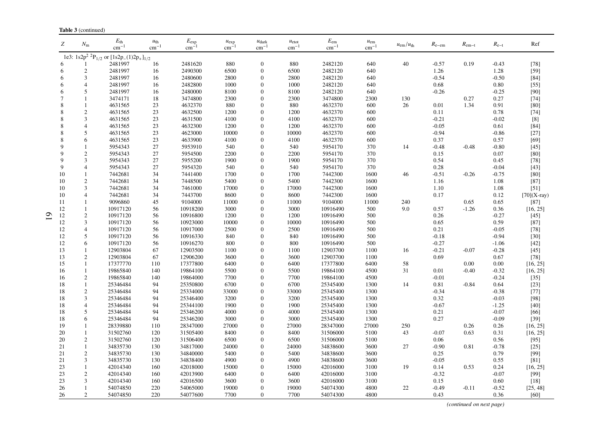|                 | <b>Table 3</b> (continued) |                                                                       |                          |                                  |                        |                               |                                |                               |                           |                         |                   |                |               |               |
|-----------------|----------------------------|-----------------------------------------------------------------------|--------------------------|----------------------------------|------------------------|-------------------------------|--------------------------------|-------------------------------|---------------------------|-------------------------|-------------------|----------------|---------------|---------------|
| Z               | $N_{\rm m}$                | $E_{\rm th}$<br>$\rm cm^{-1}$                                         | $u_{\rm th}$<br>$cm^{-}$ | $E_{\rm exp}$<br>cm <sup>-</sup> | $u_{\exp}$<br>$cm^{-}$ | $u_{\text{dark}}$<br>$cm^{-}$ | $u_{\text{etot}}$<br>$cm^{-1}$ | $E_{\rm em}$<br>$\rm cm^{-1}$ | $u_{\rm em}$<br>$cm^{-1}$ | $u_{\rm em}/u_{\rm th}$ | $R_{\text{e-em}}$ | $R_{\rm em-t}$ | $R_{\rm e-t}$ | Ref           |
|                 |                            | 1e3: $1s2p^2$ <sup>2</sup> P <sub>1/2</sub> or $[1s2p-(1)2p_+]_{1/2}$ |                          |                                  |                        |                               |                                |                               |                           |                         |                   |                |               |               |
| 6               |                            | 2481997                                                               | 16                       | 2481620                          | 880                    | $\mathbf{0}$                  | 880                            | 2482120                       | 640                       | 40                      | $-0.57$           | 0.19           | $-0.43$       | $[78]$        |
| 6               | 2                          | 2481997                                                               | 16                       | 2490300                          | 6500                   | $\overline{0}$                | 6500                           | 2482120                       | 640                       |                         | 1.26              |                | 1.28          | $[59]$        |
| 6               | 3                          | 2481997                                                               | 16                       | 2480600                          | 2800                   | $\theta$                      | 2800                           | 2482120                       | 640                       |                         | $-0.54$           |                | $-0.50$       | $[84]$        |
| 6               | $\overline{4}$             | 2481997                                                               | 16                       | 2482800                          | 1000                   | $\mathbf{0}$                  | 1000                           | 2482120                       | 640                       |                         | 0.68              |                | 0.80          | $[55]$        |
| 6               | 5                          | 2481997                                                               | 16                       | 2480000                          | 8100                   | $\overline{0}$                | 8100                           | 2482120                       | 640                       |                         | $-0.26$           |                | $-0.25$       | $[90]$        |
| $7\phantom{.0}$ | $\mathbf{1}$               | 3474171                                                               | 18                       | 3474800                          | 2300                   | $\mathbf{0}$                  | 2300                           | 3474800                       | 2300                      | 130                     |                   | 0.27           | 0.27          | $[74]$        |
| 8               | $\overline{1}$             | 4631565                                                               | 23                       | 4632370                          | 880                    | $\mathbf{0}$                  | 880                            | 4632370                       | 600                       | 26                      | 0.01              | 1.34           | 0.91          | [80]          |
| 8               | $\boldsymbol{2}$           | 4631565                                                               | 23                       | 4632500                          | 1200                   | $\mathbf{0}$                  | 1200                           | 4632370                       | 600                       |                         | 0.11              |                | 0.78          | $[74]$        |
| 8               | 3                          | 4631565                                                               | 23                       | 4631500                          | 4100                   | $\theta$                      | 4100                           | 4632370                       | 600                       |                         | $-0.21$           |                | $-0.02$       | $[8]$         |
| 8               | $\overline{4}$             | 4631565                                                               | 23                       | 4632300                          | 1200                   | $\mathbf{0}$                  | 1200                           | 4632370                       | 600                       |                         | $-0.05$           |                | 0.61          | $[84]$        |
| 8               | 5                          | 4631565                                                               | 23                       | 4623000                          | 10000                  | $\mathbf{0}$                  | 10000                          | 4632370                       | 600                       |                         | $-0.94$           |                | $-0.86$       | $[27]$        |
| 8               | 6                          | 4631565                                                               | 23                       | 4633900                          | 4100                   | $\mathbf{0}$                  | 4100                           | 4632370                       | 600                       |                         | 0.37              |                | 0.57          | $[69]$        |
| 9               | $\mathbf{1}$               | 5954343                                                               | 27                       | 5953910                          | 540                    | $\mathbf{0}$                  | 540                            | 5954170                       | 370                       | 14                      | $-0.48$           | $-0.48$        | $-0.80$       | $[45]$        |
| 9               | $\overline{c}$             | 5954343                                                               | 27                       | 5954500                          | 2200                   | $\theta$                      | 2200                           | 5954170                       | 370                       |                         | 0.15              |                | 0.07          | [80]          |
| $\mathbf{Q}$    | 3                          | 5954343                                                               | 27                       | 5955200                          | 1900                   | $\mathbf{0}$                  | 1900                           | 5954170                       | 370                       |                         | 0.54              |                | 0.45          | $[78]$        |
| 9               | $\overline{4}$             | 5954343                                                               | 27                       | 5954320                          | 540                    | $\theta$                      | 540                            | 5954170                       | 370                       |                         | 0.28              |                | $-0.04$       | $[43]$        |
| 10              | $\mathbf{1}$               | 7442681                                                               | 34                       | 7441400                          | 1700                   | $\mathbf{0}$                  | 1700                           | 7442300                       | 1600                      | 46                      | $-0.51$           | $-0.26$        | $-0.75$       | $[80]$        |
| 10              | $\overline{c}$             | 7442681                                                               | 34                       | 7448500                          | 5400                   | $\mathbf{0}$                  | 5400                           | 7442300                       | 1600                      |                         | 1.16              |                | 1.08          | $[87]$        |
| 10              | $\mathfrak{Z}$             | 7442681                                                               | 34                       | 7461000                          | 17000                  | $\overline{0}$                | 17000                          | 7442300                       | 1600                      |                         | 1.10              |                | 1.08          | $[51]$        |
| 10              | $\overline{4}$             | 7442681                                                               | 34                       | 7443700                          | 8600                   | $\mathbf{0}$                  | 8600                           | 7442300                       | 1600                      |                         | 0.17              |                | 0.12          | $[70](X-ray)$ |
| 11              | $\mathbf{1}$               | 9096860                                                               | 45                       | 9104000                          | 11000                  | $\theta$                      | 11000                          | 9104000                       | 11000                     | 240                     |                   | 0.65           | 0.65          | $[87]$        |
| 12              | $\mathbf{1}$               | 10917120                                                              | 56                       | 10918200                         | 3000                   | $\mathbf{0}$                  | 3000                           | 10916490                      | 500                       | 9.0                     | 0.57              | $-1.26$        | 0.36          | [16, 25]      |
| 12              | $\mathbf{2}$               | 10917120                                                              | 56                       | 10916800                         | 1200                   | $\theta$                      | 1200                           | 10916490                      | 500                       |                         | 0.26              |                | $-0.27$       | $[45]$        |
| 12              | $\mathfrak{Z}$             | 10917120                                                              | 56                       | 10923000                         | 10000                  | $\boldsymbol{0}$              | 10000                          | 10916490                      | 500                       |                         | 0.65              |                | 0.59          | $[87]$        |
| 12              | $\overline{4}$             | 10917120                                                              | 56                       | 10917000                         | 2500                   | $\mathbf{0}$                  | 2500                           | 10916490                      | 500                       |                         | 0.21              |                | $-0.05$       | $[78]$        |
| 12              | 5                          | 10917120                                                              | 56                       | 10916330                         | 840                    | $\mathbf{0}$                  | 840                            | 10916490                      | 500                       |                         | $-0.18$           |                | $-0.94$       | $[30]$        |
| 12              | 6                          | 10917120                                                              | 56                       | 10916270                         | 800                    | $\mathbf{0}$                  | 800                            | 10916490                      | 500                       |                         | $-0.27$           |                | $-1.06$       | $[42]$        |
| 13              | $\mathbf{1}$               | 12903804                                                              | 67                       | 12903500                         | 1100                   | $\theta$                      | 1100                           | 12903700                      | 1100                      | 16                      | $-0.21$           | $-0.07$        | $-0.28$       | $[45]$        |
| 13              | $\overline{c}$             | 12903804                                                              | 67                       | 12906200                         | 3600                   | $\theta$                      | 3600                           | 12903700                      | 1100                      |                         | 0.69              |                | 0.67          | $[78]$        |
| 15              | $\mathbf{1}$               | 17377770                                                              | 110                      | 17377800                         | 6400                   | $\mathbf{0}$                  | 6400                           | 17377800                      | 6400                      | 58                      |                   | 0.00           | 0.00          | [16, 25]      |
| 16              | $\mathbf{1}$               | 19865840                                                              | 140                      | 19864100                         | 5500                   | $\mathbf{0}$                  | 5500                           | 19864100                      | 4500                      | 31                      | 0.01              | $-0.40$        | $-0.32$       | [16, 25]      |
| 16              | $\sqrt{2}$                 | 19865840                                                              | 140                      | 19864000                         | 7700                   | $\overline{0}$                | 7700                           | 19864100                      | 4500                      |                         | $-0.01$           |                | $-0.24$       | $[35]$        |
| 18              | $\mathbf{1}$               | 25346484                                                              | 94                       | 25350800                         | 6700                   | $\mathbf{0}$                  | 6700                           | 25345400                      | 1300                      | 14                      | 0.81              | $-0.84$        | 0.64          | $[23]$        |
| 18              | $\overline{c}$             | 25346484                                                              | 94                       | 25334000                         | 33000                  | $\overline{0}$                | 33000                          | 25345400                      | 1300                      |                         | $-0.34$           |                | $-0.38$       | $[77]$        |
| 18              | 3                          | 25346484                                                              | 94                       | 25346400                         | 3200                   | $\Omega$                      | 3200                           | 25345400                      | 1300                      |                         | 0.32              |                | $-0.03$       | [98]          |
| 18              | $\overline{4}$             | 25346484                                                              | 94                       | 25344100                         | 1900                   | $\mathbf{0}$                  | 1900                           | 25345400                      | 1300                      |                         | $-0.67$           |                | $-1.25$       | $[40]$        |
| 18              | 5                          | 25346484                                                              | 94                       | 25346200                         | 4000                   | $\overline{0}$                | 4000                           | 25345400                      | 1300                      |                         | 0.21              |                | $-0.07$       | $[66]$        |
| 18              | 6                          | 25346484                                                              | 94                       | 25346200                         | 3000                   | $\mathbf{0}$                  | 3000                           | 25345400                      | 1300                      |                         | 0.27              |                | $-0.09$       | $[39]$        |
| 19              | $\mathbf{1}$               | 28339880                                                              | 110                      | 28347000                         | 27000                  | $\overline{0}$                | 27000                          | 28347000                      | 27000                     | 250                     |                   | 0.26           | 0.26          | [16, 25]      |
| 20              | $\mathbf{1}$               | 31502760                                                              | 120                      | 31505400                         | 8400                   | $\mathbf{0}$                  | 8400                           | 31506000                      | 5100                      | 43                      | $-0.07$           | 0.63           | 0.31          | [16, 25]      |
| 20              | $\overline{c}$             | 31502760                                                              | 120                      | 31506400                         | 6500                   | $\theta$                      | 6500                           | 31506000                      | 5100                      |                         | 0.06              |                | 0.56          | $[95]$        |
| 21              | $\mathbf{1}$               | 34835730                                                              | 130                      | 34817000                         | 24000                  | $\boldsymbol{0}$              | 24000                          | 34838600                      | 3600                      | 27                      | $-0.90$           | 0.81           | $-0.78$       | $[25]$        |
| 21              | $\mathbf{2}$               | 34835730                                                              | 130                      | 34840000                         | 5400                   | $\mathbf{0}$                  | 5400                           | 34838600                      | 3600                      |                         | 0.25              |                | 0.79          | [99]          |
| 21              | $\mathfrak{Z}$             | 34835730                                                              | 130                      | 34838400                         | 4900                   | $\theta$                      | 4900                           | 34838600                      | 3600                      |                         | $-0.05$           |                | 0.55          | $[81]$        |
| 23              | $\mathbf{1}$               | 42014340                                                              | 160                      | 42018000                         | 15000                  | $\mathbf{0}$                  | 15000                          | 42016000                      | 3100                      | 19                      | 0.14              | 0.53           | 0.24          | [16, 25]      |
| 23              | $\mathbf{2}$               | 42014340                                                              | 160                      | 42013900                         | 6400                   | $\theta$                      | 6400                           | 42016000                      | 3100                      |                         | $-0.32$           |                | $-0.07$       | [99]          |
| 23              | 3                          | 42014340                                                              | 160                      | 42016500                         | 3600                   | $\theta$                      | 3600                           | 42016000                      | 3100                      |                         | 0.15              |                | 0.60          | $[18]$        |
| 26              | $\mathbf{1}$               | 54074850                                                              | 220                      | 54065000                         | 19000                  | $\theta$                      | 19000                          | 54074300                      | 4800                      | 22                      | $-0.49$           | $-0.11$        | $-0.52$       | [25, 48]      |
| 26              | 2                          | 54074850                                                              | 220                      | 54077600                         | 7700                   | $\overline{0}$                | 7700                           | 54074300                      | 4800                      |                         | 0.43              |                | 0.36          | [60]          |
|                 |                            |                                                                       |                          |                                  |                        |                               |                                |                               |                           |                         |                   |                |               |               |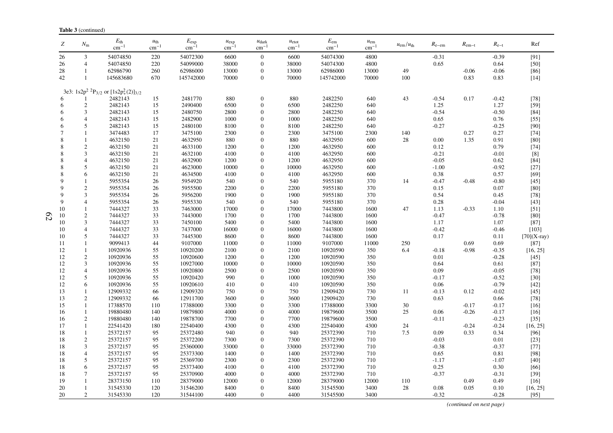|              | <b>Table 3</b> (continued) |                                                                      |                       |                           |                        |                                    |                                       |                               |                           |                         |            |                |               |               |
|--------------|----------------------------|----------------------------------------------------------------------|-----------------------|---------------------------|------------------------|------------------------------------|---------------------------------------|-------------------------------|---------------------------|-------------------------|------------|----------------|---------------|---------------|
| Z            | $N_{\rm m}$                | $E_{\rm th}$<br>$cm^{-1}$                                            | $u_{\rm th}$<br>$cm-$ | $E_{\rm exp}$<br>$cm^{-}$ | $u_{\exp}$<br>$cm^{-}$ | $u_{\rm dark}$<br>$\text{cm}^{-1}$ | $u_{\text{etot}}$<br>$\text{cm}^{-1}$ | $E_{\rm em}$<br>$\rm cm^{-1}$ | $u_{em}$<br>$\rm cm^{-1}$ | $u_{\rm em}/u_{\rm th}$ | $R_{e-em}$ | $R_{\rm em-t}$ | $R_{\rm e-t}$ | Ref           |
| 26           | $\mathfrak{Z}$             | 54074850                                                             | 220                   | 54072300                  | 6600                   | $\boldsymbol{0}$                   | 6600                                  | 54074300                      | 4800                      |                         | $-0.31$    |                | $-0.39$       | [91]          |
| 26           | $\overline{4}$             | 54074850                                                             | 220                   | 54099000                  | 38000                  | $\mathbf{0}$                       | 38000                                 | 54074300                      | 4800                      |                         | 0.65       |                | 0.64          | $[50]$        |
| 28           | $\mathbf{1}$               | 62986790                                                             | 260                   | 62986000                  | 13000                  | $\boldsymbol{0}$                   | 13000                                 | 62986000                      | 13000                     | 49                      |            | $-0.06$        | $-0.06$       | $[86]$        |
| 42           | 1                          | 145683680                                                            | 670                   | 145742000                 | 70000                  | $\mathbf{0}$                       | 70000                                 | 145742000                     | 70000                     | 100                     |            | 0.83           | 0.83          | $[14]$        |
|              |                            |                                                                      |                       |                           |                        |                                    |                                       |                               |                           |                         |            |                |               |               |
|              |                            | 3e3: $1s2p^2$ <sup>2</sup> P <sub>3/2</sub> or $[1s2p_+^2(2)]_{3/2}$ |                       |                           |                        |                                    |                                       |                               |                           |                         |            |                |               |               |
| 6            |                            | 2482143                                                              | 15                    | 2481770                   | 880                    | $\boldsymbol{0}$                   | 880                                   | 2482250                       | 640                       | 43                      | $-0.54$    | 0.17           | $-0.42$       | $[78]$        |
| 6            | $\sqrt{2}$                 | 2482143                                                              | 15                    | 2490400                   | 6500                   | $\mathbf{0}$                       | 6500                                  | 2482250                       | 640                       |                         | 1.25       |                | 1.27          | $[59]$        |
| 6            | 3                          | 2482143                                                              | 15                    | 2480750                   | 2800                   | $\mathbf{0}$                       | 2800                                  | 2482250                       | 640                       |                         | $-0.54$    |                | $-0.50$       | $[84]$        |
| 6            | $\overline{4}$             | 2482143                                                              | 15                    | 2482900                   | 1000                   | $\mathbf{0}$                       | 1000                                  | 2482250                       | 640                       |                         | 0.65       |                | 0.76          | $[55]$        |
| 6            | 5                          | 2482143                                                              | 15                    | 2480100                   | 8100                   | $\mathbf{0}$                       | 8100                                  | 2482250                       | 640                       |                         | $-0.27$    |                | $-0.25$       | $[90]$        |
| 7            | 1                          | 3474483                                                              | 17                    | 3475100                   | 2300                   | $\boldsymbol{0}$                   | 2300                                  | 3475100                       | 2300                      | 140                     |            | 0.27           | 0.27          | $[74]$        |
| 8            | $\mathbf{1}$               | 4632150                                                              | 21                    | 4632950                   | 880                    | $\mathbf{0}$                       | 880                                   | 4632950                       | 600                       | 28                      | 0.00       | 1.35           | 0.91          | $[80]$        |
| 8            | $\overline{c}$             | 4632150                                                              | 21                    | 4633100                   | 1200                   | $\boldsymbol{0}$                   | 1200                                  | 4632950                       | 600                       |                         | 0.12       |                | 0.79          | $[74]$        |
| 8            | 3                          | 4632150                                                              | 21                    | 4632100                   | 4100                   | $\boldsymbol{0}$                   | 4100                                  | 4632950                       | 600                       |                         | $-0.21$    |                | $-0.01$       | $[8]$         |
| 8            | 4                          | 4632150                                                              | 21                    | 4632900                   | 1200                   | $\overline{0}$                     | 1200                                  | 4632950                       | 600                       |                         | $-0.05$    |                | 0.62          | $[84]$        |
| 8            | 5                          | 4632150                                                              | 21                    | 4623000                   | 10000                  | $\boldsymbol{0}$                   | 10000                                 | 4632950                       | 600                       |                         | $-1.00$    |                | $-0.92$       | $[27]$        |
| 8            | 6                          | 4632150                                                              | 21                    | 4634500                   | 4100                   | $\mathbf{0}$                       | 4100                                  | 4632950                       | 600                       |                         | 0.38       |                | 0.57          | $[69]$        |
| 9            | $\mathbf{1}$               | 5955354                                                              | 26                    | 5954920                   | 540                    | $\boldsymbol{0}$                   | 540                                   | 5955180                       | 370                       | 14                      | $-0.47$    | $-0.48$        | $-0.80$       | $[45]$        |
| 9            | $\boldsymbol{2}$           | 5955354                                                              | 26                    | 5955500                   | 2200                   | $\boldsymbol{0}$                   | 2200                                  | 5955180                       | 370                       |                         | 0.15       |                | 0.07          | [80]          |
| $\mathbf{Q}$ | $\mathfrak{Z}$             | 5955354                                                              | 26                    | 5956200                   | 1900                   | $\overline{0}$                     | 1900                                  | 5955180                       | 370                       |                         | 0.54       |                | 0.45          | $[78]$        |
| 9            | $\overline{4}$             | 5955354                                                              | 26                    | 5955330                   | 540                    | $\mathbf{0}$                       | 540                                   | 5955180                       | 370                       |                         | 0.28       |                | $-0.04$       | $[43]$        |
| 10           | $\mathbf{1}$               | 7444327                                                              | 33                    | 7463000                   | 17000                  | $\overline{0}$                     | 17000                                 | 7443800                       | 1600                      | 47                      | 1.13       | $-0.33$        | 1.10          | $[51]$        |
| 10           | $\boldsymbol{2}$           | 7444327                                                              | 33                    | 7443000                   | 1700                   | $\overline{0}$                     | 1700                                  | 7443800                       | 1600                      |                         | $-0.47$    |                | $-0.78$       | $[80]$        |
| 10           | $\mathfrak{Z}$             | 7444327                                                              | 33                    | 7450100                   | 5400                   | $\mathbf{0}$                       | 5400                                  | 7443800                       | 1600                      |                         | 1.17       |                | 1.07          | $[87]$        |
| 10           | $\overline{4}$             | 7444327                                                              | 33                    | 7437000                   | 16000                  | $\Omega$                           | 16000                                 | 7443800                       | 1600                      |                         | $-0.42$    |                | $-0.46$       | [103]         |
| 10           | 5                          | 7444327                                                              | 33                    | 7445300                   | 8600                   | $\mathbf{0}$                       | 8600                                  | 7443800                       | 1600                      |                         | 0.17       |                | 0.11          | $[70](X-ray)$ |
| 11           | $\mathbf{1}$               | 9099413                                                              | 44                    | 9107000                   | 11000                  | $\overline{0}$                     | 11000                                 | 9107000                       | 11000                     | 250                     |            | 0.69           | 0.69          | $[87]$        |
| 12           | $\mathbf{1}$               | 10920936                                                             | 55                    | 10920200                  | 2100                   | $\boldsymbol{0}$                   | 2100                                  | 10920590                      | 350                       | 6.4                     | $-0.18$    | $-0.98$        | $-0.35$       | [16, 25]      |
| 12           | $\boldsymbol{2}$           | 10920936                                                             | 55                    | 10920600                  | 1200                   | $\boldsymbol{0}$                   | 1200                                  | 10920590                      | 350                       |                         | 0.01       |                | $-0.28$       | $[45]$        |
| 12           | $\mathfrak{Z}$             | 10920936                                                             | 55                    | 10927000                  | 10000                  | $\mathbf{0}$                       | 10000                                 | 10920590                      | 350                       |                         | 0.64       |                | 0.61          | $[87]$        |
| 12           | $\overline{4}$             | 10920936                                                             | 55                    | 10920800                  | 2500                   | $\mathbf{0}$                       | 2500                                  | 10920590                      | 350                       |                         | 0.09       |                | $-0.05$       | $[78]$        |
| 12           | 5                          | 10920936                                                             | 55                    | 10920420                  | 990                    | $\overline{0}$                     | 1000                                  | 10920590                      | 350                       |                         | $-0.17$    |                | $-0.52$       | $[30]$        |
| 12           | 6                          | 10920936                                                             | 55                    | 10920610                  | 410                    | $\mathbf{0}$                       | 410                                   | 10920590                      | 350                       |                         | 0.06       |                | $-0.79$       | $[42]$        |
| 13           | $\mathbf{1}$               | 12909332                                                             | 66                    | 12909320                  | 750                    | $\boldsymbol{0}$                   | 750                                   | 12909420                      | 730                       | 11                      | $-0.13$    | 0.12           | $-0.02$       | $[45]$        |
| 13           | $\overline{c}$             | 12909332                                                             | 66                    | 12911700                  | 3600                   | $\theta$                           | 3600                                  | 12909420                      | 730                       |                         | 0.63       |                | 0.66          | $[78]$        |
| 15           | $\mathbf{1}$               | 17388570                                                             | 110                   | 17388000                  | 3300                   | $\boldsymbol{0}$                   | 3300                                  | 17388000                      | 3300                      | 30                      |            | $-0.17$        | $-0.17$       | $[16]$        |
| 16           | $\mathbf{1}$               | 19880480                                                             | 140                   | 19879800                  | 4000                   | $\boldsymbol{0}$                   | 4000                                  | 19879600                      | 3500                      | 25                      | 0.06       | $-0.26$        | $-0.17$       | $[16]$        |
| 16           | $\sqrt{2}$                 | 19880480                                                             | 140                   | 19878700                  | 7700                   | $\boldsymbol{0}$                   | 7700                                  | 19879600                      | 3500                      |                         | $-0.11$    |                | $-0.23$       | $[35]$        |
| 17           | $\mathbf{1}$               | 22541420                                                             | 180                   | 22540400                  | 4300                   | $\boldsymbol{0}$                   | 4300                                  | 22540400                      | 4300                      | 24                      |            | $-0.24$        | $-0.24$       | [16, 25]      |
| 18           | $\mathbf{1}$               | 25372157                                                             | 95                    | 25372480                  | 940                    | $\mathbf{0}$                       | 940                                   | 25372390                      | 710                       | 7.5                     | 0.09       | 0.33           | 0.34          | $[96]$        |
| 18           | $\boldsymbol{2}$           | 25372157                                                             | 95                    | 25372200                  | 7300                   | $\boldsymbol{0}$                   | 7300                                  | 25372390                      | 710                       |                         | $-0.03$    |                | 0.01          | $[23]$        |
| 18           | 3                          | 25372157                                                             | 95                    | 25360000                  | 33000                  | $\boldsymbol{0}$                   | 33000                                 | 25372390                      | 710                       |                         | $-0.38$    |                | $-0.37$       | $[77]$        |
| 18           | $\overline{\mathbf{4}}$    | 25372157                                                             | 95                    | 25373300                  | 1400                   | $\boldsymbol{0}$                   | 1400                                  | 25372390                      | 710                       |                         | 0.65       |                | 0.81          | $[98]$        |
| 18           | 5                          | 25372157                                                             | 95                    | 25369700                  | 2300                   | $\boldsymbol{0}$                   | 2300                                  | 25372390                      | 710                       |                         | $-1.17$    |                | $-1.07$       | $[40]$        |
| 18           | 6                          | 25372157                                                             | 95                    | 25373400                  | 4100                   | $\theta$                           | 4100                                  | 25372390                      | 710                       |                         | 0.25       |                | 0.30          | $[66]$        |
| 18           | 7                          | 25372157                                                             | 95                    | 25370900                  | 4000                   | $\boldsymbol{0}$                   | 4000                                  | 25372390                      | 710                       |                         | $-0.37$    |                | $-0.31$       | $[39]$        |
| 19           | $\mathbf{1}$               | 28373150                                                             | 110                   | 28379000                  | 12000                  | $\boldsymbol{0}$                   | 12000                                 | 28379000                      | 12000                     | 110                     |            | 0.49           | 0.49          | $[16]$        |
| 20           | $\mathbf{1}$               | 31545330                                                             | 120                   | 31546200                  | 8400                   | $\mathbf{0}$                       | 8400                                  | 31545500                      | 3400                      | 28                      | 0.08       | 0.05           | 0.10          | [16, 25]      |
| 20           | $\overline{c}$             | 31545330                                                             | 120                   | 31544100                  | 4400                   | $\Omega$                           | 4400                                  | 31545500                      | 3400                      |                         | $-0.32$    |                | $-0.28$       | $[95]$        |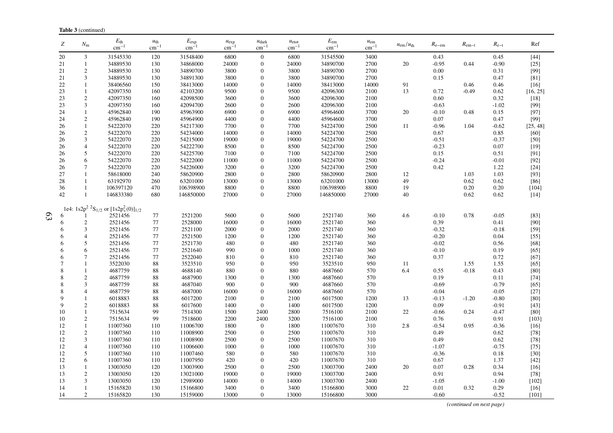|                | Z              | $N_{\rm m}$                      | $E_{\rm th}$<br>$cm^{-1}$                                            | $u_{\rm th}$<br>$\text{cm}^{-1}$ | $E_{\rm exp}$<br>cm <sup>-</sup> | $u_{\exp}$<br>$\text{cm}^{-1}$ | $u_{\text{dark}}$<br>$cm^{-}$    | $u_{\text{etot}}$<br>$\rm cm^{-1}$ | $E_{\rm em}$<br>$cm^{-1}$ | $u_{\rm em}$<br>$cm^{-1}$ | $u_{\rm em}/u_{\rm th}$ | $R_{\rm e-em}$  | $R_{\rm em-t}$ | $R_{e-t}$       | Ref              |
|----------------|----------------|----------------------------------|----------------------------------------------------------------------|----------------------------------|----------------------------------|--------------------------------|----------------------------------|------------------------------------|---------------------------|---------------------------|-------------------------|-----------------|----------------|-----------------|------------------|
|                | 20             | $\mathfrak{Z}$                   | 31545330                                                             | 120                              | 31548400                         | 6800                           | $\mathbf{0}$                     | 6800                               | 31545500                  | 3400                      |                         | 0.43            |                | 0.45            | $[44]$           |
|                | 21             | $\mathbf{1}$                     | 34889530                                                             | 130                              | 34868000                         | 24000                          | $\theta$                         | 24000                              | 34890700                  | 2700                      | 20                      | $-0.95$         | 0.44           | $-0.90$         | $[25]$           |
|                | 21             | $\sqrt{2}$                       | 34889530                                                             | 130                              | 34890700                         | 3800                           | $\theta$                         | 3800                               | 34890700                  | 2700                      |                         | 0.00            |                | 0.31            | [99]             |
|                | 21             | 3                                | 34889530                                                             | 130                              | 34891300                         | 3800                           | $\overline{0}$                   | 3800                               | 34890700                  | 2700                      |                         | 0.15            |                | 0.47            | [81]             |
|                | 22             | $\mathbf{1}$                     | 38406560                                                             | 150                              | 38413000                         | 14000                          | $\overline{0}$                   | 14000                              | 38413000                  | 14000                     | 91                      |                 | 0.46           | 0.46            | $[16]$           |
|                | 23             | $\overline{1}$                   | 42097350                                                             | 160                              | 42103200                         | 9500                           | $\theta$                         | 9500                               | 42096300                  | 2100                      | 13                      | 0.72            | $-0.49$        | 0.62            | [16, 25]         |
|                | 23             | $\sqrt{2}$                       | 42097350                                                             | 160                              | 42098500                         | 3600                           | $\overline{0}$                   | 3600                               | 42096300                  | 2100                      |                         | 0.60            |                | 0.32            | $[18]$           |
|                | 23             | 3                                | 42097350                                                             | 160                              | 42094700                         | 2600                           | $\theta$                         | 2600                               | 42096300                  | 2100                      |                         | $-0.63$         |                | $-1.02$         | $[99]$           |
|                | 24             | $\overline{1}$                   | 45962840                                                             | 190                              | 45963900                         | 6900                           | $\overline{0}$                   | 6900                               | 45964600                  | 3700                      | 20                      | $-0.10$         | 0.48           | 0.15            | [97]             |
|                | 24             | $\overline{2}$                   | 45962840                                                             | 190                              | 45964900                         | 4400                           | $\theta$                         | 4400                               | 45964600                  | 3700                      |                         | 0.07            |                | 0.47            | $[99]$           |
|                | 26             | $\overline{1}$                   | 54222070                                                             | 220                              | 54217300                         | 7700                           | $\overline{0}$                   | 7700                               | 54224700                  | 2500                      | 11                      | $-0.96$         | 1.04           | $-0.62$         | [25, 48]         |
|                | 26             | $\overline{2}$                   | 54222070                                                             | 220                              | 54234000                         | 14000                          | $\overline{0}$                   | 14000                              | 54224700                  | 2500                      |                         | 0.67            |                | 0.85            | $[60]$           |
|                | 26             | 3                                | 54222070                                                             | 220                              | 54215000                         | 19000                          | $\theta$                         | 19000                              | 54224700                  | 2500                      |                         | $-0.51$         |                | $-0.37$         | $[50]$           |
|                | 26             | $\overline{4}$                   | 54222070                                                             | 220                              | 54222700                         | 8500                           | $\overline{0}$                   | 8500                               | 54224700                  | 2500                      |                         | $-0.23$         |                | 0.07            | $[19]$           |
|                | 26             | 5<br>6                           | 54222070                                                             | 220                              | 54225700                         | 7100                           | $\theta$                         | 7100                               | 54224700                  | 2500                      |                         | 0.15            |                | 0.51            | [91]<br>$[92]$   |
|                | 26             | $\overline{7}$                   | 54222070<br>54222070                                                 | 220<br>220                       | 54222000<br>54226000             | 11000<br>3200                  | $\overline{0}$<br>$\overline{0}$ | 11000                              | 54224700<br>54224700      | 2500<br>2500              |                         | $-0.24$<br>0.42 |                | $-0.01$<br>1.22 | $[24]$           |
|                | 26<br>27       | $\mathbf{1}$                     | 58618000                                                             | 240                              | 58620900                         | 2800                           | $\theta$                         | 3200<br>2800                       | 58620900                  | 2800                      | 12                      |                 | 1.03           | 1.03            | [93]             |
|                | 28             | $\mathbf{1}$                     | 63192970                                                             | 260                              | 63201000                         | 13000                          | $\theta$                         | 13000                              | 63201000                  | 13000                     | 49                      |                 | 0.62           | 0.62            | $[86]$           |
|                | 36             | $\mathbf{1}$                     | 106397120                                                            | 470                              | 106398900                        | 8800                           | $\overline{0}$                   | 8800                               | 106398900                 | 8800                      | 19                      |                 | $0.20\,$       | $0.20\,$        | $[104]$          |
|                | 42             | $\mathbf{1}$                     | 146833380                                                            | 680                              | 146850000                        | 27000                          | $\overline{0}$                   | 27000                              | 146850000                 | 27000                     | 40                      |                 | 0.62           | 0.62            | $[14]$           |
|                |                |                                  |                                                                      |                                  |                                  |                                |                                  |                                    |                           |                           |                         |                 |                |                 |                  |
|                |                |                                  | 1e4: $1s2p^2$ <sup>2</sup> S <sub>1/2</sub> or $[1s2p_+^2(0)]_{1/2}$ |                                  |                                  |                                |                                  |                                    |                           |                           |                         |                 |                |                 |                  |
| $\mathfrak{S}$ |                |                                  | 2521456                                                              | 77                               | 2521200                          | 5600                           | $\boldsymbol{0}$                 | 5600                               | 2521740                   | 360                       | 4.6                     | $-0.10$         | 0.78           | $-0.05$         | $[83]$           |
|                | 6              | $\sqrt{2}$                       | 2521456                                                              | 77                               | 2528000                          | 16000                          | $\boldsymbol{0}$                 | 16000                              | 2521740                   | 360                       |                         | 0.39            |                | 0.41            | $[90]$           |
|                | 6              | $\overline{3}$                   | 2521456                                                              | $77\,$                           | 2521100                          | 2000                           | $\theta$                         | 2000                               | 2521740                   | 360                       |                         | $-0.32$         |                | $-0.18$         | $[59]$           |
|                | 6              | $\overline{4}$                   | 2521456                                                              | 77                               | 2521500                          | 1200                           | $\theta$                         | 1200                               | 2521740                   | 360                       |                         | $-0.20$         |                | 0.04            | $[55]$           |
|                | 6              | 5                                | 2521456                                                              | 77                               | 2521730                          | 480                            | $\overline{0}$                   | 480                                | 2521740                   | 360                       |                         | $-0.02$         |                | 0.56            | $[68]$           |
|                | 6              | 6                                | 2521456                                                              | 77                               | 2521640                          | 990                            | $\theta$                         | 1000                               | 2521740                   | 360                       |                         | $-0.10$         |                | 0.19            | $[65]$           |
|                | 6              | $\overline{7}$                   | 2521456                                                              | 77                               | 2522040                          | 810                            | $\theta$                         | 810                                | 2521740                   | 360                       |                         | 0.37            |                | 0.72            | $[67]$           |
|                | $\overline{7}$ | $\mathbf{1}$                     | 3522030                                                              | 88                               | 3523510                          | 950                            | $\theta$                         | 950                                | 3523510                   | 950                       | 11                      |                 | 1.55           | 1.55            | $[65]$           |
|                | 8              | $\mathbf{1}$                     | 4687759                                                              | 88                               | 4688140                          | 880                            | $\theta$                         | 880                                | 4687660                   | 570                       | 6.4                     | 0.55            | $-0.18$        | 0.43            | $[80]$           |
|                | 8              | $\overline{2}$                   | 4687759                                                              | 88                               | 4687900                          | 1300                           | $\overline{0}$                   | 1300                               | 4687660                   | 570                       |                         | 0.19            |                | 0.11            | $[74]$           |
|                | 8              | $\mathfrak{Z}$                   | 4687759                                                              | 88                               | 4687040                          | 900                            | 0                                | 900                                | 4687660                   | 570                       |                         | $-0.69$         |                | $-0.79$         | $[65]$           |
|                | 8              | $\overline{4}$                   | 4687759                                                              | 88                               | 4687000                          | 16000                          | $\overline{0}$                   | 16000                              | 4687660                   | 570                       |                         | $-0.04$         |                | $-0.05$         | $[27]$           |
|                | 9              | $\overline{1}$                   | 6018883                                                              | 88                               | 6017200                          | 2100                           | $\mathbf{0}$                     | 2100                               | 6017500                   | 1200                      | 13                      | $-0.13$         | $-1.20$        | $-0.80$         | [80]             |
|                | 9              | $\sqrt{2}$                       | 6018883                                                              | 88                               | 6017600                          | 1400                           | $\theta$                         | 1400                               | 6017500                   | 1200                      |                         | 0.09            |                | $-0.91$         | $[43]$           |
|                | 10             | $\overline{1}$                   | 7515634                                                              | 99                               | 7514300                          | 1500                           | 2400                             | 2800                               | 7516100                   | 2100                      | 22                      | $-0.66$         | 0.24           | $-0.47$         | $[80]$           |
|                | 10             | $\overline{2}$                   | 7515634                                                              | 99                               | 7518600                          | 2200                           | 2400                             | 3200                               | 7516100                   | 2100                      |                         | 0.76            |                | 0.91            | $[103]$          |
|                | 12             | $\mathbf{1}$                     | 11007360                                                             | 110                              | 11006700                         | 1800                           | $\boldsymbol{0}$                 | 1800                               | 11007670                  | 310                       | 2.8                     | $-0.54$         | 0.95           | $-0.36$         | $[16]$           |
|                | 12             | $\overline{2}$<br>$\overline{3}$ | 11007360                                                             | 110                              | 11008900                         | 2500                           | $\mathbf{0}$<br>$\theta$         | 2500                               | 11007670                  | 310                       |                         | 0.49            |                | 0.62            | $[78]$           |
|                | 12<br>12       | $\overline{4}$                   | 11007360<br>11007360                                                 | 110<br>110                       | 11008900<br>11006600             | 2500<br>1000                   | $\theta$                         | 2500<br>1000                       | 11007670<br>11007670      | 310<br>310                |                         | 0.49<br>$-1.07$ |                | 0.62<br>$-0.75$ | $[78]$<br>$[75]$ |
|                | 12             | 5                                | 11007360                                                             | 110                              | 11007460                         | 580                            | $\Omega$                         | 580                                | 11007670                  | 310                       |                         | $-0.36$         |                |                 | $[30]$           |
|                | 12             | 6                                | 11007360                                                             | 110                              | 11007950                         | 420                            | $\theta$                         | 420                                | 11007670                  | 310                       |                         | 0.67            |                | 0.18<br>1.37    | $[42]$           |
|                | 13             | $\mathbf{1}$                     | 13003050                                                             | 120                              | 13003900                         | 2500                           | $\overline{0}$                   | 2500                               | 13003700                  | 2400                      | 20                      | 0.07            | 0.28           | 0.34            | $[16]$           |
|                | 13             | $\overline{2}$                   | 13003050                                                             | 120                              | 13021000                         | 19000                          | $\theta$                         | 19000                              | 13003700                  | 2400                      |                         | 0.91            |                | 0.94            | $[78]$           |
|                | 13             | 3                                | 13003050                                                             | 120                              | 12989000                         | 14000                          | $\theta$                         | 14000                              | 13003700                  | 2400                      |                         | $-1.05$         |                | $-1.00$         | $[102]$          |
|                | 14             | $\mathbf{1}$                     | 15165820                                                             | 130                              | 15166800                         | 3400                           | $\theta$                         | 3400                               | 15166800                  | 3000                      | 22                      | 0.01            | 0.32           | 0.29            | $[16]$           |
|                | 14             | 2                                | 15165820                                                             | 130                              | 15159000                         | 13000                          | $\overline{0}$                   | 13000                              | 15166800                  | 3000                      |                         | $-0.60$         |                | $-0.52$         | $[101]$          |